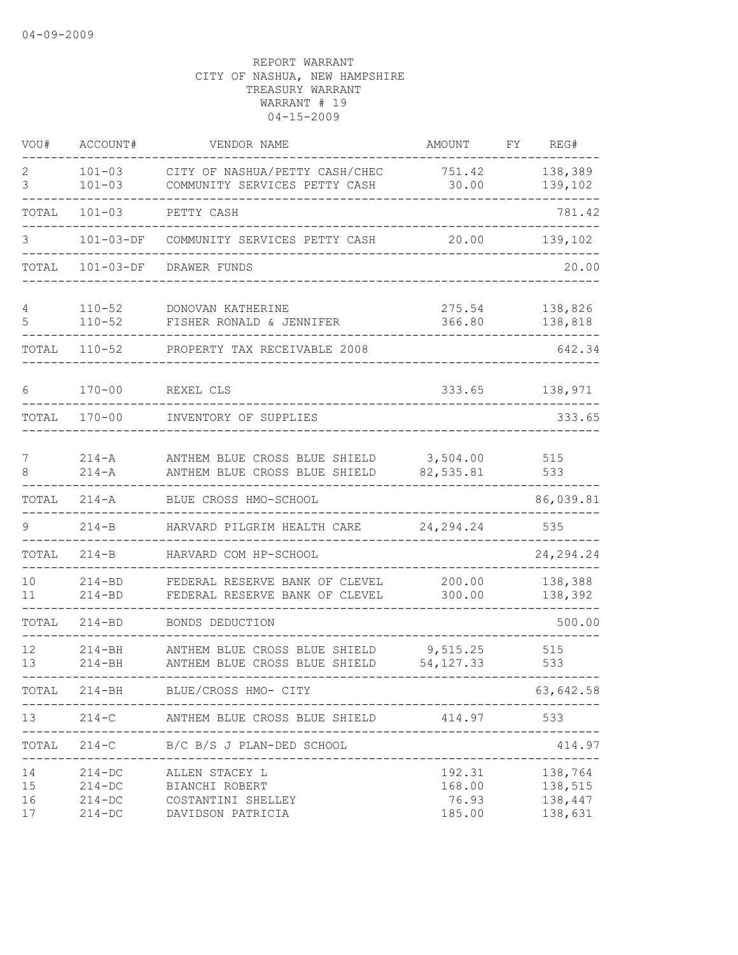| VOU#                 | ACCOUNT#                                           | VENDOR NAME                                                                 | AMOUNT                              | FY | REG#                                     |
|----------------------|----------------------------------------------------|-----------------------------------------------------------------------------|-------------------------------------|----|------------------------------------------|
| 2<br>3               | $101 - 03$<br>$101 - 03$                           | CITY OF NASHUA/PETTY CASH/CHEC<br>COMMUNITY SERVICES PETTY CASH             | 751.42<br>30.00                     |    | 138,389<br>139,102                       |
| TOTAL                | $101 - 03$                                         | PETTY CASH                                                                  |                                     |    | 781.42                                   |
| 3                    | $101 - 03 - DF$                                    | COMMUNITY SERVICES PETTY CASH                                               | 20.00                               |    | 139,102                                  |
| TOTAL                | $101 - 03 - DF$                                    | DRAWER FUNDS                                                                |                                     |    | 20.00                                    |
| 4<br>5               | $110 - 52$<br>$110 - 52$                           | DONOVAN KATHERINE<br>FISHER RONALD & JENNIFER                               | 275.54<br>366.80                    |    | 138,826<br>138,818                       |
| TOTAL                | $110 - 52$                                         | PROPERTY TAX RECEIVABLE 2008                                                |                                     |    | 642.34                                   |
| 6                    | $170 - 00$                                         | REXEL CLS                                                                   | 333.65                              |    | 138,971                                  |
| TOTAL                | $170 - 00$                                         | INVENTORY OF SUPPLIES                                                       |                                     |    | 333.65                                   |
| 7<br>8               | $214 - A$<br>$214 - A$                             | ANTHEM BLUE CROSS BLUE SHIELD<br>ANTHEM BLUE CROSS BLUE SHIELD              | 3,504.00<br>82,535.81               |    | 515<br>533                               |
| TOTAL                | $214 - A$                                          | BLUE CROSS HMO-SCHOOL                                                       |                                     |    | 86,039.81                                |
| 9                    | $214 - B$                                          | HARVARD PILGRIM HEALTH CARE                                                 | 24, 294. 24                         |    | 535                                      |
| TOTAL                | $214 - B$                                          | HARVARD COM HP-SCHOOL                                                       |                                     |    | 24, 294. 24                              |
| 10<br>11             | $214 - BD$<br>$214 - BD$                           | FEDERAL RESERVE BANK OF CLEVEL<br>FEDERAL RESERVE BANK OF CLEVEL            | 200.00<br>300.00                    |    | 138,388<br>138,392                       |
| TOTAL                | $214 - BD$                                         | BONDS DEDUCTION                                                             |                                     |    | 500.00                                   |
| 12<br>13             | $214 - BH$<br>$214 - BH$                           | ANTHEM BLUE CROSS BLUE SHIELD<br>ANTHEM BLUE CROSS BLUE SHIELD              | 9,515.25<br>54, 127.33              |    | 515<br>533                               |
| TOTAL                | $214 - BH$                                         | BLUE/CROSS HMO- CITY                                                        |                                     |    | 63,642.58                                |
| 13                   | $214-C$                                            | ANTHEM BLUE CROSS BLUE SHIELD                                               | 414.97                              |    | 533                                      |
| TOTAL                | $214-C$                                            | B/C B/S J PLAN-DED SCHOOL<br>--------------                                 |                                     |    | 414.97                                   |
| 14<br>15<br>16<br>17 | $214 - DC$<br>$214 - DC$<br>$214 - DC$<br>$214-DC$ | ALLEN STACEY L<br>BIANCHI ROBERT<br>COSTANTINI SHELLEY<br>DAVIDSON PATRICIA | 192.31<br>168.00<br>76.93<br>185.00 |    | 138,764<br>138,515<br>138,447<br>138,631 |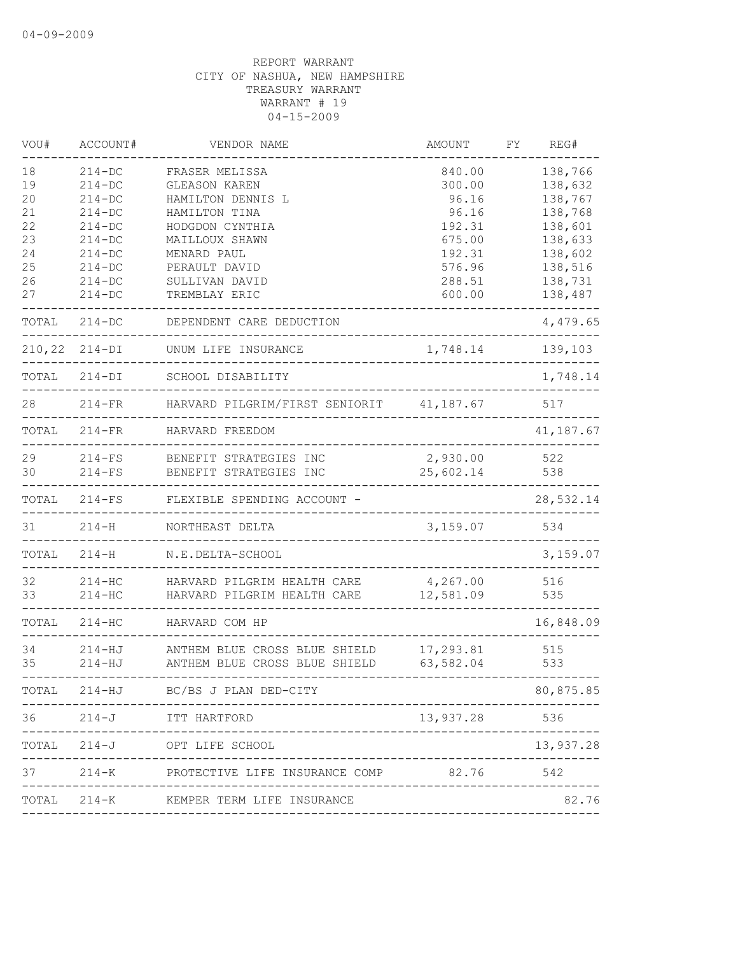| VOU#     | ACCOUNT#           | VENDOR NAME                              | AMOUNT        | FΥ | REG#      |
|----------|--------------------|------------------------------------------|---------------|----|-----------|
| 18       | $214 - DC$         | FRASER MELISSA                           | 840.00        |    | 138,766   |
| 19       | $214 - DC$         | <b>GLEASON KAREN</b>                     | 300.00        |    | 138,632   |
| 20       | $214 - DC$         | HAMILTON DENNIS L                        | 96.16         |    | 138,767   |
| 21       | $214 - DC$         | HAMILTON TINA                            | 96.16         |    | 138,768   |
| 22       | $214-DC$           | HODGDON CYNTHIA                          | 192.31        |    | 138,601   |
| 23       | $214 - DC$         | MAILLOUX SHAWN                           | 675.00        |    | 138,633   |
| 24       | $214 - DC$         | MENARD PAUL                              | 192.31        |    | 138,602   |
| 25<br>26 | $214-DC$           | PERAULT DAVID                            | 576.96        |    | 138,516   |
|          | $214-DC$           | SULLIVAN DAVID                           | 288.51        |    | 138,731   |
| 27       | $214-DC$           | TREMBLAY ERIC                            | 600.00        |    | 138,487   |
| TOTAL    | $214 - DC$         | DEPENDENT CARE DEDUCTION                 |               |    | 4,479.65  |
|          | $210, 22$ $214-DI$ | UNUM LIFE INSURANCE                      | 1,748.14      |    | 139,103   |
| TOTAL    | $214-DI$           | SCHOOL DISABILITY                        |               |    | 1,748.14  |
| 28       | $214 - FR$         | HARVARD PILGRIM/FIRST SENIORIT 41,187.67 |               |    | 517       |
| TOTAL    | $214 - FR$         | HARVARD FREEDOM                          |               |    | 41,187.67 |
| 29       | $214-FS$           | BENEFIT STRATEGIES INC                   | 2,930.00      |    | 522       |
| 30       | $214-FS$           | BENEFIT STRATEGIES INC                   | 25,602.14     |    | 538       |
| TOTAL    | $214-FS$           | FLEXIBLE SPENDING ACCOUNT -              |               |    | 28,532.14 |
| 31       | $214-H$            | NORTHEAST DELTA                          | 3,159.07      |    | 534       |
| TOTAL    | $214-H$            | N.E.DELTA-SCHOOL                         |               |    | 3,159.07  |
| 32       | $214 - HC$         | HARVARD PILGRIM HEALTH CARE              | 4,267.00      |    | 516       |
| 33       | $214 - HC$         | HARVARD PILGRIM HEALTH CARE              | 12,581.09     |    | 535       |
| TOTAL    | $214 - HC$         | HARVARD COM HP                           |               |    | 16,848.09 |
| 34       | 214-HJ             | ANTHEM BLUE CROSS BLUE SHIELD            | 17,293.81     |    | 515       |
| 35       | $214 - HJ$         | ANTHEM BLUE CROSS BLUE SHIELD            | 63,582.04     |    | 533       |
| TOTAL    |                    | 214-HJ BC/BS J PLAN DED-CITY             |               |    | 80,875.85 |
|          | $36 \t 214 - J$    | ITT HARTFORD                             | 13,937.28 536 |    |           |
|          |                    | TOTAL 214-J OPT LIFE SCHOOL              |               |    | 13,937.28 |
| 37       |                    | 214-K PROTECTIVE LIFE INSURANCE COMP     | 82.76         |    | 542       |
|          |                    | TOTAL 214-K KEMPER TERM LIFE INSURANCE   |               |    | 82.76     |
|          |                    |                                          |               |    |           |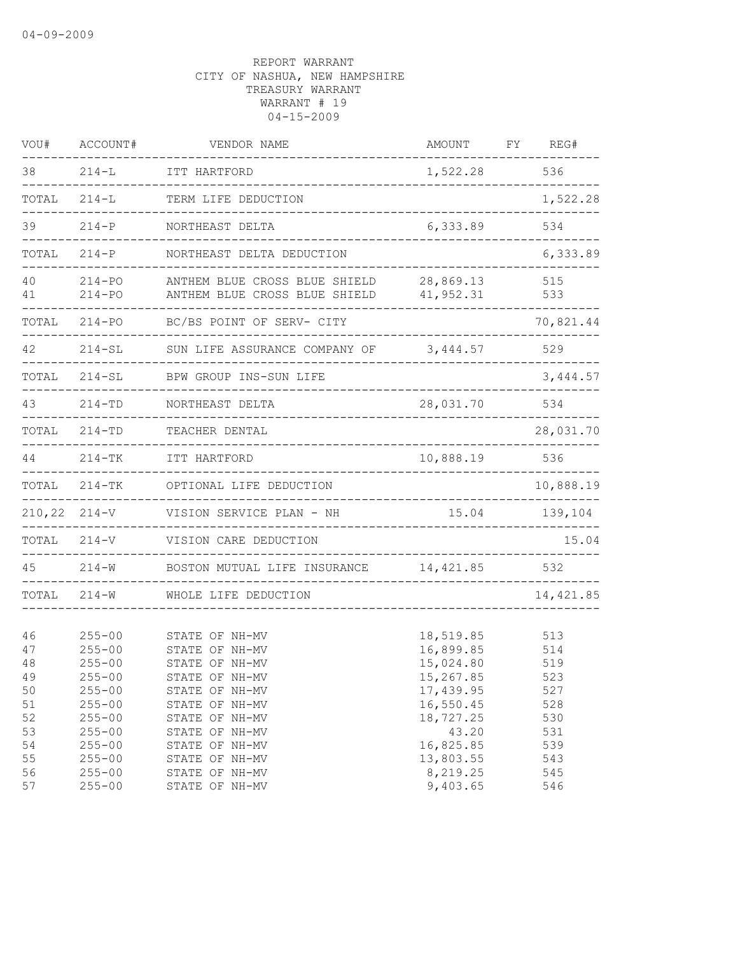| VOU#     | ACCOUNT#                 | VENDOR NAME                                                    | AMOUNT                 | REG#<br>FΥ |
|----------|--------------------------|----------------------------------------------------------------|------------------------|------------|
| 38       | $214-L$                  | ITT HARTFORD                                                   | 1,522.28               | 536        |
| TOTAL    | $214 - L$                | TERM LIFE DEDUCTION                                            |                        | 1,522.28   |
| 39       | $214 - P$                | NORTHEAST DELTA                                                | 6,333.89               | 534        |
| TOTAL    | $214-P$                  | NORTHEAST DELTA DEDUCTION                                      |                        | 6,333.89   |
| 40<br>41 | $214 - PO$<br>$214 - PO$ | ANTHEM BLUE CROSS BLUE SHIELD<br>ANTHEM BLUE CROSS BLUE SHIELD | 28,869.13<br>41,952.31 | 515<br>533 |
| TOTAL    | $214 - PQ$               | BC/BS POINT OF SERV- CITY                                      |                        | 70,821.44  |
| 42       | $214 - SL$               | SUN LIFE ASSURANCE COMPANY OF                                  | 3,444.57               | 529        |
| TOTAL    | $214-SL$                 | BPW GROUP INS-SUN LIFE                                         |                        | 3,444.57   |
| 43       | $214 - TD$               | NORTHEAST DELTA                                                | 28,031.70              | 534        |
| TOTAL    | $214 - TD$               | TEACHER DENTAL                                                 |                        | 28,031.70  |
| 44       | $214 - TK$               | ITT HARTFORD                                                   | 10,888.19              | 536        |
| TOTAL    | $214 - TK$               | OPTIONAL LIFE DEDUCTION                                        |                        | 10,888.19  |
| 210,22   | $214 - V$                | VISION SERVICE PLAN - NH                                       | 15.04                  | 139,104    |
| TOTAL    | $214 - V$                | VISION CARE DEDUCTION                                          |                        | 15.04      |
| 45       | $214 - W$                | BOSTON MUTUAL LIFE INSURANCE                                   | 14, 421.85             | 532        |
| TOTAL    | $214 - W$                | WHOLE LIFE DEDUCTION                                           |                        | 14, 421.85 |
| 46       | $255 - 00$               | STATE OF NH-MV                                                 | 18,519.85              | 513        |
| 47       | $255 - 00$               | STATE OF NH-MV                                                 | 16,899.85              | 514        |
| 48       | $255 - 00$               | STATE OF NH-MV                                                 | 15,024.80              | 519        |
| 49       | $255 - 00$               | STATE OF NH-MV                                                 | 15,267.85              | 523        |
| 50       | $255 - 00$               | STATE OF NH-MV                                                 | 17,439.95              | 527        |
| 51       | $255 - 00$               | STATE OF NH-MV                                                 | 16,550.45              | 528        |
| 52       | $255 - 00$               | STATE OF NH-MV                                                 | 18,727.25              | 530        |
| 53       | $255 - 00$               | STATE OF NH-MV                                                 | 43.20                  | 531        |
| 54       | $255 - 00$               | STATE OF NH-MV                                                 | 16,825.85              | 539        |
| 55       | $255 - 00$               | STATE OF NH-MV                                                 | 13,803.55              | 543        |
| 56       | $255 - 00$               | STATE OF NH-MV                                                 | 8,219.25               | 545        |
| 57       | $255 - 00$               | STATE OF NH-MV                                                 | 9,403.65               | 546        |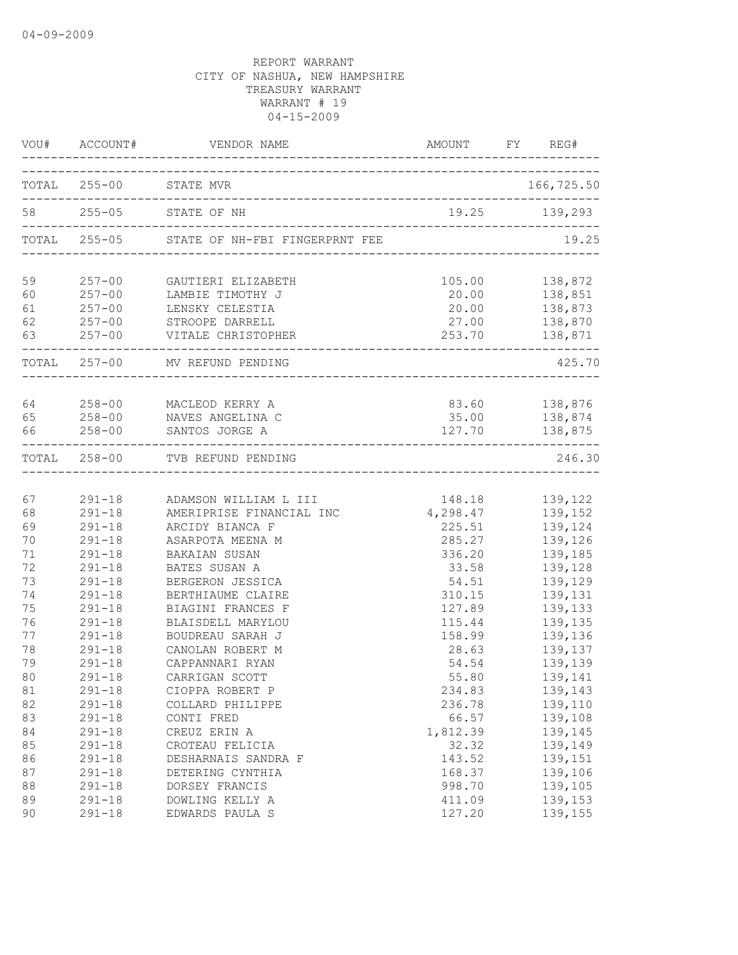|                      |                                   | VOU# ACCOUNT# VENDOR NAME AMOUNT FY REG#                                                                                                 |                 |                                                                                   |
|----------------------|-----------------------------------|------------------------------------------------------------------------------------------------------------------------------------------|-----------------|-----------------------------------------------------------------------------------|
|                      |                                   | TOTAL 255-00 STATE MVR                                                                                                                   |                 | 166,725.50                                                                        |
|                      |                                   | 58 255-05 STATE OF NH                                                                                                                    |                 | 19.25 139,293                                                                     |
|                      |                                   | TOTAL 255-05 STATE OF NH-FBI FINGERPRNT FEE                                                                                              |                 | 19.25                                                                             |
| 59<br>60<br>61<br>62 |                                   | 257-00 GAUTIERI ELIZABETH<br>257-00 LAMBIE TIMOTHY J<br>257-00 LENSKY CELESTIA<br>257-00 STROOPE DARRELL<br>63 257-00 VITALE CHRISTOPHER | 20.00           | 105.00 138,872<br>138,851<br>$20.00$ $138,873$<br>27.00 138,870<br>253.70 138,871 |
|                      | . _ _ _ _ _ _ _ _ _ _ _ _ _ _ _ _ | TOTAL 257-00 MV REFUND PENDING                                                                                                           |                 | 425.70                                                                            |
| 65<br>66             | $258 - 00$                        | 64 258-00 MACLEOD KERRY A<br>258-00 NAVES ANGELINA C<br>SANTOS JORGE A                                                                   | 35.00<br>127.70 | 83.60 138,876<br>138,874<br>138,875                                               |
|                      |                                   | TOTAL 258-00 TVB REFUND PENDING                                                                                                          |                 | 246.30                                                                            |
| 67                   | $291 - 18$                        | 291-18 ADAMSON WILLIAM L III                                                                                                             | 148.18          | 139,122                                                                           |
| 68                   |                                   | AMERIPRISE FINANCIAL INC                                                                                                                 | 4,298.47        | 139,152                                                                           |
| 69                   | $291 - 18$                        | ARCIDY BIANCA F                                                                                                                          | 225.51          | 139,124                                                                           |
| 70                   | $291 - 18$                        | ASARPOTA MEENA M                                                                                                                         | 285.27          | 139,126                                                                           |
| 71                   | $291 - 18$                        | BAKAIAN SUSAN                                                                                                                            | 336.20          | 139,185                                                                           |
| 72                   | $291 - 18$                        | BATES SUSAN A                                                                                                                            | 33.58           | 139,128                                                                           |
| 73                   | $291 - 18$                        | BERGERON JESSICA                                                                                                                         | 54.51           | 139,129                                                                           |
| 74                   | $291 - 18$                        | BERTHIAUME CLAIRE                                                                                                                        | 310.15          | 139,131                                                                           |
| 75                   | $291 - 18$                        | BIAGINI FRANCES F                                                                                                                        | 127.89          | 139,133                                                                           |
| 76                   | $291 - 18$                        | BLAISDELL MARYLOU                                                                                                                        | 115.44          | 139,135                                                                           |
| 77                   | $291 - 18$                        | BOUDREAU SARAH J                                                                                                                         | 158.99          | 139,136                                                                           |
| 78                   | $291 - 18$                        | CANOLAN ROBERT M                                                                                                                         | 28.63           | 139,137                                                                           |
| 79                   | $291 - 18$                        | CAPPANNARI RYAN                                                                                                                          | 54.54           | 139,139                                                                           |
| 80                   | $291 - 18$                        | CARRIGAN SCOTT                                                                                                                           | 55.80           | 139,141                                                                           |
| 81                   | $291 - 18$                        | CIOPPA ROBERT P                                                                                                                          | 234.83          | 139,143                                                                           |
| 82                   | $291 - 18$                        | COLLARD PHILIPPE                                                                                                                         | 236.78          | 139,110                                                                           |
| 83                   | $291 - 18$                        | CONTI FRED                                                                                                                               | 66.57           | 139,108                                                                           |
| 84                   | $291 - 18$                        | CREUZ ERIN A                                                                                                                             | 1,812.39        | 139,145                                                                           |
| 85                   | $291 - 18$                        | CROTEAU FELICIA                                                                                                                          | 32.32           | 139,149                                                                           |
| 86                   | $291 - 18$                        | DESHARNAIS SANDRA F                                                                                                                      | 143.52          | 139,151                                                                           |
| 87                   | $291 - 18$                        | DETERING CYNTHIA                                                                                                                         | 168.37          | 139,106                                                                           |
| 88                   | $291 - 18$                        | DORSEY FRANCIS                                                                                                                           | 998.70          | 139,105                                                                           |
| 89                   | $291 - 18$                        | DOWLING KELLY A                                                                                                                          | 411.09          | 139,153                                                                           |
| 90                   | $291 - 18$                        | EDWARDS PAULA S                                                                                                                          | 127.20          | 139,155                                                                           |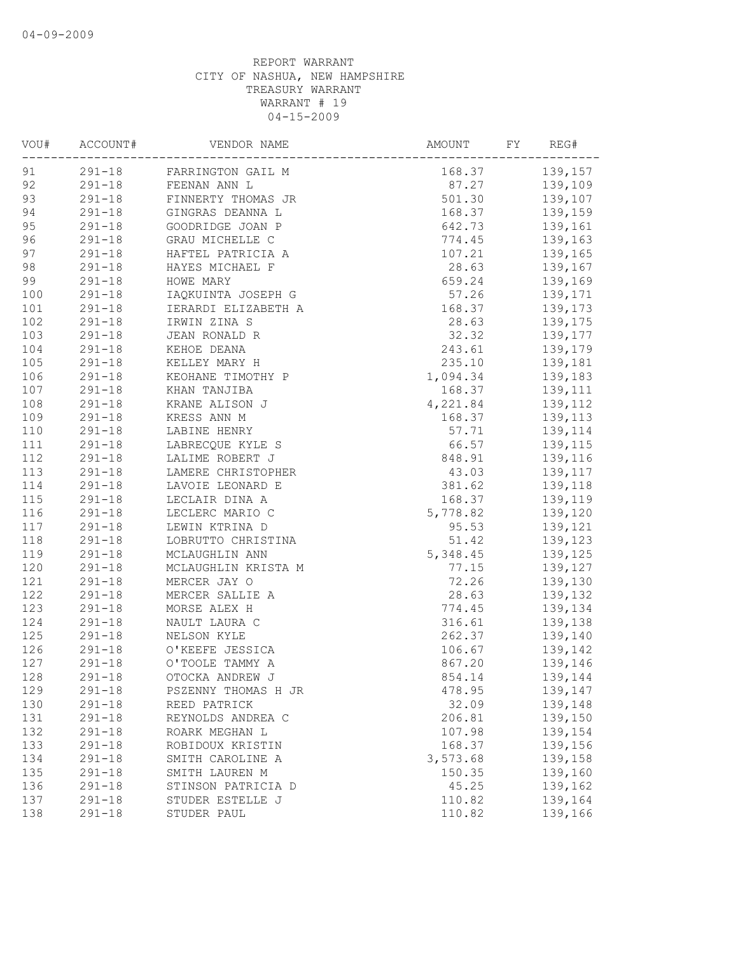| VOU# | ACCOUNT#   | VENDOR NAME                | AMOUNT<br>FΥ       | REG#          |
|------|------------|----------------------------|--------------------|---------------|
| 91   |            | 291-18 FARRINGTON GAIL M   | 168.37 139,157     |               |
| 92   |            | 291-18 FEENAN ANN L        | 87.27 139,109      |               |
| 93   |            | 291-18 FINNERTY THOMAS JR  | 501.30 139,107     |               |
| 94   |            | 291-18 GINGRAS DEANNA L    | 168.37             | 139,159       |
| 95   |            | 291-18 GOODRIDGE JOAN P    | 642.73             | 139,161       |
| 96   | $291 - 18$ | GRAU MICHELLE C            | 774.45             | 139,163       |
| 97   | $291 - 18$ | HAFTEL PATRICIA A          | 107.21             | 139,165       |
| 98   |            | 291-18 HAYES MICHAEL F     | 28.63              | 139,167       |
| 99   |            | 291-18 HOWE MARY           | 659.24 139,169     |               |
| 100  |            | 291-18 IAQKUINTA JOSEPH G  | 57.26 139,171      |               |
| 101  |            | 291-18 IERARDI ELIZABETH A | 168.37 139,173     |               |
| 102  |            | 291-18 IRWIN ZINA S        | 28.63 139,175      |               |
| 103  | $291 - 18$ | JEAN RONALD R              | 32.32              | 139,177       |
| 104  | $291 - 18$ | KEHOE DEANA                | 243.61             | 139,179       |
| 105  | $291 - 18$ | KELLEY MARY H              | 235.10             | 139,181       |
| 106  | $291 - 18$ | KEOHANE TIMOTHY P          | 1,094.34           | 139,183       |
| 107  | $291 - 18$ | KHAN TANJIBA               | 168.37             | 139,111       |
| 108  | $291 - 18$ | KRANE ALISON J             | 4,221.84           | 139,112       |
| 109  | $291 - 18$ | KRESS ANN M                | 168.37             | 139, 113      |
| 110  | $291 - 18$ | LABINE HENRY               |                    | 57.71 139,114 |
| 111  |            | 291-18 LABRECQUE KYLE S    | 66.57 139,115      |               |
| 112  | $291 - 18$ | LALIME ROBERT J            | 848.91             | 139,116       |
| 113  | $291 - 18$ | LAMERE CHRISTOPHER         | 43.03              | 139,117       |
| 114  | $291 - 18$ | LAVOIE LEONARD E           |                    | 139,118       |
| 115  | $291 - 18$ | LECLAIR DINA A             | 381.62<br>168.37   | 139,119       |
| 116  | $291 - 18$ | LECLERC MARIO C            | 5,778.82           | 139,120       |
| 117  | $291 - 18$ | LEWIN KTRINA D             |                    | 95.53 139,121 |
| 118  | $291 - 18$ | LOBRUTTO CHRISTINA         |                    | 51.42 139,123 |
| 119  | $291 - 18$ | MCLAUGHLIN ANN             | 5, 348.45 139, 125 |               |
| 120  | $291 - 18$ | MCLAUGHLIN KRISTA M        |                    | 77.15 139,127 |
| 121  | $291 - 18$ | MERCER JAY O               | 72.26              | 139,130       |
| 122  | $291 - 18$ | MERCER SALLIE A            | 28.63              | 139,132       |
| 123  | $291 - 18$ | MORSE ALEX H               | 774.45             | 139,134       |
| 124  | $291 - 18$ | NAULT LAURA C              | 316.61             | 139,138       |
| 125  | $291 - 18$ | NELSON KYLE                | 262.37             | 139,140       |
| 126  | $291 - 18$ | O'KEEFE JESSICA            | 106.67             | 139,142       |
| 127  | $291 - 18$ | O'TOOLE TAMMY A            | 867.20             | 139,146       |
| 128  | $291 - 18$ | OTOCKA ANDREW J            | 854.14             | 139,144       |
| 129  | $291 - 18$ | PSZENNY THOMAS H JR        | 478.95             | 139,147       |
| 130  | $291 - 18$ | REED PATRICK               | 32.09              | 139,148       |
| 131  | $291 - 18$ | REYNOLDS ANDREA C          | 206.81             | 139,150       |
| 132  | $291 - 18$ | ROARK MEGHAN L             | 107.98             | 139,154       |
| 133  | $291 - 18$ | ROBIDOUX KRISTIN           | 168.37             | 139,156       |
| 134  | $291 - 18$ | SMITH CAROLINE A           | 3,573.68           | 139,158       |
| 135  | $291 - 18$ | SMITH LAUREN M             | 150.35             | 139,160       |
| 136  | $291 - 18$ | STINSON PATRICIA D         | 45.25              | 139,162       |
| 137  | $291 - 18$ | STUDER ESTELLE J           | 110.82             | 139,164       |
| 138  | $291 - 18$ | STUDER PAUL                | 110.82             | 139,166       |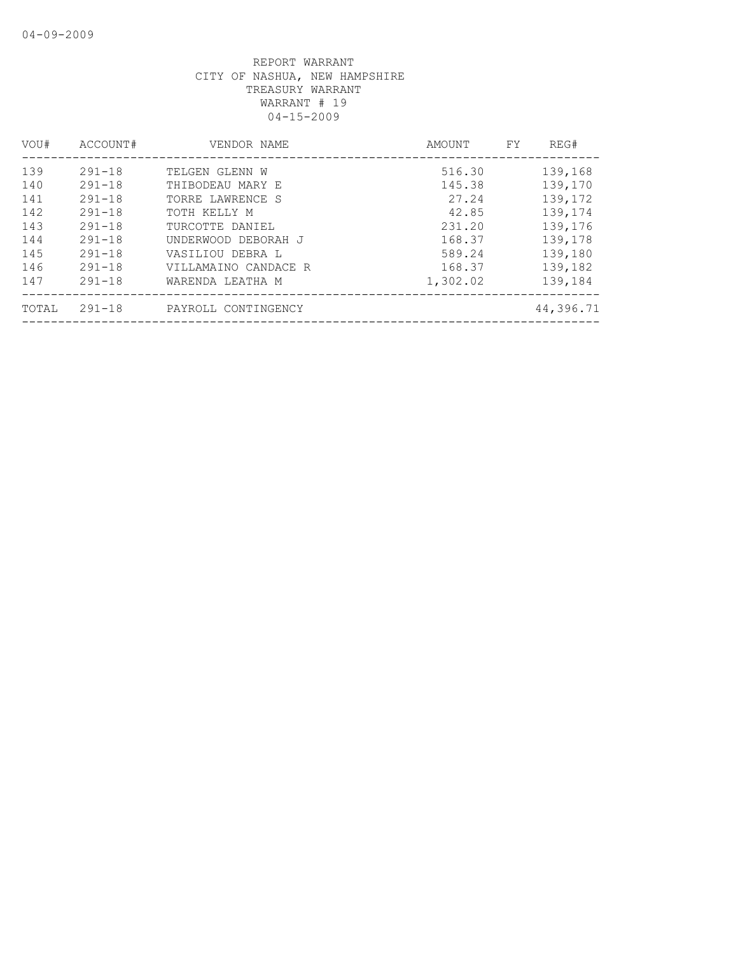| VOU#  | ACCOUNT#   | VENDOR NAME          | AMOUNT   | FY. | REG#      |
|-------|------------|----------------------|----------|-----|-----------|
| 139   | $291 - 18$ | TELGEN GLENN W       | 516.30   |     | 139,168   |
| 140   | $291 - 18$ | THIBODEAU MARY E     | 145.38   |     | 139,170   |
| 141   | $291 - 18$ | TORRE LAWRENCE S     | 27.24    |     | 139,172   |
| 142   | $291 - 18$ | TOTH KELLY M         | 42.85    |     | 139,174   |
| 143   | $291 - 18$ | TURCOTTE DANIEL      | 231.20   |     | 139,176   |
| 144   | $291 - 18$ | UNDERWOOD DEBORAH J  | 168.37   |     | 139,178   |
| 145   | $291 - 18$ | VASILIOU DEBRA L     | 589.24   |     | 139,180   |
| 146   | $291 - 18$ | VILLAMAINO CANDACE R | 168.37   |     | 139,182   |
| 147   | $291 - 18$ | WARENDA LEATHA M     | 1,302.02 |     | 139,184   |
| TOTAL | $291 - 18$ | PAYROLL CONTINGENCY  |          |     | 44,396.71 |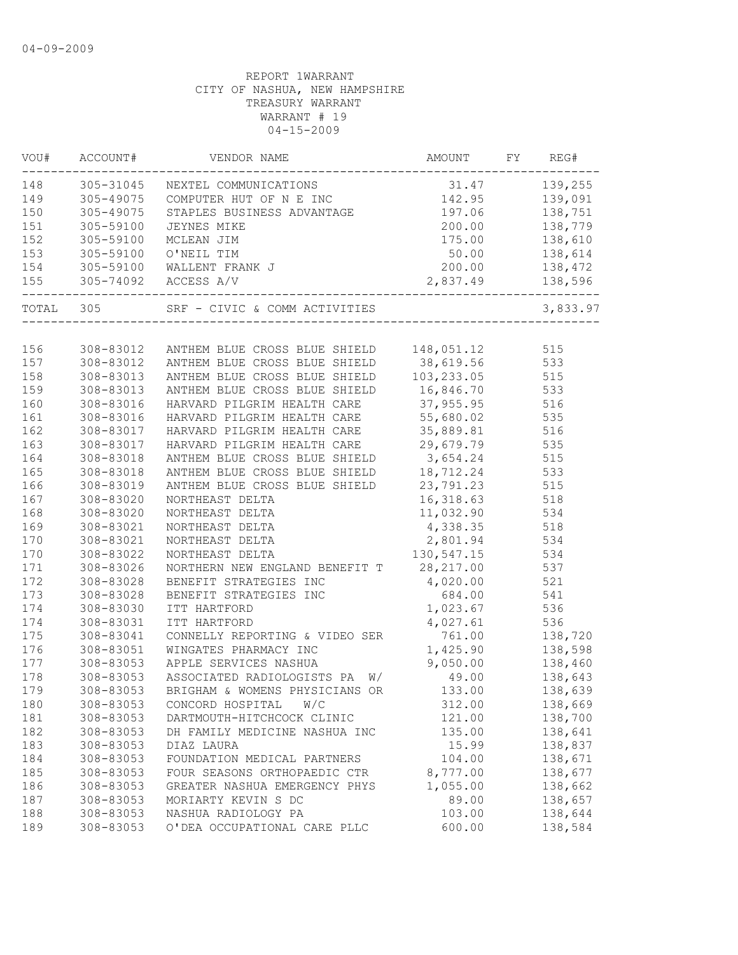|           | VOU# ACCOUNT# | VENDOR NAME                                                                                                                                                                    | AMOUNT FY              | REG#                      |
|-----------|---------------|--------------------------------------------------------------------------------------------------------------------------------------------------------------------------------|------------------------|---------------------------|
|           |               | 148 305-31045 NEXTEL COMMUNICATIONS                                                                                                                                            | $31.47$ $139,255$      |                           |
| 149       |               | 305-49075 COMPUTER HUT OF N E INC 142.95 139,091                                                                                                                               |                        |                           |
| 150       | 305-49075     | STAPLES BUSINESS ADVANTAGE 197.06 138,751                                                                                                                                      |                        |                           |
|           |               |                                                                                                                                                                                | 200.00                 | 138,779                   |
|           |               |                                                                                                                                                                                | 175.00                 | 138,610                   |
|           |               |                                                                                                                                                                                | 50.00                  | 138,614                   |
|           |               |                                                                                                                                                                                | 200.00                 | 138,472                   |
|           |               | 305-59100 JEYNES MIKE 200.00<br>152 305-59100 MCLEAN JIM 175.00<br>153 305-59100 O'NEIL TIM 50.00<br>154 305-59100 WALLENT FRANK J 200.00<br>155 305-74092 ACCESS A/V 2,837.49 |                        | 138,596                   |
| TOTAL 305 |               | SRF - CIVIC & COMM ACTIVITIES                                                                                                                                                  |                        | 3,833.97                  |
|           |               |                                                                                                                                                                                |                        |                           |
| 156       |               | 308-83012 ANTHEM BLUE CROSS BLUE SHIELD 148,051.12                                                                                                                             |                        | 515                       |
| 157       |               | 308-83012 ANTHEM BLUE CROSS BLUE SHIELD 38,619.56 533                                                                                                                          |                        |                           |
| 158       |               | 308-83013 ANTHEM BLUE CROSS BLUE SHIELD                                                                                                                                        | 103, 233.05            | 515<br>533<br>516         |
| 159       | 308-83013     | ANTHEM BLUE CROSS BLUE SHIELD                                                                                                                                                  | 16,846.70<br>37,955.95 |                           |
| 160       | 308-83016     | HARVARD PILGRIM HEALTH CARE                                                                                                                                                    |                        |                           |
| 161       | 308-83016     | HARVARD PILGRIM HEALTH CARE                                                                                                                                                    | $55,680.02$ 535        |                           |
| 162       | 308-83017     | HARVARD PILGRIM HEALTH CARE                                                                                                                                                    | 35,889.81 516          |                           |
| 163       | 308-83017     | HARVARD PILGRIM HEALTH CARE 29,679.79 535                                                                                                                                      |                        |                           |
| 164       | 308-83018     | ANTHEM BLUE CROSS BLUE SHIELD 3,654.24 515                                                                                                                                     |                        |                           |
| 165       | 308-83018     | ANTHEM BLUE CROSS BLUE SHIELD 18, 712.24 533                                                                                                                                   |                        |                           |
| 166       | 308-83019     | ANTHEM BLUE CROSS BLUE SHIELD 23,791.23                                                                                                                                        |                        | 515                       |
| 167       | 308-83020     | NORTHEAST DELTA                                                                                                                                                                | 16,318.63              | 518                       |
| 168       | 308-83020     | NORTHEAST DELTA                                                                                                                                                                |                        |                           |
| 169       | 308-83021     | NORTHEAST DELTA                                                                                                                                                                | 11,032.90<br>4,338.35  | 534<br>518                |
| 170       | 308-83021     | NORTHEAST DELTA                                                                                                                                                                | 2,801.94 534           |                           |
| 170       | 308-83022     | NORTHEAST DELTA                                                                                                                                                                | 130, 547. 15 534       |                           |
| 171       | 308-83026     | NORTHERN NEW ENGLAND BENEFIT T 28, 217.00 537                                                                                                                                  |                        |                           |
| 172       | 308-83028     | BENEFIT STRATEGIES INC<br>BENEFIT STRATEGIES INC $4,020.00$ 521<br>TTT HARTEGIES INC 684.00 541                                                                                |                        |                           |
| 173       | 308-83028     |                                                                                                                                                                                |                        |                           |
| 174       | 308-83030     | ITT HARTFORD                                                                                                                                                                   | 1,023.67               | 536                       |
| 174       | 308-83031     | ITT HARTFORD                                                                                                                                                                   | 4,027.61               | 536                       |
| 175       | 308-83041     | CONNELLY REPORTING & VIDEO SER                                                                                                                                                 | 761.00                 | 536<br>138,720<br>138,598 |
| 176       | 308-83051     | WINGATES PHARMACY INC                                                                                                                                                          | 1,425.90               |                           |
| 177       | 308-83053     | APPLE SERVICES NASHUA                                                                                                                                                          | 9,050.00               | 138,460                   |
| 178       | 308-83053     | ASSOCIATED RADIOLOGISTS PA W/                                                                                                                                                  |                        | 49.00 138,643             |
| 179       |               | 308-83053 BRIGHAM & WOMENS PHYSICIANS OR                                                                                                                                       | 133.00                 | 138,639                   |
| 180       | 308-83053     | CONCORD HOSPITAL<br>W/C                                                                                                                                                        | 312.00                 | 138,669                   |
| 181       | 308-83053     | DARTMOUTH-HITCHCOCK CLINIC                                                                                                                                                     | 121.00                 | 138,700                   |
| 182       | 308-83053     | DH FAMILY MEDICINE NASHUA INC                                                                                                                                                  | 135.00                 | 138,641                   |
| 183       | 308-83053     | DIAZ LAURA                                                                                                                                                                     | 15.99                  | 138,837                   |
| 184       | 308-83053     | FOUNDATION MEDICAL PARTNERS                                                                                                                                                    | 104.00                 | 138,671                   |
| 185       | 308-83053     | FOUR SEASONS ORTHOPAEDIC CTR                                                                                                                                                   | 8,777.00               | 138,677                   |
| 186       | 308-83053     | GREATER NASHUA EMERGENCY PHYS                                                                                                                                                  | 1,055.00               | 138,662                   |
| 187       | 308-83053     | MORIARTY KEVIN S DC                                                                                                                                                            | 89.00                  | 138,657                   |
| 188       | 308-83053     | NASHUA RADIOLOGY PA                                                                                                                                                            | 103.00                 | 138,644                   |
| 189       | 308-83053     | O'DEA OCCUPATIONAL CARE PLLC                                                                                                                                                   | 600.00                 | 138,584                   |
|           |               |                                                                                                                                                                                |                        |                           |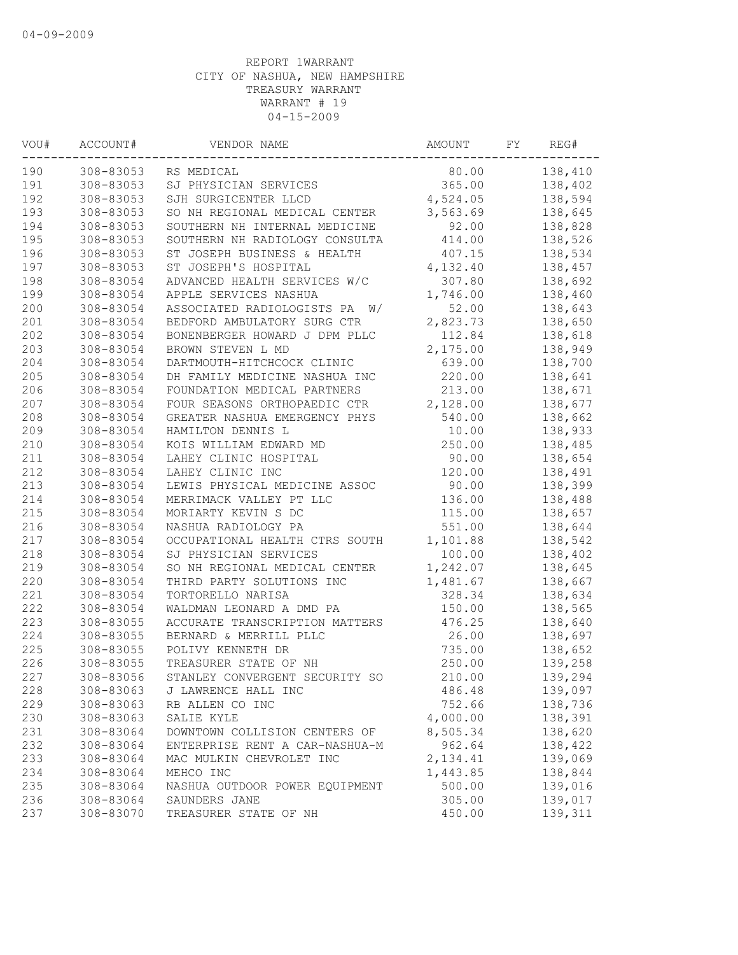| WOU#       | ACCOUNT#               | VENDOR NAME                                     | AMOUNT   | FY | REG#    |
|------------|------------------------|-------------------------------------------------|----------|----|---------|
| 190        | 308-83053              | RS MEDICAL                                      | 80.00    |    | 138,410 |
| 191        | 308-83053              | SJ PHYSICIAN SERVICES                           | 365.00   |    | 138,402 |
| 192        | 308-83053              | SJH SURGICENTER LLCD                            | 4,524.05 |    | 138,594 |
| 193        | 308-83053              | SO NH REGIONAL MEDICAL CENTER                   | 3,563.69 |    | 138,645 |
| 194        | 308-83053              | SOUTHERN NH INTERNAL MEDICINE                   | 92.00    |    | 138,828 |
| 195        | 308-83053              | SOUTHERN NH RADIOLOGY CONSULTA                  | 414.00   |    | 138,526 |
| 196        | 308-83053              | ST JOSEPH BUSINESS & HEALTH                     | 407.15   |    | 138,534 |
| 197        | 308-83053              | ST JOSEPH'S HOSPITAL                            | 4,132.40 |    | 138,457 |
| 198        | 308-83054              | ADVANCED HEALTH SERVICES W/C                    | 307.80   |    | 138,692 |
| 199        | 308-83054              | APPLE SERVICES NASHUA                           | 1,746.00 |    | 138,460 |
| 200        | 308-83054              | ASSOCIATED RADIOLOGISTS PA<br>W/                | 52.00    |    | 138,643 |
| 201        | 308-83054              | BEDFORD AMBULATORY SURG CTR                     | 2,823.73 |    | 138,650 |
| 202        | 308-83054              | BONENBERGER HOWARD J DPM PLLC                   | 112.84   |    | 138,618 |
| 203        | 308-83054              | BROWN STEVEN L MD                               | 2,175.00 |    | 138,949 |
| 204        | 308-83054              | DARTMOUTH-HITCHCOCK CLINIC                      | 639.00   |    | 138,700 |
| 205        | 308-83054              | DH FAMILY MEDICINE NASHUA INC                   | 220.00   |    | 138,641 |
| 206        | 308-83054              | FOUNDATION MEDICAL PARTNERS                     | 213.00   |    | 138,671 |
| 207        | 308-83054              | FOUR SEASONS ORTHOPAEDIC CTR                    | 2,128.00 |    | 138,677 |
| 208        | 308-83054              | GREATER NASHUA EMERGENCY PHYS                   | 540.00   |    | 138,662 |
| 209        | 308-83054              | HAMILTON DENNIS L                               | 10.00    |    | 138,933 |
| 210        | 308-83054              | KOIS WILLIAM EDWARD MD                          | 250.00   |    | 138,485 |
| 211        | 308-83054              | LAHEY CLINIC HOSPITAL                           | 90.00    |    | 138,654 |
| 212        | 308-83054              | LAHEY CLINIC INC                                | 120.00   |    | 138,491 |
| 213        | 308-83054              | LEWIS PHYSICAL MEDICINE ASSOC                   | 90.00    |    | 138,399 |
| 214        | 308-83054              | MERRIMACK VALLEY PT LLC                         | 136.00   |    | 138,488 |
| 215        | 308-83054              | MORIARTY KEVIN S DC                             | 115.00   |    | 138,657 |
| 216        | 308-83054              | NASHUA RADIOLOGY PA                             | 551.00   |    | 138,644 |
| 217        | 308-83054              | OCCUPATIONAL HEALTH CTRS SOUTH                  | 1,101.88 |    | 138,542 |
| 218        | 308-83054              | SJ PHYSICIAN SERVICES                           | 100.00   |    | 138,402 |
| 219        | 308-83054              | SO NH REGIONAL MEDICAL CENTER                   | 1,242.07 |    | 138,645 |
| 220        | 308-83054              | THIRD PARTY SOLUTIONS INC                       | 1,481.67 |    | 138,667 |
| 221        | 308-83054              | TORTORELLO NARISA                               | 328.34   |    | 138,634 |
| 222        | 308-83054              | WALDMAN LEONARD A DMD PA                        | 150.00   |    | 138,565 |
| 223        | 308-83055              | ACCURATE TRANSCRIPTION MATTERS                  | 476.25   |    | 138,640 |
| 224        | 308-83055              | BERNARD & MERRILL PLLC                          | 26.00    |    | 138,697 |
| 225        | 308-83055              | POLIVY KENNETH DR                               | 735.00   |    | 138,652 |
| 226        | 308-83055              | TREASURER STATE OF NH                           | 250.00   |    | 139,258 |
| 227        | 308-83056              | STANLEY CONVERGENT SECURITY SO                  | 210.00   |    | 139,294 |
| 228        | 308-83063              | J LAWRENCE HALL INC                             | 486.48   |    | 139,097 |
| 229        | 308-83063              | RB ALLEN CO INC                                 | 752.66   |    | 138,736 |
| 230        | 308-83063              | SALIE KYLE                                      | 4,000.00 |    | 138,391 |
| 231        | 308-83064              | DOWNTOWN COLLISION CENTERS OF                   | 8,505.34 |    | 138,620 |
| 232        | 308-83064              | ENTERPRISE RENT A CAR-NASHUA-M                  | 962.64   |    | 138,422 |
| 233        |                        | MAC MULKIN CHEVROLET INC                        | 2,134.41 |    |         |
|            | 308-83064              | MEHCO INC                                       |          |    | 139,069 |
| 234<br>235 | 308-83064<br>308-83064 |                                                 | 1,443.85 |    | 138,844 |
|            | 308-83064              | NASHUA OUTDOOR POWER EQUIPMENT<br>SAUNDERS JANE | 500.00   |    | 139,016 |
| 236        |                        |                                                 | 305.00   |    | 139,017 |
| 237        | 308-83070              | TREASURER STATE OF NH                           | 450.00   |    | 139,311 |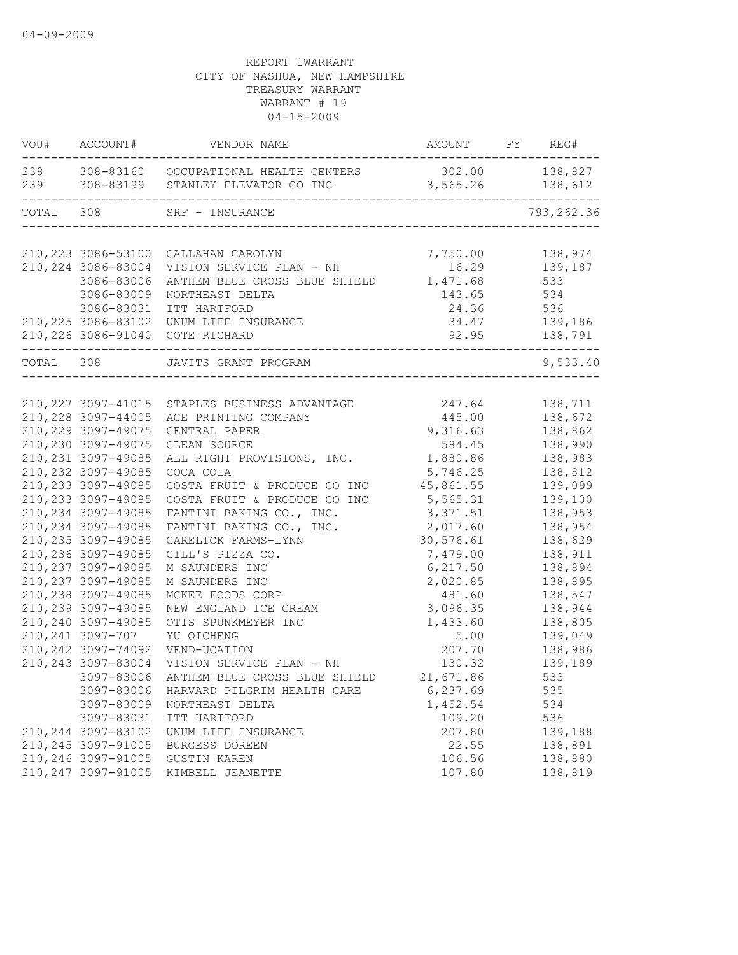|           | VOU# ACCOUNT#       | VENDOR NAME                                                                                                        | AMOUNT FY REG# |               |
|-----------|---------------------|--------------------------------------------------------------------------------------------------------------------|----------------|---------------|
|           |                     | 238 308-83160 OCCUPATIONAL HEALTH CENTERS 302.00 138,827<br>239 308-83199 STANLEY ELEVATOR CO INC 3,565.26 138,612 |                |               |
| TOTAL 308 |                     | SRF - INSURANCE                                                                                                    |                | 793, 262.36   |
|           |                     | 210, 223 3086-53100 CALLAHAN CAROLYN                                                                               | 7,750.00       | 138,974       |
|           | 210, 224 3086-83004 | VISION SERVICE PLAN - NH<br>ANTHEM BLUE CROSS BLUE SHIELD                                                          | 16.29          | 139,187       |
|           | 3086-83006          |                                                                                                                    | 1,471.68       | 533           |
|           | 3086-83009          | NORTHEAST DELTA                                                                                                    | 143.65 534     |               |
|           | 3086-83031          | ITT HARTFORD                                                                                                       | 24.36 536      |               |
|           |                     | 210, 225 3086-83102 UNUM LIFE INSURANCE                                                                            | 34.47 139,186  |               |
|           |                     | 210,226 3086-91040 COTE RICHARD<br>____________                                                                    |                | 92.95 138,791 |
| TOTAL 308 |                     | JAVITS GRANT PROGRAM                                                                                               |                | 9,533.40      |
|           |                     |                                                                                                                    |                |               |
|           |                     | 210, 227 3097-41015 STAPLES BUSINESS ADVANTAGE 247.64                                                              |                | 138,711       |
|           | 210, 228 3097-44005 | ACE PRINTING COMPANY                                                                                               | 445.00         | 138,672       |
|           | 210, 229 3097-49075 | CENTRAL PAPER                                                                                                      | 9,316.63       | 138,862       |
|           | 210,230 3097-49075  | CLEAN SOURCE                                                                                                       | 584.45         | 138,990       |
|           | 210, 231 3097-49085 | ALL RIGHT PROVISIONS, INC.                                                                                         | 1,880.86       | 138,983       |
|           | 210, 232 3097-49085 | COCA COLA                                                                                                          | 5,746.25       | 138,812       |
|           | 210, 233 3097-49085 | COSTA FRUIT & PRODUCE CO INC                                                                                       | 45,861.55      | 139,099       |
|           | 210, 233 3097-49085 | COSTA FRUIT & PRODUCE CO INC                                                                                       | 5,565.31       | 139,100       |
|           | 210, 234 3097-49085 | FANTINI BAKING CO., INC.                                                                                           | 3,371.51       | 138,953       |
|           | 210, 234 3097-49085 | FANTINI BAKING CO., INC.                                                                                           | 2,017.60       | 138,954       |
|           | 210, 235 3097-49085 | GARELICK FARMS-LYNN                                                                                                | 30, 576.61     | 138,629       |
|           | 210,236 3097-49085  | GILL'S PIZZA CO.                                                                                                   | 7,479.00       | 138,911       |
|           | 210, 237 3097-49085 | M SAUNDERS INC                                                                                                     | 6, 217.50      | 138,894       |
|           | 210, 237 3097-49085 | M SAUNDERS INC                                                                                                     | 2,020.85       | 138,895       |
|           | 210, 238 3097-49085 | MCKEE FOODS CORP                                                                                                   | 481.60         | 138,547       |
|           | 210,239 3097-49085  |                                                                                                                    | 3,096.35       | 138,944       |
|           | 210,240 3097-49085  | NEW ENGLAND ICE CREAM<br>OTIS SPUNKMEYER INC<br>YU OICHENG                                                         | 1,433.60       | 138,805       |
|           | 210, 241 3097-707   | YU QICHENG                                                                                                         | 5.00           | 139,049       |
|           | 210, 242 3097-74092 | VEND-UCATION                                                                                                       | 207.70         | 138,986       |
|           | 210, 243 3097-83004 | VISION SERVICE PLAN - NH                                                                                           | 130.32         | 139,189       |
|           | 3097-83006          | ANTHEM BLUE CROSS BLUE SHIELD 21,671.86                                                                            |                | 533           |
|           | 3097-83006          | HARVARD PILGRIM HEALTH CARE                                                                                        | 6,237.69       | 535           |
|           | 3097-83009          | NORTHEAST DELTA                                                                                                    | 1,452.54       | 534           |
|           | 3097-83031          | ITT HARTFORD                                                                                                       | 109.20         | 536           |
|           | 210, 244 3097-83102 | UNUM LIFE INSURANCE                                                                                                | 207.80         | 139,188       |
|           | 210, 245 3097-91005 | BURGESS DOREEN                                                                                                     | 22.55          | 138,891       |
|           | 210,246 3097-91005  | <b>GUSTIN KAREN</b>                                                                                                | 106.56         | 138,880       |
|           | 210, 247 3097-91005 | KIMBELL JEANETTE                                                                                                   | 107.80         | 138,819       |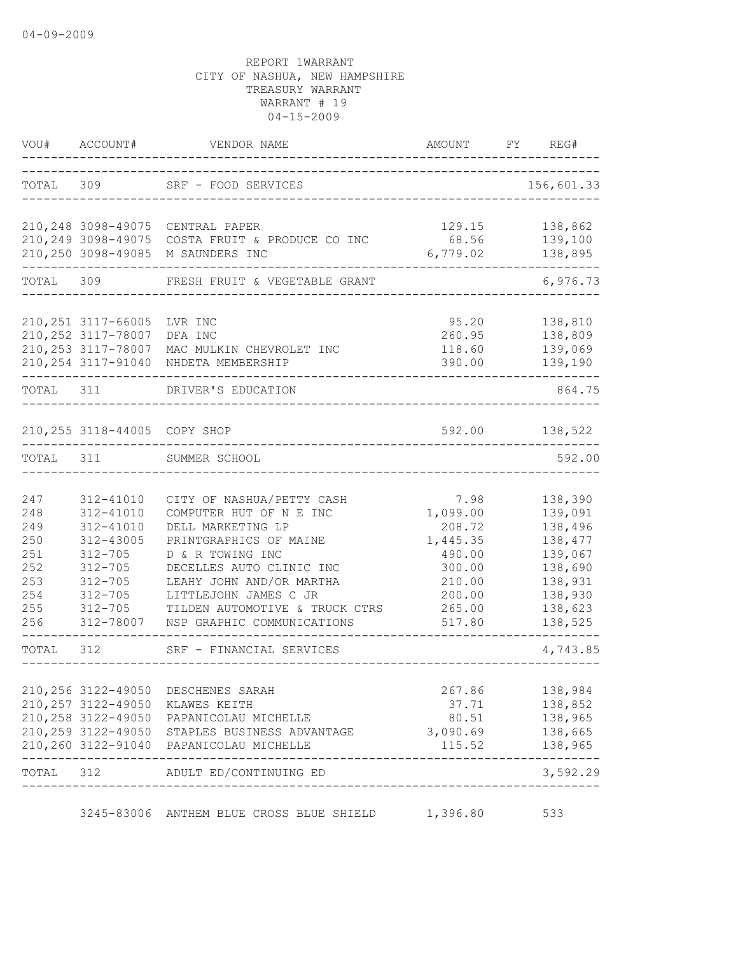|                                                                    | VOU# ACCOUNT#                                                                                                                            | VENDOR NAME                                                                                                                                                                                                                                                              | AMOUNT                                                                                             | FY | REG#                                                                                                       |
|--------------------------------------------------------------------|------------------------------------------------------------------------------------------------------------------------------------------|--------------------------------------------------------------------------------------------------------------------------------------------------------------------------------------------------------------------------------------------------------------------------|----------------------------------------------------------------------------------------------------|----|------------------------------------------------------------------------------------------------------------|
|                                                                    |                                                                                                                                          | TOTAL 309 SRF - FOOD SERVICES                                                                                                                                                                                                                                            |                                                                                                    |    | 156,601.33                                                                                                 |
|                                                                    | 210, 249 3098-49075                                                                                                                      | 210,248 3098-49075 CENTRAL PAPER<br>COSTA FRUIT & PRODUCE CO INC                                                                                                                                                                                                         | 129.15<br>68.56                                                                                    |    | 138,862<br>139,100                                                                                         |
|                                                                    | 210,250 3098-49085                                                                                                                       | M SAUNDERS INC                                                                                                                                                                                                                                                           | 6,779.02                                                                                           |    | 138,895                                                                                                    |
| TOTAL                                                              | 309                                                                                                                                      | FRESH FRUIT & VEGETABLE GRANT                                                                                                                                                                                                                                            |                                                                                                    |    | 6,976.73                                                                                                   |
|                                                                    | 210, 251 3117-66005<br>210, 252 3117-78007<br>210, 253 3117-78007<br>210, 254 3117-91040                                                 | LVR INC<br>DFA INC<br>MAC MULKIN CHEVROLET INC<br>NHDETA MEMBERSHIP                                                                                                                                                                                                      | 95.20<br>260.95<br>118.60<br>390.00                                                                |    | 138,810<br>138,809<br>139,069<br>139,190                                                                   |
| TOTAL 311                                                          |                                                                                                                                          | DRIVER'S EDUCATION                                                                                                                                                                                                                                                       |                                                                                                    |    | 864.75                                                                                                     |
|                                                                    | 210,255 3118-44005 COPY SHOP                                                                                                             |                                                                                                                                                                                                                                                                          | 592.00                                                                                             |    | 138,522                                                                                                    |
| TOTAL 311                                                          |                                                                                                                                          | SUMMER SCHOOL                                                                                                                                                                                                                                                            |                                                                                                    |    | 592.00                                                                                                     |
| 247<br>248<br>249<br>250<br>251<br>252<br>253<br>254<br>255<br>256 | 312-41010<br>312-41010<br>312-41010<br>312-43005<br>$312 - 705$<br>$312 - 705$<br>$312 - 705$<br>$312 - 705$<br>$312 - 705$<br>312-78007 | CITY OF NASHUA/PETTY CASH<br>COMPUTER HUT OF N E INC<br>DELL MARKETING LP<br>PRINTGRAPHICS OF MAINE<br>D & R TOWING INC<br>DECELLES AUTO CLINIC INC<br>LEAHY JOHN AND/OR MARTHA<br>LITTLEJOHN JAMES C JR<br>TILDEN AUTOMOTIVE & TRUCK CTRS<br>NSP GRAPHIC COMMUNICATIONS | 7.98<br>1,099.00<br>208.72<br>1,445.35<br>490.00<br>300.00<br>210.00<br>200.00<br>265.00<br>517.80 |    | 138,390<br>139,091<br>138,496<br>138,477<br>139,067<br>138,690<br>138,931<br>138,930<br>138,623<br>138,525 |
| TOTAL                                                              | 312                                                                                                                                      | SRF - FINANCIAL SERVICES                                                                                                                                                                                                                                                 |                                                                                                    |    | 4,743.85                                                                                                   |
|                                                                    | 210,256 3122-49050<br>210, 257 3122-49050                                                                                                | DESCHENES SARAH<br>KLAWES KEITH<br>210, 258 3122-49050 PAPANICOLAU MICHELLE<br>210,259 3122-49050 STAPLES BUSINESS ADVANTAGE 3,090.69 138,665<br>210, 260 3122-91040 PAPANICOLAU MICHELLE                                                                                | 267.86<br>37.71<br>115.52                                                                          |    | 138,984<br>138,852<br>80.51 138,965<br>138,965                                                             |
| TOTAL                                                              | 312                                                                                                                                      | ADULT ED/CONTINUING ED                                                                                                                                                                                                                                                   |                                                                                                    |    | $- - - - - -$<br>3,592.29                                                                                  |
|                                                                    |                                                                                                                                          | 3245-83006 ANTHEM BLUE CROSS BLUE SHIELD                                                                                                                                                                                                                                 | 1,396.80                                                                                           |    | 533                                                                                                        |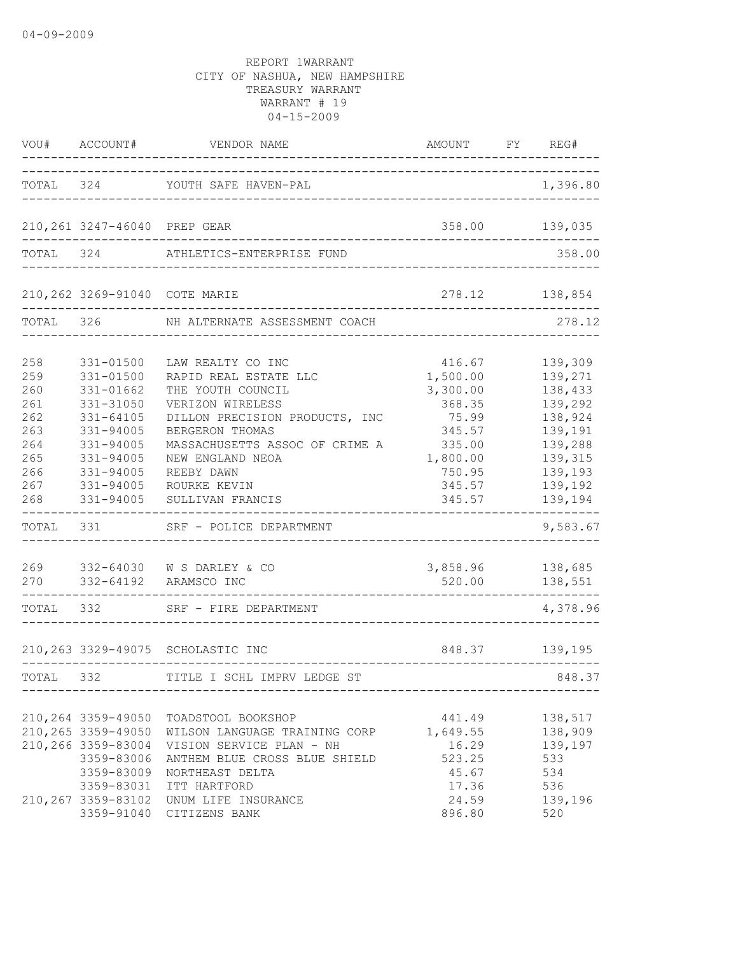|                                                                                    | VOU# ACCOUNT#                                                                                                                                          | VENDOR NAME<br>____________.                                                                                                                                                                                                                                                                                 | AMOUNT FY REG#<br>____________________                                                                                      |                                                                                                                                              |
|------------------------------------------------------------------------------------|--------------------------------------------------------------------------------------------------------------------------------------------------------|--------------------------------------------------------------------------------------------------------------------------------------------------------------------------------------------------------------------------------------------------------------------------------------------------------------|-----------------------------------------------------------------------------------------------------------------------------|----------------------------------------------------------------------------------------------------------------------------------------------|
|                                                                                    |                                                                                                                                                        | TOTAL 324 YOUTH SAFE HAVEN-PAL<br>___________________________                                                                                                                                                                                                                                                |                                                                                                                             | 1,396.80                                                                                                                                     |
|                                                                                    | 210,261 3247-46040 PREP GEAR                                                                                                                           |                                                                                                                                                                                                                                                                                                              |                                                                                                                             | 358.00 139,035                                                                                                                               |
|                                                                                    |                                                                                                                                                        | TOTAL 324 ATHLETICS-ENTERPRISE FUND                                                                                                                                                                                                                                                                          |                                                                                                                             | 358.00                                                                                                                                       |
|                                                                                    |                                                                                                                                                        | 210,262 3269-91040 COTE MARIE                                                                                                                                                                                                                                                                                |                                                                                                                             | 278.12 138,854                                                                                                                               |
| TOTAL 326                                                                          |                                                                                                                                                        | NH ALTERNATE ASSESSMENT COACH                                                                                                                                                                                                                                                                                |                                                                                                                             | 278.12                                                                                                                                       |
| 258<br>259<br>260<br>261<br>262<br>263<br>264<br>265<br>266<br>267<br>268<br>TOTAL | 331-01500<br>331-01500<br>331-01662<br>331-31050<br>$331 - 64105$<br>331-94005<br>331-94005<br>331-94005<br>331-94005<br>331-94005<br>331-94005<br>331 | LAW REALTY CO INC<br>RAPID REAL ESTATE LLC<br>THE YOUTH COUNCIL<br>VERIZON WIRELESS<br>DILLON PRECISION PRODUCTS, INC<br>BERGERON THOMAS<br>MASSACHUSETTS ASSOC OF CRIME A<br>NEW ENGLAND NEOA<br>REEBY DAWN<br>ROURKE KEVIN<br>SULLIVAN FRANCIS<br>SRF - POLICE DEPARTMENT<br>269 332-64030 W S DARLEY & CO | 416.67<br>1,500.00<br>3,300.00<br>368.35<br>75.99<br>345.57<br>335.00<br>1,800.00<br>750.95<br>345.57<br>345.57<br>3,858.96 | 139,309<br>139,271<br>138,433<br>139,292<br>138,924<br>139,191<br>139,288<br>139,315<br>139,193<br>139,192<br>139,194<br>9,583.67<br>138,685 |
| 270                                                                                |                                                                                                                                                        | 332-64192 ARAMSCO INC                                                                                                                                                                                                                                                                                        | 520.00                                                                                                                      | 138,551                                                                                                                                      |
|                                                                                    | TOTAL 332                                                                                                                                              | SRF - FIRE DEPARTMENT                                                                                                                                                                                                                                                                                        |                                                                                                                             | 4,378.96                                                                                                                                     |
|                                                                                    |                                                                                                                                                        | 210,263 3329-49075 SCHOLASTIC INC                                                                                                                                                                                                                                                                            |                                                                                                                             | 848.37 139,195                                                                                                                               |
| TOTAL                                                                              | 332                                                                                                                                                    | TITLE I SCHL IMPRV LEDGE ST                                                                                                                                                                                                                                                                                  |                                                                                                                             | 848.37                                                                                                                                       |
|                                                                                    | 210, 264 3359-49050<br>210,265 3359-49050<br>210,266 3359-83004<br>3359-83006<br>3359-83009<br>3359-83031<br>210, 267 3359-83102<br>3359-91040         | TOADSTOOL BOOKSHOP<br>WILSON LANGUAGE TRAINING CORP<br>VISION SERVICE PLAN - NH<br>ANTHEM BLUE CROSS BLUE SHIELD<br>NORTHEAST DELTA<br>ITT HARTFORD<br>UNUM LIFE INSURANCE<br>CITIZENS BANK                                                                                                                  | 441.49<br>1,649.55<br>16.29<br>523.25<br>45.67<br>17.36<br>24.59<br>896.80                                                  | 138,517<br>138,909<br>139,197<br>533<br>534<br>536<br>139,196<br>520                                                                         |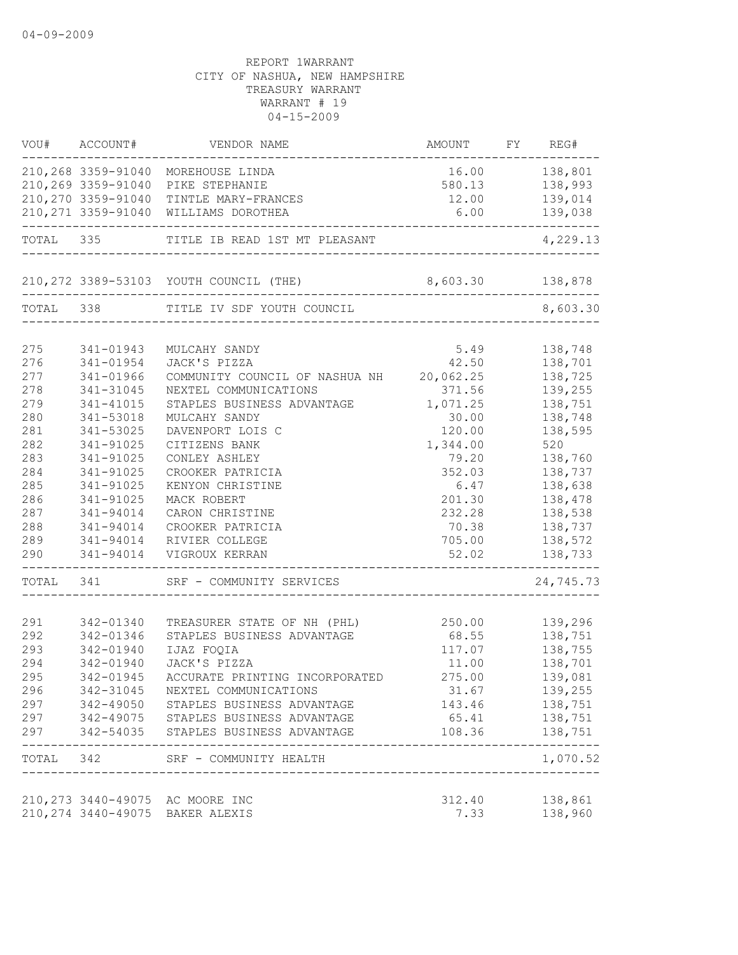| VOU#      | ACCOUNT#            | VENDOR NAME                             | AMOUNT                                 | FY REG#          |
|-----------|---------------------|-----------------------------------------|----------------------------------------|------------------|
|           |                     | 210,268 3359-91040 MOREHOUSE LINDA      |                                        | 16.00    138,801 |
|           | 210,269 3359-91040  | PIKE STEPHANIE                          |                                        | 580.13 138,993   |
|           | 210,270 3359-91040  | TINTLE MARY-FRANCES                     | 12.00                                  | 139,014          |
|           | 210, 271 3359-91040 | WILLIAMS DOROTHEA                       | 6.00<br>------------------------------ | 139,038          |
| TOTAL     | 335                 | TITLE IB READ 1ST MT PLEASANT           |                                        | 4,229.13         |
|           |                     | 210, 272 3389-53103 YOUTH COUNCIL (THE) | 8,603.30 138,878<br>----------------   |                  |
| TOTAL 338 |                     | TITLE IV SDF YOUTH COUNCIL              |                                        | 8,603.30         |
|           |                     |                                         |                                        |                  |
| 275       | 341-01943           | MULCAHY SANDY                           | 5.49                                   | 138,748          |
| 276       | 341-01954           | JACK'S PIZZA                            | 42.50                                  | 138,701          |
| 277       | 341-01966           | COMMUNITY COUNCIL OF NASHUA NH          | 20,062.25                              | 138,725          |
| 278       | 341-31045           | NEXTEL COMMUNICATIONS                   | 371.56                                 | 139,255          |
| 279       | 341-41015           | STAPLES BUSINESS ADVANTAGE              | 1,071.25                               | 138,751          |
| 280       | 341-53018           | MULCAHY SANDY                           | 30.00                                  | 138,748          |
| 281       | 341-53025           | DAVENPORT LOIS C                        | 120.00                                 | 138,595          |
| 282       | 341-91025           | CITIZENS BANK                           | 1,344.00                               | 520              |
| 283       | 341-91025           | CONLEY ASHLEY                           | 79.20                                  | 138,760          |
| 284       | 341-91025           | CROOKER PATRICIA                        | 352.03                                 | 138,737          |
| 285       | 341-91025           | KENYON CHRISTINE                        | 6.47                                   | 138,638          |
| 286       | 341-91025           | MACK ROBERT                             | 201.30                                 | 138,478          |
| 287       | 341-94014           | CARON CHRISTINE                         | 232.28                                 | 138,538          |
| 288       | 341-94014           | CROOKER PATRICIA                        | 70.38                                  | 138,737          |
| 289       | 341-94014           | RIVIER COLLEGE                          | 705.00                                 | 138,572          |
| 290       | 341-94014           | VIGROUX KERRAN                          | 52.02                                  | 138,733          |
|           | TOTAL 341           | SRF - COMMUNITY SERVICES                |                                        | 24,745.73        |
|           |                     |                                         |                                        |                  |
| 291       | 342-01340           | TREASURER STATE OF NH (PHL)             | 250.00                                 | 139,296          |
| 292       | 342-01346           | STAPLES BUSINESS ADVANTAGE              | 68.55                                  | 138,751          |
| 293       | 342-01940           | IJAZ FOQIA                              | 117.07                                 | 138,755          |
| 294       | 342-01940           | JACK'S PIZZA                            | 11.00                                  | 138,701          |
| 295       | 342-01945           | ACCURATE PRINTING INCORPORATED          | 275.00                                 | 139,081          |
| 296       | 342-31045           | NEXTEL COMMUNICATIONS                   | 31.67                                  | 139,255          |
| 297       | $342 - 49050$       | STAPLES BUSINESS ADVANTAGE              | 143.46                                 | 138,751          |
| 297       | 342-49075           | STAPLES BUSINESS ADVANTAGE              | 65.41                                  | 138,751          |
| 297       | 342-54035           | STAPLES BUSINESS ADVANTAGE              | 108.36                                 | 138,751          |
| TOTAL     | 342                 | SRF - COMMUNITY HEALTH                  | ------------------------------------   | 1,070.52         |
|           |                     | 210, 273 3440-49075 AC MOORE INC        | 312.40                                 | 138,861          |
|           |                     | 210, 274 3440-49075 BAKER ALEXIS        | 7.33                                   | 138,960          |
|           |                     |                                         |                                        |                  |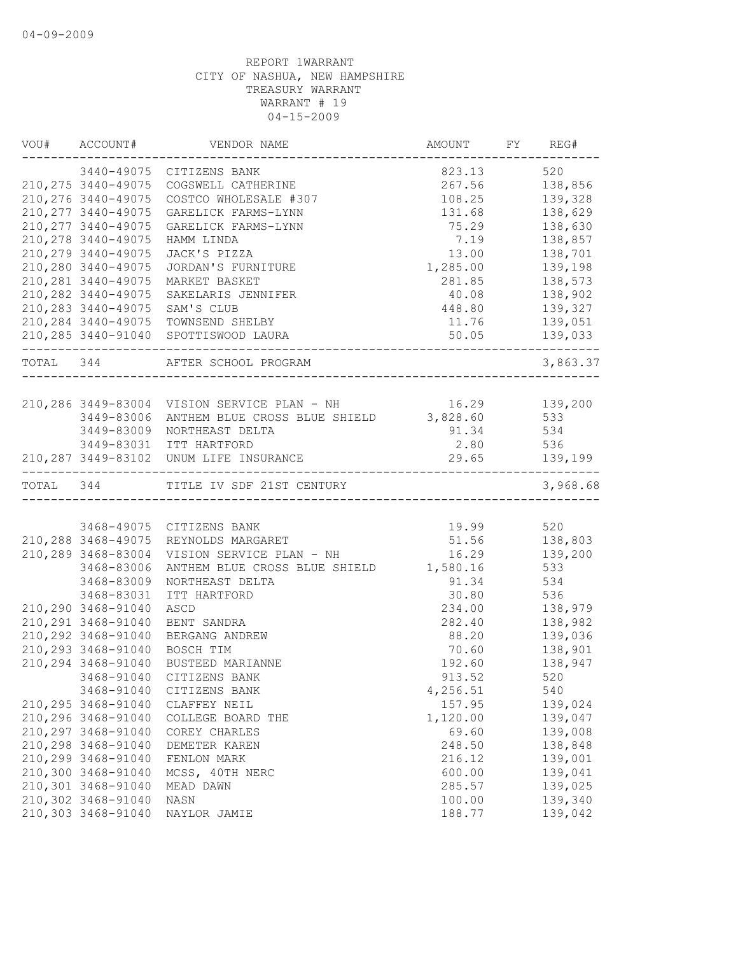|           | VOU# ACCOUNT#       | VENDOR NAME                                               | AMOUNT FY      | REG#           |
|-----------|---------------------|-----------------------------------------------------------|----------------|----------------|
|           |                     | 3440-49075 CITIZENS BANK                                  | 823.13 520     |                |
|           |                     | 210, 275 3440-49075 COGSWELL CATHERINE                    |                | 267.56 138,856 |
|           | 210, 276 3440-49075 | COSTCO WHOLESALE #307                                     |                | 108.25 139,328 |
|           | 210, 277 3440-49075 | GARELICK FARMS-LYNN                                       | 131.68         | 138,629        |
|           | 210, 277 3440-49075 | GARELICK FARMS-LYNN                                       | 75.29          | 138,630        |
|           | 210, 278 3440-49075 | HAMM LINDA                                                | 7.19           | 138,857        |
|           | 210, 279 3440-49075 | JACK'S PIZZA                                              | 13.00          | 138,701        |
|           | 210,280 3440-49075  | JORDAN'S FURNITURE                                        | 1,285.00       | 139,198        |
|           | 210, 281 3440-49075 | MARKET BASKET                                             | 281.85         | 138,573        |
|           | 210, 282 3440-49075 | SAKELARIS JENNIFER                                        | 40.08          | 138,902        |
|           |                     | 210,283 3440-49075 SAM'S CLUB                             | 448.80 139,327 |                |
|           |                     | 210,284 3440-49075 TOWNSEND SHELBY                        | 11.76 139,051  |                |
|           |                     | 210, 285 3440-91040 SPOTTISWOOD LAURA                     | 50.05 139,033  |                |
| TOTAL 344 |                     | AFTER SCHOOL PROGRAM                                      |                | 3,863.37       |
|           |                     |                                                           |                |                |
|           |                     | 210,286 3449-83004 VISION SERVICE PLAN - NH 16.29 139,200 |                |                |
|           |                     | 3449-83006 ANTHEM BLUE CROSS BLUE SHIELD 3,828.60 533     |                |                |
|           |                     | 3449-83009 NORTHEAST DELTA                                | 91.34 534      |                |
|           |                     | 3449-83031 ITT HARTFORD                                   | 2.80 536       |                |
|           |                     | 210, 287 3449-83102 UNUM LIFE INSURANCE                   | 29.65 139,199  |                |
|           |                     | TOTAL 344 TITLE IV SDF 21ST CENTURY                       |                | 3,968.68       |
|           |                     |                                                           |                |                |
|           |                     | 3468-49075 CITIZENS BANK                                  | 19.99 520      |                |
|           |                     | 210, 288 3468-49075 REYNOLDS MARGARET                     | 51.56 138,803  |                |
|           | 210,289 3468-83004  | VISION SERVICE PLAN - NH                                  | 16.29 139,200  |                |
|           | 3468-83006          | ANTHEM BLUE CROSS BLUE SHIELD 1,580.16                    |                | 533            |
|           | 3468-83009          | NORTHEAST DELTA                                           | 91.34          | 534            |
|           | 3468-83031          | ITT HARTFORD                                              | 30.80          | 536            |
|           | 210,290 3468-91040  | ASCD                                                      | 234.00         | 138,979        |
|           | 210, 291 3468-91040 | BENT SANDRA                                               | 282.40         | 138,982        |
|           | 210, 292 3468-91040 | BERGANG ANDREW                                            | 88.20          | 139,036        |
|           | 210, 293 3468-91040 | BOSCH TIM                                                 | 70.60          | 138,901        |
|           | 210, 294 3468-91040 | BUSTEED MARIANNE                                          | 192.60         | 138,947        |
|           | 3468-91040          | CITIZENS BANK                                             | 913.52         | 520            |
|           | 3468-91040          | CITIZENS BANK                                             | 4,256.51       | 540            |
|           | 210, 295 3468-91040 | CLAFFEY NEIL                                              | 157.95         | 139,024        |
|           | 210,296 3468-91040  | COLLEGE BOARD THE                                         | 1,120.00       | 139,047        |
|           | 210,297 3468-91040  | COREY CHARLES                                             | 69.60          | 139,008        |
|           | 210,298 3468-91040  | DEMETER KAREN                                             | 248.50         | 138,848        |
|           | 210,299 3468-91040  | FENLON MARK                                               | 216.12         | 139,001        |
|           | 210,300 3468-91040  | MCSS, 40TH NERC                                           | 600.00         | 139,041        |
|           | 210,301 3468-91040  | MEAD DAWN                                                 | 285.57         | 139,025        |
|           | 210,302 3468-91040  | NASN                                                      | 100.00         | 139,340        |
|           | 210,303 3468-91040  | NAYLOR JAMIE                                              | 188.77         | 139,042        |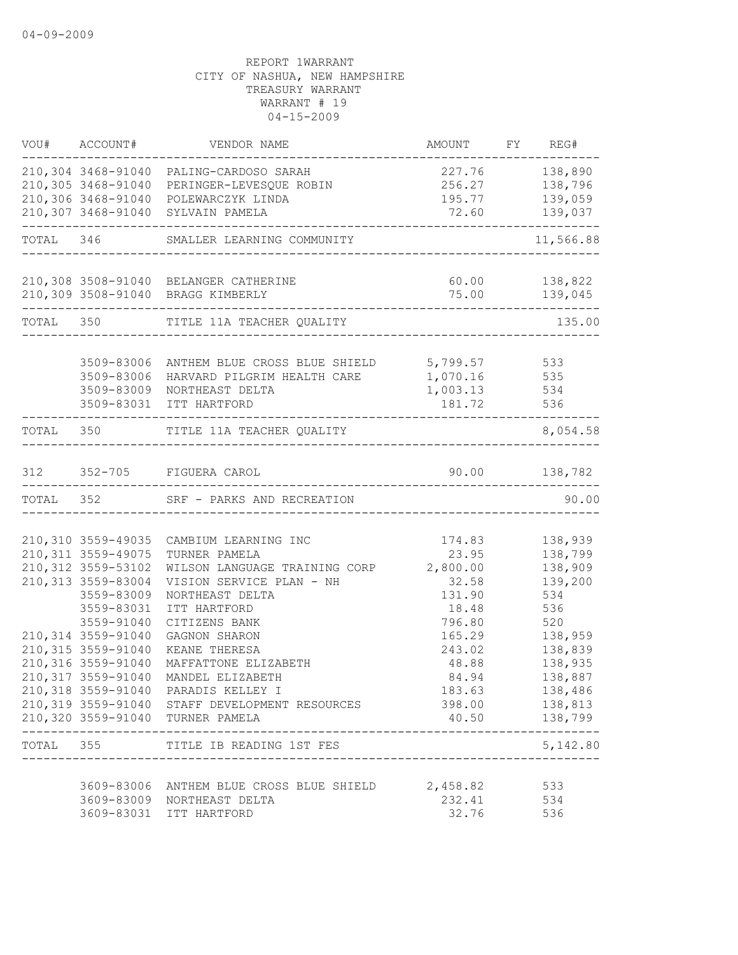| VOU# ACCOUNT#                              | VENDOR NAME                                                                                                                                             | AMOUNT FY REG#                         |                          |
|--------------------------------------------|---------------------------------------------------------------------------------------------------------------------------------------------------------|----------------------------------------|--------------------------|
|                                            | 210,304 3468-91040 PALING-CARDOSO SARAH                                                                                                                 | 227.76 138,890                         |                          |
|                                            | 210,305 3468-91040 PERINGER-LEVESQUE ROBIN                                                                                                              | 256.27 138,796                         |                          |
|                                            | 210,306 3468-91040 POLEWARCZYK LINDA                                                                                                                    |                                        | 195.77 139,059           |
|                                            | 210,307 3468-91040 SYLVAIN PAMELA                                                                                                                       | ----------------------------------     | 72.60 139,037            |
|                                            | TOTAL 346 SMALLER LEARNING COMMUNITY                                                                                                                    |                                        | 11,566.88                |
|                                            | 210,308 3508-91040 BELANGER CATHERINE                                                                                                                   | $60.00$ 138,822                        |                          |
|                                            | 210,309 3508-91040 BRAGG KIMBERLY                                                                                                                       |                                        |                          |
|                                            | TOTAL 350 TITLE 11A TEACHER QUALITY                                                                                                                     |                                        | 135.00                   |
|                                            |                                                                                                                                                         |                                        |                          |
|                                            |                                                                                                                                                         |                                        |                          |
|                                            | 3509-83006 ANTHEM BLUE CROSS BLUE SHIELD 5,799.57 533<br>3509-83006 HARVARD PILGRIM HEALTH CARE 1,070.16 535<br>3509-83009 NORTHEAST DELTA 1,003.13 534 |                                        |                          |
|                                            | 3509-83031 ITT HARTFORD                                                                                                                                 | 181.72 536                             |                          |
| ---------------------                      | TOTAL 350 TITLE 11A TEACHER QUALITY                                                                                                                     | -------------------                    | ------------<br>8,054.58 |
|                                            | 312 352-705 FIGUERA CAROL                                                                                                                               | 90.00 138,782                          |                          |
|                                            | TOTAL 352 SRF - PARKS AND RECREATION                                                                                                                    | -------------------------------------- | 90.00                    |
|                                            |                                                                                                                                                         |                                        |                          |
| 210,310 3559-49035                         | CAMBIUM LEARNING INC                                                                                                                                    | 174.83                                 | 138,939                  |
| 210, 311 3559-49075                        | TURNER PAMELA                                                                                                                                           | 23.95                                  | 138,799                  |
| 210, 312 3559-53102<br>210, 313 3559-83004 | WILSON LANGUAGE TRAINING CORP 2,800.00                                                                                                                  |                                        | 138,909                  |
| 3559-83009                                 | VISION SERVICE PLAN - NH<br>NORTHEAST DELTA                                                                                                             | 32.58<br>131.90                        | 139,200<br>534           |
| 3559-83031                                 | ITT HARTFORD                                                                                                                                            | 18.48                                  | 536                      |
| 3559-91040                                 | CITIZENS BANK                                                                                                                                           | 796.80                                 | 520                      |
| 210,314 3559-91040                         | GAGNON SHARON                                                                                                                                           | 165.29                                 | 138,959                  |
| 210, 315 3559-91040                        | KEANE THERESA                                                                                                                                           | 243.02                                 | 138,839                  |
| 210,316 3559-91040                         | MAFFATTONE ELIZABETH                                                                                                                                    | 48.88                                  | 138,935                  |
| 210,317 3559-91040                         | MANDEL ELIZABETH                                                                                                                                        | 84.94                                  | 138,887                  |
|                                            | 210,318 3559-91040 PARADIS KELLEY I                                                                                                                     | 183.63                                 | 138,486                  |
|                                            | 210,319 3559-91040 STAFF DEVELOPMENT RESOURCES                                                                                                          |                                        | 398.00 138,813           |
|                                            | 210,320 3559-91040 TURNER PAMELA                                                                                                                        |                                        | 40.50 138,799            |
|                                            | TOTAL 355 TITLE IB READING 1ST FES                                                                                                                      |                                        | 5,142.80                 |
|                                            |                                                                                                                                                         |                                        |                          |
|                                            | 3609-83006 ANTHEM BLUE CROSS BLUE SHIELD<br>3609-83009 NORTHEAST DELTA                                                                                  | 2,458.82<br>232.41                     | 533<br>534               |
|                                            | 3609-83031 ITT HARTFORD                                                                                                                                 | 32.76                                  | 536                      |
|                                            |                                                                                                                                                         |                                        |                          |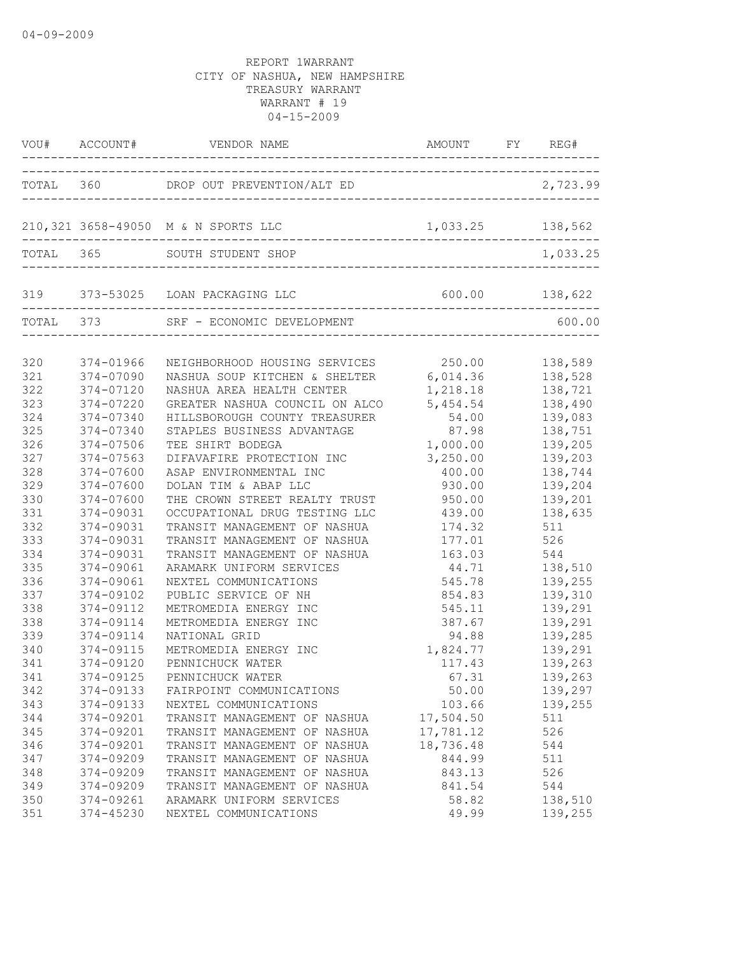|                                 |                                                                   | VOU# ACCOUNT# VENDOR NAME AND AMOUNT FY RE                                                                                                                    | AMOUNT FY REG#                                   |                                                     |
|---------------------------------|-------------------------------------------------------------------|---------------------------------------------------------------------------------------------------------------------------------------------------------------|--------------------------------------------------|-----------------------------------------------------|
|                                 |                                                                   |                                                                                                                                                               |                                                  |                                                     |
|                                 |                                                                   | 210,321 3658-49050 M & N SPORTS LLC                                                                                                                           | 1,033.25 138,562                                 |                                                     |
|                                 |                                                                   | TOTAL 365 SOUTH STUDENT SHOP                                                                                                                                  |                                                  | 1,033.25                                            |
|                                 | ---------------------                                             | 319 373-53025 LOAN PACKAGING LLC                                                                                                                              |                                                  |                                                     |
|                                 |                                                                   | TOTAL 373 SRF - ECONOMIC DEVELOPMENT                                                                                                                          |                                                  | 600.00                                              |
| 320<br>321<br>322<br>323        | 374-01966<br>374-07090<br>374-07120<br>374-07220                  | NEIGHBORHOOD HOUSING SERVICES 250.00 138,589<br>NASHUA SOUP KITCHEN & SHELTER 6,014.36 138,528<br>NASHUA AREA HEALTH CENTER<br>GREATER NASHUA COUNCIL ON ALCO | 1,218.18<br>5,454.54                             | 138,721<br>138,490                                  |
| 324<br>325<br>326<br>327<br>328 | 374-07340<br>374-07340<br>374-07506<br>$374 - 07563$<br>374-07600 | HILLSBOROUGH COUNTY TREASURER<br>STAPLES BUSINESS ADVANTAGE<br>TEE SHIRT BODEGA<br>DIFAVAFIRE PROTECTION INC<br>ASAP ENVIRONMENTAL INC                        | 54.00<br>87.98<br>1,000.00<br>3,250.00<br>400.00 | 139,083<br>138,751<br>139,205<br>139,203<br>138,744 |
| 329<br>330<br>331<br>332        | 374-07600<br>374-07600<br>374-09031<br>374-09031                  | DOLAN TIM & ABAP LLC<br>THE CROWN STREET REALTY TRUST<br>OCCUPATIONAL DRUG TESTING LLC<br>TRANSIT MANAGEMENT OF NASHUA                                        | 930.00<br>950.00<br>439.00<br>174.32             | 139,204<br>139,201<br>138,635<br>511                |
| 333<br>334<br>335<br>336        | 374-09031<br>374-09031<br>374-09061<br>374-09061                  | TRANSIT MANAGEMENT OF NASHUA<br>TRANSIT MANAGEMENT OF NASHUA<br>ARAMARK UNIFORM SERVICES<br>NEXTEL COMMUNICATIONS                                             | 177.01<br>163.03                                 | 526<br>544<br>545.78 139,255                        |
| 337<br>338<br>338<br>339        | 374-09102<br>374-09112<br>374-09114<br>374-09114                  | PUBLIC SERVICE OF NH<br>METROMEDIA ENERGY INC<br>METROMEDIA ENERGY INC<br>NATIONAL GRID                                                                       | 854.83<br>545.11<br>94.88                        | 139,310<br>139,291<br>387.67 139,291<br>139,285     |
| 340<br>341<br>341<br>342        | 374-09115<br>374-09120<br>374-09125<br>374-09133                  | METROMEDIA ENERGY INC<br>PENNICHUCK WATER<br>PENNICHUCK WATER<br>FAIRPOINT COMMUNICATIONS                                                                     | 1,824.77<br>117.43<br>67.31<br>50.00             | 139,291<br>139,263<br>139,263<br>139,297            |
| 343<br>344<br>345<br>346        | 374-09133<br>374-09201<br>374-09201<br>374-09201                  | NEXTEL COMMUNICATIONS<br>TRANSIT MANAGEMENT OF NASHUA<br>TRANSIT MANAGEMENT OF NASHUA<br>TRANSIT MANAGEMENT OF NASHUA                                         | 103.66<br>17,504.50<br>17,781.12<br>18,736.48    | 139,255<br>511<br>526<br>544                        |
| 347<br>348<br>349<br>350        | 374-09209<br>374-09209<br>374-09209<br>374-09261                  | TRANSIT MANAGEMENT OF NASHUA<br>TRANSIT MANAGEMENT OF NASHUA<br>TRANSIT MANAGEMENT OF NASHUA<br>ARAMARK UNIFORM SERVICES                                      | 844.99<br>843.13<br>841.54<br>58.82              | 511<br>526<br>544<br>138,510                        |
| 351                             | $374 - 45230$                                                     | NEXTEL COMMUNICATIONS                                                                                                                                         | 49.99                                            | 139,255                                             |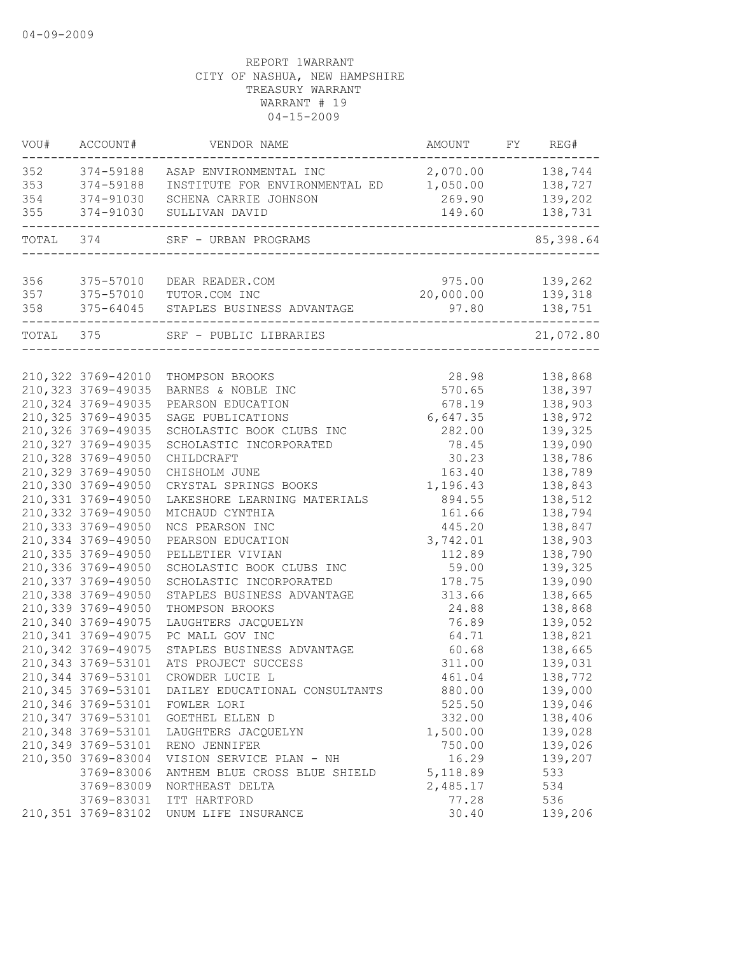| VOU#              | ACCOUNT#               | VENDOR NAME                                                                                          | AMOUNT                     | FY REG#            |
|-------------------|------------------------|------------------------------------------------------------------------------------------------------|----------------------------|--------------------|
| 352<br>353<br>354 | 374-59188<br>374-91030 | 374-59188 ASAP ENVIRONMENTAL INC<br>INSTITUTE FOR ENVIRONMENTAL ED 1,050.00<br>SCHENA CARRIE JOHNSON | 2,070.00 138,744<br>269.90 | 138,727<br>139,202 |
| 355               | 374-91030              | SULLIVAN DAVID                                                                                       | 149.60                     | 138,731            |
| TOTAL 374         |                        | SRF - URBAN PROGRAMS                                                                                 |                            | 85,398.64          |
| 356               | 375-57010              | DEAR READER.COM                                                                                      | 975.00                     | 139,262            |
| 357               |                        | 375-57010 TUTOR.COM INC                                                                              | 20,000.00                  | 139,318            |
| 358               | 375-64045              | STAPLES BUSINESS ADVANTAGE                                                                           | 97.80                      | 138,751            |
|                   | TOTAL 375              | SRF - PUBLIC LIBRARIES                                                                               |                            | 21,072.80          |
|                   |                        |                                                                                                      |                            |                    |
|                   | 210,322 3769-42010     | THOMPSON BROOKS                                                                                      | 28.98                      | 138,868            |
|                   | 210, 323 3769-49035    | BARNES & NOBLE INC                                                                                   | 570.65                     | 138,397            |
|                   | 210,324 3769-49035     | PEARSON EDUCATION                                                                                    | 678.19                     | 138,903            |
|                   | 210,325 3769-49035     | SAGE PUBLICATIONS                                                                                    | 6,647.35                   | 138,972            |
|                   | 210,326 3769-49035     | SCHOLASTIC BOOK CLUBS INC                                                                            | 282.00                     | 139,325            |
|                   | 210, 327 3769-49035    | SCHOLASTIC INCORPORATED                                                                              | 78.45                      | 139,090            |
|                   | 210,328 3769-49050     | CHILDCRAFT                                                                                           | 30.23                      | 138,786            |
|                   | 210,329 3769-49050     | CHISHOLM JUNE                                                                                        | 163.40                     | 138,789            |
|                   | 210,330 3769-49050     | CRYSTAL SPRINGS BOOKS                                                                                | 1,196.43                   | 138,843            |
|                   | 210,331 3769-49050     | LAKESHORE LEARNING MATERIALS                                                                         | 894.55                     | 138,512            |
|                   | 210,332 3769-49050     | MICHAUD CYNTHIA                                                                                      | 161.66                     | 138,794            |
|                   | 210,333 3769-49050     | NCS PEARSON INC                                                                                      | 445.20                     | 138,847            |
|                   | 210,334 3769-49050     | PEARSON EDUCATION                                                                                    | 3,742.01                   | 138,903            |
|                   | 210,335 3769-49050     | PELLETIER VIVIAN                                                                                     | 112.89                     | 138,790            |
|                   | 210,336 3769-49050     | SCHOLASTIC BOOK CLUBS INC                                                                            | 59.00                      | 139,325            |
|                   | 210,337 3769-49050     | SCHOLASTIC INCORPORATED                                                                              | 178.75                     | 139,090            |
|                   | 210,338 3769-49050     | STAPLES BUSINESS ADVANTAGE                                                                           | 313.66                     | 138,665            |
|                   | 210,339 3769-49050     | THOMPSON BROOKS                                                                                      | 24.88                      | 138,868            |
|                   | 210,340 3769-49075     | LAUGHTERS JACQUELYN                                                                                  | 76.89                      | 139,052            |
|                   | 210, 341 3769-49075    | PC MALL GOV INC                                                                                      | 64.71                      | 138,821            |
|                   | 210,342 3769-49075     | STAPLES BUSINESS ADVANTAGE                                                                           | 60.68                      | 138,665            |
|                   | 210, 343 3769-53101    | ATS PROJECT SUCCESS                                                                                  | 311.00                     | 139,031            |
|                   | 210,344 3769-53101     | CROWDER LUCIE L                                                                                      | 461.04                     | 138,772            |
|                   | 210,345 3769-53101     | DAILEY EDUCATIONAL CONSULTANTS                                                                       | 880.00                     | 139,000            |
|                   | 210,346 3769-53101     | FOWLER LORI                                                                                          | 525.50                     | 139,046            |
|                   | 210, 347 3769-53101    | GOETHEL ELLEN D                                                                                      | 332.00                     | 138,406            |
|                   | 210,348 3769-53101     | LAUGHTERS JACQUELYN                                                                                  | 1,500.00                   | 139,028            |
|                   | 210,349 3769-53101     | RENO JENNIFER                                                                                        | 750.00                     | 139,026            |
|                   | 210,350 3769-83004     | VISION SERVICE PLAN - NH                                                                             | 16.29                      | 139,207            |
|                   | 3769-83006             | ANTHEM BLUE CROSS BLUE SHIELD                                                                        | 5, 118.89                  | 533                |
|                   | 3769-83009             | NORTHEAST DELTA                                                                                      | 2,485.17                   | 534                |
|                   | 3769-83031             | ITT HARTFORD                                                                                         | 77.28                      | 536                |
|                   | 210,351 3769-83102     | UNUM LIFE INSURANCE                                                                                  | 30.40                      | 139,206            |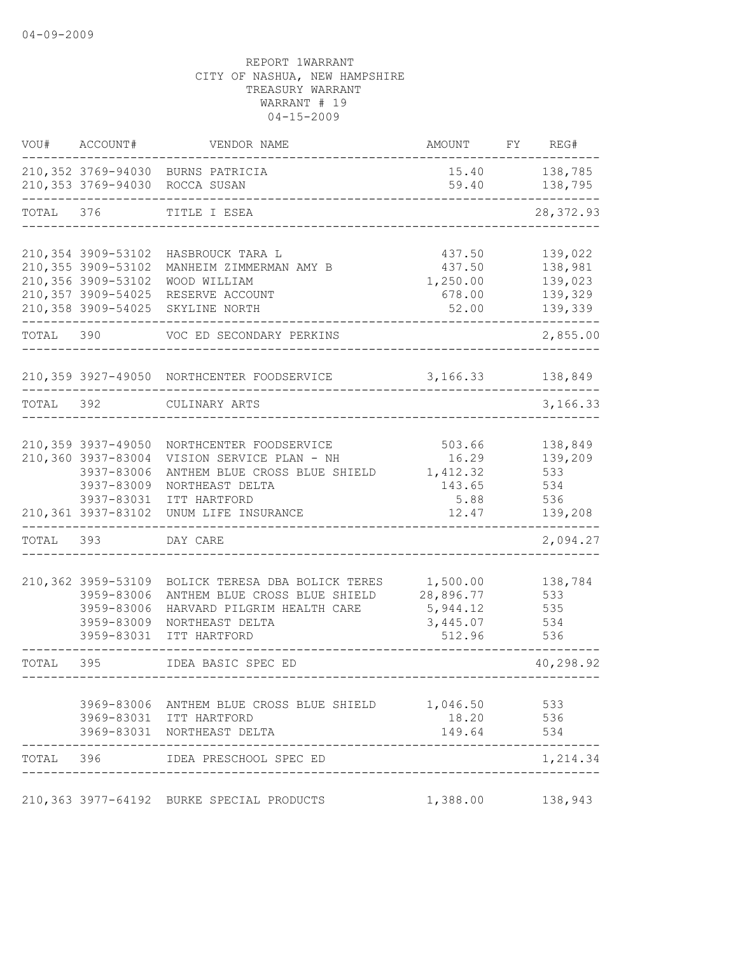| VOU#      | ACCOUNT#           | VENDOR NAME                                                                  | AMOUNT              | FY | REG#                     |
|-----------|--------------------|------------------------------------------------------------------------------|---------------------|----|--------------------------|
|           |                    | 210,352 3769-94030 BURNS PATRICIA<br>210,353 3769-94030 ROCCA SUSAN          | 59.40               |    | 15.40 138,785<br>138,795 |
| TOTAL     | 376                | TITLE I ESEA                                                                 |                     |    | 28, 372.93               |
|           | 210,354 3909-53102 | HASBROUCK TARA L                                                             | 437.50              |    | 139,022                  |
|           | 210,355 3909-53102 | MANHEIM ZIMMERMAN AMY B                                                      | 437.50              |    | 138,981                  |
|           | 210,356 3909-53102 | WOOD WILLIAM                                                                 | 1,250.00            |    | 139,023                  |
|           | 210,357 3909-54025 | RESERVE ACCOUNT                                                              | 678.00              |    | 139,329                  |
|           | 210,358 3909-54025 | SKYLINE NORTH                                                                | 52.00               |    | 139,339                  |
| TOTAL 390 |                    | VOC ED SECONDARY PERKINS                                                     |                     |    | 2,855.00                 |
|           |                    | 210,359 3927-49050 NORTHCENTER FOODSERVICE                                   | 3, 166. 33 138, 849 |    |                          |
| TOTAL 392 |                    | CULINARY ARTS                                                                |                     |    | 3,166.33                 |
|           |                    |                                                                              |                     |    |                          |
|           | 210,359 3937-49050 | NORTHCENTER FOODSERVICE                                                      | 503.66              |    | 138,849                  |
|           | 210,360 3937-83004 | VISION SERVICE PLAN - NH                                                     | 16.29               |    | 139,209                  |
|           | 3937-83006         | ANTHEM BLUE CROSS BLUE SHIELD                                                | 1,412.32            |    | 533                      |
|           | 3937-83009         | NORTHEAST DELTA                                                              | 143.65              |    | 534                      |
|           | 3937-83031         | ITT HARTFORD                                                                 | 5.88                |    | 536                      |
|           | 210,361 3937-83102 | UNUM LIFE INSURANCE                                                          | 12.47               |    | 139,208                  |
| TOTAL 393 |                    | DAY CARE                                                                     |                     |    | 2,094.27                 |
|           | 210,362 3959-53109 | BOLICK TERESA DBA BOLICK TERES                                               | 1,500.00            |    | 138,784                  |
|           | 3959-83006         | ANTHEM BLUE CROSS BLUE SHIELD                                                | 28,896.77           |    | 533                      |
|           | 3959-83006         | HARVARD PILGRIM HEALTH CARE                                                  | 5,944.12            |    | 535                      |
|           | 3959-83009         | NORTHEAST DELTA                                                              | 3,445.07            |    | 534                      |
|           | 3959-83031         | ITT HARTFORD                                                                 | 512.96              |    | 536                      |
| TOTAL     | 395                | IDEA BASIC SPEC ED                                                           |                     |    | 40,298.92                |
|           |                    |                                                                              |                     |    |                          |
|           |                    | 3969-83006 ANTHEM BLUE CROSS BLUE SHIELD 1,046.50<br>3969-83031 ITT HARTFORD |                     |    | 533                      |
|           |                    | 3969-83031 NORTHEAST DELTA                                                   | 18.20<br>149.64     |    | 536<br>534               |
|           |                    |                                                                              |                     |    |                          |
| TOTAL 396 |                    | IDEA PRESCHOOL SPEC ED                                                       |                     |    | 1,214.34                 |
|           |                    | 210,363 3977-64192 BURKE SPECIAL PRODUCTS                                    | 1,388.00            |    | 138,943                  |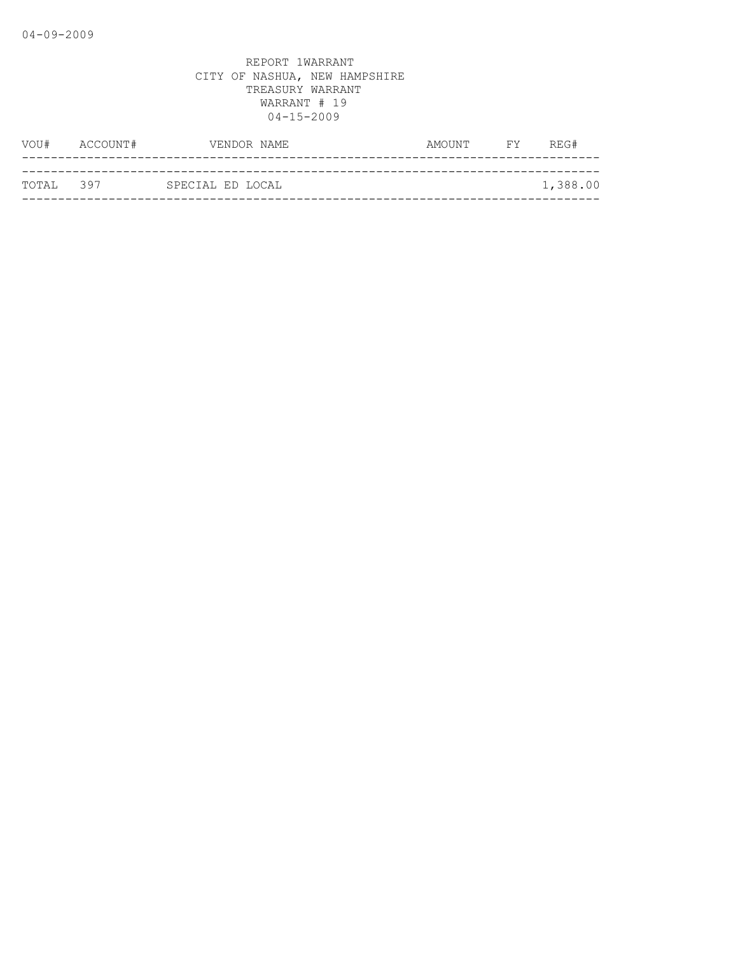| VOU#       | ACCOUNT# |                  | VENDOR NAME | AMOUNT | <b>FY</b> | REG#     |
|------------|----------|------------------|-------------|--------|-----------|----------|
|            |          |                  |             |        |           |          |
| ТОТАІ. 397 |          | SPECIAL ED LOCAL |             |        |           | 1,388.00 |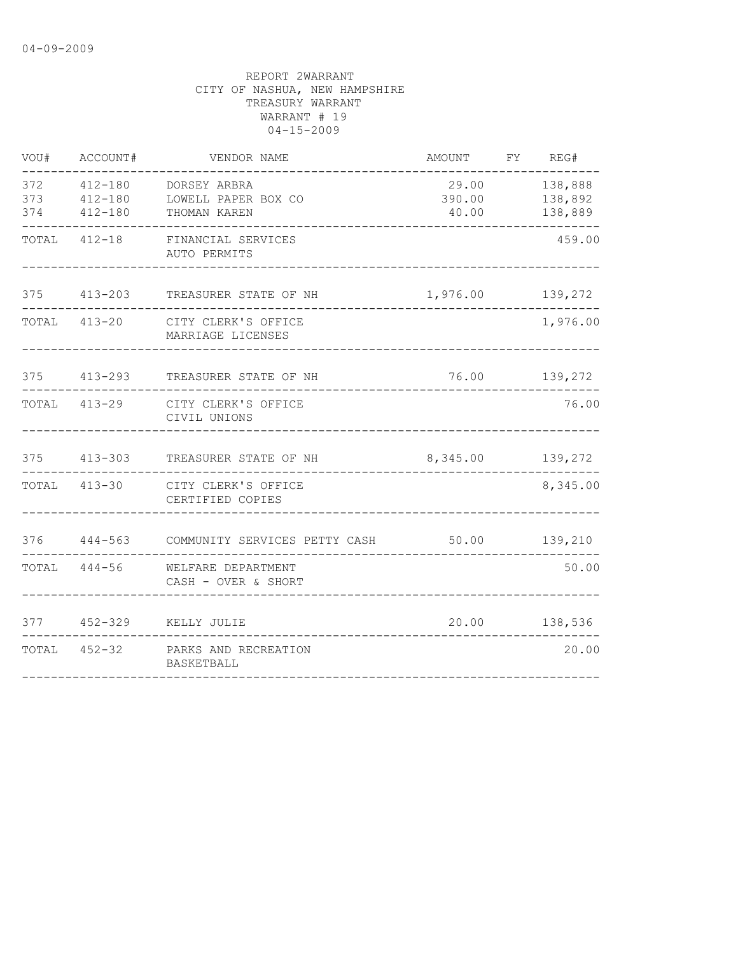| WOU#       | ACCOUNT#                   | VENDOR NAME                                                                                          | AMOUNT FY REG#   |                                                     |
|------------|----------------------------|------------------------------------------------------------------------------------------------------|------------------|-----------------------------------------------------|
| 373<br>374 | $412 - 180$<br>$412 - 180$ | 372   412-180   DORSEY ARBRA<br>LOWELL PAPER BOX CO<br>THOMAN KAREN<br>. _ _ _ _ _ _ _ _ _ _ _ _ _ _ | 390.00<br>40.00  | 29.00 138,888<br>138,892<br>138,889<br>------------ |
|            |                            | TOTAL 412-18 FINANCIAL SERVICES<br>AUTO PERMITS                                                      |                  | 459.00                                              |
|            |                            | 375 413-203 TREASURER STATE OF NH                                                                    | 1,976.00         | 139,272                                             |
| TOTAL      |                            | 413-20 CITY CLERK'S OFFICE<br>MARRIAGE LICENSES                                                      |                  | 1,976.00                                            |
|            |                            | 375 413-293 TREASURER STATE OF NH                                                                    |                  | 76.00 139,272                                       |
|            |                            | TOTAL 413-29 CITY CLERK'S OFFICE<br>CIVIL UNIONS                                                     |                  | 76.00                                               |
|            | 375 413-303                | TREASURER STATE OF NH                                                                                | 8,345.00 139,272 |                                                     |
|            |                            | TOTAL 413-30 CITY CLERK'S OFFICE<br>CERTIFIED COPIES                                                 |                  | 8,345.00                                            |
|            |                            |                                                                                                      |                  |                                                     |
|            |                            | TOTAL 444-56 WELFARE DEPARTMENT<br>CASH - OVER & SHORT                                               |                  | 50.00                                               |
|            |                            | 377 452-329 KELLY JULIE                                                                              |                  | 20.00 138,536                                       |
|            |                            | TOTAL 452-32 PARKS AND RECREATION<br>BASKETBALL                                                      |                  | 20.00                                               |
|            |                            |                                                                                                      |                  |                                                     |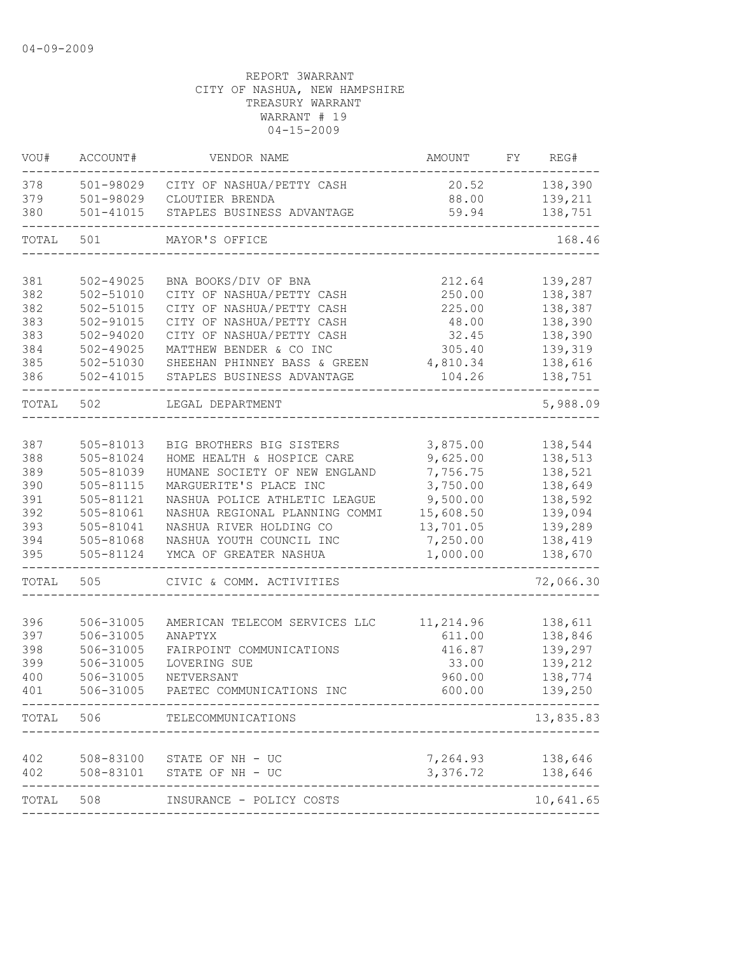| VOU#       | ACCOUNT#               | VENDOR NAME                                             | AMOUNT                       | FY | REG#                |
|------------|------------------------|---------------------------------------------------------|------------------------------|----|---------------------|
| 378        | 501-98029              | CITY OF NASHUA/PETTY CASH                               | 20.52                        |    | 138,390             |
| 379        | 501-98029              | CLOUTIER BRENDA                                         | 88.00                        |    | 139,211             |
| 380        | $501 - 41015$          | STAPLES BUSINESS ADVANTAGE                              | 59.94                        |    | 138,751             |
| TOTAL      | 501                    | MAYOR'S OFFICE                                          |                              |    | 168.46              |
| 381        | $502 - 49025$          | BNA BOOKS/DIV OF BNA                                    | 212.64                       |    | 139,287             |
| 382        | 502-51010              | CITY OF NASHUA/PETTY CASH                               | 250.00                       |    | 138,387             |
| 382        | 502-51015              | CITY OF NASHUA/PETTY CASH                               | 225.00                       |    | 138,387             |
| 383        | 502-91015              | CITY OF NASHUA/PETTY CASH                               | 48.00                        |    | 138,390             |
| 383        | 502-94020              | CITY OF NASHUA/PETTY CASH                               | 32.45                        |    | 138,390             |
| 384        | $502 - 49025$          | MATTHEW BENDER & CO INC                                 | 305.40                       |    | 139,319             |
| 385        | 502-51030              | SHEEHAN PHINNEY BASS & GREEN                            | 4,810.34                     |    | 138,616             |
| 386        | $502 - 41015$          | STAPLES BUSINESS ADVANTAGE                              | 104.26                       |    | 138,751             |
| TOTAL      | 502                    | LEGAL DEPARTMENT                                        |                              |    | 5,988.09            |
|            |                        |                                                         |                              |    |                     |
| 387        | $505 - 81013$          | BIG BROTHERS BIG SISTERS                                | 3,875.00                     |    | 138,544             |
| 388        | 505-81024              | HOME HEALTH & HOSPICE CARE                              | 9,625.00                     |    | 138,513             |
| 389<br>390 | 505-81039              | HUMANE SOCIETY OF NEW ENGLAND<br>MARGUERITE'S PLACE INC | 7,756.75<br>3,750.00         |    | 138,521             |
| 391        | 505-81115<br>505-81121 | NASHUA POLICE ATHLETIC LEAGUE                           | 9,500.00                     |    | 138,649<br>138,592  |
| 392        | 505-81061              | NASHUA REGIONAL PLANNING COMMI                          | 15,608.50                    |    | 139,094             |
| 393        | 505-81041              | NASHUA RIVER HOLDING CO                                 | 13,701.05                    |    | 139,289             |
| 394        | 505-81068              | NASHUA YOUTH COUNCIL INC                                | 7,250.00                     |    | 138,419             |
| 395        | 505-81124              | YMCA OF GREATER NASHUA                                  | 1,000.00                     |    | 138,670             |
| TOTAL      | 505                    | CIVIC & COMM. ACTIVITIES                                |                              |    | 72,066.30           |
|            |                        |                                                         |                              |    |                     |
| 396        | 506-31005              | AMERICAN TELECOM SERVICES LLC                           | 11,214.96                    |    | 138,611             |
| 397<br>398 | 506-31005<br>506-31005 | ANAPTYX<br>FAIRPOINT COMMUNICATIONS                     | 611.00<br>416.87             |    | 138,846<br>139,297  |
| 399        | 506-31005              | LOVERING SUE                                            | 33.00                        |    | 139,212             |
| 400        | 506-31005              | NETVERSANT                                              | 960.00                       |    | 138,774             |
| 401        | 506-31005              | PAETEC COMMUNICATIONS INC                               | 600.00                       |    | 139,250             |
|            | TOTAL 506              | TELECOMMUNICATIONS                                      |                              |    | 13,835.83           |
|            |                        |                                                         |                              |    |                     |
| 402        |                        | 508-83100 STATE OF NH - UC                              | 7,264.93                     |    | 138,646             |
| 402        |                        | 508-83101 STATE OF NH - UC                              | 3,376.72                     |    | 138,646<br>-------- |
| TOTAL 508  |                        | INSURANCE - POLICY COSTS                                |                              |    | 10,641.65           |
|            |                        |                                                         | ---------------------------- |    |                     |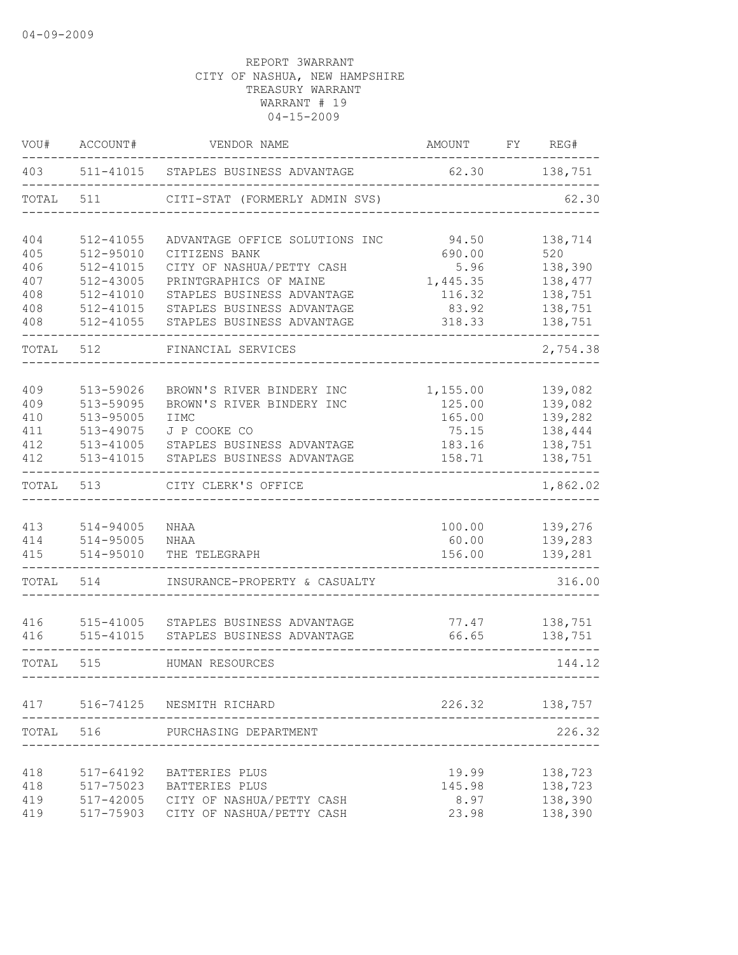| VOU#       | ACCOUNT#                   | VENDOR NAME                                              | AMOUNT             | FY | REG#               |
|------------|----------------------------|----------------------------------------------------------|--------------------|----|--------------------|
| 403        | 511-41015                  | STAPLES BUSINESS ADVANTAGE                               | 62.30              |    | 138,751            |
| TOTAL      | 511                        | CITI-STAT (FORMERLY ADMIN SVS)                           |                    |    | 62.30              |
| 404        | 512-41055                  | ADVANTAGE OFFICE SOLUTIONS INC                           | 94.50              |    | 138,714            |
| 405        | 512-95010                  | CITIZENS BANK                                            | 690.00             |    | 520                |
| 406        | $512 - 41015$              | CITY OF NASHUA/PETTY CASH                                | 5.96               |    | 138,390            |
| 407        | 512-43005                  | PRINTGRAPHICS OF MAINE                                   | 1,445.35           |    | 138,477            |
| 408        | 512-41010                  | STAPLES BUSINESS ADVANTAGE                               | 116.32             |    | 138,751            |
| 408<br>408 | 512-41015<br>$512 - 41055$ | STAPLES BUSINESS ADVANTAGE<br>STAPLES BUSINESS ADVANTAGE | 83.92<br>318.33    |    | 138,751<br>138,751 |
| TOTAL      | 512                        | FINANCIAL SERVICES                                       |                    |    | 2,754.38           |
|            |                            |                                                          |                    |    |                    |
| 409<br>409 | 513-59026<br>513-59095     | BROWN'S RIVER BINDERY INC<br>BROWN'S RIVER BINDERY INC   | 1,155.00<br>125.00 |    | 139,082<br>139,082 |
| 410        | 513-95005                  | IIMC                                                     | 165.00             |    | 139,282            |
| 411        | 513-49075                  | J P COOKE CO                                             | 75.15              |    | 138,444            |
| 412        | 513-41005                  | STAPLES BUSINESS ADVANTAGE                               | 183.16             |    | 138,751            |
| 412        | 513-41015                  | STAPLES BUSINESS ADVANTAGE                               | 158.71             |    | 138,751            |
| TOTAL      | 513                        | CITY CLERK'S OFFICE                                      |                    |    | 1,862.02           |
| 413        | 514-94005                  | <b>NHAA</b>                                              | 100.00             |    | 139,276            |
| 414        | $514 - 95005$              | NHAA                                                     | 60.00              |    | 139,283            |
| 415        | 514-95010                  | THE TELEGRAPH                                            | 156.00             |    | 139,281            |
| TOTAL      | 514                        | INSURANCE-PROPERTY & CASUALTY                            |                    |    | 316.00             |
| 416        | 515-41005                  | STAPLES BUSINESS ADVANTAGE                               | 77.47              |    | 138,751            |
| 416        | 515-41015                  | STAPLES BUSINESS ADVANTAGE                               | 66.65              |    | 138,751            |
| TOTAL      | 515                        | HUMAN RESOURCES                                          |                    |    | 144.12             |
|            |                            | 417 516-74125 NESMITH RICHARD                            | 226.32             |    | 138,757            |
| TOTAL      | 516                        | PURCHASING DEPARTMENT                                    |                    |    | 226.32             |
|            |                            |                                                          |                    |    |                    |
| 418        | 517-64192                  | BATTERIES PLUS                                           | 19.99              |    | 138,723            |
| 418        | 517-75023                  | BATTERIES PLUS                                           | 145.98             |    | 138,723            |
| 419        | 517-42005                  | CITY OF NASHUA/PETTY CASH                                | 8.97               |    | 138,390            |
| 419        | 517-75903                  | CITY OF NASHUA/PETTY CASH                                | 23.98              |    | 138,390            |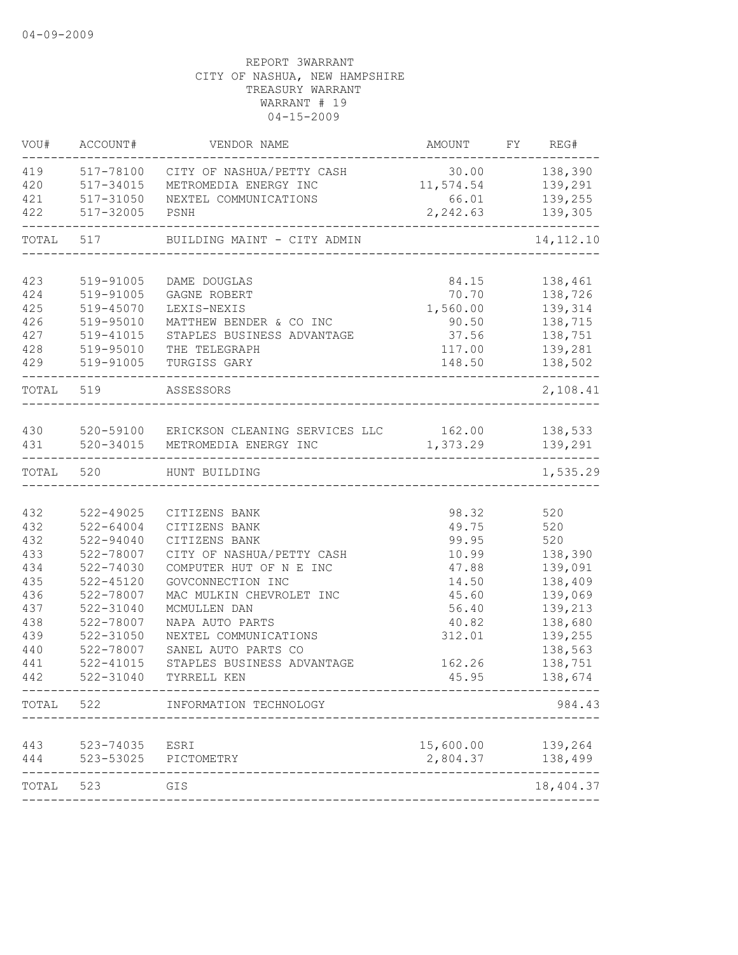| VOU#      | ACCOUNT#      | VENDOR NAME                                                 | AMOUNT FY REG#     |                           |
|-----------|---------------|-------------------------------------------------------------|--------------------|---------------------------|
| 419       |               | 517-78100 CITY OF NASHUA/PETTY CASH                         | 30.00 138,390      |                           |
| 420       | 517-34015     | METROMEDIA ENERGY INC                                       | 11,574.54 139,291  |                           |
| 421       | 517-31050     | NEXTEL COMMUNICATIONS                                       | 66.01 139,255      |                           |
| 422       | 517-32005     | PSNH                                                        | 2, 242.63 139, 305 |                           |
| TOTAL     | 517           | BUILDING MAINT - CITY ADMIN                                 |                    | 14, 112. 10               |
| 423       | 519-91005     |                                                             | 84.15              |                           |
| 424       | 519-91005     | DAME DOUGLAS<br>GAGNE ROBERT                                | 70.70              | 138,461<br>138,726        |
| 425       | 519-45070     | LEXIS-NEXIS                                                 | 1,560.00           | 139,314                   |
| 426       | 519-95010     | MATTHEW BENDER & CO INC                                     | 90.50              | 138,715                   |
| 427       | 519-41015     | STAPLES BUSINESS ADVANTAGE                                  | 37.56              | 138,751                   |
| 428       | 519-95010     | THE TELEGRAPH                                               | 117.00             | 139,281                   |
| 429       | 519-91005     | TURGISS GARY                                                | 148.50             | 138,502                   |
| TOTAL 519 |               | ASSESSORS                                                   |                    | $\frac{1}{2}$<br>2,108.41 |
|           |               |                                                             |                    |                           |
|           |               | 430 520-59100 ERICKSON CLEANING SERVICES LLC 162.00 138,533 |                    |                           |
|           | 431 520-34015 | METROMEDIA ENERGY INC                                       | 1,373.29 139,291   | $- - - - - - -$           |
| TOTAL     | 520           | HUNT BUILDING                                               |                    | 1,535.29                  |
|           |               |                                                             |                    |                           |
| 432       | 522-49025     | CITIZENS BANK                                               | 98.32              | 520                       |
| 432       | 522-64004     | CITIZENS BANK                                               | 49.75              | 520                       |
| 432       | $522 - 94040$ | CITIZENS BANK                                               | 99.95              | 520                       |
| 433       | 522-78007     | CITY OF NASHUA/PETTY CASH                                   | 10.99              | 138,390                   |
| 434       | 522-74030     | COMPUTER HUT OF N E INC                                     | 47.88              | 139,091                   |
| 435       | $522 - 45120$ | GOVCONNECTION INC                                           | 14.50              | 138,409                   |
| 436       | 522-78007     | MAC MULKIN CHEVROLET INC                                    | 45.60              | 139,069                   |
| 437       | 522-31040     | MCMULLEN DAN                                                | 56.40              | 139,213                   |
| 438       | 522-78007     | NAPA AUTO PARTS                                             | 40.82              | 138,680                   |
| 439       | 522-31050     | NEXTEL COMMUNICATIONS                                       | 312.01             | 139,255                   |
| 440       | 522-78007     | SANEL AUTO PARTS CO                                         |                    | 138,563                   |
| 441       | $522 - 41015$ | STAPLES BUSINESS ADVANTAGE                                  | 162.26             | 138,751                   |
| 442       | 522-31040     | TYRRELL KEN                                                 | 45.95              | 138,674                   |
| TOTAL     | 522           | INFORMATION TECHNOLOGY                                      |                    | 984.43                    |
| 443       | 523-74035     | ESRI                                                        | 15,600.00          | 139,264                   |
| 444       | 523-53025     | PICTOMETRY                                                  | 2,804.37           | 138,499                   |
| TOTAL     | 523           | GIS                                                         |                    | 18,404.37                 |
|           |               |                                                             |                    |                           |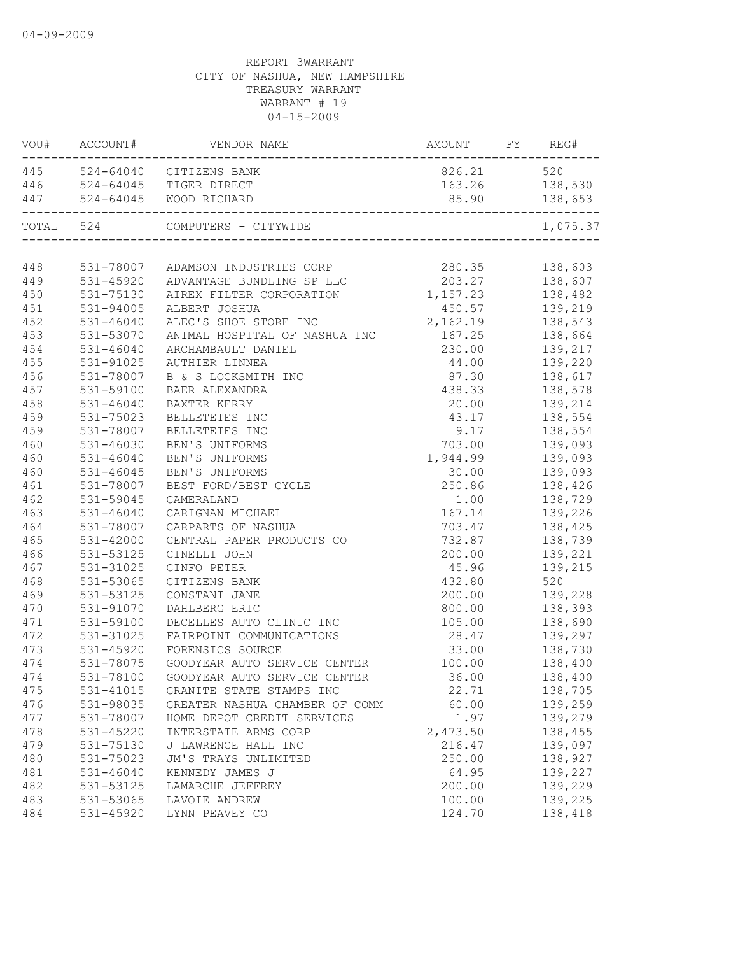| 445 524-64040 CITIZENS BANK<br>826.21<br>520<br>446 524-64045 TIGER DIRECT<br>138,530<br>163.26<br>447 524-64045 WOOD RICHARD<br>85.90<br>138,653<br>TOTAL 524<br>COMPUTERS - CITYWIDE<br>1,075.37<br>280.35<br>138,603<br>448<br>531-78007 ADAMSON INDUSTRIES CORP<br>203.27<br>449<br>531-45920<br>ADVANTAGE BUNDLING SP LLC<br>138,607<br>138,482<br>1,157.23<br>450<br>531-75130<br>AIREX FILTER CORPORATION<br>450.57 139,219<br>451<br>531-94005<br>ALBERT JOSHUA<br>2, 162.19 138, 543<br>452<br>$531 - 46040$<br>ALEC'S SHOE STORE INC<br>453<br>531-53070<br>ANIMAL HOSPITAL OF NASHUA INC<br>167.25 138,664<br>454<br>$531 - 46040$<br>230.00<br>ARCHAMBAULT DANIEL<br>139,217<br>455<br>531-91025<br>AUTHIER LINNEA<br>44.00<br>139,220<br>456<br>531-78007<br>87.30<br>138,617<br>B & S LOCKSMITH INC<br>138,578<br>457<br>531-59100<br>438.33<br>BAER ALEXANDRA<br>458<br>$531 - 46040$<br>BAXTER KERRY<br>20.00<br>139,214<br>138,554<br>459<br>531-75023<br>BELLETETES INC<br>43.17<br>459<br>531-78007<br>BELLETETES INC<br>9.17<br>138,554<br>460<br>531-46030<br>703.00<br>139,093<br>BEN'S UNIFORMS<br>460<br>531-46040<br>BEN'S UNIFORMS<br>139,093<br>1,944.99<br>460<br>$531 - 46045$<br>BEN'S UNIFORMS<br>139,093<br>30.00<br>461<br>531-78007<br>BEST FORD/BEST CYCLE<br>250.86<br>138,426<br>462<br>531-59045<br>CAMERALAND<br>1.00<br>138,729<br>463<br>$531 - 46040$<br>167.14<br>139,226<br>CARIGNAN MICHAEL<br>464<br>531-78007<br>CARPARTS OF NASHUA<br>703.47<br>138,425<br>732.87<br>465<br>$531 - 42000$<br>138,739<br>CENTRAL PAPER PRODUCTS CO<br>466<br>531-53125<br>CINELLI JOHN<br>200.00<br>139,221<br>467<br>531-31025<br>45.96<br>139,215<br>CINFO PETER<br>468<br>531-53065<br>432.80<br>520<br>CITIZENS BANK<br>469<br>531-53125<br>CONSTANT JANE<br>200.00<br>139,228<br>470<br>531-91070<br>800.00<br>DAHLBERG ERIC<br>138,393<br>471<br>531-59100<br>DECELLES AUTO CLINIC INC<br>105.00<br>138,690<br>472<br>531-31025<br>FAIRPOINT COMMUNICATIONS<br>28.47<br>139,297<br>473<br>$531 - 45920$<br>FORENSICS SOURCE<br>33.00<br>138,730<br>138,400<br>474<br>GOODYEAR AUTO SERVICE CENTER<br>100.00<br>531-78075<br>138,400<br>474<br>531-78100 GOODYEAR AUTO SERVICE CENTER<br>36.00<br>138,705<br>475<br>531-41015<br>GRANITE STATE STAMPS INC<br>22.71<br>476<br>531-98035<br>60.00<br>139,259<br>GREATER NASHUA CHAMBER OF COMM<br>477<br>531-78007<br>HOME DEPOT CREDIT SERVICES<br>1.97<br>139,279<br>478<br>531-45220<br>INTERSTATE ARMS CORP<br>2,473.50<br>138,455<br>479<br>216.47<br>139,097<br>531-75130<br>J LAWRENCE HALL INC<br>138,927<br>480<br>531-75023<br>JM'S TRAYS UNLIMITED<br>250.00<br>64.95<br>139,227<br>481<br>$531 - 46040$<br>KENNEDY JAMES J<br>482<br>531-53125<br>200.00<br>139,229<br>LAMARCHE JEFFREY<br>483<br>531-53065<br>100.00<br>139,225<br>LAVOIE ANDREW | VOU# ACCOUNT# |  |  |
|-------------------------------------------------------------------------------------------------------------------------------------------------------------------------------------------------------------------------------------------------------------------------------------------------------------------------------------------------------------------------------------------------------------------------------------------------------------------------------------------------------------------------------------------------------------------------------------------------------------------------------------------------------------------------------------------------------------------------------------------------------------------------------------------------------------------------------------------------------------------------------------------------------------------------------------------------------------------------------------------------------------------------------------------------------------------------------------------------------------------------------------------------------------------------------------------------------------------------------------------------------------------------------------------------------------------------------------------------------------------------------------------------------------------------------------------------------------------------------------------------------------------------------------------------------------------------------------------------------------------------------------------------------------------------------------------------------------------------------------------------------------------------------------------------------------------------------------------------------------------------------------------------------------------------------------------------------------------------------------------------------------------------------------------------------------------------------------------------------------------------------------------------------------------------------------------------------------------------------------------------------------------------------------------------------------------------------------------------------------------------------------------------------------------------------------------------------------------------------------------------------------------------------------------------------------------------------------------------------------------------------------------------------------------------------------------------------------------------------------------------------------------------------------------------------------------------------------------------|---------------|--|--|
|                                                                                                                                                                                                                                                                                                                                                                                                                                                                                                                                                                                                                                                                                                                                                                                                                                                                                                                                                                                                                                                                                                                                                                                                                                                                                                                                                                                                                                                                                                                                                                                                                                                                                                                                                                                                                                                                                                                                                                                                                                                                                                                                                                                                                                                                                                                                                                                                                                                                                                                                                                                                                                                                                                                                                                                                                                                 |               |  |  |
|                                                                                                                                                                                                                                                                                                                                                                                                                                                                                                                                                                                                                                                                                                                                                                                                                                                                                                                                                                                                                                                                                                                                                                                                                                                                                                                                                                                                                                                                                                                                                                                                                                                                                                                                                                                                                                                                                                                                                                                                                                                                                                                                                                                                                                                                                                                                                                                                                                                                                                                                                                                                                                                                                                                                                                                                                                                 |               |  |  |
|                                                                                                                                                                                                                                                                                                                                                                                                                                                                                                                                                                                                                                                                                                                                                                                                                                                                                                                                                                                                                                                                                                                                                                                                                                                                                                                                                                                                                                                                                                                                                                                                                                                                                                                                                                                                                                                                                                                                                                                                                                                                                                                                                                                                                                                                                                                                                                                                                                                                                                                                                                                                                                                                                                                                                                                                                                                 |               |  |  |
|                                                                                                                                                                                                                                                                                                                                                                                                                                                                                                                                                                                                                                                                                                                                                                                                                                                                                                                                                                                                                                                                                                                                                                                                                                                                                                                                                                                                                                                                                                                                                                                                                                                                                                                                                                                                                                                                                                                                                                                                                                                                                                                                                                                                                                                                                                                                                                                                                                                                                                                                                                                                                                                                                                                                                                                                                                                 |               |  |  |
|                                                                                                                                                                                                                                                                                                                                                                                                                                                                                                                                                                                                                                                                                                                                                                                                                                                                                                                                                                                                                                                                                                                                                                                                                                                                                                                                                                                                                                                                                                                                                                                                                                                                                                                                                                                                                                                                                                                                                                                                                                                                                                                                                                                                                                                                                                                                                                                                                                                                                                                                                                                                                                                                                                                                                                                                                                                 |               |  |  |
|                                                                                                                                                                                                                                                                                                                                                                                                                                                                                                                                                                                                                                                                                                                                                                                                                                                                                                                                                                                                                                                                                                                                                                                                                                                                                                                                                                                                                                                                                                                                                                                                                                                                                                                                                                                                                                                                                                                                                                                                                                                                                                                                                                                                                                                                                                                                                                                                                                                                                                                                                                                                                                                                                                                                                                                                                                                 |               |  |  |
|                                                                                                                                                                                                                                                                                                                                                                                                                                                                                                                                                                                                                                                                                                                                                                                                                                                                                                                                                                                                                                                                                                                                                                                                                                                                                                                                                                                                                                                                                                                                                                                                                                                                                                                                                                                                                                                                                                                                                                                                                                                                                                                                                                                                                                                                                                                                                                                                                                                                                                                                                                                                                                                                                                                                                                                                                                                 |               |  |  |
|                                                                                                                                                                                                                                                                                                                                                                                                                                                                                                                                                                                                                                                                                                                                                                                                                                                                                                                                                                                                                                                                                                                                                                                                                                                                                                                                                                                                                                                                                                                                                                                                                                                                                                                                                                                                                                                                                                                                                                                                                                                                                                                                                                                                                                                                                                                                                                                                                                                                                                                                                                                                                                                                                                                                                                                                                                                 |               |  |  |
|                                                                                                                                                                                                                                                                                                                                                                                                                                                                                                                                                                                                                                                                                                                                                                                                                                                                                                                                                                                                                                                                                                                                                                                                                                                                                                                                                                                                                                                                                                                                                                                                                                                                                                                                                                                                                                                                                                                                                                                                                                                                                                                                                                                                                                                                                                                                                                                                                                                                                                                                                                                                                                                                                                                                                                                                                                                 |               |  |  |
|                                                                                                                                                                                                                                                                                                                                                                                                                                                                                                                                                                                                                                                                                                                                                                                                                                                                                                                                                                                                                                                                                                                                                                                                                                                                                                                                                                                                                                                                                                                                                                                                                                                                                                                                                                                                                                                                                                                                                                                                                                                                                                                                                                                                                                                                                                                                                                                                                                                                                                                                                                                                                                                                                                                                                                                                                                                 |               |  |  |
|                                                                                                                                                                                                                                                                                                                                                                                                                                                                                                                                                                                                                                                                                                                                                                                                                                                                                                                                                                                                                                                                                                                                                                                                                                                                                                                                                                                                                                                                                                                                                                                                                                                                                                                                                                                                                                                                                                                                                                                                                                                                                                                                                                                                                                                                                                                                                                                                                                                                                                                                                                                                                                                                                                                                                                                                                                                 |               |  |  |
|                                                                                                                                                                                                                                                                                                                                                                                                                                                                                                                                                                                                                                                                                                                                                                                                                                                                                                                                                                                                                                                                                                                                                                                                                                                                                                                                                                                                                                                                                                                                                                                                                                                                                                                                                                                                                                                                                                                                                                                                                                                                                                                                                                                                                                                                                                                                                                                                                                                                                                                                                                                                                                                                                                                                                                                                                                                 |               |  |  |
|                                                                                                                                                                                                                                                                                                                                                                                                                                                                                                                                                                                                                                                                                                                                                                                                                                                                                                                                                                                                                                                                                                                                                                                                                                                                                                                                                                                                                                                                                                                                                                                                                                                                                                                                                                                                                                                                                                                                                                                                                                                                                                                                                                                                                                                                                                                                                                                                                                                                                                                                                                                                                                                                                                                                                                                                                                                 |               |  |  |
|                                                                                                                                                                                                                                                                                                                                                                                                                                                                                                                                                                                                                                                                                                                                                                                                                                                                                                                                                                                                                                                                                                                                                                                                                                                                                                                                                                                                                                                                                                                                                                                                                                                                                                                                                                                                                                                                                                                                                                                                                                                                                                                                                                                                                                                                                                                                                                                                                                                                                                                                                                                                                                                                                                                                                                                                                                                 |               |  |  |
|                                                                                                                                                                                                                                                                                                                                                                                                                                                                                                                                                                                                                                                                                                                                                                                                                                                                                                                                                                                                                                                                                                                                                                                                                                                                                                                                                                                                                                                                                                                                                                                                                                                                                                                                                                                                                                                                                                                                                                                                                                                                                                                                                                                                                                                                                                                                                                                                                                                                                                                                                                                                                                                                                                                                                                                                                                                 |               |  |  |
|                                                                                                                                                                                                                                                                                                                                                                                                                                                                                                                                                                                                                                                                                                                                                                                                                                                                                                                                                                                                                                                                                                                                                                                                                                                                                                                                                                                                                                                                                                                                                                                                                                                                                                                                                                                                                                                                                                                                                                                                                                                                                                                                                                                                                                                                                                                                                                                                                                                                                                                                                                                                                                                                                                                                                                                                                                                 |               |  |  |
|                                                                                                                                                                                                                                                                                                                                                                                                                                                                                                                                                                                                                                                                                                                                                                                                                                                                                                                                                                                                                                                                                                                                                                                                                                                                                                                                                                                                                                                                                                                                                                                                                                                                                                                                                                                                                                                                                                                                                                                                                                                                                                                                                                                                                                                                                                                                                                                                                                                                                                                                                                                                                                                                                                                                                                                                                                                 |               |  |  |
|                                                                                                                                                                                                                                                                                                                                                                                                                                                                                                                                                                                                                                                                                                                                                                                                                                                                                                                                                                                                                                                                                                                                                                                                                                                                                                                                                                                                                                                                                                                                                                                                                                                                                                                                                                                                                                                                                                                                                                                                                                                                                                                                                                                                                                                                                                                                                                                                                                                                                                                                                                                                                                                                                                                                                                                                                                                 |               |  |  |
|                                                                                                                                                                                                                                                                                                                                                                                                                                                                                                                                                                                                                                                                                                                                                                                                                                                                                                                                                                                                                                                                                                                                                                                                                                                                                                                                                                                                                                                                                                                                                                                                                                                                                                                                                                                                                                                                                                                                                                                                                                                                                                                                                                                                                                                                                                                                                                                                                                                                                                                                                                                                                                                                                                                                                                                                                                                 |               |  |  |
|                                                                                                                                                                                                                                                                                                                                                                                                                                                                                                                                                                                                                                                                                                                                                                                                                                                                                                                                                                                                                                                                                                                                                                                                                                                                                                                                                                                                                                                                                                                                                                                                                                                                                                                                                                                                                                                                                                                                                                                                                                                                                                                                                                                                                                                                                                                                                                                                                                                                                                                                                                                                                                                                                                                                                                                                                                                 |               |  |  |
|                                                                                                                                                                                                                                                                                                                                                                                                                                                                                                                                                                                                                                                                                                                                                                                                                                                                                                                                                                                                                                                                                                                                                                                                                                                                                                                                                                                                                                                                                                                                                                                                                                                                                                                                                                                                                                                                                                                                                                                                                                                                                                                                                                                                                                                                                                                                                                                                                                                                                                                                                                                                                                                                                                                                                                                                                                                 |               |  |  |
|                                                                                                                                                                                                                                                                                                                                                                                                                                                                                                                                                                                                                                                                                                                                                                                                                                                                                                                                                                                                                                                                                                                                                                                                                                                                                                                                                                                                                                                                                                                                                                                                                                                                                                                                                                                                                                                                                                                                                                                                                                                                                                                                                                                                                                                                                                                                                                                                                                                                                                                                                                                                                                                                                                                                                                                                                                                 |               |  |  |
|                                                                                                                                                                                                                                                                                                                                                                                                                                                                                                                                                                                                                                                                                                                                                                                                                                                                                                                                                                                                                                                                                                                                                                                                                                                                                                                                                                                                                                                                                                                                                                                                                                                                                                                                                                                                                                                                                                                                                                                                                                                                                                                                                                                                                                                                                                                                                                                                                                                                                                                                                                                                                                                                                                                                                                                                                                                 |               |  |  |
|                                                                                                                                                                                                                                                                                                                                                                                                                                                                                                                                                                                                                                                                                                                                                                                                                                                                                                                                                                                                                                                                                                                                                                                                                                                                                                                                                                                                                                                                                                                                                                                                                                                                                                                                                                                                                                                                                                                                                                                                                                                                                                                                                                                                                                                                                                                                                                                                                                                                                                                                                                                                                                                                                                                                                                                                                                                 |               |  |  |
|                                                                                                                                                                                                                                                                                                                                                                                                                                                                                                                                                                                                                                                                                                                                                                                                                                                                                                                                                                                                                                                                                                                                                                                                                                                                                                                                                                                                                                                                                                                                                                                                                                                                                                                                                                                                                                                                                                                                                                                                                                                                                                                                                                                                                                                                                                                                                                                                                                                                                                                                                                                                                                                                                                                                                                                                                                                 |               |  |  |
|                                                                                                                                                                                                                                                                                                                                                                                                                                                                                                                                                                                                                                                                                                                                                                                                                                                                                                                                                                                                                                                                                                                                                                                                                                                                                                                                                                                                                                                                                                                                                                                                                                                                                                                                                                                                                                                                                                                                                                                                                                                                                                                                                                                                                                                                                                                                                                                                                                                                                                                                                                                                                                                                                                                                                                                                                                                 |               |  |  |
|                                                                                                                                                                                                                                                                                                                                                                                                                                                                                                                                                                                                                                                                                                                                                                                                                                                                                                                                                                                                                                                                                                                                                                                                                                                                                                                                                                                                                                                                                                                                                                                                                                                                                                                                                                                                                                                                                                                                                                                                                                                                                                                                                                                                                                                                                                                                                                                                                                                                                                                                                                                                                                                                                                                                                                                                                                                 |               |  |  |
|                                                                                                                                                                                                                                                                                                                                                                                                                                                                                                                                                                                                                                                                                                                                                                                                                                                                                                                                                                                                                                                                                                                                                                                                                                                                                                                                                                                                                                                                                                                                                                                                                                                                                                                                                                                                                                                                                                                                                                                                                                                                                                                                                                                                                                                                                                                                                                                                                                                                                                                                                                                                                                                                                                                                                                                                                                                 |               |  |  |
|                                                                                                                                                                                                                                                                                                                                                                                                                                                                                                                                                                                                                                                                                                                                                                                                                                                                                                                                                                                                                                                                                                                                                                                                                                                                                                                                                                                                                                                                                                                                                                                                                                                                                                                                                                                                                                                                                                                                                                                                                                                                                                                                                                                                                                                                                                                                                                                                                                                                                                                                                                                                                                                                                                                                                                                                                                                 |               |  |  |
|                                                                                                                                                                                                                                                                                                                                                                                                                                                                                                                                                                                                                                                                                                                                                                                                                                                                                                                                                                                                                                                                                                                                                                                                                                                                                                                                                                                                                                                                                                                                                                                                                                                                                                                                                                                                                                                                                                                                                                                                                                                                                                                                                                                                                                                                                                                                                                                                                                                                                                                                                                                                                                                                                                                                                                                                                                                 |               |  |  |
|                                                                                                                                                                                                                                                                                                                                                                                                                                                                                                                                                                                                                                                                                                                                                                                                                                                                                                                                                                                                                                                                                                                                                                                                                                                                                                                                                                                                                                                                                                                                                                                                                                                                                                                                                                                                                                                                                                                                                                                                                                                                                                                                                                                                                                                                                                                                                                                                                                                                                                                                                                                                                                                                                                                                                                                                                                                 |               |  |  |
|                                                                                                                                                                                                                                                                                                                                                                                                                                                                                                                                                                                                                                                                                                                                                                                                                                                                                                                                                                                                                                                                                                                                                                                                                                                                                                                                                                                                                                                                                                                                                                                                                                                                                                                                                                                                                                                                                                                                                                                                                                                                                                                                                                                                                                                                                                                                                                                                                                                                                                                                                                                                                                                                                                                                                                                                                                                 |               |  |  |
|                                                                                                                                                                                                                                                                                                                                                                                                                                                                                                                                                                                                                                                                                                                                                                                                                                                                                                                                                                                                                                                                                                                                                                                                                                                                                                                                                                                                                                                                                                                                                                                                                                                                                                                                                                                                                                                                                                                                                                                                                                                                                                                                                                                                                                                                                                                                                                                                                                                                                                                                                                                                                                                                                                                                                                                                                                                 |               |  |  |
|                                                                                                                                                                                                                                                                                                                                                                                                                                                                                                                                                                                                                                                                                                                                                                                                                                                                                                                                                                                                                                                                                                                                                                                                                                                                                                                                                                                                                                                                                                                                                                                                                                                                                                                                                                                                                                                                                                                                                                                                                                                                                                                                                                                                                                                                                                                                                                                                                                                                                                                                                                                                                                                                                                                                                                                                                                                 |               |  |  |
|                                                                                                                                                                                                                                                                                                                                                                                                                                                                                                                                                                                                                                                                                                                                                                                                                                                                                                                                                                                                                                                                                                                                                                                                                                                                                                                                                                                                                                                                                                                                                                                                                                                                                                                                                                                                                                                                                                                                                                                                                                                                                                                                                                                                                                                                                                                                                                                                                                                                                                                                                                                                                                                                                                                                                                                                                                                 |               |  |  |
|                                                                                                                                                                                                                                                                                                                                                                                                                                                                                                                                                                                                                                                                                                                                                                                                                                                                                                                                                                                                                                                                                                                                                                                                                                                                                                                                                                                                                                                                                                                                                                                                                                                                                                                                                                                                                                                                                                                                                                                                                                                                                                                                                                                                                                                                                                                                                                                                                                                                                                                                                                                                                                                                                                                                                                                                                                                 |               |  |  |
|                                                                                                                                                                                                                                                                                                                                                                                                                                                                                                                                                                                                                                                                                                                                                                                                                                                                                                                                                                                                                                                                                                                                                                                                                                                                                                                                                                                                                                                                                                                                                                                                                                                                                                                                                                                                                                                                                                                                                                                                                                                                                                                                                                                                                                                                                                                                                                                                                                                                                                                                                                                                                                                                                                                                                                                                                                                 |               |  |  |
|                                                                                                                                                                                                                                                                                                                                                                                                                                                                                                                                                                                                                                                                                                                                                                                                                                                                                                                                                                                                                                                                                                                                                                                                                                                                                                                                                                                                                                                                                                                                                                                                                                                                                                                                                                                                                                                                                                                                                                                                                                                                                                                                                                                                                                                                                                                                                                                                                                                                                                                                                                                                                                                                                                                                                                                                                                                 |               |  |  |
|                                                                                                                                                                                                                                                                                                                                                                                                                                                                                                                                                                                                                                                                                                                                                                                                                                                                                                                                                                                                                                                                                                                                                                                                                                                                                                                                                                                                                                                                                                                                                                                                                                                                                                                                                                                                                                                                                                                                                                                                                                                                                                                                                                                                                                                                                                                                                                                                                                                                                                                                                                                                                                                                                                                                                                                                                                                 |               |  |  |
|                                                                                                                                                                                                                                                                                                                                                                                                                                                                                                                                                                                                                                                                                                                                                                                                                                                                                                                                                                                                                                                                                                                                                                                                                                                                                                                                                                                                                                                                                                                                                                                                                                                                                                                                                                                                                                                                                                                                                                                                                                                                                                                                                                                                                                                                                                                                                                                                                                                                                                                                                                                                                                                                                                                                                                                                                                                 |               |  |  |
|                                                                                                                                                                                                                                                                                                                                                                                                                                                                                                                                                                                                                                                                                                                                                                                                                                                                                                                                                                                                                                                                                                                                                                                                                                                                                                                                                                                                                                                                                                                                                                                                                                                                                                                                                                                                                                                                                                                                                                                                                                                                                                                                                                                                                                                                                                                                                                                                                                                                                                                                                                                                                                                                                                                                                                                                                                                 |               |  |  |
|                                                                                                                                                                                                                                                                                                                                                                                                                                                                                                                                                                                                                                                                                                                                                                                                                                                                                                                                                                                                                                                                                                                                                                                                                                                                                                                                                                                                                                                                                                                                                                                                                                                                                                                                                                                                                                                                                                                                                                                                                                                                                                                                                                                                                                                                                                                                                                                                                                                                                                                                                                                                                                                                                                                                                                                                                                                 |               |  |  |
|                                                                                                                                                                                                                                                                                                                                                                                                                                                                                                                                                                                                                                                                                                                                                                                                                                                                                                                                                                                                                                                                                                                                                                                                                                                                                                                                                                                                                                                                                                                                                                                                                                                                                                                                                                                                                                                                                                                                                                                                                                                                                                                                                                                                                                                                                                                                                                                                                                                                                                                                                                                                                                                                                                                                                                                                                                                 |               |  |  |
|                                                                                                                                                                                                                                                                                                                                                                                                                                                                                                                                                                                                                                                                                                                                                                                                                                                                                                                                                                                                                                                                                                                                                                                                                                                                                                                                                                                                                                                                                                                                                                                                                                                                                                                                                                                                                                                                                                                                                                                                                                                                                                                                                                                                                                                                                                                                                                                                                                                                                                                                                                                                                                                                                                                                                                                                                                                 |               |  |  |
|                                                                                                                                                                                                                                                                                                                                                                                                                                                                                                                                                                                                                                                                                                                                                                                                                                                                                                                                                                                                                                                                                                                                                                                                                                                                                                                                                                                                                                                                                                                                                                                                                                                                                                                                                                                                                                                                                                                                                                                                                                                                                                                                                                                                                                                                                                                                                                                                                                                                                                                                                                                                                                                                                                                                                                                                                                                 |               |  |  |
| 484<br>531-45920<br>LYNN PEAVEY CO<br>124.70<br>138,418                                                                                                                                                                                                                                                                                                                                                                                                                                                                                                                                                                                                                                                                                                                                                                                                                                                                                                                                                                                                                                                                                                                                                                                                                                                                                                                                                                                                                                                                                                                                                                                                                                                                                                                                                                                                                                                                                                                                                                                                                                                                                                                                                                                                                                                                                                                                                                                                                                                                                                                                                                                                                                                                                                                                                                                         |               |  |  |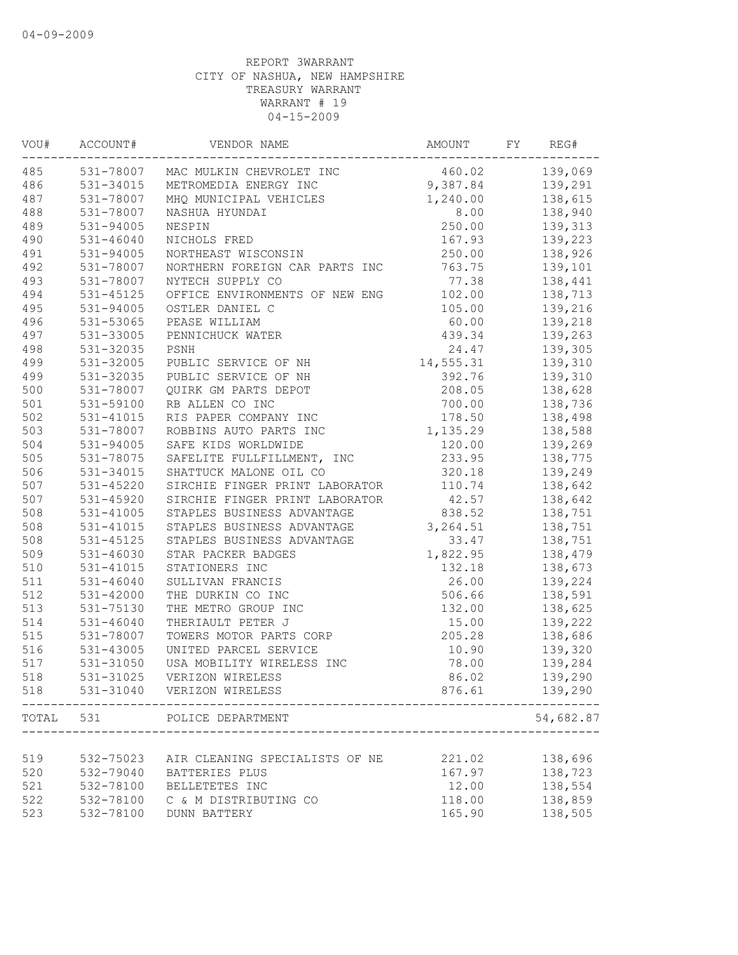| VOU#  | ACCOUNT#      | VENDOR NAME                        | AMOUNT    | FY | REG#      |
|-------|---------------|------------------------------------|-----------|----|-----------|
| 485   |               | 531-78007 MAC MULKIN CHEVROLET INC | 460.02    |    | 139,069   |
| 486   | 531-34015     | METROMEDIA ENERGY INC              | 9,387.84  |    | 139,291   |
| 487   | 531-78007     | MHQ MUNICIPAL VEHICLES             | 1,240.00  |    | 138,615   |
| 488   | 531-78007     | NASHUA HYUNDAI                     | 8.00      |    | 138,940   |
| 489   | 531-94005     | NESPIN                             | 250.00    |    | 139,313   |
| 490   | $531 - 46040$ | NICHOLS FRED                       | 167.93    |    | 139,223   |
| 491   | 531-94005     | NORTHEAST WISCONSIN                | 250.00    |    | 138,926   |
| 492   | 531-78007     | NORTHERN FOREIGN CAR PARTS INC     | 763.75    |    | 139,101   |
| 493   | 531-78007     | NYTECH SUPPLY CO                   | 77.38     |    | 138,441   |
| 494   | 531-45125     | OFFICE ENVIRONMENTS OF NEW ENG     | 102.00    |    | 138,713   |
| 495   | 531-94005     | OSTLER DANIEL C                    | 105.00    |    | 139,216   |
| 496   | 531-53065     | PEASE WILLIAM                      | 60.00     |    | 139,218   |
| 497   | 531-33005     | PENNICHUCK WATER                   | 439.34    |    | 139,263   |
| 498   | 531-32035     | PSNH                               | 24.47     |    | 139,305   |
| 499   | 531-32005     | PUBLIC SERVICE OF NH               | 14,555.31 |    | 139,310   |
| 499   | 531-32035     | PUBLIC SERVICE OF NH               | 392.76    |    | 139,310   |
| 500   | 531-78007     | QUIRK GM PARTS DEPOT               | 208.05    |    | 138,628   |
| 501   | 531-59100     | RB ALLEN CO INC                    | 700.00    |    | 138,736   |
| 502   | 531-41015     | RIS PAPER COMPANY INC              | 178.50    |    | 138,498   |
| 503   | 531-78007     | ROBBINS AUTO PARTS INC             | 1,135.29  |    | 138,588   |
| 504   | 531-94005     | SAFE KIDS WORLDWIDE                | 120.00    |    | 139,269   |
| 505   | 531-78075     | SAFELITE FULLFILLMENT, INC         | 233.95    |    | 138,775   |
| 506   | 531-34015     | SHATTUCK MALONE OIL CO             | 320.18    |    | 139,249   |
| 507   | $531 - 45220$ | SIRCHIE FINGER PRINT LABORATOR     | 110.74    |    | 138,642   |
| 507   | 531-45920     | SIRCHIE FINGER PRINT LABORATOR     | 42.57     |    | 138,642   |
| 508   | 531-41005     | STAPLES BUSINESS ADVANTAGE         | 838.52    |    | 138,751   |
| 508   | 531-41015     | STAPLES BUSINESS ADVANTAGE         | 3, 264.51 |    | 138,751   |
| 508   | $531 - 45125$ |                                    | 33.47     |    |           |
|       |               | STAPLES BUSINESS ADVANTAGE         |           |    | 138,751   |
| 509   | 531-46030     | STAR PACKER BADGES                 | 1,822.95  |    | 138,479   |
| 510   | 531-41015     | STATIONERS INC                     | 132.18    |    | 138,673   |
| 511   | $531 - 46040$ | SULLIVAN FRANCIS                   | 26.00     |    | 139,224   |
| 512   | 531-42000     | THE DURKIN CO INC                  | 506.66    |    | 138,591   |
| 513   | 531-75130     | THE METRO GROUP INC                | 132.00    |    | 138,625   |
| 514   | $531 - 46040$ | THERIAULT PETER J                  | 15.00     |    | 139,222   |
| 515   | 531-78007     | TOWERS MOTOR PARTS CORP            | 205.28    |    | 138,686   |
| 516   | 531-43005     | UNITED PARCEL SERVICE              | 10.90     |    | 139,320   |
| 517   | 531-31050     | USA MOBILITY WIRELESS INC          | 78.00     |    | 139,284   |
| 518   | 531-31025     | VERIZON WIRELESS                   | 86.02     |    | 139,290   |
| 518   | 531-31040     | VERIZON WIRELESS                   | 876.61    |    | 139,290   |
| TOTAL | 531           | POLICE DEPARTMENT                  |           |    | 54,682.87 |
|       |               |                                    |           |    |           |
| 519   | 532-75023     | AIR CLEANING SPECIALISTS OF NE     | 221.02    |    | 138,696   |
| 520   | 532-79040     | BATTERIES PLUS                     | 167.97    |    | 138,723   |
| 521   | 532-78100     | BELLETETES INC                     | 12.00     |    | 138,554   |
| 522   | 532-78100     | C & M DISTRIBUTING CO              | 118.00    |    | 138,859   |
| 523   | 532-78100     | <b>DUNN BATTERY</b>                | 165.90    |    | 138,505   |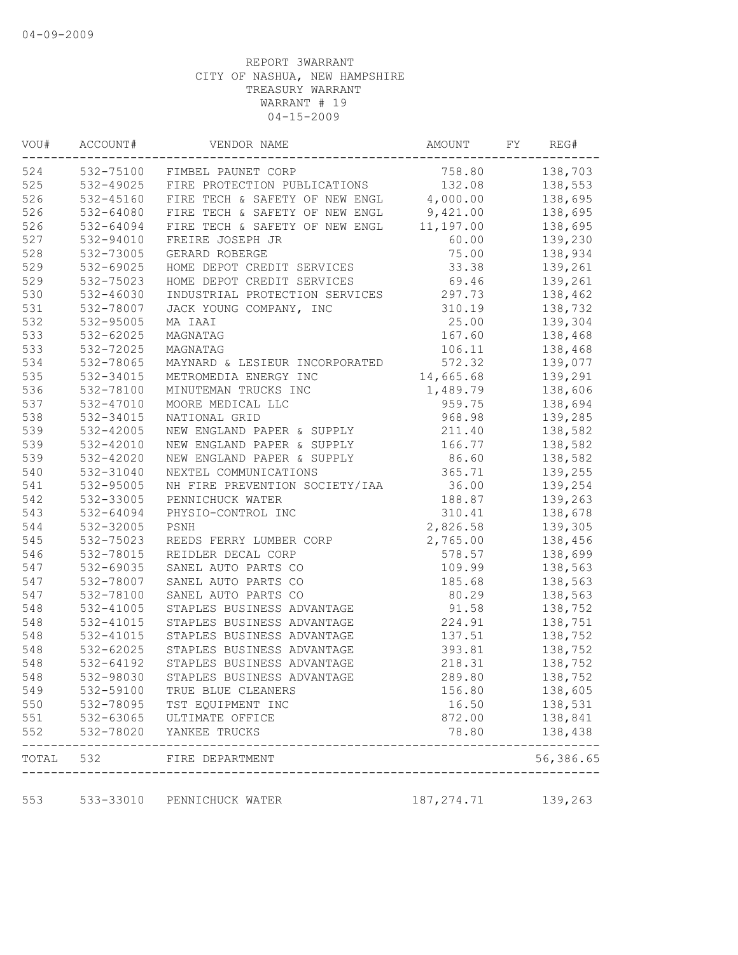| VOU#  | ACCOUNT#      | VENDOR NAME                              | AMOUNT      | FY | REG#      |
|-------|---------------|------------------------------------------|-------------|----|-----------|
| 524   | 532-75100     | FIMBEL PAUNET CORP                       | 758.80      |    | 138,703   |
| 525   | 532-49025     | FIRE PROTECTION PUBLICATIONS             | 132.08      |    | 138,553   |
| 526   | $532 - 45160$ | FIRE TECH & SAFETY OF NEW ENGL           | 4,000.00    |    | 138,695   |
| 526   | 532-64080     | FIRE TECH & SAFETY OF NEW ENGL 9,421.00  |             |    | 138,695   |
| 526   | 532-64094     | FIRE TECH & SAFETY OF NEW ENGL 11,197.00 |             |    | 138,695   |
| 527   | 532-94010     | FREIRE JOSEPH JR                         | 60.00       |    | 139,230   |
| 528   | 532-73005     | GERARD ROBERGE                           | 75.00       |    | 138,934   |
| 529   | 532-69025     | HOME DEPOT CREDIT SERVICES               | 33.38       |    | 139,261   |
| 529   | 532-75023     | HOME DEPOT CREDIT SERVICES               | 69.46       |    | 139,261   |
| 530   | 532-46030     | INDUSTRIAL PROTECTION SERVICES           | 297.73      |    | 138,462   |
| 531   | 532-78007     | JACK YOUNG COMPANY, INC                  | 310.19      |    | 138,732   |
| 532   | 532-95005     | MA IAAI                                  | 25.00       |    | 139,304   |
| 533   | 532-62025     | MAGNATAG                                 | 167.60      |    | 138,468   |
| 533   | 532-72025     | MAGNATAG                                 | 106.11      |    | 138,468   |
| 534   | 532-78065     | MAYNARD & LESIEUR INCORPORATED           | 572.32      |    | 139,077   |
| 535   | 532-34015     | METROMEDIA ENERGY INC                    | 14,665.68   |    | 139,291   |
| 536   | 532-78100     | MINUTEMAN TRUCKS INC                     | 1,489.79    |    | 138,606   |
| 537   | 532-47010     | MOORE MEDICAL LLC                        | 959.75      |    | 138,694   |
| 538   | 532-34015     | NATIONAL GRID                            | 968.98      |    | 139,285   |
| 539   | 532-42005     | NEW ENGLAND PAPER & SUPPLY               | 211.40      |    | 138,582   |
| 539   | 532-42010     | NEW ENGLAND PAPER & SUPPLY               | 166.77      |    | 138,582   |
| 539   | 532-42020     | NEW ENGLAND PAPER & SUPPLY               | 86.60       |    | 138,582   |
| 540   | 532-31040     | NEXTEL COMMUNICATIONS                    | 365.71      |    | 139,255   |
| 541   | 532-95005     | NH FIRE PREVENTION SOCIETY/IAA           | 36.00       |    | 139,254   |
| 542   | 532-33005     | PENNICHUCK WATER                         | 188.87      |    | 139,263   |
| 543   | 532-64094     | PHYSIO-CONTROL INC                       | 310.41      |    | 138,678   |
| 544   | 532-32005     | PSNH                                     | 2,826.58    |    | 139,305   |
| 545   | 532-75023     | REEDS FERRY LUMBER CORP                  | 2,765.00    |    | 138,456   |
| 546   | 532-78015     | REIDLER DECAL CORP                       | 578.57      |    | 138,699   |
| 547   | 532-69035     | SANEL AUTO PARTS CO                      | 109.99      |    | 138,563   |
| 547   | 532-78007     | SANEL AUTO PARTS CO                      | 185.68      |    | 138,563   |
| 547   | 532-78100     | SANEL AUTO PARTS CO                      | 80.29       |    | 138,563   |
| 548   | 532-41005     | STAPLES BUSINESS ADVANTAGE               | 91.58       |    | 138,752   |
| 548   | 532-41015     | STAPLES BUSINESS ADVANTAGE               | 224.91      |    | 138,751   |
| 548   | 532-41015     | STAPLES BUSINESS ADVANTAGE               | 137.51      |    | 138,752   |
| 548   | 532-62025     | STAPLES BUSINESS ADVANTAGE               | 393.81      |    | 138,752   |
| 548   | 532-64192     | STAPLES BUSINESS ADVANTAGE               | 218.31      |    | 138,752   |
| 548   | 532-98030     | STAPLES BUSINESS ADVANTAGE               | 289.80      |    | 138,752   |
| 549   | 532-59100     | TRUE BLUE CLEANERS                       | 156.80      |    | 138,605   |
| 550   | 532-78095     | TST EQUIPMENT INC                        | 16.50       |    | 138,531   |
| 551   | 532-63065     | ULTIMATE OFFICE                          | 872.00      |    | 138,841   |
| 552   | 532-78020     | YANKEE TRUCKS                            | 78.80       |    | 138,438   |
| TOTAL | 532           | FIRE DEPARTMENT                          |             |    | 56,386.65 |
| 553   |               | 533-33010 PENNICHUCK WATER               | 187, 274.71 |    | 139,263   |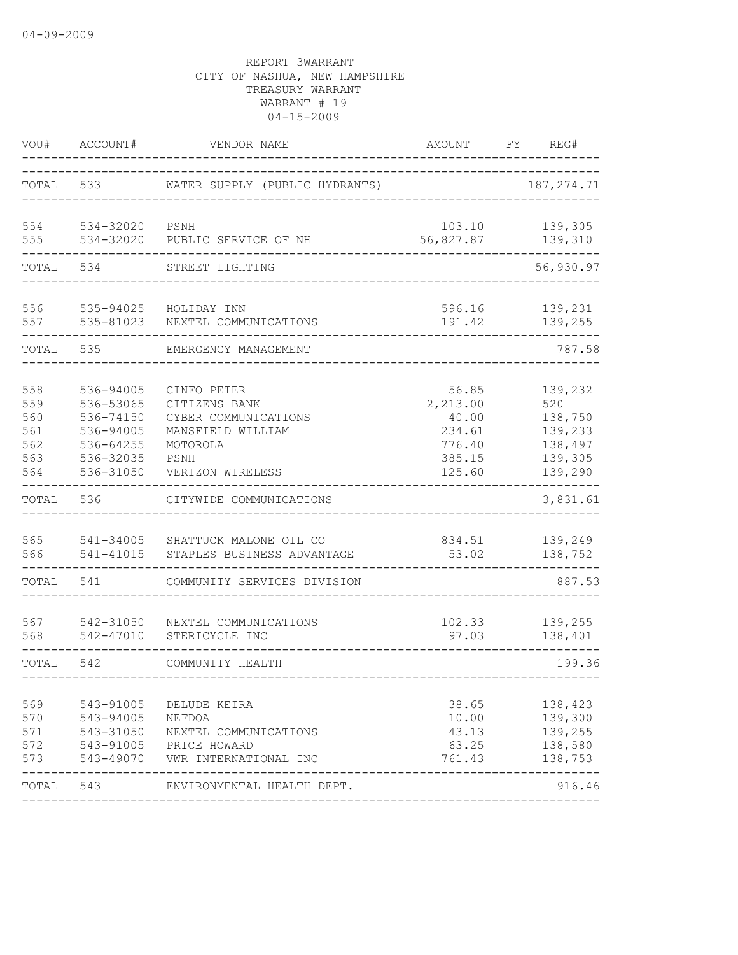| VOU#                                          | ACCOUNT#                                                                                | VENDOR NAME                                                                                                       | AMOUNT                                                             | FY | REG#                                                                  |
|-----------------------------------------------|-----------------------------------------------------------------------------------------|-------------------------------------------------------------------------------------------------------------------|--------------------------------------------------------------------|----|-----------------------------------------------------------------------|
| TOTAL                                         | 533                                                                                     | WATER SUPPLY (PUBLIC HYDRANTS)                                                                                    |                                                                    |    | 187, 274.71                                                           |
| 554<br>555                                    | 534-32020<br>534-32020                                                                  | PSNH<br>PUBLIC SERVICE OF NH                                                                                      | 103.10<br>56,827.87                                                |    | 139,305<br>139,310                                                    |
| TOTAL                                         | 534                                                                                     | STREET LIGHTING                                                                                                   |                                                                    |    | 56,930.97                                                             |
| 556<br>557                                    | 535-94025<br>535-81023                                                                  | HOLIDAY INN<br>NEXTEL COMMUNICATIONS                                                                              | 596.16<br>191.42                                                   |    | 139,231<br>139,255                                                    |
| TOTAL                                         | 535                                                                                     | EMERGENCY MANAGEMENT                                                                                              |                                                                    |    | 787.58                                                                |
| 558<br>559<br>560<br>561<br>562<br>563<br>564 | 536-94005<br>536-53065<br>536-74150<br>536-94005<br>536-64255<br>536-32035<br>536-31050 | CINFO PETER<br>CITIZENS BANK<br>CYBER COMMUNICATIONS<br>MANSFIELD WILLIAM<br>MOTOROLA<br>PSNH<br>VERIZON WIRELESS | 56.85<br>2,213.00<br>40.00<br>234.61<br>776.40<br>385.15<br>125.60 |    | 139,232<br>520<br>138,750<br>139,233<br>138,497<br>139,305<br>139,290 |
| TOTAL                                         | 536                                                                                     | CITYWIDE COMMUNICATIONS                                                                                           |                                                                    |    | 3,831.61                                                              |
| 565<br>566                                    | 541-34005<br>541-41015                                                                  | SHATTUCK MALONE OIL CO<br>STAPLES BUSINESS ADVANTAGE                                                              | 834.51<br>53.02                                                    |    | 139,249<br>138,752                                                    |
| TOTAL                                         | 541                                                                                     | COMMUNITY SERVICES DIVISION                                                                                       |                                                                    |    | 887.53                                                                |
| 567<br>568                                    | 542-31050<br>542-47010                                                                  | NEXTEL COMMUNICATIONS<br>STERICYCLE INC                                                                           | 102.33<br>97.03                                                    |    | 139,255<br>138,401                                                    |
| TOTAL                                         | 542                                                                                     | COMMUNITY HEALTH                                                                                                  |                                                                    |    | 199.36                                                                |
| 569<br>570<br>571<br>572<br>573               | 543-91005<br>543-94005<br>543-31050<br>543-91005<br>543-49070                           | DELUDE KEIRA<br>NEFDOA<br>NEXTEL COMMUNICATIONS<br>PRICE HOWARD<br>VWR INTERNATIONAL INC                          | 38.65<br>10.00<br>43.13<br>63.25<br>761.43                         |    | 138,423<br>139,300<br>139,255<br>138,580<br>138,753                   |
| TOTAL 543                                     |                                                                                         | ENVIRONMENTAL HEALTH DEPT.                                                                                        |                                                                    |    | 916.46                                                                |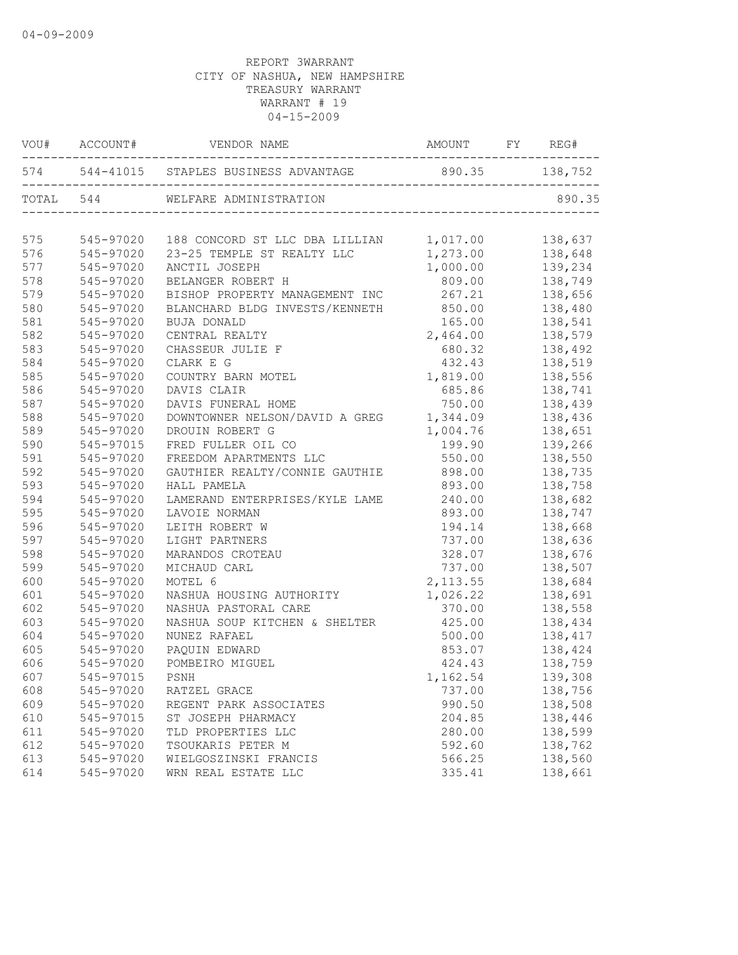|     |           | VOU# ACCOUNT# VENDOR NAME                               |           |         |
|-----|-----------|---------------------------------------------------------|-----------|---------|
|     |           | 574 544-41015 STAPLES BUSINESS ADVANTAGE 890.35 138,752 |           |         |
|     |           | TOTAL 544 WELFARE ADMINISTRATION                        |           | 890.35  |
| 575 | 545-97020 | 188 CONCORD ST LLC DBA LILLIAN 1,017.00                 |           | 138,637 |
| 576 | 545-97020 | 23-25 TEMPLE ST REALTY LLC                              | 1,273.00  | 138,648 |
| 577 | 545-97020 | ANCTIL JOSEPH                                           | 1,000.00  | 139,234 |
| 578 | 545-97020 | BELANGER ROBERT H                                       | 809.00    | 138,749 |
| 579 | 545-97020 | BISHOP PROPERTY MANAGEMENT INC                          | 267.21    | 138,656 |
| 580 | 545-97020 | BLANCHARD BLDG INVESTS/KENNETH 850.00                   |           | 138,480 |
| 581 | 545-97020 | BUJA DONALD                                             | 165.00    | 138,541 |
| 582 | 545-97020 | CENTRAL REALTY                                          | 2,464.00  | 138,579 |
| 583 | 545-97020 | CHASSEUR JULIE F                                        | 680.32    | 138,492 |
| 584 | 545-97020 | CLARK E G                                               | 432.43    | 138,519 |
| 585 | 545-97020 | COUNTRY BARN MOTEL                                      | 1,819.00  | 138,556 |
| 586 | 545-97020 | DAVIS CLAIR                                             | 685.86    | 138,741 |
| 587 | 545-97020 | DAVIS FUNERAL HOME                                      | 750.00    | 138,439 |
| 588 | 545-97020 | DOWNTOWNER NELSON/DAVID A GREG                          | 1,344.09  | 138,436 |
| 589 | 545-97020 | DROUIN ROBERT G                                         | 1,004.76  | 138,651 |
| 590 | 545-97015 | FRED FULLER OIL CO                                      | 199.90    | 139,266 |
| 591 | 545-97020 | FREEDOM APARTMENTS LLC                                  | 550.00    | 138,550 |
| 592 | 545-97020 | GAUTHIER REALTY/CONNIE GAUTHIE 898.00                   |           | 138,735 |
| 593 | 545-97020 | HALL PAMELA                                             | 893.00    | 138,758 |
| 594 | 545-97020 | LAMERAND ENTERPRISES/KYLE LAME                          | 240.00    | 138,682 |
| 595 | 545-97020 | LAVOIE NORMAN                                           | 893.00    | 138,747 |
| 596 | 545-97020 | LEITH ROBERT W                                          | 194.14    | 138,668 |
| 597 | 545-97020 | LIGHT PARTNERS                                          | 737.00    | 138,636 |
| 598 | 545-97020 | MARANDOS CROTEAU                                        | 328.07    | 138,676 |
| 599 | 545-97020 | MICHAUD CARL                                            | 737.00    | 138,507 |
| 600 | 545-97020 | MOTEL 6                                                 | 2, 113.55 | 138,684 |
| 601 | 545-97020 | NASHUA HOUSING AUTHORITY                                | 1,026.22  | 138,691 |
| 602 | 545-97020 | NASHUA PASTORAL CARE                                    | 370.00    | 138,558 |
| 603 | 545-97020 | NASHUA SOUP KITCHEN & SHELTER                           | 425.00    | 138,434 |
| 604 | 545-97020 | NUNEZ RAFAEL                                            | 500.00    | 138,417 |
| 605 | 545-97020 | PAQUIN EDWARD                                           | 853.07    | 138,424 |
| 606 | 545-97020 | POMBEIRO MIGUEL                                         | 424.43    | 138,759 |
| 607 | 545-97015 | PSNH                                                    | 1,162.54  | 139,308 |
| 608 | 545-97020 | RATZEL GRACE                                            | 737.00    | 138,756 |
| 609 | 545-97020 | REGENT PARK ASSOCIATES                                  | 990.50    | 138,508 |
| 610 | 545-97015 | ST JOSEPH PHARMACY                                      | 204.85    | 138,446 |
| 611 | 545-97020 | TLD PROPERTIES LLC                                      | 280.00    | 138,599 |
| 612 | 545-97020 | TSOUKARIS PETER M                                       | 592.60    | 138,762 |
| 613 | 545-97020 | WIELGOSZINSKI FRANCIS                                   | 566.25    | 138,560 |
| 614 | 545-97020 | WRN REAL ESTATE LLC                                     | 335.41    | 138,661 |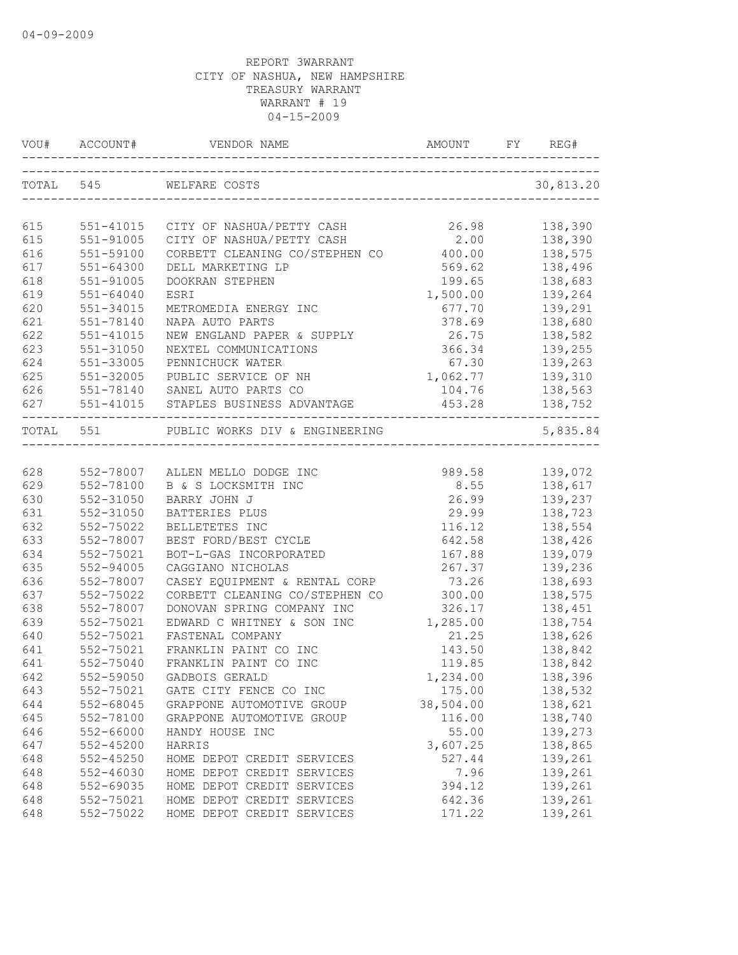|     | VOU# ACCOUNT# |                                                                         |                  |                |
|-----|---------------|-------------------------------------------------------------------------|------------------|----------------|
|     | TOTAL 545     | WELFARE COSTS                                                           |                  | 30,813.20      |
|     |               |                                                                         |                  |                |
| 615 |               | 551-41015 CITY OF NASHUA/PETTY CASH                                     | 26.98            | 138,390        |
| 615 | 551-91005     |                                                                         | 2.00             | 138,390        |
| 616 | 551-59100     | CITY OF NASHUA/PETTY CASH 2.00<br>CORBETT CLEANING CO/STEPHEN CO 400.00 |                  | 138,575        |
| 617 | $551 - 64300$ | DELL MARKETING LP                                                       | 569.62           | 138,496        |
| 618 | 551-91005     | DOOKRAN STEPHEN                                                         |                  | 199.65 138,683 |
| 619 | $551 - 64040$ | ESRI                                                                    | 1,500.00 139,264 |                |
| 620 | 551-34015     | METROMEDIA ENERGY INC                                                   |                  | 677.70 139,291 |
| 621 | 551-78140     | NAPA AUTO PARTS                                                         |                  | 378.69 138,680 |
| 622 | $551 - 41015$ | NEW ENGLAND PAPER & SUPPLY                                              | 26.75            | 138,582        |
| 623 | $551 - 31050$ | NEXTEL COMMUNICATIONS                                                   | 366.34           | 139,255        |
| 624 | 551-33005     | PENNICHUCK WATER                                                        | 67.30            | 139,263        |
| 625 | 551-32005     | PUBLIC SERVICE OF NH                                                    | 1,062.77         | 139,310        |
| 626 |               | 551-78140 SANEL AUTO PARTS CO                                           | 104.76           | 138,563        |
|     |               | 627 551-41015 STAPLES BUSINESS ADVANTAGE                                |                  | 453.28 138,752 |
|     |               | TOTAL 551 PUBLIC WORKS DIV & ENGINEERING                                |                  | 5,835.84       |
|     |               |                                                                         |                  |                |
| 628 |               | 552-78007 ALLEN MELLO DODGE INC                                         | 989.58           | 139,072        |
| 629 | 552-78100     | B & S LOCKSMITH INC                                                     | 8.55             | 138,617        |
| 630 | 552-31050     | BARRY JOHN J                                                            | 26.99            | 139,237        |
| 631 | 552-31050     | BATTERIES PLUS                                                          | 29.99            | 138,723        |
| 632 | 552-75022     | BELLETETES INC                                                          | 116.12           | 138,554        |
| 633 | 552-78007     | BEST FORD/BEST CYCLE                                                    | 642.58           | 138,426        |
| 634 | 552-75021     | BOT-L-GAS INCORPORATED                                                  | 167.88           | 139,079        |
| 635 | $552 - 94005$ | CAGGIANO NICHOLAS                                                       | 267.37           | 139,236        |
| 636 | 552-78007     | CASEY EQUIPMENT & RENTAL CORP                                           | 73.26            | 138,693        |
| 637 | 552-75022     | CORBETT CLEANING CO/STEPHEN CO                                          | 300.00           | 138,575        |
| 638 | 552-78007     | DONOVAN SPRING COMPANY INC                                              | 326.17           | 138,451        |
| 639 | 552-75021     | EDWARD C WHITNEY & SON INC                                              | 1,285.00         | 138,754        |
| 640 | 552-75021     | FASTENAL COMPANY                                                        | 21.25            | 138,626        |
| 641 | 552-75021     | FRANKLIN PAINT CO INC                                                   | 143.50           | 138,842        |
| 641 | 552-75040     | FRANKLIN PAINT CO INC                                                   | 119.85           | 138,842        |
| 642 | 552-59050     | GADBOIS GERALD                                                          | 1,234.00         | 138,396        |
| 643 | 552-75021     | GATE CITY FENCE CO INC                                                  | 175.00           | 138,532        |
| 644 | 552-68045     | GRAPPONE AUTOMOTIVE GROUP                                               | 38,504.00        | 138,621        |
| 645 | 552-78100     | GRAPPONE AUTOMOTIVE GROUP                                               | 116.00           | 138,740        |
| 646 | 552-66000     | HANDY HOUSE INC                                                         | 55.00            | 139,273        |
| 647 | $552 - 45200$ | HARRIS                                                                  | 3,607.25         | 138,865        |
| 648 | $552 - 45250$ | HOME DEPOT CREDIT SERVICES                                              | 527.44           | 139,261        |
| 648 | $552 - 46030$ | HOME DEPOT CREDIT SERVICES                                              | 7.96             | 139,261        |
| 648 | 552-69035     | HOME DEPOT CREDIT SERVICES                                              | 394.12           | 139,261        |
| 648 | 552-75021     | HOME DEPOT CREDIT SERVICES                                              | 642.36           | 139,261        |
| 648 | 552-75022     | HOME DEPOT CREDIT SERVICES                                              | 171.22           | 139,261        |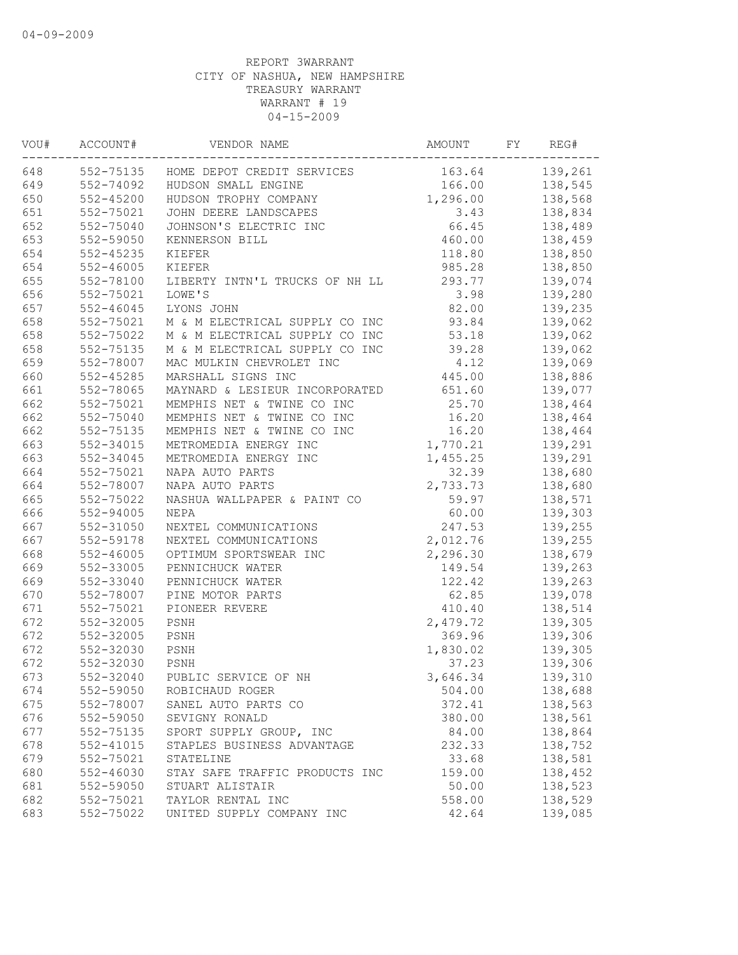| VOU# | ACCOUNT#               | VENDOR NAME                          | AMOUNT          | FY | REG#               |
|------|------------------------|--------------------------------------|-----------------|----|--------------------|
| 648  | 552-75135              | HOME DEPOT CREDIT SERVICES           | 163.64          |    | 139,261            |
| 649  | 552-74092              | HUDSON SMALL ENGINE                  | 166.00          |    | 138,545            |
| 650  | $552 - 45200$          | HUDSON TROPHY COMPANY                | 1,296.00        |    | 138,568            |
| 651  | 552-75021              | JOHN DEERE LANDSCAPES                | 3.43            |    | 138,834            |
| 652  | 552-75040              | JOHNSON'S ELECTRIC INC               | 66.45           |    | 138,489            |
| 653  | 552-59050              | KENNERSON BILL                       | 460.00          |    | 138,459            |
| 654  | 552-45235              | KIEFER                               | 118.80          |    | 138,850            |
| 654  | 552-46005              | KIEFER                               | 985.28          |    | 138,850            |
| 655  | 552-78100              | LIBERTY INTN'L TRUCKS OF NH LL       | 293.77          |    | 139,074            |
| 656  | 552-75021              | LOWE'S                               | 3.98            |    | 139,280            |
| 657  | $552 - 46045$          | LYONS JOHN                           | 82.00           |    | 139,235            |
| 658  | 552-75021              | M & M ELECTRICAL SUPPLY CO INC       | 93.84           |    | 139,062            |
| 658  | 552-75022              | M & M ELECTRICAL SUPPLY CO INC       | 53.18           |    | 139,062            |
| 658  | 552-75135              | M & M ELECTRICAL SUPPLY CO INC       | 39.28           |    | 139,062            |
| 659  | 552-78007              | MAC MULKIN CHEVROLET INC             | 4.12            |    | 139,069            |
| 660  | 552-45285              | MARSHALL SIGNS INC                   | 445.00          |    | 138,886            |
| 661  | 552-78065              | MAYNARD & LESIEUR INCORPORATED       | 651.60          |    | 139,077            |
| 662  | 552-75021              | MEMPHIS NET & TWINE CO INC           | 25.70           |    | 138,464            |
| 662  | 552-75040              | MEMPHIS NET & TWINE CO INC           | 16.20           |    | 138,464            |
| 662  | 552-75135              | MEMPHIS NET & TWINE CO INC           | 16.20           |    | 138,464            |
| 663  | 552-34015              | METROMEDIA ENERGY INC                | 1,770.21        |    | 139,291            |
| 663  | 552-34045              | METROMEDIA ENERGY INC                | 1,455.25        |    | 139,291            |
| 664  | 552-75021              | NAPA AUTO PARTS                      | 32.39           |    | 138,680            |
| 664  | 552-78007              | NAPA AUTO PARTS                      | 2,733.73        |    | 138,680            |
| 665  | 552-75022              | NASHUA WALLPAPER & PAINT CO          | 59.97           |    | 138,571            |
| 666  | 552-94005              | NEPA                                 | 60.00           |    | 139,303            |
| 667  | 552-31050              | NEXTEL COMMUNICATIONS                | 247.53          |    | 139,255            |
| 667  | 552-59178              | NEXTEL COMMUNICATIONS                | 2,012.76        |    | 139,255            |
| 668  | $552 - 46005$          | OPTIMUM SPORTSWEAR INC               | 2,296.30        |    | 138,679            |
| 669  | 552-33005              | PENNICHUCK WATER                     | 149.54          |    | 139,263            |
| 669  | 552-33040              | PENNICHUCK WATER                     | 122.42          |    | 139,263            |
| 670  | 552-78007              | PINE MOTOR PARTS                     | 62.85           |    | 139,078            |
| 671  | 552-75021              | PIONEER REVERE                       | 410.40          |    | 138,514            |
| 672  | 552-32005              | PSNH                                 | 2,479.72        |    | 139,305            |
| 672  | 552-32005              | PSNH                                 | 369.96          |    | 139,306            |
| 672  | 552-32030              | PSNH                                 | 1,830.02        |    | 139,305            |
| 672  | 552-32030              | PSNH                                 | 37.23           |    | 139,306            |
| 673  | 552-32040              | PUBLIC SERVICE OF NH                 | 3,646.34        |    | 139,310            |
| 674  | 552-59050              | ROBICHAUD ROGER                      | 504.00          |    | 138,688            |
| 675  | 552-78007              | SANEL AUTO PARTS CO                  | 372.41          |    | 138,563            |
| 676  | 552-59050              | SEVIGNY RONALD                       | 380.00          |    | 138,561            |
| 677  | 552-75135              | SPORT SUPPLY GROUP, INC              | 84.00           |    | 138,864            |
| 678  | 552-41015              | STAPLES BUSINESS ADVANTAGE           | 232.33          |    | 138,752            |
| 679  | 552-75021              | STATELINE                            | 33.68           |    | 138,581            |
| 680  | $552 - 46030$          | STAY SAFE TRAFFIC PRODUCTS INC       | 159.00          |    | 138,452            |
| 681  |                        |                                      |                 |    |                    |
| 682  | 552-59050<br>552-75021 | STUART ALISTAIR<br>TAYLOR RENTAL INC | 50.00<br>558.00 |    | 138,523<br>138,529 |
| 683  |                        | UNITED SUPPLY COMPANY INC            |                 |    |                    |
|      | 552-75022              |                                      | 42.64           |    | 139,085            |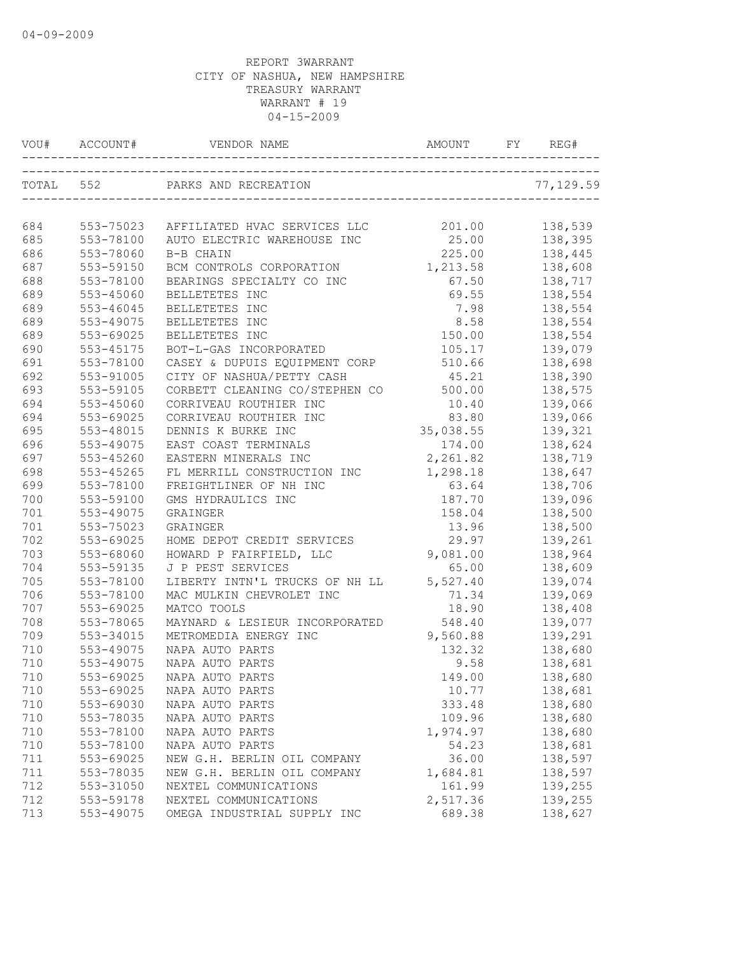| VOU#      |                        |                                      | AMOUNT          | REG#      |
|-----------|------------------------|--------------------------------------|-----------------|-----------|
| TOTAL 552 |                        | PARKS AND RECREATION                 |                 | 77,129.59 |
| 684       | 553-75023              |                                      |                 |           |
|           |                        | AFFILIATED HVAC SERVICES LLC         | 201.00<br>25.00 | 138,539   |
| 685       | 553-78100              | AUTO ELECTRIC WAREHOUSE INC          |                 | 138,395   |
| 686       | 553-78060<br>553-59150 | B-B CHAIN                            | 225.00          | 138,445   |
| 687       |                        | BCM CONTROLS CORPORATION             | 1,213.58        | 138,608   |
| 688       | 553-78100              | BEARINGS SPECIALTY CO INC            | 67.50           | 138,717   |
| 689       | 553-45060              | BELLETETES INC                       | 69.55           | 138,554   |
| 689       | 553-46045              | BELLETETES INC                       | 7.98<br>8.58    | 138,554   |
| 689       | 553-49075              | BELLETETES INC                       |                 | 138,554   |
| 689       | 553-69025              | BELLETETES INC                       | 150.00          | 138,554   |
| 690       | 553-45175              | BOT-L-GAS INCORPORATED               | 105.17          | 139,079   |
| 691       | 553-78100              | CASEY & DUPUIS EQUIPMENT CORP        | 510.66          | 138,698   |
| 692       | 553-91005              | CITY OF NASHUA/PETTY CASH            | 45.21           | 138,390   |
| 693       | 553-59105              | CORBETT CLEANING CO/STEPHEN CO       | 500.00          | 138,575   |
| 694       | 553-45060              | CORRIVEAU ROUTHIER INC               | 10.40           | 139,066   |
| 694       | 553-69025              | CORRIVEAU ROUTHIER INC               | 83.80           | 139,066   |
| 695       | 553-48015              | DENNIS K BURKE INC                   | 35,038.55       | 139,321   |
| 696       | 553-49075              | EAST COAST TERMINALS                 | 174.00          | 138,624   |
| 697       | 553-45260              | EASTERN MINERALS INC                 | 2,261.82        | 138,719   |
| 698       | $553 - 45265$          | FL MERRILL CONSTRUCTION INC 1,298.18 |                 | 138,647   |
| 699       | 553-78100              | FREIGHTLINER OF NH INC               | 63.64           | 138,706   |
| 700       | 553-59100              | GMS HYDRAULICS INC                   | 187.70          | 139,096   |
| 701       | 553-49075              | GRAINGER                             | 158.04          | 138,500   |
| 701       | 553-75023              | GRAINGER                             | 13.96           | 138,500   |
| 702       | 553-69025              | HOME DEPOT CREDIT SERVICES           | 29.97           | 139,261   |
| 703       | 553-68060              | HOWARD P FAIRFIELD, LLC              | 9,081.00        | 138,964   |
| 704       | 553-59135              | J P PEST SERVICES                    | 65.00           | 138,609   |
| 705       | 553-78100              | LIBERTY INTN'L TRUCKS OF NH LL       | 5,527.40        | 139,074   |
| 706       | 553-78100              | MAC MULKIN CHEVROLET INC             | 71.34           | 139,069   |
| 707       | 553-69025              | MATCO TOOLS                          | 18.90           | 138,408   |
| 708       | 553-78065              | MAYNARD & LESIEUR INCORPORATED       | 548.40          | 139,077   |
| 709       | 553-34015              | METROMEDIA ENERGY INC                | 9,560.88        | 139,291   |
| 710       | 553-49075              | NAPA AUTO PARTS                      | 132.32          | 138,680   |
| 710       | 553-49075              | NAPA AUTO PARTS                      | 9.58            | 138,681   |
| 710       | 553-69025              | NAPA AUTO PARTS                      | 149.00          | 138,680   |
| 710       | 553-69025              | NAPA AUTO PARTS                      | 10.77           | 138,681   |
| 710       | 553-69030              | NAPA AUTO PARTS                      | 333.48          | 138,680   |
| 710       | 553-78035              | NAPA AUTO PARTS                      | 109.96          | 138,680   |
| 710       | 553-78100              | NAPA AUTO PARTS                      | 1,974.97        | 138,680   |
| 710       | 553-78100              | NAPA AUTO PARTS                      | 54.23           | 138,681   |
| 711       | 553-69025              | NEW G.H. BERLIN OIL COMPANY          | 36.00           | 138,597   |
| 711       | 553-78035              | NEW G.H. BERLIN OIL COMPANY          | 1,684.81        | 138,597   |
| 712       | 553-31050              | NEXTEL COMMUNICATIONS                | 161.99          | 139,255   |
| 712       | 553-59178              | NEXTEL COMMUNICATIONS                | 2,517.36        | 139,255   |
| 713       | 553-49075              | OMEGA INDUSTRIAL SUPPLY INC          | 689.38          | 138,627   |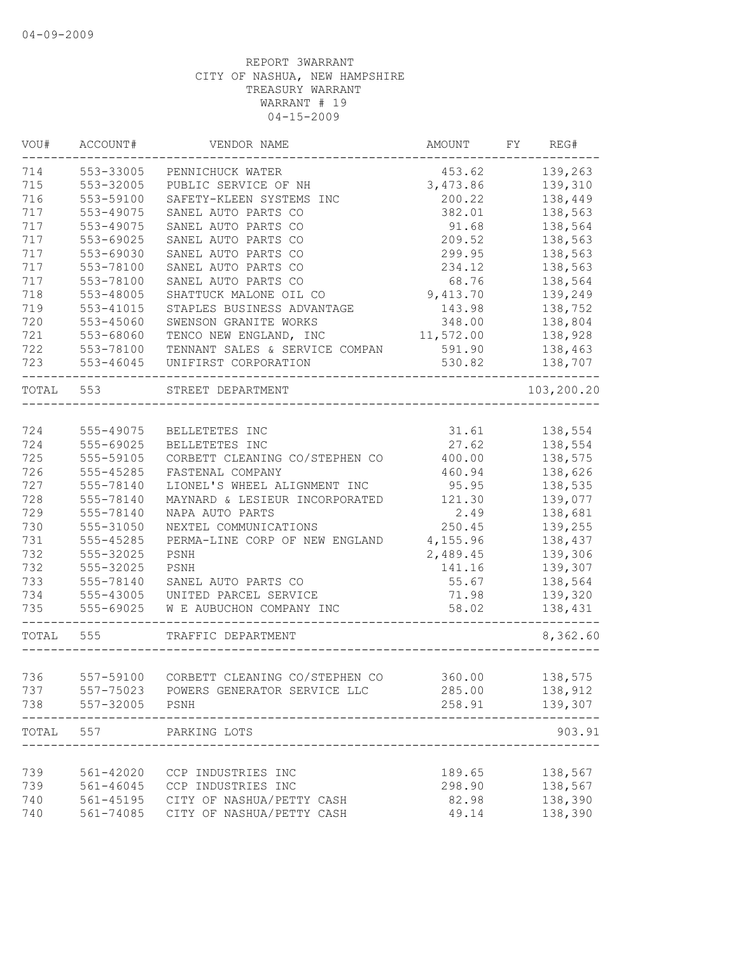| VOU#      | ACCOUNT#  | VENDOR NAME                            | AMOUNT    | FY | REG#       |
|-----------|-----------|----------------------------------------|-----------|----|------------|
| 714       | 553-33005 | PENNICHUCK WATER                       | 453.62    |    | 139,263    |
| 715       | 553-32005 | PUBLIC SERVICE OF NH                   | 3,473.86  |    | 139,310    |
| 716       | 553-59100 | SAFETY-KLEEN SYSTEMS INC               | 200.22    |    | 138,449    |
| 717       | 553-49075 | SANEL AUTO PARTS CO                    | 382.01    |    | 138,563    |
| 717       | 553-49075 | SANEL AUTO PARTS CO                    | 91.68     |    | 138,564    |
| 717       | 553-69025 | SANEL AUTO PARTS CO                    | 209.52    |    | 138,563    |
| 717       | 553-69030 | SANEL AUTO PARTS CO                    | 299.95    |    | 138,563    |
| 717       | 553-78100 | SANEL AUTO PARTS CO                    | 234.12    |    | 138,563    |
| 717       | 553-78100 | SANEL AUTO PARTS CO                    | 68.76     |    | 138,564    |
| 718       | 553-48005 | SHATTUCK MALONE OIL CO                 | 9,413.70  |    | 139,249    |
| 719       | 553-41015 | STAPLES BUSINESS ADVANTAGE             | 143.98    |    | 138,752    |
| 720       | 553-45060 | SWENSON GRANITE WORKS                  | 348.00    |    | 138,804    |
| 721       | 553-68060 | TENCO NEW ENGLAND, INC                 | 11,572.00 |    | 138,928    |
| 722       | 553-78100 | TENNANT SALES & SERVICE COMPAN         | 591.90    |    | 138,463    |
| 723       | 553-46045 | UNIFIRST CORPORATION                   | 530.82    |    | 138,707    |
| TOTAL 553 |           | STREET DEPARTMENT                      |           |    | 103,200.20 |
|           |           |                                        |           |    |            |
| 724       | 555-49075 | BELLETETES INC                         | 31.61     |    | 138,554    |
| 724       | 555-69025 | BELLETETES INC                         | 27.62     |    | 138,554    |
| 725       | 555-59105 | CORBETT CLEANING CO/STEPHEN CO         | 400.00    |    | 138,575    |
| 726       | 555-45285 | FASTENAL COMPANY                       | 460.94    |    | 138,626    |
| 727       | 555-78140 | LIONEL'S WHEEL ALIGNMENT INC           | 95.95     |    | 138,535    |
| 728       | 555-78140 | MAYNARD & LESIEUR INCORPORATED         | 121.30    |    | 139,077    |
| 729       | 555-78140 | NAPA AUTO PARTS                        | 2.49      |    | 138,681    |
| 730       | 555-31050 | NEXTEL COMMUNICATIONS                  | 250.45    |    | 139,255    |
| 731       | 555-45285 | PERMA-LINE CORP OF NEW ENGLAND         | 4,155.96  |    | 138,437    |
| 732       | 555-32025 | PSNH                                   | 2,489.45  |    | 139,306    |
| 732       | 555-32025 | PSNH                                   | 141.16    |    | 139,307    |
| 733       | 555-78140 | SANEL AUTO PARTS CO                    | 55.67     |    | 138,564    |
| 734       | 555-43005 | UNITED PARCEL SERVICE                  | 71.98     |    | 139,320    |
| 735       | 555-69025 | W E AUBUCHON COMPANY INC               | 58.02     |    | 138,431    |
| TOTAL     | 555       | TRAFFIC DEPARTMENT                     |           |    | 8,362.60   |
|           |           |                                        |           |    |            |
| 736       | 557-59100 | CORBETT CLEANING CO/STEPHEN CO         | 360.00    |    | 138,575    |
| 737       |           | 557-75023 POWERS GENERATOR SERVICE LLC | 285.00    |    | 138,912    |
| 738       | 557-32005 | PSNH                                   | 258.91    |    | 139,307    |
| TOTAL     | 557       | PARKING LOTS                           |           |    | 903.91     |
|           |           |                                        |           |    |            |
| 739       |           | 561-42020 CCP INDUSTRIES INC           | 189.65    |    | 138,567    |
| 739       | 561-46045 | CCP INDUSTRIES INC                     | 298.90    |    | 138,567    |
| 740       |           | 561-45195 CITY OF NASHUA/PETTY CASH    | 82.98     |    | 138,390    |
| 740       | 561-74085 | CITY OF NASHUA/PETTY CASH              | 49.14     |    | 138,390    |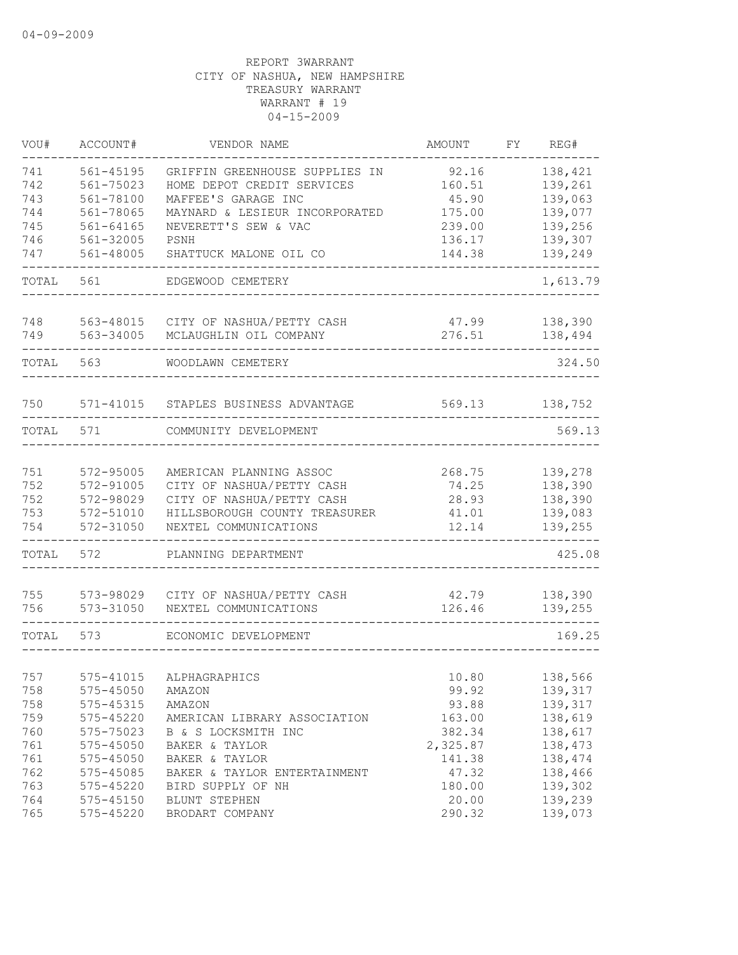| VOU#  | ACCOUNT#      | VENDOR NAME                    | AMOUNT   | FY | REG#     |
|-------|---------------|--------------------------------|----------|----|----------|
| 741   | $561 - 45195$ | GRIFFIN GREENHOUSE SUPPLIES IN | 92.16    |    | 138,421  |
| 742   | 561-75023     | HOME DEPOT CREDIT SERVICES     | 160.51   |    | 139,261  |
| 743   | 561-78100     | MAFFEE'S GARAGE INC            | 45.90    |    | 139,063  |
| 744   | 561-78065     | MAYNARD & LESIEUR INCORPORATED | 175.00   |    | 139,077  |
| 745   | $561 - 64165$ | NEVERETT'S SEW & VAC           | 239.00   |    | 139,256  |
| 746   | 561-32005     | PSNH                           | 136.17   |    | 139,307  |
| 747   | 561-48005     | SHATTUCK MALONE OIL CO         | 144.38   |    | 139,249  |
| TOTAL | 561           | EDGEWOOD CEMETERY              |          |    | 1,613.79 |
| 748   | 563-48015     | CITY OF NASHUA/PETTY CASH      | 47.99    |    | 138,390  |
| 749   | 563-34005     | MCLAUGHLIN OIL COMPANY         | 276.51   |    | 138,494  |
|       |               |                                |          |    |          |
| TOTAL | 563           | WOODLAWN CEMETERY              |          |    | 324.50   |
| 750   | 571-41015     | STAPLES BUSINESS ADVANTAGE     | 569.13   |    | 138,752  |
|       |               |                                |          |    |          |
| TOTAL | 571           | COMMUNITY DEVELOPMENT          |          |    | 569.13   |
| 751   | 572-95005     | AMERICAN PLANNING ASSOC        | 268.75   |    | 139,278  |
| 752   | 572-91005     | CITY OF NASHUA/PETTY CASH      | 74.25    |    | 138,390  |
| 752   | 572-98029     | CITY OF NASHUA/PETTY CASH      | 28.93    |    | 138,390  |
| 753   | 572-51010     | HILLSBOROUGH COUNTY TREASURER  | 41.01    |    | 139,083  |
| 754   | 572-31050     | NEXTEL COMMUNICATIONS          | 12.14    |    | 139,255  |
| TOTAL | 572           | PLANNING DEPARTMENT            |          |    | 425.08   |
| 755   | 573-98029     | CITY OF NASHUA/PETTY CASH      | 42.79    |    | 138,390  |
| 756   | 573-31050     | NEXTEL COMMUNICATIONS          | 126.46   |    | 139,255  |
| TOTAL | 573           | ECONOMIC DEVELOPMENT           |          |    | 169.25   |
|       |               |                                |          |    |          |
| 757   |               | 575-41015 ALPHAGRAPHICS        | 10.80    |    | 138,566  |
| 758   | 575-45050     | AMAZON                         | 99.92    |    | 139,317  |
| 758   | 575-45315     | AMAZON                         | 93.88    |    | 139,317  |
| 759   | 575-45220     | AMERICAN LIBRARY ASSOCIATION   | 163.00   |    | 138,619  |
| 760   | 575-75023     | B & S LOCKSMITH INC            | 382.34   |    | 138,617  |
| 761   | 575-45050     | BAKER & TAYLOR                 | 2,325.87 |    | 138,473  |
| 761   | $575 - 45050$ | BAKER & TAYLOR                 | 141.38   |    | 138,474  |
| 762   | 575-45085     | BAKER & TAYLOR ENTERTAINMENT   | 47.32    |    | 138,466  |
| 763   | 575-45220     | BIRD SUPPLY OF NH              | 180.00   |    | 139,302  |
| 764   | 575-45150     | BLUNT STEPHEN                  | 20.00    |    | 139,239  |
| 765   | 575-45220     | BRODART COMPANY                | 290.32   |    | 139,073  |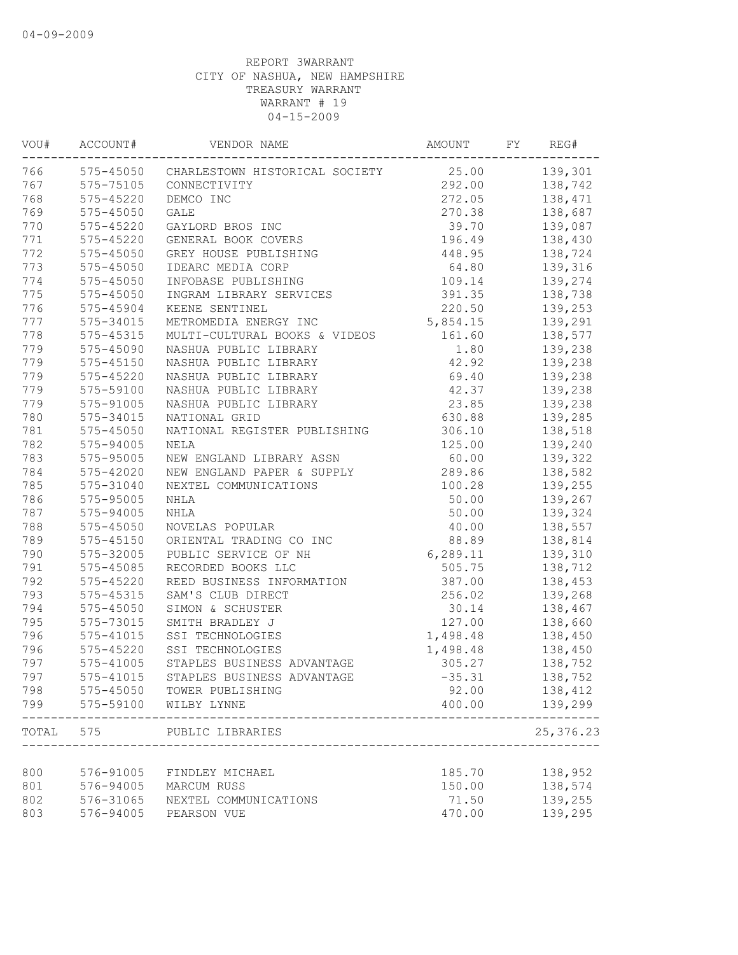| VOU#  | ACCOUNT#      | VENDOR NAME                    | AMOUNT    | FY | REG#       |
|-------|---------------|--------------------------------|-----------|----|------------|
| 766   | 575-45050     | CHARLESTOWN HISTORICAL SOCIETY | 25.00     |    | 139,301    |
| 767   | 575-75105     | CONNECTIVITY                   | 292.00    |    | 138,742    |
| 768   | 575-45220     | DEMCO INC                      | 272.05    |    | 138,471    |
| 769   | $575 - 45050$ | <b>GALE</b>                    | 270.38    |    | 138,687    |
| 770   | 575-45220     | GAYLORD BROS INC               | 39.70     |    | 139,087    |
| 771   | 575-45220     | GENERAL BOOK COVERS            | 196.49    |    | 138,430    |
| 772   | $575 - 45050$ | GREY HOUSE PUBLISHING          | 448.95    |    | 138,724    |
| 773   | $575 - 45050$ | IDEARC MEDIA CORP              | 64.80     |    | 139,316    |
| 774   | 575-45050     | INFOBASE PUBLISHING            | 109.14    |    | 139,274    |
| 775   | $575 - 45050$ | INGRAM LIBRARY SERVICES        | 391.35    |    | 138,738    |
| 776   | 575-45904     | KEENE SENTINEL                 | 220.50    |    | 139,253    |
| 777   | 575-34015     | METROMEDIA ENERGY INC          | 5,854.15  |    | 139,291    |
| 778   | 575-45315     | MULTI-CULTURAL BOOKS & VIDEOS  | 161.60    |    | 138,577    |
| 779   | 575-45090     | NASHUA PUBLIC LIBRARY          | 1.80      |    | 139,238    |
| 779   | $575 - 45150$ | NASHUA PUBLIC LIBRARY          | 42.92     |    | 139,238    |
| 779   | $575 - 45220$ | NASHUA PUBLIC LIBRARY          | 69.40     |    | 139,238    |
| 779   | 575-59100     | NASHUA PUBLIC LIBRARY          | 42.37     |    | 139,238    |
| 779   | 575-91005     | NASHUA PUBLIC LIBRARY          | 23.85     |    | 139,238    |
| 780   | 575-34015     | NATIONAL GRID                  | 630.88    |    | 139,285    |
| 781   | $575 - 45050$ | NATIONAL REGISTER PUBLISHING   | 306.10    |    | 138,518    |
| 782   | 575-94005     | NELA                           | 125.00    |    | 139,240    |
| 783   | 575-95005     | NEW ENGLAND LIBRARY ASSN       | 60.00     |    | 139,322    |
| 784   | $575 - 42020$ | NEW ENGLAND PAPER & SUPPLY     | 289.86    |    | 138,582    |
| 785   | 575-31040     | NEXTEL COMMUNICATIONS          | 100.28    |    | 139,255    |
| 786   | 575-95005     | NHLA                           | 50.00     |    | 139,267    |
| 787   | 575-94005     | NHLA                           | 50.00     |    | 139,324    |
| 788   | $575 - 45050$ | NOVELAS POPULAR                | 40.00     |    | 138,557    |
| 789   | $575 - 45150$ | ORIENTAL TRADING CO INC        | 88.89     |    | 138,814    |
| 790   | 575-32005     | PUBLIC SERVICE OF NH           | 6, 289.11 |    | 139,310    |
| 791   | 575-45085     | RECORDED BOOKS LLC             | 505.75    |    | 138,712    |
| 792   | $575 - 45220$ | REED BUSINESS INFORMATION      | 387.00    |    | 138,453    |
| 793   | 575-45315     | SAM'S CLUB DIRECT              | 256.02    |    | 139,268    |
| 794   | 575-45050     | SIMON & SCHUSTER               | 30.14     |    | 138,467    |
| 795   | 575-73015     | SMITH BRADLEY J                | 127.00    |    | 138,660    |
| 796   | 575-41015     | SSI TECHNOLOGIES               | 1,498.48  |    | 138,450    |
| 796   | 575-45220     | SSI TECHNOLOGIES               | 1,498.48  |    | 138,450    |
| 797   | 575-41005     | STAPLES BUSINESS ADVANTAGE     | 305.27    |    | 138,752    |
| 797   | $575 - 41015$ | STAPLES BUSINESS ADVANTAGE     | $-35.31$  |    | 138,752    |
| 798   | 575-45050     | TOWER PUBLISHING               | 92.00     |    | 138,412    |
| 799   | 575-59100     | WILBY LYNNE                    | 400.00    |    | 139,299    |
| TOTAL | 575           | PUBLIC LIBRARIES               |           |    | 25, 376.23 |
|       |               |                                |           |    |            |
| 800   | 576-91005     | FINDLEY MICHAEL                | 185.70    |    | 138,952    |
| 801   | 576-94005     | MARCUM RUSS                    | 150.00    |    | 138,574    |
| 802   | 576-31065     | NEXTEL COMMUNICATIONS          | 71.50     |    | 139,255    |
| 803   | 576-94005     | PEARSON VUE                    | 470.00    |    | 139,295    |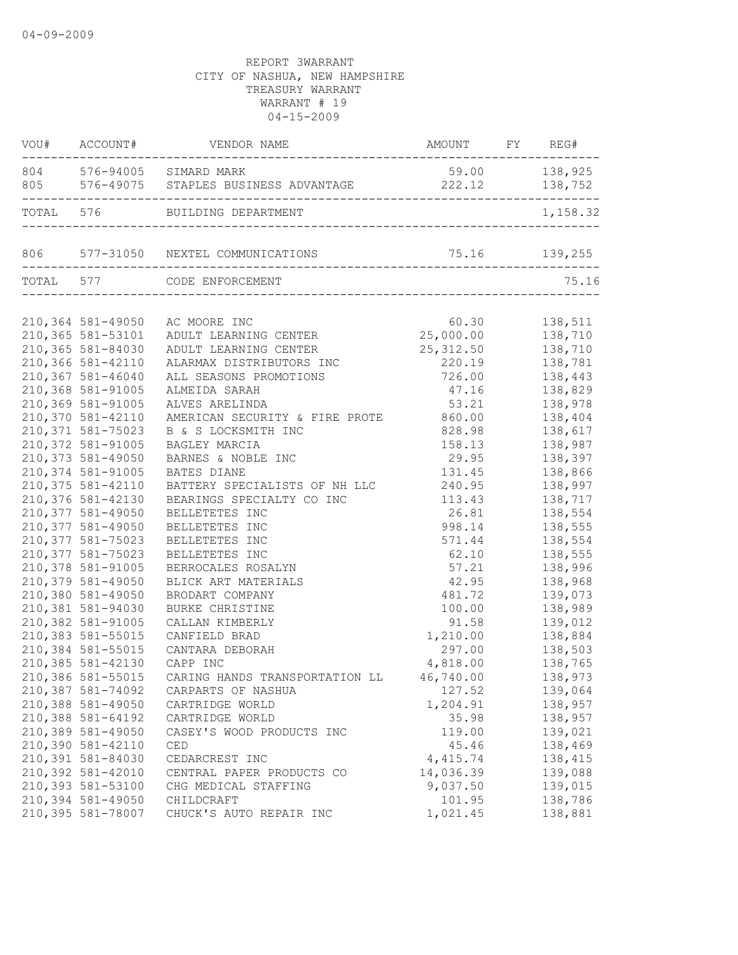|                    | VOU# ACCOUNT# VENDOR NAME                                  | AMOUNT FY REG#      | ------ |               |
|--------------------|------------------------------------------------------------|---------------------|--------|---------------|
|                    | 804 576-94005 SIMARD MARK                                  |                     |        | 59.00 138,925 |
|                    | TOTAL 576 BUILDING DEPARTMENT                              |                     |        | 1,158.32      |
|                    |                                                            |                     |        |               |
|                    | TOTAL 577 CODE ENFORCEMENT                                 |                     |        | 75.16         |
|                    |                                                            |                     |        |               |
|                    | 210,364 581-49050 AC MOORE INC                             |                     |        | 60.30 138,511 |
| 210,365 581-53101  | ADULT LEARNING CENTER 25,000.00 138,710                    |                     |        |               |
| 210,365 581-84030  | ADULT LEARNING CENTER                                      | 25, 312.50 138, 710 |        |               |
| 210,366 581-42110  | ALARMAX DISTRIBUTORS INC                                   | 220.19              |        | 138,781       |
| 210,367 581-46040  | ALL SEASONS PROMOTIONS                                     | 726.00              |        | 138,443       |
| 210,368 581-91005  | ALMEIDA SARAH                                              | 47.16               |        | 138,829       |
| 210,369 581-91005  | ALVES ARELINDA                                             | 53.21               |        | 138,978       |
| 210,370 581-42110  | AMERICAN SECURITY & FIRE PROTE                             | 860.00              |        | 138,404       |
| 210, 371 581-75023 | B & S LOCKSMITH INC                                        | 828.98              |        | 138,617       |
| 210,372 581-91005  | BAGLEY MARCIA                                              | 158.13              |        | 138,987       |
| 210, 373 581-49050 | BARNES & NOBLE INC                                         | 29.95               |        | 138,397       |
| 210,374 581-91005  | BATES DIANE                                                | 131.45              |        | 138,866       |
| 210, 375 581-42110 | BATTERY SPECIALISTS OF NH LLC                              | 240.95              |        | 138,997       |
| 210,376 581-42130  | BEARINGS SPECIALTY CO INC                                  | 113.43              |        | 138,717       |
| 210, 377 581-49050 | BELLETETES INC                                             | 26.81               |        | 138,554       |
| 210, 377 581-49050 | BELLETETES INC                                             | 998.14              |        | 138,555       |
| 210, 377 581-75023 | BELLETETES INC                                             | 571.44              |        | 138,554       |
| 210, 377 581-75023 | BELLETETES INC                                             | 62.10               |        | 138,555       |
| 210,378 581-91005  | BERROCALES ROSALYN                                         | 57.21               |        | 138,996       |
| 210,379 581-49050  | BLICK ART MATERIALS                                        | 42.95               |        | 138,968       |
| 210,380 581-49050  | BRODART COMPANY                                            | 481.72              |        | 139,073       |
| 210,381 581-94030  | BURKE CHRISTINE                                            | 100.00              |        | 138,989       |
| 210,382 581-91005  | CALLAN KIMBERLY                                            | 91.58               |        | 139,012       |
| 210,383 581-55015  | CANFIELD BRAD                                              | 1,210.00            |        | 138,884       |
| 210,384 581-55015  | CANTARA DEBORAH                                            | 297.00              |        | 138,503       |
| 210,385 581-42130  | CAPP INC                                                   | 4,818.00            |        | 138,765       |
|                    | 210,386 581-55015 CARING HANDS TRANSPORTATION LL 46,740.00 |                     |        | 138,973       |
|                    |                                                            |                     |        |               |
| 210,387 581-74092  | CARPARTS OF NASHUA                                         | 127.52              |        | 139,064       |
| 210,388 581-49050  | CARTRIDGE WORLD                                            | 1,204.91            |        | 138,957       |
| 210,388 581-64192  | CARTRIDGE WORLD                                            | 35.98               |        | 138,957       |
| 210,389 581-49050  | CASEY'S WOOD PRODUCTS INC                                  | 119.00              |        | 139,021       |
| 210,390 581-42110  | CED                                                        | 45.46               |        | 138,469       |
| 210,391 581-84030  | CEDARCREST INC                                             | 4,415.74            |        | 138,415       |
| 210,392 581-42010  | CENTRAL PAPER PRODUCTS CO                                  | 14,036.39           |        | 139,088       |
| 210,393 581-53100  | CHG MEDICAL STAFFING                                       | 9,037.50            |        | 139,015       |
| 210,394 581-49050  | CHILDCRAFT                                                 | 101.95              |        | 138,786       |
| 210,395 581-78007  | CHUCK'S AUTO REPAIR INC                                    | 1,021.45            |        | 138,881       |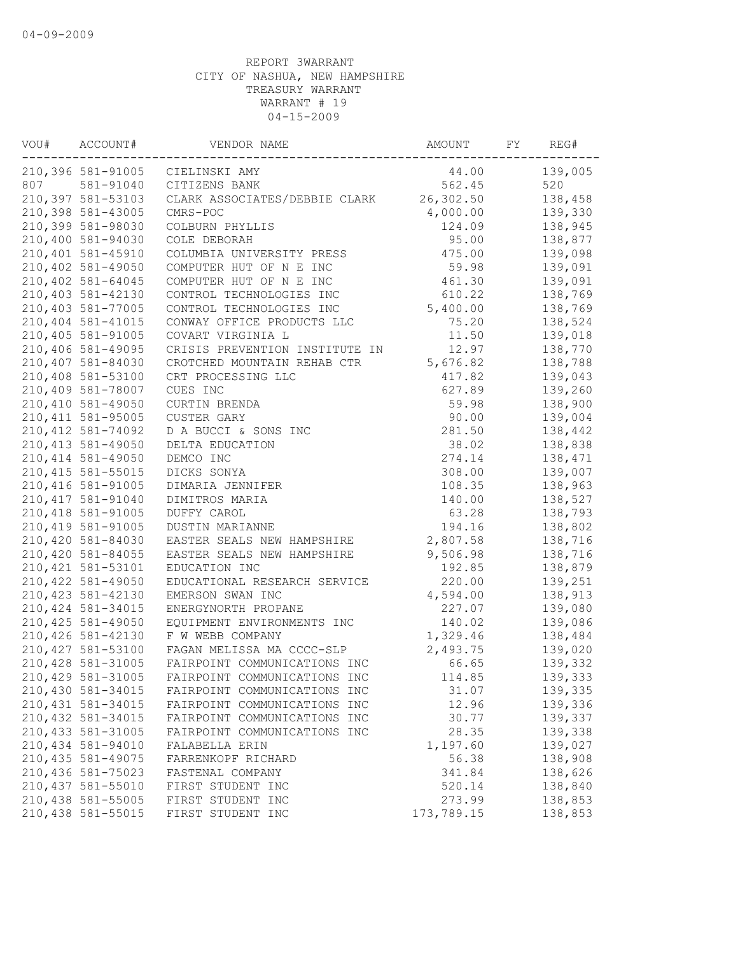| VOU# | ACCOUNT#           | VENDOR NAME                    | AMOUNT     | FY | REG#    |
|------|--------------------|--------------------------------|------------|----|---------|
|      | 210,396 581-91005  | CIELINSKI AMY                  | 44.00      |    | 139,005 |
| 807  | 581-91040          | CITIZENS BANK                  | 562.45     |    | 520     |
|      | 210,397 581-53103  | CLARK ASSOCIATES/DEBBIE CLARK  | 26,302.50  |    | 138,458 |
|      | 210,398 581-43005  | CMRS-POC                       | 4,000.00   |    | 139,330 |
|      | 210,399 581-98030  | COLBURN PHYLLIS                | 124.09     |    | 138,945 |
|      | 210,400 581-94030  | COLE DEBORAH                   | 95.00      |    | 138,877 |
|      | 210,401 581-45910  | COLUMBIA UNIVERSITY PRESS      | 475.00     |    | 139,098 |
|      | 210,402 581-49050  | COMPUTER HUT OF N E INC        | 59.98      |    | 139,091 |
|      | 210,402 581-64045  | COMPUTER HUT OF N E INC        | 461.30     |    | 139,091 |
|      | 210,403 581-42130  | CONTROL TECHNOLOGIES INC       | 610.22     |    | 138,769 |
|      | 210,403 581-77005  | CONTROL TECHNOLOGIES INC       | 5,400.00   |    | 138,769 |
|      | 210,404 581-41015  | CONWAY OFFICE PRODUCTS LLC     | 75.20      |    | 138,524 |
|      | 210,405 581-91005  | COVART VIRGINIA L              | 11.50      |    | 139,018 |
|      | 210,406 581-49095  | CRISIS PREVENTION INSTITUTE IN | 12.97      |    | 138,770 |
|      | 210,407 581-84030  | CROTCHED MOUNTAIN REHAB CTR    | 5,676.82   |    | 138,788 |
|      | 210,408 581-53100  | CRT PROCESSING LLC             | 417.82     |    | 139,043 |
|      | 210,409 581-78007  | CUES INC                       | 627.89     |    | 139,260 |
|      | 210,410 581-49050  | CURTIN BRENDA                  | 59.98      |    | 138,900 |
|      | 210, 411 581-95005 | CUSTER GARY                    | 90.00      |    | 139,004 |
|      | 210, 412 581-74092 | D A BUCCI & SONS INC           | 281.50     |    | 138,442 |
|      | 210, 413 581-49050 | DELTA EDUCATION                | 38.02      |    | 138,838 |
|      | 210, 414 581-49050 | DEMCO INC                      | 274.14     |    | 138,471 |
|      | 210, 415 581-55015 | DICKS SONYA                    | 308.00     |    | 139,007 |
|      | 210, 416 581-91005 | DIMARIA JENNIFER               | 108.35     |    | 138,963 |
|      | 210, 417 581-91040 | DIMITROS MARIA                 | 140.00     |    | 138,527 |
|      | 210, 418 581-91005 | DUFFY CAROL                    | 63.28      |    | 138,793 |
|      | 210, 419 581-91005 | DUSTIN MARIANNE                | 194.16     |    | 138,802 |
|      | 210,420 581-84030  | EASTER SEALS NEW HAMPSHIRE     | 2,807.58   |    | 138,716 |
|      |                    |                                |            |    |         |
|      | 210,420 581-84055  | EASTER SEALS NEW HAMPSHIRE     | 9,506.98   |    | 138,716 |
|      | 210, 421 581-53101 | EDUCATION INC                  | 192.85     |    | 138,879 |
|      | 210, 422 581-49050 | EDUCATIONAL RESEARCH SERVICE   | 220.00     |    | 139,251 |
|      | 210, 423 581-42130 | EMERSON SWAN INC               | 4,594.00   |    | 138,913 |
|      | 210, 424 581-34015 | ENERGYNORTH PROPANE            | 227.07     |    | 139,080 |
|      | 210,425 581-49050  | EQUIPMENT ENVIRONMENTS INC     | 140.02     |    | 139,086 |
|      | 210, 426 581-42130 | F W WEBB COMPANY               | 1,329.46   |    | 138,484 |
|      | 210, 427 581-53100 | FAGAN MELISSA MA CCCC-SLP      | 2,493.75   |    | 139,020 |
|      | 210, 428 581-31005 | FAIRPOINT COMMUNICATIONS INC   | 66.65      |    | 139,332 |
|      | 210, 429 581-31005 | FAIRPOINT COMMUNICATIONS INC   | 114.85     |    | 139,333 |
|      | 210,430 581-34015  | FAIRPOINT COMMUNICATIONS INC   | 31.07      |    | 139,335 |
|      | 210, 431 581-34015 | FAIRPOINT COMMUNICATIONS INC   | 12.96      |    | 139,336 |
|      | 210, 432 581-34015 | FAIRPOINT COMMUNICATIONS INC   | 30.77      |    | 139,337 |
|      | 210, 433 581-31005 | FAIRPOINT COMMUNICATIONS INC   | 28.35      |    | 139,338 |
|      | 210,434 581-94010  | FALABELLA ERIN                 | 1,197.60   |    | 139,027 |
|      | 210, 435 581-49075 | FARRENKOPF RICHARD             | 56.38      |    | 138,908 |
|      | 210,436 581-75023  | FASTENAL COMPANY               | 341.84     |    | 138,626 |
|      | 210,437 581-55010  | FIRST STUDENT INC              | 520.14     |    | 138,840 |
|      | 210,438 581-55005  | FIRST STUDENT INC              | 273.99     |    | 138,853 |
|      | 210,438 581-55015  | FIRST STUDENT INC              | 173,789.15 |    | 138,853 |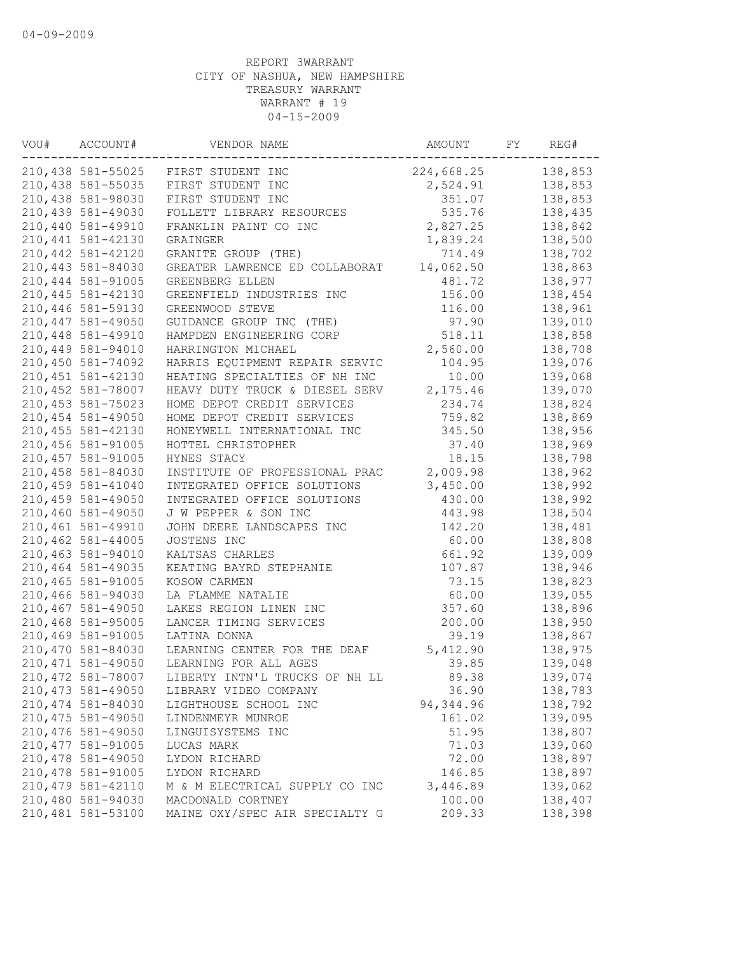| VOU# | ACCOUNT#           | VENDOR NAME                    | AMOUNT     | FY | REG#    |
|------|--------------------|--------------------------------|------------|----|---------|
|      | 210,438 581-55025  | FIRST STUDENT INC              | 224,668.25 |    | 138,853 |
|      | 210,438 581-55035  | FIRST STUDENT INC              | 2,524.91   |    | 138,853 |
|      | 210,438 581-98030  | FIRST STUDENT INC              | 351.07     |    | 138,853 |
|      | 210,439 581-49030  | FOLLETT LIBRARY RESOURCES      | 535.76     |    | 138,435 |
|      | 210,440 581-49910  | FRANKLIN PAINT CO INC          | 2,827.25   |    | 138,842 |
|      | 210, 441 581-42130 | GRAINGER                       | 1,839.24   |    | 138,500 |
|      | 210, 442 581-42120 | GRANITE GROUP (THE)            | 714.49     |    | 138,702 |
|      | 210,443 581-84030  | GREATER LAWRENCE ED COLLABORAT | 14,062.50  |    | 138,863 |
|      | 210,444 581-91005  | GREENBERG ELLEN                | 481.72     |    | 138,977 |
|      | 210, 445 581-42130 | GREENFIELD INDUSTRIES INC      | 156.00     |    | 138,454 |
|      | 210,446 581-59130  | GREENWOOD STEVE                | 116.00     |    | 138,961 |
|      | 210, 447 581-49050 | GUIDANCE GROUP INC (THE)       | 97.90      |    | 139,010 |
|      | 210,448 581-49910  | HAMPDEN ENGINEERING CORP       | 518.11     |    | 138,858 |
|      | 210,449 581-94010  | HARRINGTON MICHAEL             | 2,560.00   |    | 138,708 |
|      | 210,450 581-74092  | HARRIS EQUIPMENT REPAIR SERVIC | 104.95     |    | 139,076 |
|      | 210, 451 581-42130 | HEATING SPECIALTIES OF NH INC  | 10.00      |    | 139,068 |
|      | 210,452 581-78007  | HEAVY DUTY TRUCK & DIESEL SERV | 2,175.46   |    | 139,070 |
|      | 210, 453 581-75023 | HOME DEPOT CREDIT SERVICES     | 234.74     |    | 138,824 |
|      | 210,454 581-49050  | HOME DEPOT CREDIT SERVICES     | 759.82     |    | 138,869 |
|      | 210, 455 581-42130 | HONEYWELL INTERNATIONAL INC    | 345.50     |    | 138,956 |
|      | 210,456 581-91005  | HOTTEL CHRISTOPHER             | 37.40      |    | 138,969 |
|      | 210, 457 581-91005 | HYNES STACY                    | 18.15      |    | 138,798 |
|      | 210,458 581-84030  | INSTITUTE OF PROFESSIONAL PRAC | 2,009.98   |    | 138,962 |
|      | 210,459 581-41040  | INTEGRATED OFFICE SOLUTIONS    | 3,450.00   |    | 138,992 |
|      | 210,459 581-49050  | INTEGRATED OFFICE SOLUTIONS    | 430.00     |    | 138,992 |
|      | 210,460 581-49050  | J W PEPPER & SON INC           |            |    | 138,504 |
|      |                    |                                | 443.98     |    |         |
|      | 210,461 581-49910  | JOHN DEERE LANDSCAPES INC      | 142.20     |    | 138,481 |
|      | 210,462 581-44005  | JOSTENS INC                    | 60.00      |    | 138,808 |
|      | 210,463 581-94010  | KALTSAS CHARLES                | 661.92     |    | 139,009 |
|      | 210,464 581-49035  | KEATING BAYRD STEPHANIE        | 107.87     |    | 138,946 |
|      | 210,465 581-91005  | KOSOW CARMEN                   | 73.15      |    | 138,823 |
|      | 210,466 581-94030  | LA FLAMME NATALIE              | 60.00      |    | 139,055 |
|      | 210,467 581-49050  | LAKES REGION LINEN INC         | 357.60     |    | 138,896 |
|      | 210,468 581-95005  | LANCER TIMING SERVICES         | 200.00     |    | 138,950 |
|      | 210,469 581-91005  | LATINA DONNA                   | 39.19      |    | 138,867 |
|      | 210,470 581-84030  | LEARNING CENTER FOR THE DEAF   | 5,412.90   |    | 138,975 |
|      | 210, 471 581-49050 | LEARNING FOR ALL AGES          | 39.85      |    | 139,048 |
|      | 210, 472 581-78007 | LIBERTY INTN'L TRUCKS OF NH LL | 89.38      |    | 139,074 |
|      | 210, 473 581-49050 | LIBRARY VIDEO COMPANY          | 36.90      |    | 138,783 |
|      | 210, 474 581-84030 | LIGHTHOUSE SCHOOL INC          | 94,344.96  |    | 138,792 |
|      | 210, 475 581-49050 | LINDENMEYR MUNROE              | 161.02     |    | 139,095 |
|      | 210,476 581-49050  | LINGUISYSTEMS INC              | 51.95      |    | 138,807 |
|      | 210, 477 581-91005 | LUCAS MARK                     | 71.03      |    | 139,060 |
|      | 210,478 581-49050  | LYDON RICHARD                  | 72.00      |    | 138,897 |
|      | 210,478 581-91005  | LYDON RICHARD                  | 146.85     |    | 138,897 |
|      | 210, 479 581-42110 | M & M ELECTRICAL SUPPLY CO INC | 3,446.89   |    | 139,062 |
|      | 210,480 581-94030  | MACDONALD CORTNEY              | 100.00     |    | 138,407 |
|      | 210,481 581-53100  | MAINE OXY/SPEC AIR SPECIALTY G | 209.33     |    | 138,398 |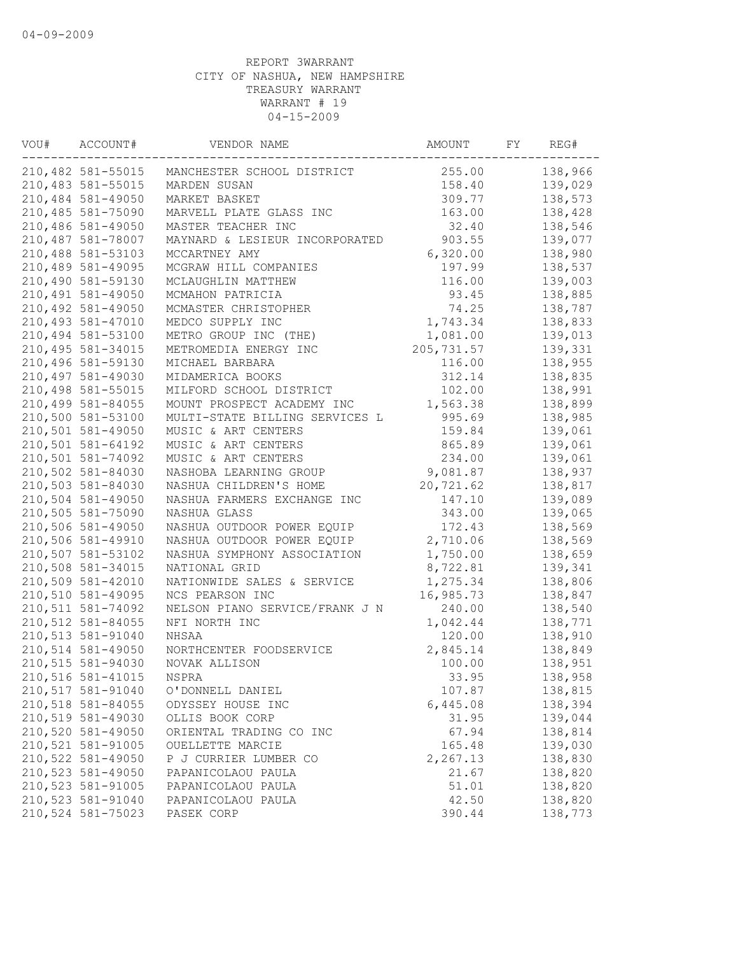| VOU# | ACCOUNT#           | VENDOR NAME                    | AMOUNT      | FY | REG#    |
|------|--------------------|--------------------------------|-------------|----|---------|
|      | 210,482 581-55015  | MANCHESTER SCHOOL DISTRICT     | 255.00      |    | 138,966 |
|      | 210,483 581-55015  | MARDEN SUSAN                   | 158.40      |    | 139,029 |
|      | 210,484 581-49050  | MARKET BASKET                  | 309.77      |    | 138,573 |
|      | 210,485 581-75090  | MARVELL PLATE GLASS INC        | 163.00      |    | 138,428 |
|      | 210,486 581-49050  | MASTER TEACHER INC             | 32.40       |    | 138,546 |
|      | 210,487 581-78007  | MAYNARD & LESIEUR INCORPORATED | 903.55      |    | 139,077 |
|      | 210,488 581-53103  | MCCARTNEY AMY                  | 6,320.00    |    | 138,980 |
|      | 210,489 581-49095  | MCGRAW HILL COMPANIES          | 197.99      |    | 138,537 |
|      | 210,490 581-59130  | MCLAUGHLIN MATTHEW             | 116.00      |    | 139,003 |
|      | 210,491 581-49050  | MCMAHON PATRICIA               | 93.45       |    | 138,885 |
|      | 210,492 581-49050  | MCMASTER CHRISTOPHER           | 74.25       |    | 138,787 |
|      | 210,493 581-47010  | MEDCO SUPPLY INC               | 1,743.34    |    | 138,833 |
|      | 210,494 581-53100  | METRO GROUP INC (THE)          | 1,081.00    |    | 139,013 |
|      | 210, 495 581-34015 | METROMEDIA ENERGY INC          | 205, 731.57 |    | 139,331 |
|      | 210,496 581-59130  | MICHAEL BARBARA                | 116.00      |    | 138,955 |
|      | 210,497 581-49030  | MIDAMERICA BOOKS               | 312.14      |    | 138,835 |
|      | 210,498 581-55015  | MILFORD SCHOOL DISTRICT        | 102.00      |    | 138,991 |
|      | 210,499 581-84055  | MOUNT PROSPECT ACADEMY INC     | 1,563.38    |    | 138,899 |
|      | 210,500 581-53100  | MULTI-STATE BILLING SERVICES L | 995.69      |    | 138,985 |
|      | 210,501 581-49050  | MUSIC & ART CENTERS            | 159.84      |    | 139,061 |
|      | 210,501 581-64192  | MUSIC & ART CENTERS            | 865.89      |    | 139,061 |
|      | 210,501 581-74092  | MUSIC & ART CENTERS            | 234.00      |    | 139,061 |
|      | 210,502 581-84030  | NASHOBA LEARNING GROUP         | 9,081.87    |    | 138,937 |
|      | 210,503 581-84030  | NASHUA CHILDREN'S HOME         | 20,721.62   |    | 138,817 |
|      | 210,504 581-49050  | NASHUA FARMERS EXCHANGE INC    | 147.10      |    | 139,089 |
|      | 210,505 581-75090  | NASHUA GLASS                   | 343.00      |    | 139,065 |
|      | 210,506 581-49050  | NASHUA OUTDOOR POWER EQUIP     | 172.43      |    | 138,569 |
|      | 210,506 581-49910  | NASHUA OUTDOOR POWER EQUIP     | 2,710.06    |    | 138,569 |
|      | 210,507 581-53102  | NASHUA SYMPHONY ASSOCIATION    | 1,750.00    |    | 138,659 |
|      | 210,508 581-34015  | NATIONAL GRID                  | 8,722.81    |    | 139,341 |
|      | 210,509 581-42010  | NATIONWIDE SALES & SERVICE     | 1,275.34    |    | 138,806 |
|      | 210,510 581-49095  | NCS PEARSON INC                | 16,985.73   |    | 138,847 |
|      | 210,511 581-74092  | NELSON PIANO SERVICE/FRANK J N | 240.00      |    | 138,540 |
|      | 210,512 581-84055  | NFI NORTH INC                  | 1,042.44    |    | 138,771 |
|      | 210,513 581-91040  | NHSAA                          | 120.00      |    | 138,910 |
|      | 210,514 581-49050  | NORTHCENTER FOODSERVICE        | 2,845.14    |    | 138,849 |
|      | 210,515 581-94030  | NOVAK ALLISON                  | 100.00      |    | 138,951 |
|      | 210,516 581-41015  | NSPRA                          | 33.95       |    | 138,958 |
|      | 210,517 581-91040  | O'DONNELL DANIEL               | 107.87      |    | 138,815 |
|      | 210,518 581-84055  | ODYSSEY HOUSE INC              | 6,445.08    |    | 138,394 |
|      | 210,519 581-49030  | OLLIS BOOK CORP                | 31.95       |    | 139,044 |
|      | 210,520 581-49050  | ORIENTAL TRADING CO INC        | 67.94       |    | 138,814 |
|      | 210,521 581-91005  | OUELLETTE MARCIE               | 165.48      |    | 139,030 |
|      | 210,522 581-49050  | P J CURRIER LUMBER CO          | 2,267.13    |    | 138,830 |
|      | 210,523 581-49050  | PAPANICOLAOU PAULA             | 21.67       |    | 138,820 |
|      | 210,523 581-91005  | PAPANICOLAOU PAULA             | 51.01       |    | 138,820 |
|      | 210,523 581-91040  | PAPANICOLAOU PAULA             | 42.50       |    | 138,820 |
|      | 210,524 581-75023  | PASEK CORP                     | 390.44      |    | 138,773 |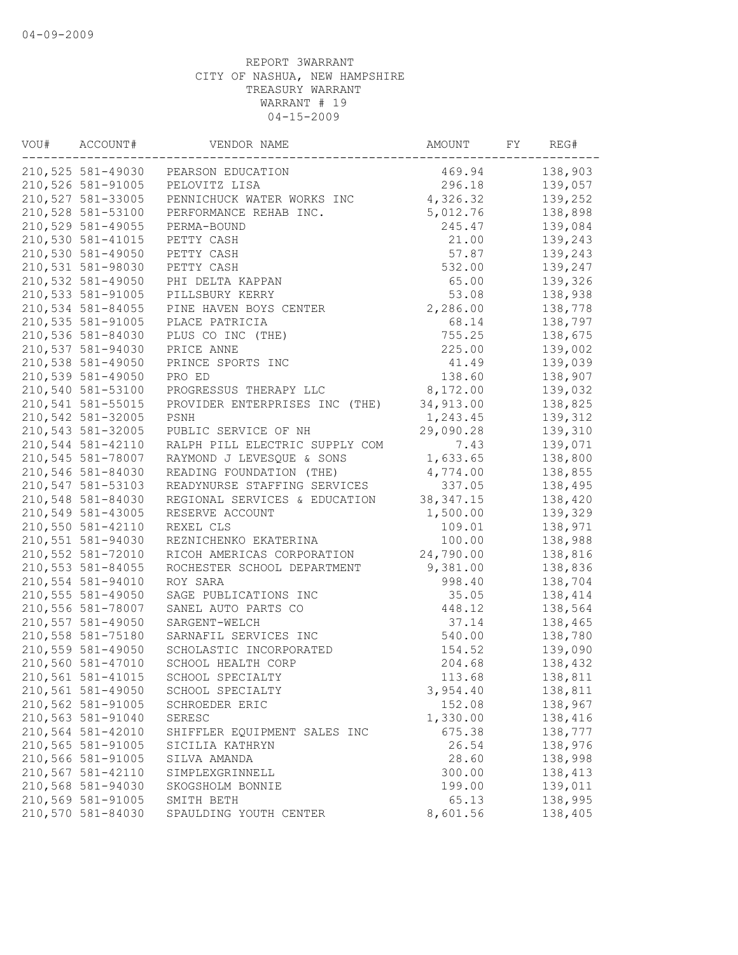| VOU# | ACCOUNT#<br>VENDOR NAME |                                | AMOUNT     | FY | REG#    |
|------|-------------------------|--------------------------------|------------|----|---------|
|      | 210,525 581-49030       | PEARSON EDUCATION              | 469.94     |    | 138,903 |
|      | 210,526 581-91005       | PELOVITZ LISA                  | 296.18     |    | 139,057 |
|      | 210,527 581-33005       | PENNICHUCK WATER WORKS INC     | 4,326.32   |    | 139,252 |
|      | 210,528 581-53100       | PERFORMANCE REHAB INC.         | 5,012.76   |    | 138,898 |
|      | 210,529 581-49055       | PERMA-BOUND                    | 245.47     |    | 139,084 |
|      | 210,530 581-41015       | PETTY CASH                     | 21.00      |    | 139,243 |
|      | 210,530 581-49050       | PETTY CASH                     | 57.87      |    | 139,243 |
|      | 210,531 581-98030       | PETTY CASH                     | 532.00     |    | 139,247 |
|      | 210,532 581-49050       | PHI DELTA KAPPAN               | 65.00      |    | 139,326 |
|      | 210,533 581-91005       | PILLSBURY KERRY                | 53.08      |    | 138,938 |
|      | 210,534 581-84055       | PINE HAVEN BOYS CENTER         | 2,286.00   |    | 138,778 |
|      | 210,535 581-91005       | PLACE PATRICIA                 | 68.14      |    | 138,797 |
|      | 210,536 581-84030       | PLUS CO INC (THE)              | 755.25     |    | 138,675 |
|      | 210,537 581-94030       | PRICE ANNE                     | 225.00     |    | 139,002 |
|      | 210,538 581-49050       | PRINCE SPORTS INC              | 41.49      |    | 139,039 |
|      | 210,539 581-49050       | PRO ED                         | 138.60     |    | 138,907 |
|      | 210,540 581-53100       | PROGRESSUS THERAPY LLC         | 8,172.00   |    | 139,032 |
|      | 210,541 581-55015       | PROVIDER ENTERPRISES INC (THE) | 34,913.00  |    | 138,825 |
|      | 210,542 581-32005       | PSNH                           | 1,243.45   |    | 139,312 |
|      | 210,543 581-32005       | PUBLIC SERVICE OF NH           | 29,090.28  |    | 139,310 |
|      | 210,544 581-42110       | RALPH PILL ELECTRIC SUPPLY COM | 7.43       |    | 139,071 |
|      | 210,545 581-78007       | RAYMOND J LEVESQUE & SONS      | 1,633.65   |    | 138,800 |
|      | 210,546 581-84030       | READING FOUNDATION (THE)       | 4,774.00   |    | 138,855 |
|      | 210,547 581-53103       | READYNURSE STAFFING SERVICES   | 337.05     |    | 138,495 |
|      | 210,548 581-84030       | REGIONAL SERVICES & EDUCATION  | 38, 347.15 |    | 138,420 |
|      | 210,549 581-43005       | RESERVE ACCOUNT                | 1,500.00   |    | 139,329 |
|      | 210,550 581-42110       | REXEL CLS                      | 109.01     |    | 138,971 |
|      | 210,551 581-94030       | REZNICHENKO EKATERINA          | 100.00     |    | 138,988 |
|      | 210,552 581-72010       | RICOH AMERICAS CORPORATION     | 24,790.00  |    | 138,816 |
|      | 210,553 581-84055       | ROCHESTER SCHOOL DEPARTMENT    | 9,381.00   |    | 138,836 |
|      | 210,554 581-94010       | ROY SARA                       | 998.40     |    | 138,704 |
|      | 210,555 581-49050       | SAGE PUBLICATIONS INC          | 35.05      |    | 138,414 |
|      | 210,556 581-78007       | SANEL AUTO PARTS CO            | 448.12     |    | 138,564 |
|      | 210,557 581-49050       |                                | 37.14      |    | 138,465 |
|      | 210,558 581-75180       | SARGENT-WELCH                  | 540.00     |    |         |
|      |                         | SARNAFIL SERVICES INC          |            |    | 138,780 |
|      | 210,559 581-49050       | SCHOLASTIC INCORPORATED        | 154.52     |    | 139,090 |
|      | 210,560 581-47010       | SCHOOL HEALTH CORP             | 204.68     |    | 138,432 |
|      | 210,561 581-41015       | SCHOOL SPECIALTY               | 113.68     |    | 138,811 |
|      | 210,561 581-49050       | SCHOOL SPECIALTY               | 3,954.40   |    | 138,811 |
|      | 210,562 581-91005       | SCHROEDER ERIC                 | 152.08     |    | 138,967 |
|      | 210,563 581-91040       | <b>SERESC</b>                  | 1,330.00   |    | 138,416 |
|      | 210,564 581-42010       | SHIFFLER EQUIPMENT SALES INC   | 675.38     |    | 138,777 |
|      | 210,565 581-91005       | SICILIA KATHRYN                | 26.54      |    | 138,976 |
|      | 210,566 581-91005       | SILVA AMANDA                   | 28.60      |    | 138,998 |
|      | 210,567 581-42110       | SIMPLEXGRINNELL                | 300.00     |    | 138,413 |
|      | 210,568 581-94030       | SKOGSHOLM BONNIE               | 199.00     |    | 139,011 |
|      | 210,569 581-91005       | SMITH BETH                     | 65.13      |    | 138,995 |
|      | 210,570 581-84030       | SPAULDING YOUTH CENTER         | 8,601.56   |    | 138,405 |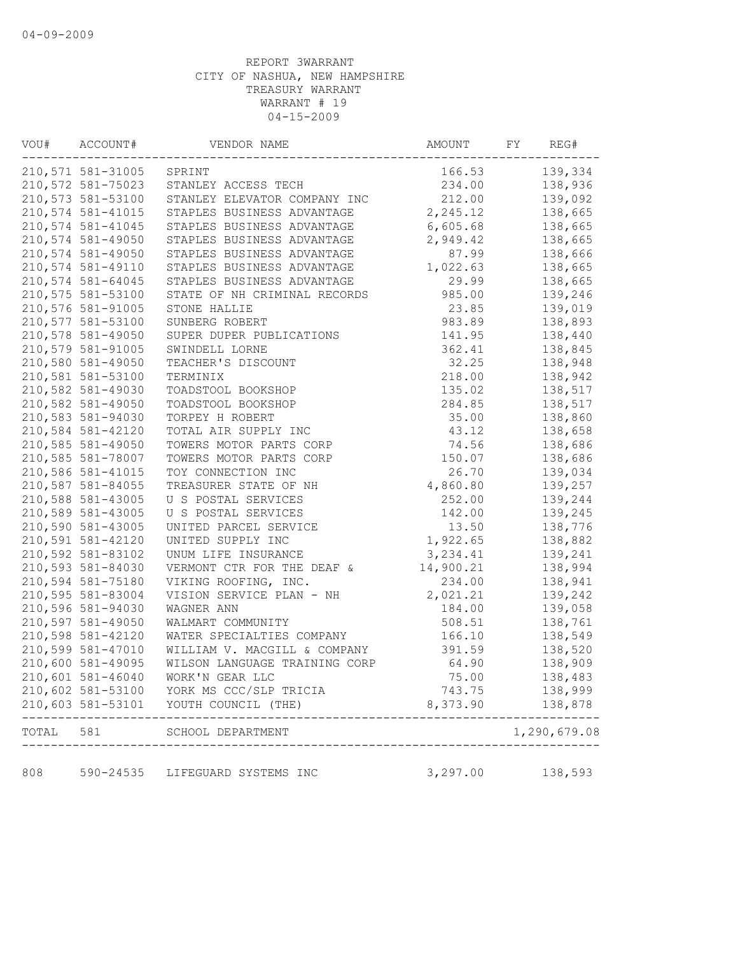|       | 210,571 581-31005 | SPRINT                        | 166.53    | 139,334      |
|-------|-------------------|-------------------------------|-----------|--------------|
|       | 210,572 581-75023 | STANLEY ACCESS TECH           | 234.00    | 138,936      |
|       | 210,573 581-53100 | STANLEY ELEVATOR COMPANY INC  | 212.00    | 139,092      |
|       | 210,574 581-41015 | STAPLES BUSINESS ADVANTAGE    | 2,245.12  | 138,665      |
|       | 210,574 581-41045 | STAPLES BUSINESS ADVANTAGE    | 6,605.68  | 138,665      |
|       | 210,574 581-49050 | STAPLES BUSINESS ADVANTAGE    | 2,949.42  | 138,665      |
|       | 210,574 581-49050 | STAPLES BUSINESS ADVANTAGE    | 87.99     | 138,666      |
|       | 210,574 581-49110 | STAPLES BUSINESS ADVANTAGE    | 1,022.63  | 138,665      |
|       | 210,574 581-64045 | STAPLES BUSINESS ADVANTAGE    | 29.99     | 138,665      |
|       | 210,575 581-53100 | STATE OF NH CRIMINAL RECORDS  | 985.00    | 139,246      |
|       | 210,576 581-91005 | STONE HALLIE                  | 23.85     | 139,019      |
|       | 210,577 581-53100 | SUNBERG ROBERT                | 983.89    | 138,893      |
|       | 210,578 581-49050 | SUPER DUPER PUBLICATIONS      | 141.95    | 138,440      |
|       | 210,579 581-91005 | SWINDELL LORNE                | 362.41    | 138,845      |
|       | 210,580 581-49050 | TEACHER'S DISCOUNT            | 32.25     | 138,948      |
|       | 210,581 581-53100 | TERMINIX                      | 218.00    | 138,942      |
|       | 210,582 581-49030 | TOADSTOOL BOOKSHOP            | 135.02    | 138,517      |
|       | 210,582 581-49050 | TOADSTOOL BOOKSHOP            | 284.85    | 138,517      |
|       | 210,583 581-94030 | TORPEY H ROBERT               | 35.00     | 138,860      |
|       | 210,584 581-42120 | TOTAL AIR SUPPLY INC          | 43.12     | 138,658      |
|       | 210,585 581-49050 | TOWERS MOTOR PARTS CORP       | 74.56     | 138,686      |
|       | 210,585 581-78007 | TOWERS MOTOR PARTS CORP       | 150.07    | 138,686      |
|       | 210,586 581-41015 | TOY CONNECTION INC            | 26.70     | 139,034      |
|       | 210,587 581-84055 | TREASURER STATE OF NH         | 4,860.80  | 139,257      |
|       | 210,588 581-43005 | U S POSTAL SERVICES           | 252.00    | 139,244      |
|       | 210,589 581-43005 | U S POSTAL SERVICES           | 142.00    | 139,245      |
|       | 210,590 581-43005 | UNITED PARCEL SERVICE         | 13.50     | 138,776      |
|       | 210,591 581-42120 | UNITED SUPPLY INC             | 1,922.65  | 138,882      |
|       | 210,592 581-83102 | UNUM LIFE INSURANCE           | 3,234.41  | 139,241      |
|       | 210,593 581-84030 | VERMONT CTR FOR THE DEAF &    | 14,900.21 | 138,994      |
|       | 210,594 581-75180 | VIKING ROOFING, INC.          | 234.00    | 138,941      |
|       | 210,595 581-83004 | VISION SERVICE PLAN - NH      | 2,021.21  | 139,242      |
|       | 210,596 581-94030 | WAGNER ANN                    | 184.00    | 139,058      |
|       | 210,597 581-49050 | WALMART COMMUNITY             | 508.51    | 138,761      |
|       | 210,598 581-42120 | WATER SPECIALTIES COMPANY     | 166.10    | 138,549      |
|       | 210,599 581-47010 | WILLIAM V. MACGILL & COMPANY  | 391.59    | 138,520      |
|       | 210,600 581-49095 | WILSON LANGUAGE TRAINING CORP | 64.90     | 138,909      |
|       | 210,601 581-46040 | WORK'N GEAR LLC               | 75.00     | 138,483      |
|       | 210,602 581-53100 | YORK MS CCC/SLP TRICIA        | 743.75    | 138,999      |
|       | 210,603 581-53101 | YOUTH COUNCIL (THE)           | 8,373.90  | 138,878      |
| TOTAL | 581               | SCHOOL DEPARTMENT             |           | 1,290,679.08 |
| 808   | 590-24535         | LIFEGUARD SYSTEMS INC         | 3,297.00  | 138,593      |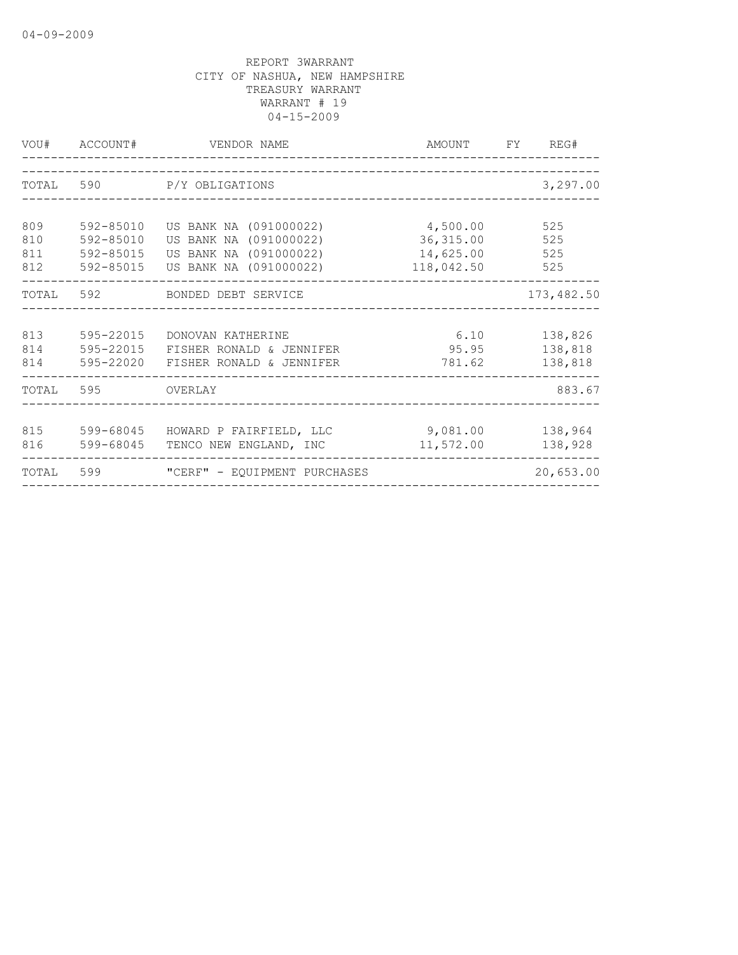|                          | VOU# ACCOUNT#                                    | VENDOR NAME                                                                                          | AMOUNT FY REG#                                    |                               |
|--------------------------|--------------------------------------------------|------------------------------------------------------------------------------------------------------|---------------------------------------------------|-------------------------------|
| TOTAL                    | 590                                              | P/Y OBLIGATIONS                                                                                      | 3,297.00                                          |                               |
| 809<br>810<br>811<br>812 | 592-85010<br>592-85010<br>592-85015<br>592-85015 | US BANK NA (091000022)<br>US BANK NA (091000022)<br>US BANK NA (091000022)<br>US BANK NA (091000022) | 4,500.00<br>36, 315.00<br>14,625.00<br>118,042.50 | 525<br>525<br>525<br>525      |
|                          |                                                  | TOTAL 592 BONDED DEBT SERVICE                                                                        |                                                   | 173, 482.50                   |
| 813<br>814<br>814        | 595-22015<br>595-22015<br>595-22020              | DONOVAN KATHERINE<br>FISHER RONALD & JENNIFER<br>FISHER RONALD & JENNIFER                            | 6.10<br>95.95<br>781.62                           | 138,826<br>138,818<br>138,818 |
| TOTAL 595                |                                                  | <b>OVERLAY</b>                                                                                       |                                                   | 883.67                        |
| 815<br>816               | 599-68045<br>599-68045                           | HOWARD P FAIRFIELD, LLC<br>TENCO NEW ENGLAND, INC                                                    | 9,081.00<br>11,572.00                             | 138,964<br>138,928            |
| TOTAL                    | 599                                              | "CERF" - EQUIPMENT PURCHASES                                                                         |                                                   | 20,653.00                     |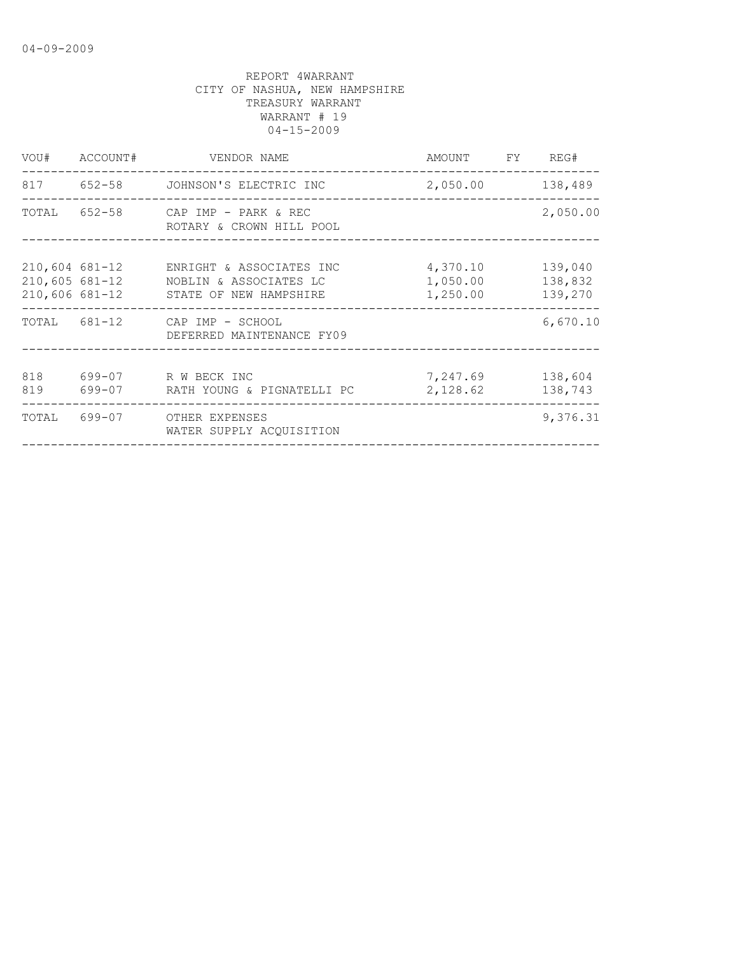| VOU#                                 | ACCOUNT# | VENDOR NAME<br>AMOUNT<br>FY                                                                 |                                  | REG#                          |
|--------------------------------------|----------|---------------------------------------------------------------------------------------------|----------------------------------|-------------------------------|
|                                      |          | 817 652-58 JOHNSON'S ELECTRIC INC                                                           | 2,050.00                         | 138,489                       |
| TOTAL                                |          | 652-58 CAP IMP - PARK & REC<br>ROTARY & CROWN HILL POOL                                     |                                  | 2,050.00                      |
| $210,605$ 681-12<br>$210,606$ 681-12 |          | 210,604 681-12 ENRIGHT & ASSOCIATES INC<br>NOBLIN & ASSOCIATES LC<br>STATE OF NEW HAMPSHIRE | 4,370.10<br>1,050.00<br>1,250.00 | 139,040<br>138,832<br>139,270 |
|                                      |          | TOTAL 681-12 CAP IMP - SCHOOL<br>DEFERRED MAINTENANCE FY09                                  |                                  | 6,670.10                      |
| 818<br>819                           | 699-07   | 699-07 R W BECK INC<br>RATH YOUNG & PIGNATELLI PC                                           | 7,247.69<br>2,128.62             | 138,604<br>138,743            |
| TOTAL                                | 699-07   | OTHER EXPENSES<br>WATER SUPPLY ACQUISITION                                                  |                                  | 9,376.31                      |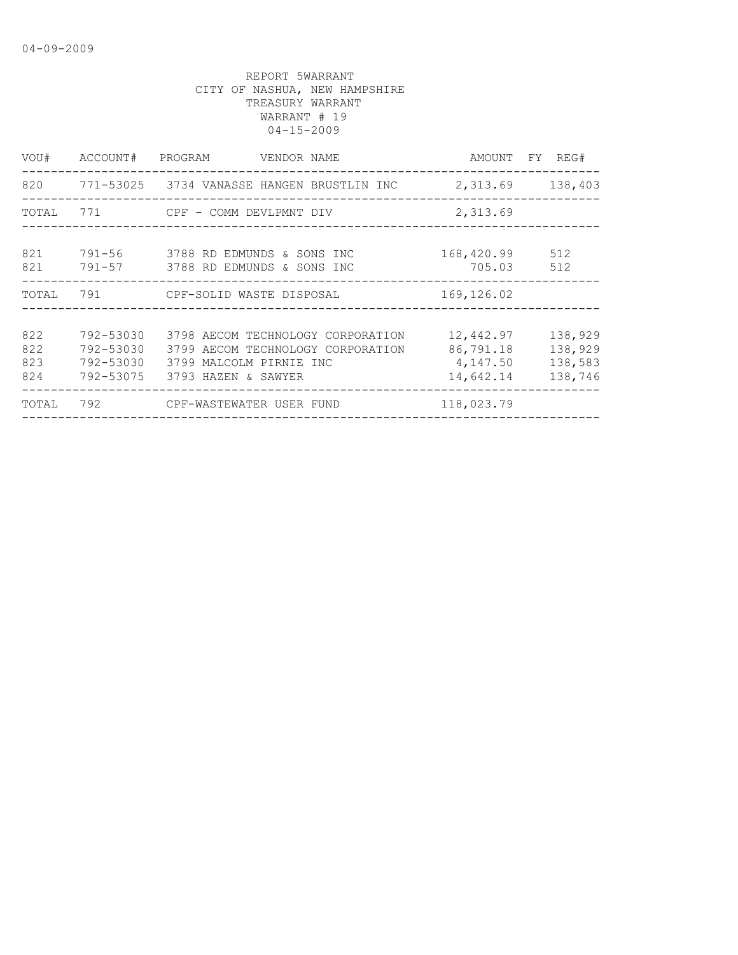| VOU#                     | ACCOUNT#                            | PROGRAM<br>VENDOR NAME                                                                                                             |                                                 | AMOUNT FY REG#                           |
|--------------------------|-------------------------------------|------------------------------------------------------------------------------------------------------------------------------------|-------------------------------------------------|------------------------------------------|
|                          |                                     | 820 771-53025 3734 VANASSE HANGEN BRUSTLIN INC 2,313.69 138,403                                                                    |                                                 |                                          |
| TOTAL                    |                                     | 771 CPF - COMM DEVLPMNT DIV                                                                                                        | 2,313.69                                        |                                          |
| 821<br>821               |                                     | 791-56 3788 RD EDMUNDS & SONS INC<br>791-57 3788 RD EDMUNDS & SONS INC                                                             | 168,420.99<br>705.03                            | 512<br>512                               |
|                          |                                     | TOTAL 791 CPF-SOLID WASTE DISPOSAL                                                                                                 | 169,126.02                                      |                                          |
| 822<br>822<br>823<br>824 | 792-53030<br>792-53030<br>792-53030 | 3798 AECOM TECHNOLOGY CORPORATION<br>3799 AECOM TECHNOLOGY CORPORATION<br>3799 MALCOLM PIRNIE INC<br>792-53075 3793 HAZEN & SAWYER | 12,442.97<br>86,791.18<br>4,147.50<br>14,642.14 | 138,929<br>138,929<br>138,583<br>138,746 |
| TOTAL                    |                                     | 792 CPF-WASTEWATER USER FUND                                                                                                       | 118,023.79                                      |                                          |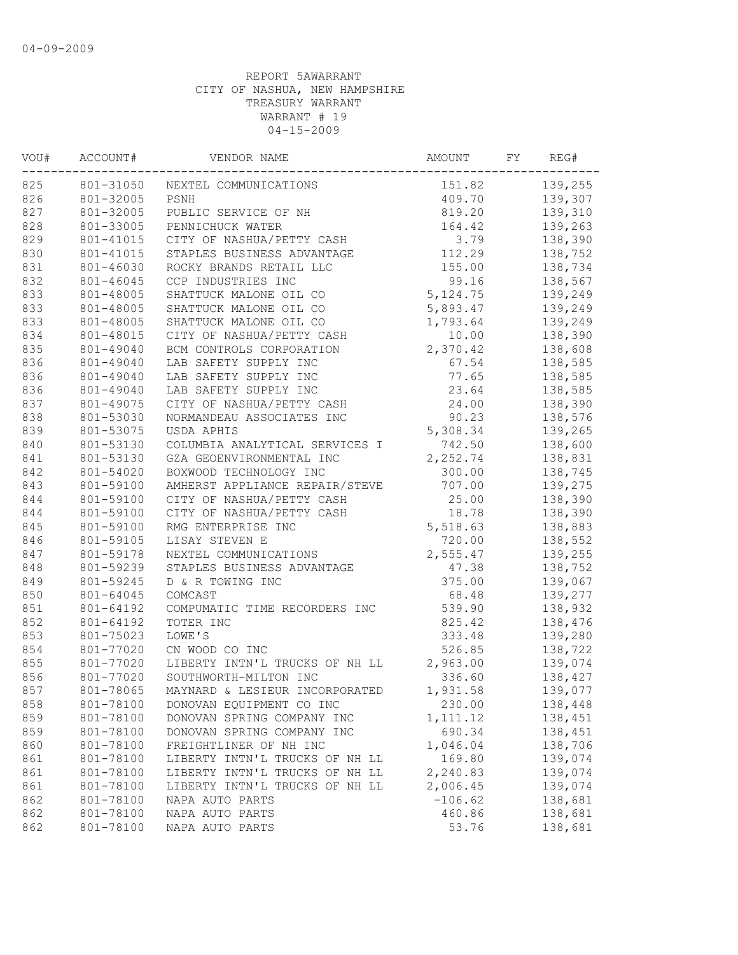| VOU# | ACCOUNT#  | VENDOR NAME                    | AMOUNT    | FY | REG#    |
|------|-----------|--------------------------------|-----------|----|---------|
| 825  | 801-31050 | NEXTEL COMMUNICATIONS          | 151.82    |    | 139,255 |
| 826  | 801-32005 | PSNH                           | 409.70    |    | 139,307 |
| 827  | 801-32005 | PUBLIC SERVICE OF NH           | 819.20    |    | 139,310 |
| 828  | 801-33005 | PENNICHUCK WATER               | 164.42    |    | 139,263 |
| 829  | 801-41015 | CITY OF NASHUA/PETTY CASH      | 3.79      |    | 138,390 |
| 830  | 801-41015 | STAPLES BUSINESS ADVANTAGE     | 112.29    |    | 138,752 |
| 831  | 801-46030 | ROCKY BRANDS RETAIL LLC        | 155.00    |    | 138,734 |
| 832  | 801-46045 | CCP INDUSTRIES INC             | 99.16     |    | 138,567 |
| 833  | 801-48005 | SHATTUCK MALONE OIL CO         | 5, 124.75 |    | 139,249 |
| 833  | 801-48005 | SHATTUCK MALONE OIL CO         | 5,893.47  |    | 139,249 |
| 833  | 801-48005 | SHATTUCK MALONE OIL CO         | 1,793.64  |    | 139,249 |
| 834  | 801-48015 | CITY OF NASHUA/PETTY CASH      | 10.00     |    | 138,390 |
| 835  | 801-49040 | BCM CONTROLS CORPORATION       | 2,370.42  |    | 138,608 |
| 836  | 801-49040 | LAB SAFETY SUPPLY INC          | 67.54     |    | 138,585 |
| 836  | 801-49040 | LAB SAFETY SUPPLY INC          | 77.65     |    | 138,585 |
| 836  | 801-49040 | LAB SAFETY SUPPLY INC          | 23.64     |    | 138,585 |
| 837  | 801-49075 | CITY OF NASHUA/PETTY CASH      | 24.00     |    | 138,390 |
| 838  | 801-53030 | NORMANDEAU ASSOCIATES INC      | 90.23     |    | 138,576 |
| 839  | 801-53075 | USDA APHIS                     | 5,308.34  |    | 139,265 |
| 840  | 801-53130 | COLUMBIA ANALYTICAL SERVICES I | 742.50    |    | 138,600 |
| 841  | 801-53130 | GZA GEOENVIRONMENTAL INC       | 2,252.74  |    | 138,831 |
| 842  | 801-54020 | BOXWOOD TECHNOLOGY INC         | 300.00    |    | 138,745 |
| 843  | 801-59100 | AMHERST APPLIANCE REPAIR/STEVE | 707.00    |    | 139,275 |
| 844  | 801-59100 | CITY OF NASHUA/PETTY CASH      | 25.00     |    | 138,390 |
| 844  | 801-59100 | CITY OF NASHUA/PETTY CASH      | 18.78     |    | 138,390 |
| 845  | 801-59100 | RMG ENTERPRISE INC             | 5,518.63  |    | 138,883 |
| 846  | 801-59105 | LISAY STEVEN E                 | 720.00    |    | 138,552 |
| 847  | 801-59178 | NEXTEL COMMUNICATIONS          | 2,555.47  |    | 139,255 |
| 848  | 801-59239 | STAPLES BUSINESS ADVANTAGE     | 47.38     |    | 138,752 |
| 849  | 801-59245 | D & R TOWING INC               | 375.00    |    | 139,067 |
| 850  | 801-64045 | COMCAST                        | 68.48     |    | 139,277 |
| 851  | 801-64192 | COMPUMATIC TIME RECORDERS INC  | 539.90    |    | 138,932 |
| 852  | 801-64192 | TOTER INC                      | 825.42    |    | 138,476 |
| 853  | 801-75023 | LOWE'S                         | 333.48    |    | 139,280 |
| 854  | 801-77020 | CN WOOD CO INC                 | 526.85    |    | 138,722 |
| 855  | 801-77020 | LIBERTY INTN'L TRUCKS OF NH LL | 2,963.00  |    | 139,074 |
| 856  | 801-77020 | SOUTHWORTH-MILTON INC          | 336.60    |    | 138,427 |
| 857  | 801-78065 | MAYNARD & LESIEUR INCORPORATED | 1,931.58  |    | 139,077 |
| 858  | 801-78100 | DONOVAN EQUIPMENT CO INC       | 230.00    |    | 138,448 |
| 859  | 801-78100 | DONOVAN SPRING COMPANY INC     | 1, 111.12 |    | 138,451 |
| 859  | 801-78100 | DONOVAN SPRING COMPANY INC     | 690.34    |    | 138,451 |
| 860  | 801-78100 | FREIGHTLINER OF NH INC         | 1,046.04  |    | 138,706 |
| 861  | 801-78100 | LIBERTY INTN'L TRUCKS OF NH LL | 169.80    |    | 139,074 |
| 861  | 801-78100 | LIBERTY INTN'L TRUCKS OF NH LL | 2,240.83  |    | 139,074 |
| 861  | 801-78100 | LIBERTY INTN'L TRUCKS OF NH LL | 2,006.45  |    | 139,074 |
| 862  | 801-78100 | NAPA AUTO PARTS                | $-106.62$ |    | 138,681 |
| 862  | 801-78100 | NAPA AUTO PARTS                | 460.86    |    | 138,681 |
| 862  | 801-78100 | NAPA AUTO PARTS                | 53.76     |    | 138,681 |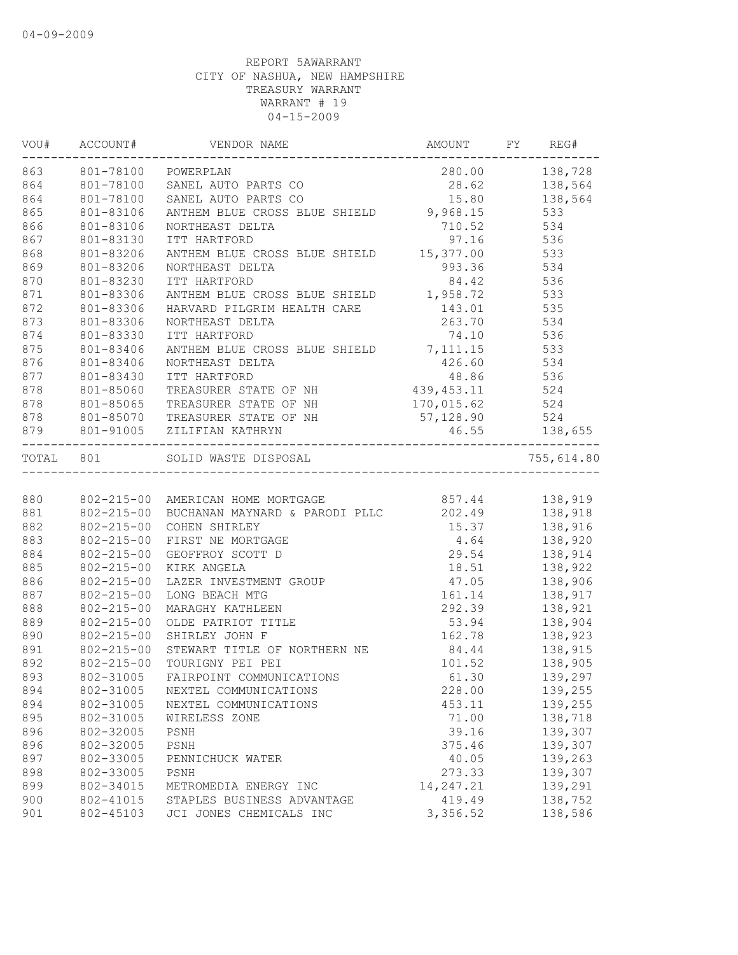|     | 863 801-78100 POWERPLAN |                                                                                                                                                                                                        | 280.00 138,728                                                                               |                |
|-----|-------------------------|--------------------------------------------------------------------------------------------------------------------------------------------------------------------------------------------------------|----------------------------------------------------------------------------------------------|----------------|
| 864 |                         | 801-78100 SANEL AUTO PARTS CO                                                                                                                                                                          | $28.62$ $138,564$                                                                            |                |
| 864 |                         | 801-78100 SANEL AUTO PARTS CO                                                                                                                                                                          | 15.80    138,564                                                                             |                |
| 865 | 801-83106               | ANTHEM BLUE CROSS BLUE SHIELD 9,968.15 533                                                                                                                                                             |                                                                                              |                |
| 866 | 801-83106               | NORTHEAST DELTA                                                                                                                                                                                        | 710.52 534                                                                                   |                |
| 867 | 801-83130               | 1TT HARTFORD 97.16 536<br>ANTHEM BLUE CROSS BLUE SHIELD 15,377.00 533<br>NORTHEAST DELTA 993.36 534                                                                                                    | 97.16                                                                                        |                |
| 868 | 801-83206               |                                                                                                                                                                                                        |                                                                                              |                |
| 869 | 801-83206               |                                                                                                                                                                                                        |                                                                                              |                |
| 870 | 801-83230               | ITT HARTFORD                                                                                                                                                                                           | 84.42 536                                                                                    |                |
| 871 | 801-83306               | ANTHEM BLUE CROSS BLUE SHIELD 1,958.72 533                                                                                                                                                             |                                                                                              |                |
| 872 | 801-83306               | HARVARD PILGRIM HEALTH CARE                                                                                                                                                                            | 143.01 535                                                                                   |                |
| 873 | 801-83306               | NORTHEAST DELTA                                                                                                                                                                                        | 263.70 534                                                                                   |                |
| 874 | 801-83330               | ITT HARTFORD                                                                                                                                                                                           | 74.10 536                                                                                    |                |
| 875 | 801-83406               | ANTHEM BLUE CROSS BLUE SHIELD 7, 111.15 533                                                                                                                                                            |                                                                                              |                |
| 876 | $801 - 83406$           |                                                                                                                                                                                                        |                                                                                              |                |
| 877 | 801-83430               |                                                                                                                                                                                                        |                                                                                              |                |
| 878 | $801 - 85060$           |                                                                                                                                                                                                        |                                                                                              |                |
| 878 | 801-85065               | NORTHEAST DELTA<br>ITT HARTFORD<br>TREASURER STATE OF NH<br>TREASURER STATE OF NH<br>TREASURER STATE OF NH<br>$\begin{array}{cccc}\n439,453.11 & 524 \\ 170,015.62 & 536\n\end{array}$                 |                                                                                              |                |
| 878 |                         | 801-85070 TREASURER STATE OF NH                                                                                                                                                                        | 57, 128.90 524                                                                               |                |
|     |                         | 879 801-91005 ZILIFIAN KATHRYN                                                                                                                                                                         | 46.55 138,655                                                                                |                |
|     | TOTAL 801               |                                                                                                                                                                                                        |                                                                                              | 755,614.80     |
|     |                         |                                                                                                                                                                                                        |                                                                                              |                |
| 880 |                         |                                                                                                                                                                                                        |                                                                                              |                |
| 881 |                         |                                                                                                                                                                                                        | $202.49$<br>$138,918$<br>$15.37$<br>$138,916$<br>$4.64$<br>$29.54$<br>$138,920$<br>$138,914$ |                |
| 882 | $802 - 215 - 00$        |                                                                                                                                                                                                        |                                                                                              |                |
| 883 | $802 - 215 - 00$        | FIRST NE MORTGAGE                                                                                                                                                                                      |                                                                                              |                |
| 884 | 802-215-00              | 29.54 138,914<br>LAZER INVESTMENT GROUP 18.51 138,922<br>LONG BEACH MTG 161.14 138,906<br>MARAGHY KATHLEEN 292.39 138,921<br>OLDE PATRIOT TITLE 53.94 138,904<br>SHIRLEY JOHN F<br>STEMARE THE 168.904 |                                                                                              |                |
| 885 | $802 - 215 - 00$        |                                                                                                                                                                                                        |                                                                                              |                |
| 886 | $802 - 215 - 00$        |                                                                                                                                                                                                        |                                                                                              |                |
| 887 | $802 - 215 - 00$        |                                                                                                                                                                                                        |                                                                                              |                |
| 888 | 802-215-00              | MARAGHY KATHLEEN<br>OLDE PATRIOT TITLE<br>SHIRLEY JOHN F 162.78 138,923<br>STEWART TITLE OF NORTHERN NE 84.44 138,915                                                                                  |                                                                                              |                |
| 889 | 802-215-00              |                                                                                                                                                                                                        |                                                                                              |                |
| 890 | $802 - 215 - 00$        |                                                                                                                                                                                                        |                                                                                              |                |
| 891 | $802 - 215 - 00$        |                                                                                                                                                                                                        |                                                                                              |                |
| 892 | $802 - 215 - 00$        | TOURIGNY PEI PEI                                                                                                                                                                                       |                                                                                              | 101.52 138,905 |
| 893 |                         | 802-31005 FAIRPOINT COMMUNICATIONS                                                                                                                                                                     |                                                                                              | 61.30 139,297  |
| 894 | 802-31005               | NEXTEL COMMUNICATIONS                                                                                                                                                                                  | 228.00                                                                                       | 139,255        |
| 894 | 802-31005               | NEXTEL COMMUNICATIONS                                                                                                                                                                                  | 453.11                                                                                       | 139,255        |
| 895 | 802-31005               | WIRELESS ZONE                                                                                                                                                                                          | 71.00                                                                                        | 138,718        |
| 896 | 802-32005               | PSNH                                                                                                                                                                                                   | 39.16                                                                                        | 139,307        |
| 896 | 802-32005               | PSNH                                                                                                                                                                                                   | 375.46                                                                                       | 139,307        |
| 897 | 802-33005               | PENNICHUCK WATER                                                                                                                                                                                       | 40.05                                                                                        | 139,263        |
| 898 | 802-33005               | PSNH                                                                                                                                                                                                   | 273.33                                                                                       | 139,307        |
| 899 | 802-34015               | METROMEDIA ENERGY INC                                                                                                                                                                                  | 14, 247.21                                                                                   | 139,291        |
| 900 | 802-41015               | STAPLES BUSINESS ADVANTAGE                                                                                                                                                                             | 419.49                                                                                       | 138,752        |
| 901 | 802-45103               | JCI JONES CHEMICALS INC                                                                                                                                                                                | 3,356.52                                                                                     | 138,586        |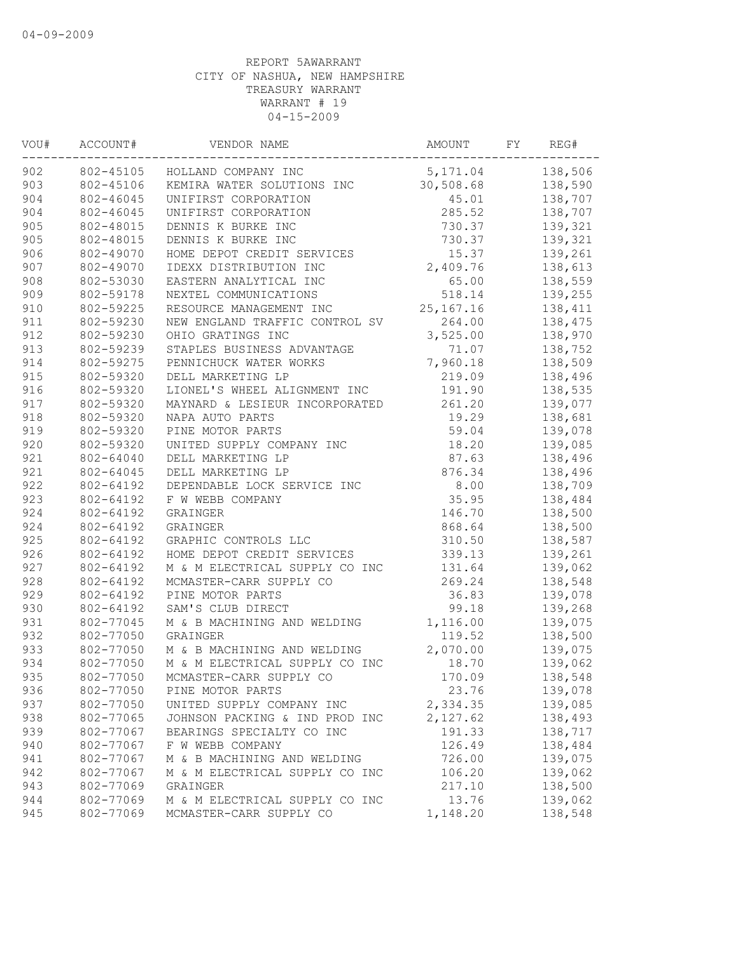| VOU# | ACCOUNT#  | VENDOR NAME                    | AMOUNT      | FY | REG#    |
|------|-----------|--------------------------------|-------------|----|---------|
| 902  | 802-45105 | HOLLAND COMPANY INC            | 5,171.04    |    | 138,506 |
| 903  | 802-45106 | KEMIRA WATER SOLUTIONS INC     | 30,508.68   |    | 138,590 |
| 904  | 802-46045 | UNIFIRST CORPORATION           | 45.01       |    | 138,707 |
| 904  | 802-46045 | UNIFIRST CORPORATION           | 285.52      |    | 138,707 |
| 905  | 802-48015 | DENNIS K BURKE INC             | 730.37      |    | 139,321 |
| 905  | 802-48015 | DENNIS K BURKE INC             | 730.37      |    | 139,321 |
| 906  | 802-49070 | HOME DEPOT CREDIT SERVICES     | 15.37       |    | 139,261 |
| 907  | 802-49070 | IDEXX DISTRIBUTION INC         | 2,409.76    |    | 138,613 |
| 908  | 802-53030 | EASTERN ANALYTICAL INC         | 65.00       |    | 138,559 |
| 909  | 802-59178 | NEXTEL COMMUNICATIONS          | 518.14      |    | 139,255 |
| 910  | 802-59225 | RESOURCE MANAGEMENT INC        | 25, 167. 16 |    | 138,411 |
| 911  | 802-59230 | NEW ENGLAND TRAFFIC CONTROL SV | 264.00      |    | 138,475 |
| 912  | 802-59230 | OHIO GRATINGS INC              | 3,525.00    |    | 138,970 |
| 913  | 802-59239 | STAPLES BUSINESS ADVANTAGE     | 71.07       |    | 138,752 |
| 914  | 802-59275 | PENNICHUCK WATER WORKS         | 7,960.18    |    | 138,509 |
| 915  | 802-59320 | DELL MARKETING LP              | 219.09      |    | 138,496 |
| 916  | 802-59320 | LIONEL'S WHEEL ALIGNMENT INC   | 191.90      |    | 138,535 |
| 917  | 802-59320 | MAYNARD & LESIEUR INCORPORATED | 261.20      |    | 139,077 |
| 918  | 802-59320 | NAPA AUTO PARTS                | 19.29       |    | 138,681 |
| 919  | 802-59320 | PINE MOTOR PARTS               | 59.04       |    | 139,078 |
| 920  | 802-59320 | UNITED SUPPLY COMPANY INC      | 18.20       |    | 139,085 |
| 921  | 802-64040 | DELL MARKETING LP              | 87.63       |    | 138,496 |
| 921  | 802-64045 | DELL MARKETING LP              | 876.34      |    | 138,496 |
| 922  | 802-64192 | DEPENDABLE LOCK SERVICE INC    | 8.00        |    | 138,709 |
| 923  | 802-64192 | F W WEBB COMPANY               | 35.95       |    | 138,484 |
| 924  | 802-64192 | GRAINGER                       | 146.70      |    | 138,500 |
| 924  | 802-64192 | GRAINGER                       | 868.64      |    | 138,500 |
| 925  | 802-64192 | GRAPHIC CONTROLS LLC           | 310.50      |    | 138,587 |
| 926  | 802-64192 | HOME DEPOT CREDIT SERVICES     | 339.13      |    | 139,261 |
| 927  | 802-64192 | M & M ELECTRICAL SUPPLY CO INC | 131.64      |    | 139,062 |
| 928  | 802-64192 | MCMASTER-CARR SUPPLY CO        | 269.24      |    | 138,548 |
| 929  | 802-64192 | PINE MOTOR PARTS               | 36.83       |    | 139,078 |
| 930  | 802-64192 | SAM'S CLUB DIRECT              | 99.18       |    | 139,268 |
| 931  | 802-77045 | M & B MACHINING AND WELDING    | 1,116.00    |    | 139,075 |
| 932  | 802-77050 | GRAINGER                       | 119.52      |    | 138,500 |
| 933  | 802-77050 | M & B MACHINING AND WELDING    | 2,070.00    |    | 139,075 |
| 934  | 802-77050 | M & M ELECTRICAL SUPPLY CO INC | 18.70       |    | 139,062 |
| 935  | 802-77050 | MCMASTER-CARR SUPPLY CO        | 170.09      |    | 138,548 |
| 936  | 802-77050 | PINE MOTOR PARTS               | 23.76       |    | 139,078 |
| 937  | 802-77050 | UNITED SUPPLY COMPANY INC      | 2,334.35    |    | 139,085 |
| 938  | 802-77065 | JOHNSON PACKING & IND PROD INC | 2,127.62    |    | 138,493 |
| 939  | 802-77067 | BEARINGS SPECIALTY CO INC      | 191.33      |    | 138,717 |
| 940  | 802-77067 | F W WEBB COMPANY               | 126.49      |    | 138,484 |
| 941  | 802-77067 | M & B MACHINING AND WELDING    | 726.00      |    | 139,075 |
| 942  | 802-77067 | M & M ELECTRICAL SUPPLY CO INC | 106.20      |    | 139,062 |
| 943  | 802-77069 | GRAINGER                       | 217.10      |    | 138,500 |
| 944  | 802-77069 | M & M ELECTRICAL SUPPLY CO INC | 13.76       |    | 139,062 |
| 945  | 802-77069 | MCMASTER-CARR SUPPLY CO        | 1,148.20    |    | 138,548 |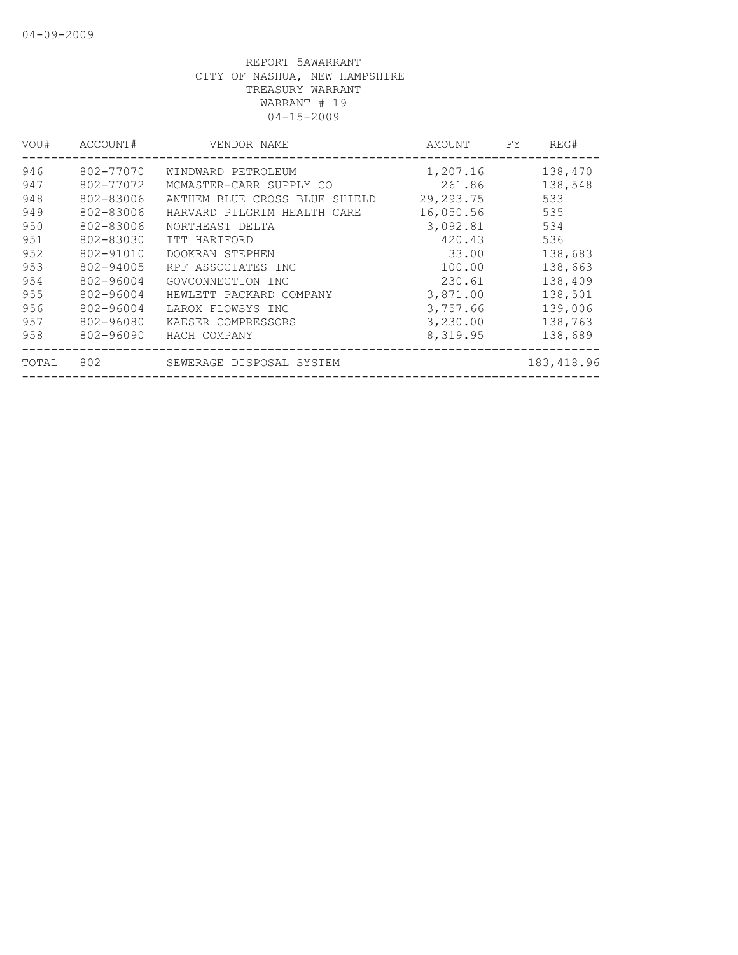| VOU#  | ACCOUNT#  | VENDOR NAME                   | AMOUNT      | FY. | REG#       |
|-------|-----------|-------------------------------|-------------|-----|------------|
| 946   | 802-77070 | WINDWARD PETROLEUM            | 1,207.16    |     | 138,470    |
| 947   | 802-77072 | MCMASTER-CARR SUPPLY CO       | 261.86      |     | 138,548    |
| 948   | 802-83006 | ANTHEM BLUE CROSS BLUE SHIELD | 29, 293. 75 |     | 533        |
| 949   | 802-83006 | HARVARD PILGRIM HEALTH CARE   | 16,050.56   |     | 535        |
| 950   | 802-83006 | NORTHEAST DELTA               | 3,092.81    |     | 534        |
| 951   | 802-83030 | ITT HARTFORD                  | 420.43      |     | 536        |
| 952   | 802-91010 | DOOKRAN STEPHEN               | 33.00       |     | 138,683    |
| 953   | 802-94005 | RPF ASSOCIATES INC            | 100.00      |     | 138,663    |
| 954   | 802-96004 | GOVCONNECTION INC             | 230.61      |     | 138,409    |
| 955   | 802-96004 | HEWLETT PACKARD COMPANY       | 3,871.00    |     | 138,501    |
| 956   | 802-96004 | LAROX FLOWSYS INC             | 3,757.66    |     | 139,006    |
| 957   | 802-96080 | KAESER COMPRESSORS            | 3,230.00    |     | 138,763    |
| 958   | 802-96090 | HACH COMPANY                  | 8,319.95    |     | 138,689    |
| TOTAL | 802       | SEWERAGE DISPOSAL SYSTEM      |             |     | 183,418.96 |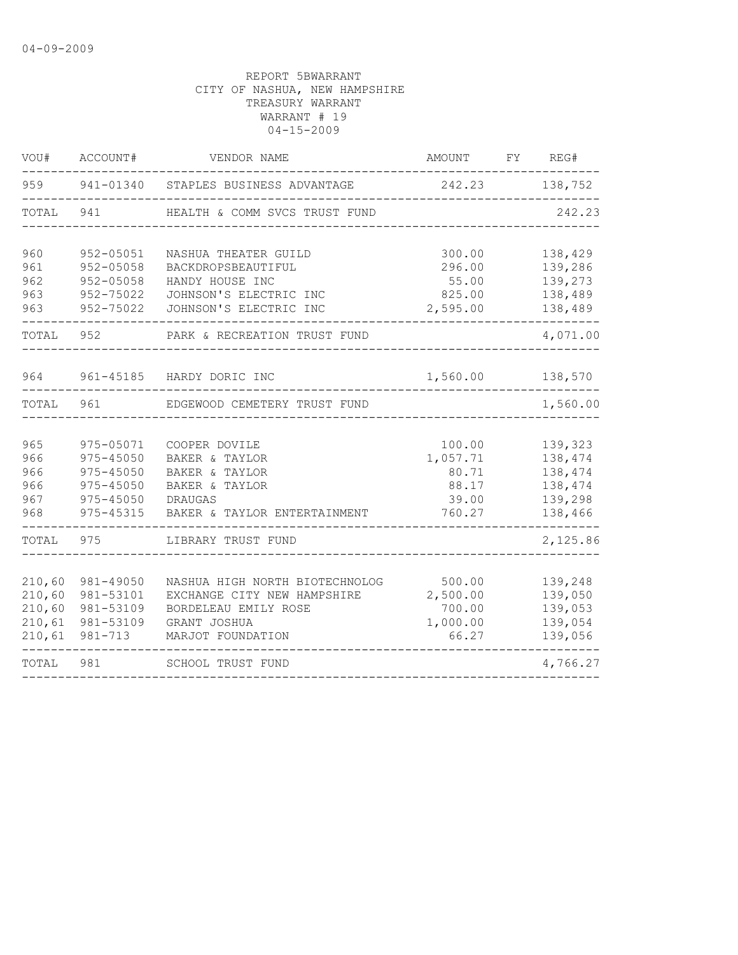| WOU#                                           | ACCOUNT#                                                                               | VENDOR NAME                                                                                                                | AMOUNT                                                  | FY       | REG#                                                           |
|------------------------------------------------|----------------------------------------------------------------------------------------|----------------------------------------------------------------------------------------------------------------------------|---------------------------------------------------------|----------|----------------------------------------------------------------|
| 959                                            |                                                                                        | 941-01340 STAPLES BUSINESS ADVANTAGE                                                                                       | 242.23                                                  |          | 138,752                                                        |
| TOTAL                                          | 941                                                                                    | HEALTH & COMM SVCS TRUST FUND                                                                                              |                                                         |          | 242.23                                                         |
| 960<br>961<br>962<br>963<br>963                | 952-05051<br>$952 - 05058$<br>$952 - 05058$<br>$952 - 75022$<br>952-75022              | NASHUA THEATER GUILD<br>BACKDROPSBEAUTIFUL<br>HANDY HOUSE INC<br>JOHNSON'S ELECTRIC INC<br>JOHNSON'S ELECTRIC INC          | 138,429<br>139,286<br>139,273<br>138,489<br>138,489     |          |                                                                |
| TOTAL                                          | 952                                                                                    | PARK & RECREATION TRUST FUND                                                                                               |                                                         | 4,071.00 |                                                                |
| 964                                            | 961-45185                                                                              | 1,560.00<br>HARDY DORIC INC                                                                                                |                                                         | 138,570  |                                                                |
| TOTAL                                          | 961                                                                                    | EDGEWOOD CEMETERY TRUST FUND                                                                                               |                                                         |          | 1,560.00                                                       |
| 965<br>966<br>966<br>966<br>967<br>968         | 975-05071<br>$975 - 45050$<br>$975 - 45050$<br>975-45050<br>$975 - 45050$<br>975-45315 | COOPER DOVILE<br>BAKER & TAYLOR<br>BAKER & TAYLOR<br>BAKER & TAYLOR<br>DRAUGAS<br>BAKER & TAYLOR ENTERTAINMENT             | 100.00<br>1,057.71<br>80.71<br>88.17<br>39.00<br>760.27 |          | 139,323<br>138,474<br>138,474<br>138,474<br>139,298<br>138,466 |
| TOTAL                                          | 975                                                                                    | LIBRARY TRUST FUND                                                                                                         |                                                         |          | 2,125.86                                                       |
| 210,60<br>210,60<br>210,60<br>210,61<br>210,61 | 981-49050<br>981-53101<br>981-53109<br>981-53109<br>$981 - 713$                        | NASHUA HIGH NORTH BIOTECHNOLOG<br>EXCHANGE CITY NEW HAMPSHIRE<br>BORDELEAU EMILY ROSE<br>GRANT JOSHUA<br>MARJOT FOUNDATION | 500.00<br>2,500.00<br>700.00<br>1,000.00<br>66.27       |          | 139,248<br>139,050<br>139,053<br>139,054<br>139,056            |
| TOTAL                                          | 981                                                                                    | <b>SCHOOL TRUST FUND</b>                                                                                                   |                                                         |          | 4,766.27                                                       |
|                                                |                                                                                        |                                                                                                                            |                                                         |          |                                                                |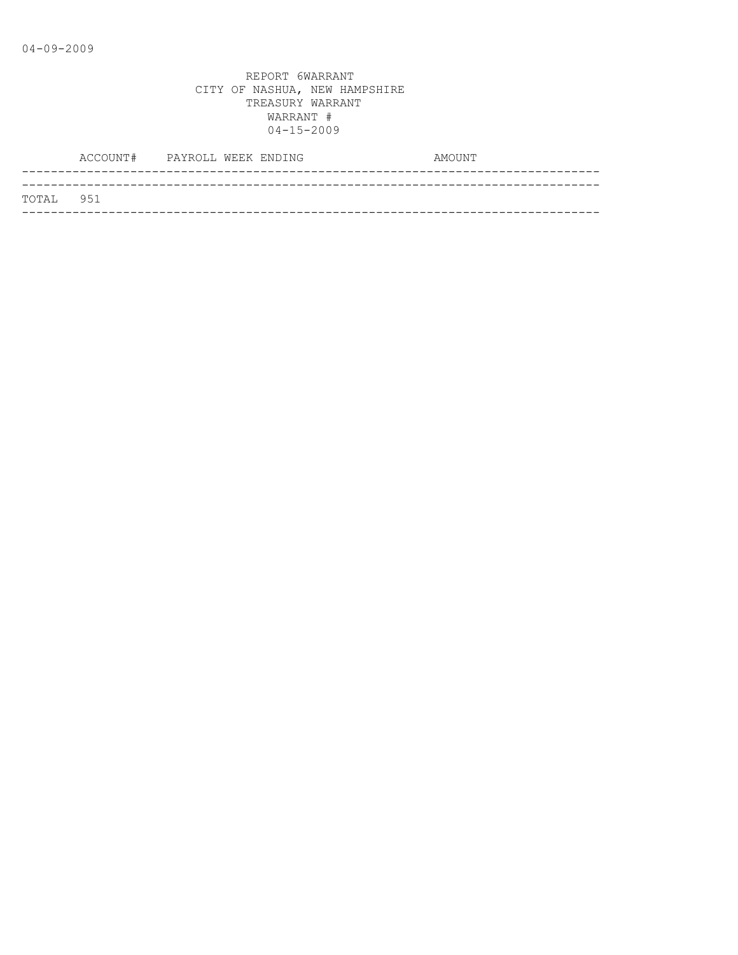|           | ACCOUNT# PAYROLL WEEK ENDING |  |  | AMOUNT |  |
|-----------|------------------------------|--|--|--------|--|
|           |                              |  |  |        |  |
| TOTAL 951 |                              |  |  |        |  |
|           |                              |  |  |        |  |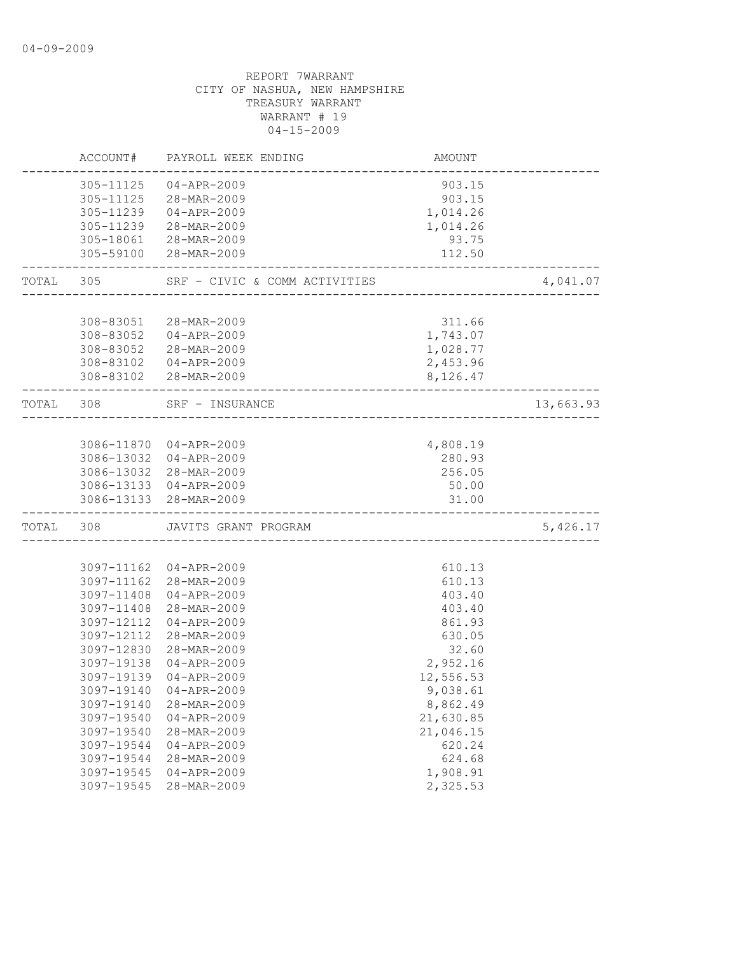|           | ACCOUNT#                 | PAYROLL WEEK ENDING                             | AMOUNT               |           |
|-----------|--------------------------|-------------------------------------------------|----------------------|-----------|
|           | 305-11125                | $04 - APR - 2009$<br>305-11125 28-MAR-2009      | 903.15<br>903.15     |           |
|           | 305-11239                | 04-APR-2009                                     | 1,014.26             |           |
|           | 305-11239                | 28-MAR-2009                                     | 1,014.26             |           |
|           |                          | 305-18061 28-MAR-2009                           | 93.75                |           |
|           |                          | 305-59100 28-MAR-2009                           | 112.50               |           |
| TOTAL 305 |                          | SRF - CIVIC & COMM ACTIVITIES                   |                      | 4,041.07  |
|           |                          |                                                 |                      |           |
|           | 308-83051                | 28-MAR-2009                                     | 311.66               |           |
|           |                          | 308-83052 04-APR-2009                           | 1,743.07             |           |
|           |                          | 308-83052 28-MAR-2009<br>308-83102  04-APR-2009 | 1,028.77<br>2,453.96 |           |
|           |                          | 308-83102 28-MAR-2009                           | 8,126.47             |           |
| TOTAL 308 |                          | SRF - INSURANCE                                 |                      | 13,663.93 |
|           |                          |                                                 |                      |           |
|           |                          | 3086-11870 04-APR-2009                          | 4,808.19             |           |
|           |                          | 3086-13032 04-APR-2009                          | 280.93               |           |
|           |                          | 3086-13032 28-MAR-2009                          | 256.05               |           |
|           |                          | 3086-13133 04-APR-2009                          | 50.00                |           |
|           |                          | 3086-13133 28-MAR-2009                          | 31.00                |           |
| TOTAL 308 |                          | JAVITS GRANT PROGRAM                            |                      | 5,426.17  |
|           |                          |                                                 |                      |           |
|           |                          | 3097-11162 04-APR-2009                          | 610.13               |           |
|           | 3097-11162               | 28-MAR-2009                                     | 610.13               |           |
|           | 3097-11408               | 04-APR-2009                                     | 403.40               |           |
|           | 3097-11408               | 28-MAR-2009                                     | 403.40               |           |
|           | 3097-12112               | $04 - APR - 2009$                               | 861.93               |           |
|           | 3097-12112<br>3097-12830 | 28-MAR-2009                                     | 630.05               |           |
|           | 3097-19138               | 28-MAR-2009<br>$04 - APR - 2009$                | 32.60<br>2,952.16    |           |
|           | 3097-19139               | $04 - APR - 2009$                               | 12,556.53            |           |
|           | 3097-19140               | $04 - APR - 2009$                               | 9,038.61             |           |
|           | 3097-19140               | 28-MAR-2009                                     | 8,862.49             |           |
|           | 3097-19540               | $04 - APR - 2009$                               | 21,630.85            |           |
|           | 3097-19540               | 28-MAR-2009                                     | 21,046.15            |           |
|           | 3097-19544               | $04 - APR - 2009$                               | 620.24               |           |
|           | 3097-19544               | 28-MAR-2009                                     | 624.68               |           |
|           | 3097-19545               | $04 - APR - 2009$                               | 1,908.91             |           |
|           | 3097-19545               | 28-MAR-2009                                     | 2,325.53             |           |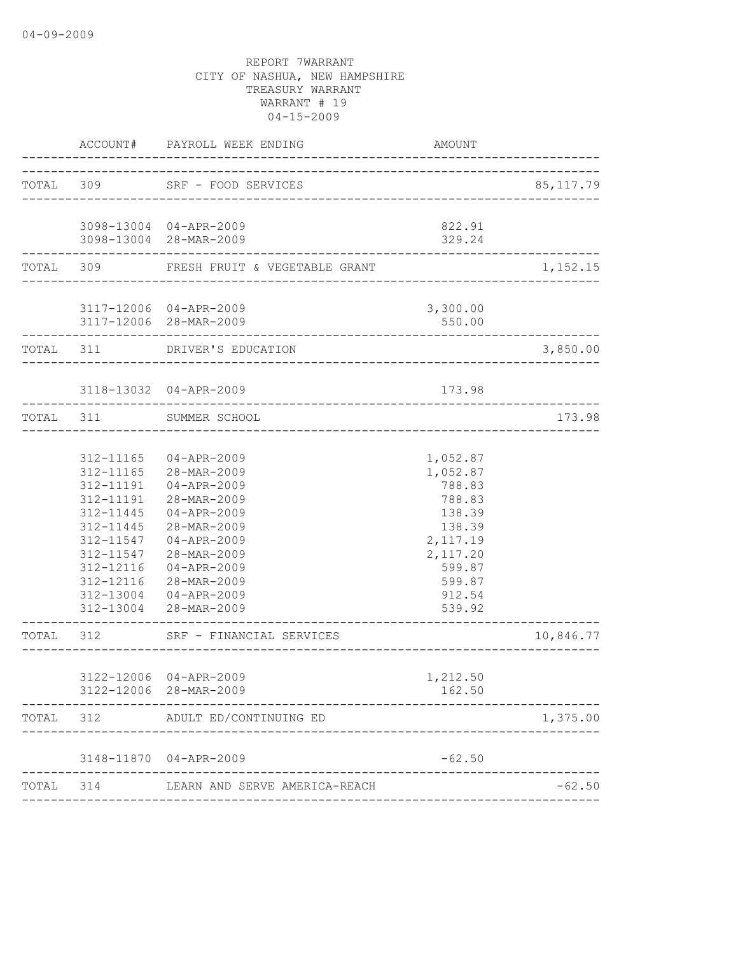|       | ACCOUNT#                                                                                                          | PAYROLL WEEK ENDING                                                                                                                                                                                            | AMOUNT                                                                                                                                      |            |
|-------|-------------------------------------------------------------------------------------------------------------------|----------------------------------------------------------------------------------------------------------------------------------------------------------------------------------------------------------------|---------------------------------------------------------------------------------------------------------------------------------------------|------------|
|       |                                                                                                                   | TOTAL 309 SRF - FOOD SERVICES                                                                                                                                                                                  |                                                                                                                                             | 85, 117.79 |
|       |                                                                                                                   | 3098-13004 04-APR-2009<br>3098-13004 28-MAR-2009                                                                                                                                                               | 822.91<br>329.24                                                                                                                            |            |
|       |                                                                                                                   | TOTAL 309 FRESH FRUIT & VEGETABLE GRANT                                                                                                                                                                        |                                                                                                                                             | 1,152.15   |
|       |                                                                                                                   | 3117-12006 04-APR-2009<br>3117-12006 28-MAR-2009<br>________________________                                                                                                                                   | 3,300.00<br>550.00                                                                                                                          |            |
|       |                                                                                                                   | TOTAL 311 DRIVER'S EDUCATION                                                                                                                                                                                   |                                                                                                                                             | 3,850.00   |
|       |                                                                                                                   | 3118-13032 04-APR-2009                                                                                                                                                                                         | 173.98                                                                                                                                      |            |
|       |                                                                                                                   | TOTAL 311 SUMMER SCHOOL                                                                                                                                                                                        |                                                                                                                                             | 173.98     |
|       | 312-11165<br>312-11191<br>312-11191<br>312-11445<br>312-11445<br>312-11547<br>312-11547<br>312-12116<br>312-12116 | 04-APR-2009<br>312-11165 28-MAR-2009<br>04-APR-2009<br>28-MAR-2009<br>04-APR-2009<br>28-MAR-2009<br>04-APR-2009<br>28-MAR-2009<br>04-APR-2009<br>28-MAR-2009<br>312-13004 04-APR-2009<br>312-13004 28-MAR-2009 | 1,052.87<br>1,052.87<br>788.83<br>788.83<br>138.39<br>138.39<br>2,117.19<br>2,117.20<br>599.87<br>599.87<br>912.54<br>539.92<br>___________ |            |
|       | TOTAL 312                                                                                                         | SRF - FINANCIAL SERVICES<br>-----------------                                                                                                                                                                  |                                                                                                                                             | 10,846.77  |
|       |                                                                                                                   | 3122-12006 04-APR-2009<br>3122-12006 28-MAR-2009<br>-------------------                                                                                                                                        | 1,212.50<br>162.50                                                                                                                          |            |
| TOTAL |                                                                                                                   | 312 ADULT ED/CONTINUING ED                                                                                                                                                                                     |                                                                                                                                             | 1,375.00   |
|       |                                                                                                                   | 3148-11870 04-APR-2009                                                                                                                                                                                         | $-62.50$                                                                                                                                    |            |
| TOTAL |                                                                                                                   | 314 LEARN AND SERVE AMERICA-REACH                                                                                                                                                                              |                                                                                                                                             | $-62.50$   |
|       |                                                                                                                   |                                                                                                                                                                                                                |                                                                                                                                             |            |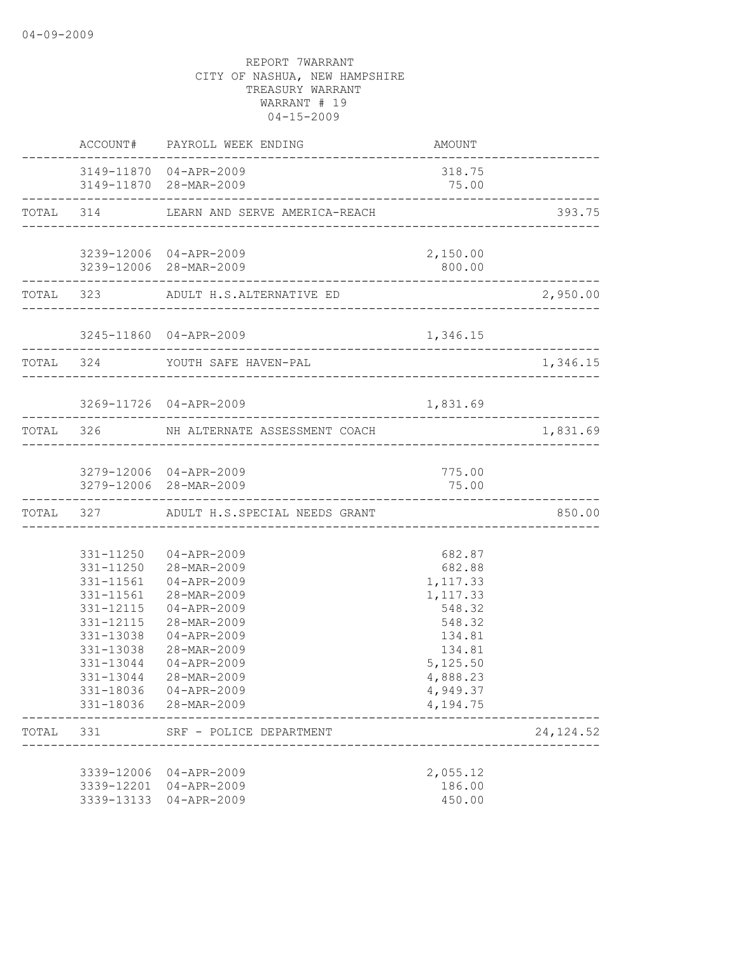|       |                                                                                         | ACCOUNT# PAYROLL WEEK ENDING                                                                                                                                                                                                                         | <b>AMOUNT</b>                                                                                                                    |            |
|-------|-----------------------------------------------------------------------------------------|------------------------------------------------------------------------------------------------------------------------------------------------------------------------------------------------------------------------------------------------------|----------------------------------------------------------------------------------------------------------------------------------|------------|
|       |                                                                                         | 3149-11870 04-APR-2009<br>3149-11870 28-MAR-2009                                                                                                                                                                                                     | 318.75<br>75.00                                                                                                                  |            |
|       |                                                                                         | TOTAL 314 LEARN AND SERVE AMERICA-REACH                                                                                                                                                                                                              |                                                                                                                                  | 393.75     |
|       |                                                                                         | 3239-12006 04-APR-2009<br>3239-12006 28-MAR-2009                                                                                                                                                                                                     | 2,150.00<br>800.00                                                                                                               |            |
|       |                                                                                         | TOTAL 323 ADULT H.S.ALTERNATIVE ED                                                                                                                                                                                                                   |                                                                                                                                  | 2,950.00   |
|       |                                                                                         | 3245-11860 04-APR-2009                                                                                                                                                                                                                               | 1,346.15                                                                                                                         |            |
|       |                                                                                         | TOTAL 324 YOUTH SAFE HAVEN-PAL                                                                                                                                                                                                                       |                                                                                                                                  | 1,346.15   |
|       |                                                                                         | 3269-11726 04-APR-2009                                                                                                                                                                                                                               | 1,831.69                                                                                                                         |            |
|       |                                                                                         | TOTAL 326 NH ALTERNATE ASSESSMENT COACH                                                                                                                                                                                                              |                                                                                                                                  | 1,831.69   |
|       |                                                                                         | 3279-12006 04-APR-2009<br>3279-12006 28-MAR-2009                                                                                                                                                                                                     | 775.00<br>75.00<br>_____________________________                                                                                 |            |
|       |                                                                                         | TOTAL 327 ADULT H.S.SPECIAL NEEDS GRANT                                                                                                                                                                                                              |                                                                                                                                  | 850.00     |
|       | 331-11561<br>331-12115<br>331-12115<br>331-13038<br>331-13038<br>331-13044<br>331-13044 | 331-11250 04-APR-2009<br>331-11250 28-MAR-2009<br>331-11561 04-APR-2009<br>28-MAR-2009<br>$04 - APR - 2009$<br>28-MAR-2009<br>$04 - APR - 2009$<br>28-MAR-2009<br>$04 - APR - 2009$<br>28-MAR-2009<br>331-18036 04-APR-2009<br>331-18036 28-MAR-2009 | 682.87<br>682.88<br>1,117.33<br>1,117.33<br>548.32<br>548.32<br>134.81<br>134.81<br>5,125.50<br>4,888.23<br>4,949.37<br>4,194.75 |            |
| TOTAL | 331                                                                                     | SRF - POLICE DEPARTMENT                                                                                                                                                                                                                              |                                                                                                                                  | 24, 124.52 |
|       |                                                                                         | 3339-12006 04-APR-2009<br>3339-12201 04-APR-2009<br>3339-13133 04-APR-2009                                                                                                                                                                           | 2,055.12<br>186.00<br>450.00                                                                                                     |            |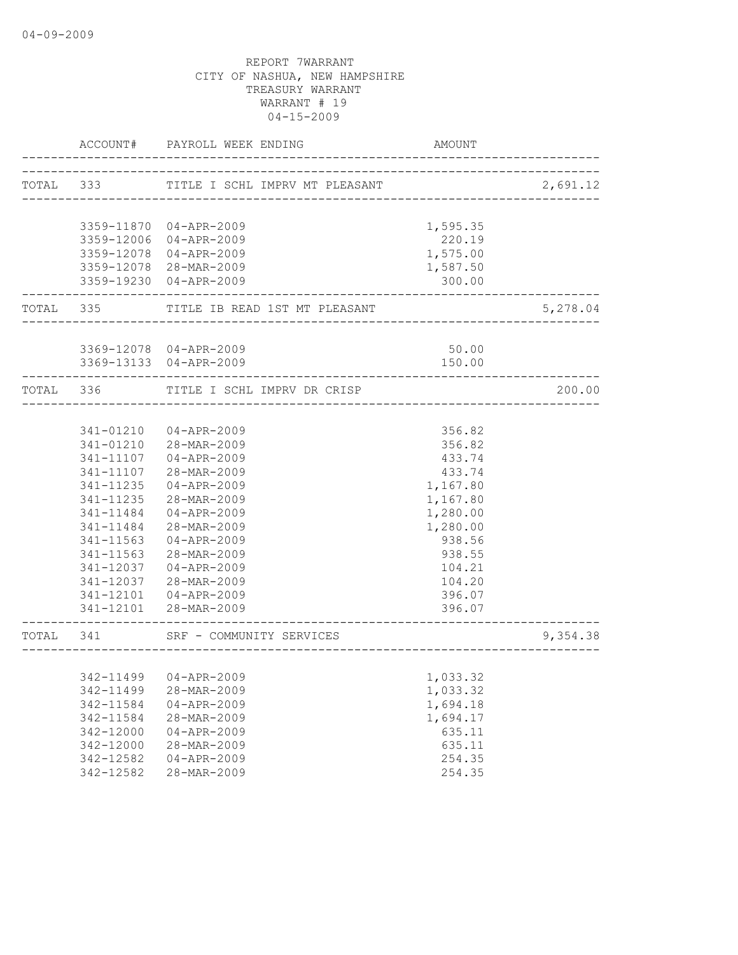|                    | ACCOUNT# PAYROLL WEEK ENDING                                      | <b>AMOUNT</b> |          |
|--------------------|-------------------------------------------------------------------|---------------|----------|
| TOTAL 333          | TITLE I SCHL IMPRV MT PLEASANT                                    |               | 2,691.12 |
|                    |                                                                   |               |          |
|                    | 3359-11870 04-APR-2009                                            | 1,595.35      |          |
|                    | 3359-12006 04-APR-2009                                            | 220.19        |          |
|                    | 3359-12078 04-APR-2009                                            | 1,575.00      |          |
|                    | 3359-12078 28-MAR-2009                                            | 1,587.50      |          |
|                    | 3359-19230 04-APR-2009                                            | 300.00        |          |
| ------------------ | TOTAL 335 TITLE IB READ 1ST MT PLEASANT                           | _____________ | 5,278.04 |
|                    |                                                                   |               |          |
|                    | 3369-12078 04-APR-2009                                            | 50.00         |          |
|                    | 3369-13133 04-APR-2009                                            | 150.00        |          |
| TOTAL 336          | TITLE I SCHL IMPRV DR CRISP                                       |               | 200.00   |
|                    |                                                                   |               |          |
|                    | 341-01210 04-APR-2009                                             | 356.82        |          |
|                    | 341-01210 28-MAR-2009                                             | 356.82        |          |
| 341-11107          | 04-APR-2009                                                       | 433.74        |          |
| 341-11107          | 28-MAR-2009                                                       | 433.74        |          |
| 341-11235          | 04-APR-2009                                                       | 1,167.80      |          |
| 341-11235          | 28-MAR-2009                                                       | 1,167.80      |          |
| 341-11484          | 04-APR-2009                                                       | 1,280.00      |          |
| 341-11484          | 28-MAR-2009                                                       | 1,280.00      |          |
| 341-11563          | 04-APR-2009                                                       | 938.56        |          |
| 341-11563          | 28-MAR-2009                                                       | 938.55        |          |
| 341-12037          | $04 - APR - 2009$                                                 | 104.21        |          |
| 341-12037          | 28-MAR-2009                                                       | 104.20        |          |
|                    | 341-12101  04-APR-2009                                            | 396.07        |          |
|                    | 341-12101 28-MAR-2009                                             | 396.07        |          |
|                    | TOTAL 341 SRF - COMMUNITY SERVICES<br>--------------------------- |               | 9,354.38 |
|                    |                                                                   |               |          |
|                    | 342-11499 04-APR-2009                                             | 1,033.32      |          |
| 342-11499          | 28-MAR-2009                                                       | 1,033.32      |          |
| 342-11584          | $04 - APR - 2009$                                                 | 1,694.18      |          |
| 342-11584          | 28-MAR-2009                                                       | 1,694.17      |          |
| 342-12000          | $04 - APR - 2009$                                                 | 635.11        |          |
| 342-12000          | 28-MAR-2009                                                       | 635.11        |          |
| 342-12582          | $04 - APR - 2009$                                                 | 254.35        |          |
| 342-12582          | 28-MAR-2009                                                       | 254.35        |          |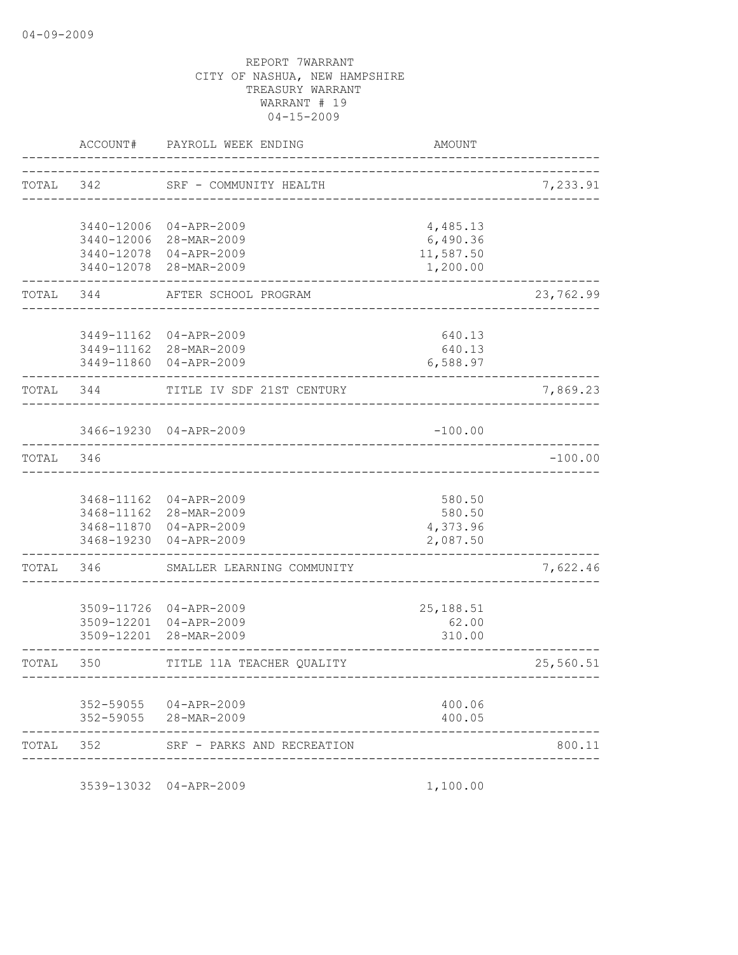|       | ACCOUNT#   | PAYROLL WEEK ENDING                   | <b>AMOUNT</b>    |           |
|-------|------------|---------------------------------------|------------------|-----------|
| TOTAL | 342        | SRF - COMMUNITY HEALTH                |                  | 7,233.91  |
|       |            |                                       |                  |           |
|       | 3440-12006 | $04 - APR - 2009$                     | 4,485.13         |           |
|       |            | 3440-12006 28-MAR-2009                | 6,490.36         |           |
|       |            | 3440-12078 04-APR-2009                | 11,587.50        |           |
|       | 3440-12078 | 28-MAR-2009                           | 1,200.00         |           |
| TOTAL | 344        | AFTER SCHOOL PROGRAM                  |                  | 23,762.99 |
|       |            |                                       |                  |           |
|       |            | 3449-11162 04-APR-2009                | 640.13<br>640.13 |           |
|       |            | 3449-11162 28-MAR-2009<br>04-APR-2009 |                  |           |
|       | 3449-11860 |                                       | 6,588.97         |           |
| TOTAL | 344        | TITLE IV SDF 21ST CENTURY             |                  | 7,869.23  |
|       |            |                                       |                  |           |
|       |            | 3466-19230 04-APR-2009                | $-100.00$        |           |
| TOTAL | 346        |                                       |                  | $-100.00$ |
|       |            |                                       |                  |           |
|       | 3468-11162 | 04-APR-2009                           | 580.50           |           |
|       | 3468-11162 | 28-MAR-2009                           | 580.50           |           |
|       |            | 3468-11870 04-APR-2009                | 4,373.96         |           |
|       | 3468-19230 | 04-APR-2009                           | 2,087.50         |           |
| TOTAL | 346        | SMALLER LEARNING COMMUNITY            |                  | 7,622.46  |
|       |            |                                       |                  |           |
|       |            | 3509-11726 04-APR-2009                | 25, 188.51       |           |
|       | 3509-12201 | $04 - APR - 2009$                     | 62.00            |           |
|       | 3509-12201 | 28-MAR-2009                           | 310.00           |           |
| TOTAL | 350        | TITLE 11A TEACHER QUALITY             |                  | 25,560.51 |
|       |            |                                       |                  |           |
|       | 352-59055  | 04-APR-2009                           | 400.06           |           |
|       | 352-59055  | 28-MAR-2009                           | 400.05           |           |
| TOTAL | 352        | SRF - PARKS AND RECREATION            |                  | 800.11    |
|       |            |                                       |                  |           |

3539-13032 04-APR-2009 1,100.00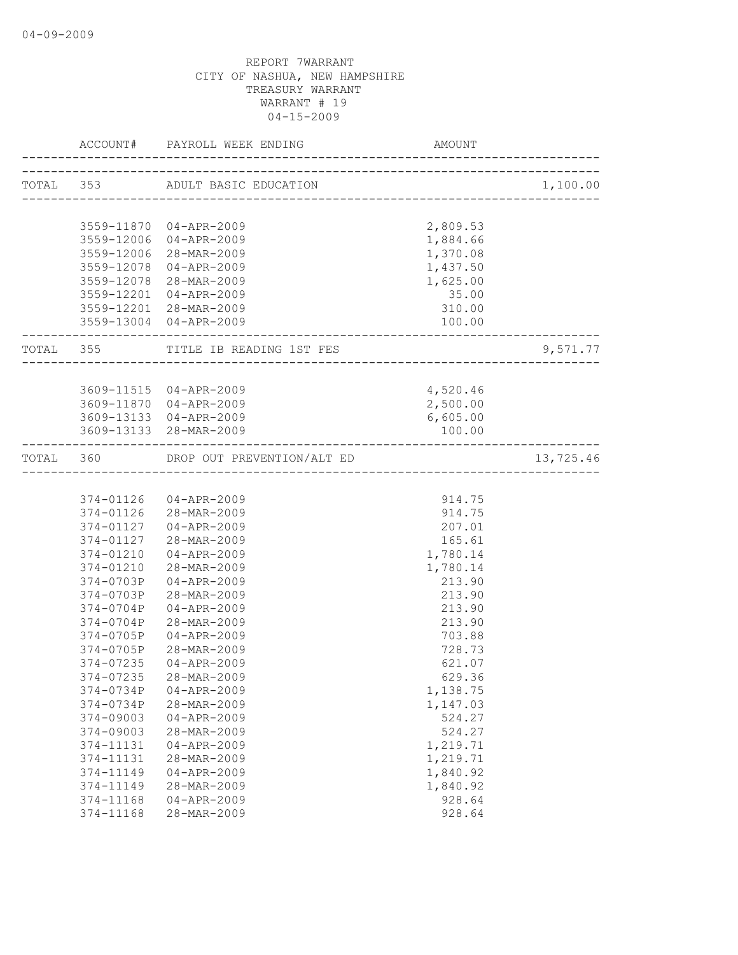|                        | ACCOUNT# PAYROLL WEEK ENDING AMO                 | AMOUNT               |           |
|------------------------|--------------------------------------------------|----------------------|-----------|
|                        | TOTAL 353 ADULT BASIC EDUCATION                  |                      | 1,100.00  |
|                        |                                                  |                      |           |
|                        | 3559-11870 04-APR-2009                           | 2,809.53             |           |
|                        | 3559-12006 04-APR-2009                           | 1,884.66             |           |
|                        | 3559-12006 28-MAR-2009                           | 1,370.08             |           |
|                        | 3559-12078 04-APR-2009<br>3559-12078 28-MAR-2009 | 1,437.50<br>1,625.00 |           |
|                        | 3559-12201 04-APR-2009                           | 35.00                |           |
|                        | 3559-12201 28-MAR-2009                           | 310.00               |           |
|                        | 3559-13004 04-APR-2009                           | 100.00               |           |
|                        | TOTAL 355 TITLE IB READING 1ST FES               |                      | 9,571.77  |
|                        |                                                  |                      |           |
|                        | 3609-11515 04-APR-2009                           | 4,520.46             |           |
|                        | 3609-11870 04-APR-2009                           | 2,500.00             |           |
|                        | 3609-13133 04-APR-2009                           | 6,605.00             |           |
|                        | 3609-13133 28-MAR-2009                           | 100.00               |           |
|                        | TOTAL 360 DROP OUT PREVENTION/ALT ED             |                      | 13,725.46 |
|                        |                                                  |                      |           |
|                        | 374-01126 04-APR-2009                            | 914.75               |           |
|                        | 374-01126 28-MAR-2009                            | 914.75               |           |
|                        | 374-01127 04-APR-2009                            | 207.01               |           |
|                        | 374-01127 28-MAR-2009                            | 165.61               |           |
| 374-01210              | 04-APR-2009                                      | 1,780.14             |           |
|                        | 374-01210 28-MAR-2009                            | 1,780.14             |           |
|                        | 374-0703P 04-APR-2009                            | 213.90               |           |
| 374-0703P              | 28-MAR-2009                                      | 213.90               |           |
| 374-0704P              | 04-APR-2009                                      | 213.90               |           |
| 374-0704P<br>374-0705P | 28-MAR-2009                                      | 213.90               |           |
| 374-0705P              | 04-APR-2009<br>28-MAR-2009                       | 703.88<br>728.73     |           |
| 374-07235              | $04 - APR - 2009$                                | 621.07               |           |
| 374-07235              | 28-MAR-2009                                      | 629.36               |           |
| 374-0734P              | $04 - APR - 2009$                                | 1,138.75             |           |
| 374-0734P              | 28-MAR-2009                                      | 1,147.03             |           |
| 374-09003              | $04 - APR - 2009$                                | 524.27               |           |
| 374-09003              | 28-MAR-2009                                      | 524.27               |           |
| 374-11131              | $04 - APR - 2009$                                | 1,219.71             |           |
| 374-11131              | 28-MAR-2009                                      | 1,219.71             |           |
| 374-11149              | $04 - APR - 2009$                                | 1,840.92             |           |
| 374-11149              | 28-MAR-2009                                      | 1,840.92             |           |
| 374-11168              | $04 - APR - 2009$                                | 928.64               |           |
| 374-11168              | 28-MAR-2009                                      | 928.64               |           |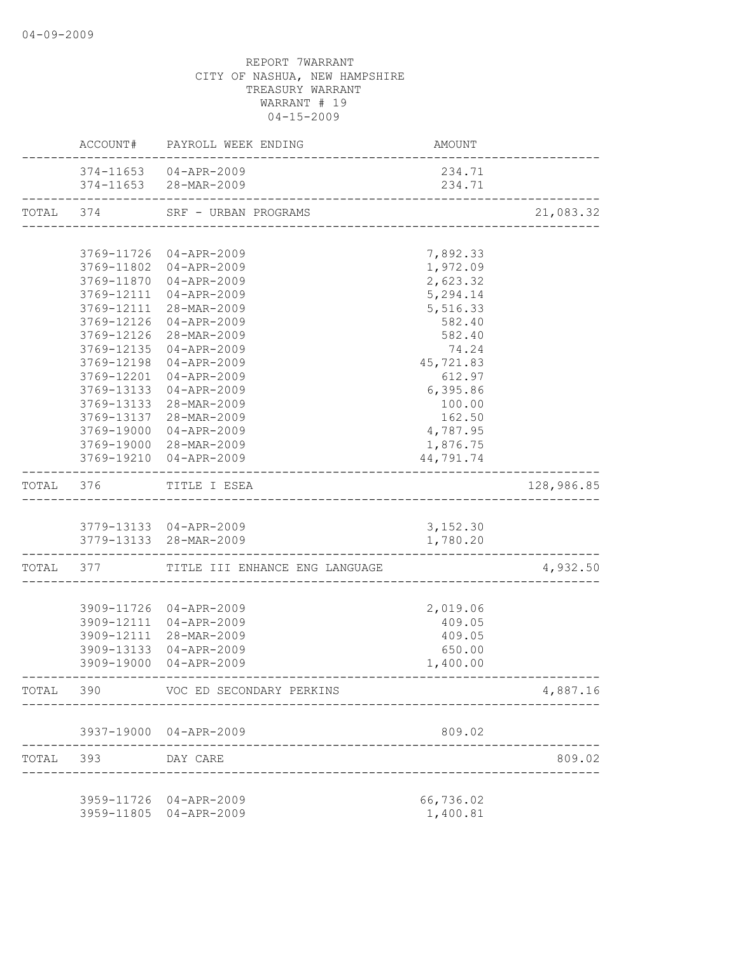|       |                             | ACCOUNT# PAYROLL WEEK ENDING                     | AMOUNT                |            |
|-------|-----------------------------|--------------------------------------------------|-----------------------|------------|
|       |                             | 374-11653 04-APR-2009<br>374-11653 28-MAR-2009   | 234.71<br>234.71      |            |
|       |                             | TOTAL 374 SRF - URBAN PROGRAMS                   |                       | 21,083.32  |
|       |                             |                                                  |                       |            |
|       |                             | 3769-11726 04-APR-2009                           | 7,892.33              |            |
|       |                             | 3769-11802 04-APR-2009                           | 1,972.09              |            |
|       |                             | 3769-11870 04-APR-2009                           | 2,623.32              |            |
|       |                             | 3769-12111 04-APR-2009                           | 5,294.14              |            |
|       |                             | 3769-12111 28-MAR-2009                           | 5,516.33              |            |
|       |                             | 3769-12126 04-APR-2009<br>3769-12126 28-MAR-2009 | 582.40<br>582.40      |            |
|       |                             | 3769-12135 04-APR-2009                           | 74.24                 |            |
|       | 3769-12198                  | 04-APR-2009                                      | 45,721.83             |            |
|       |                             | 3769-12201 04-APR-2009                           | 612.97                |            |
|       |                             | 3769-13133 04-APR-2009                           | 6,395.86              |            |
|       | 3769-13133                  | 28-MAR-2009                                      | 100.00                |            |
|       | 3769-13137                  | 28-MAR-2009                                      | 162.50                |            |
|       |                             | 3769-19000 04-APR-2009                           | 4,787.95              |            |
|       |                             | 3769-19000 28-MAR-2009                           | 1,876.75              |            |
|       |                             | 3769-19210 04-APR-2009                           | 44,791.74             |            |
|       |                             | TOTAL 376 TITLE I ESEA                           |                       | 128,986.85 |
|       |                             |                                                  |                       |            |
|       |                             | 3779-13133 04-APR-2009                           | 3, 152.30             |            |
|       | --------------------------- | 3779-13133 28-MAR-2009                           | 1,780.20              |            |
|       |                             | TOTAL 377 TITLE III ENHANCE ENG LANGUAGE         |                       | 4,932.50   |
|       |                             |                                                  |                       |            |
|       |                             | 3909-11726 04-APR-2009                           | 2,019.06              |            |
|       |                             | 3909-12111 04-APR-2009<br>3909-12111 28-MAR-2009 | 409.05<br>409.05      |            |
|       |                             | 3909-13133 04-APR-2009                           | 650.00                |            |
|       |                             | 3909-19000 04-APR-2009                           | 1,400.00              |            |
| TOTAL | 390                         | VOC ED SECONDARY PERKINS                         |                       | 4,887.16   |
|       |                             |                                                  |                       |            |
|       |                             | 3937-19000 04-APR-2009                           | 809.02                |            |
| TOTAL | 393                         | DAY CARE                                         |                       | 809.02     |
|       |                             |                                                  |                       |            |
|       |                             | 3959-11726 04-APR-2009<br>3959-11805 04-APR-2009 | 66,736.02<br>1,400.81 |            |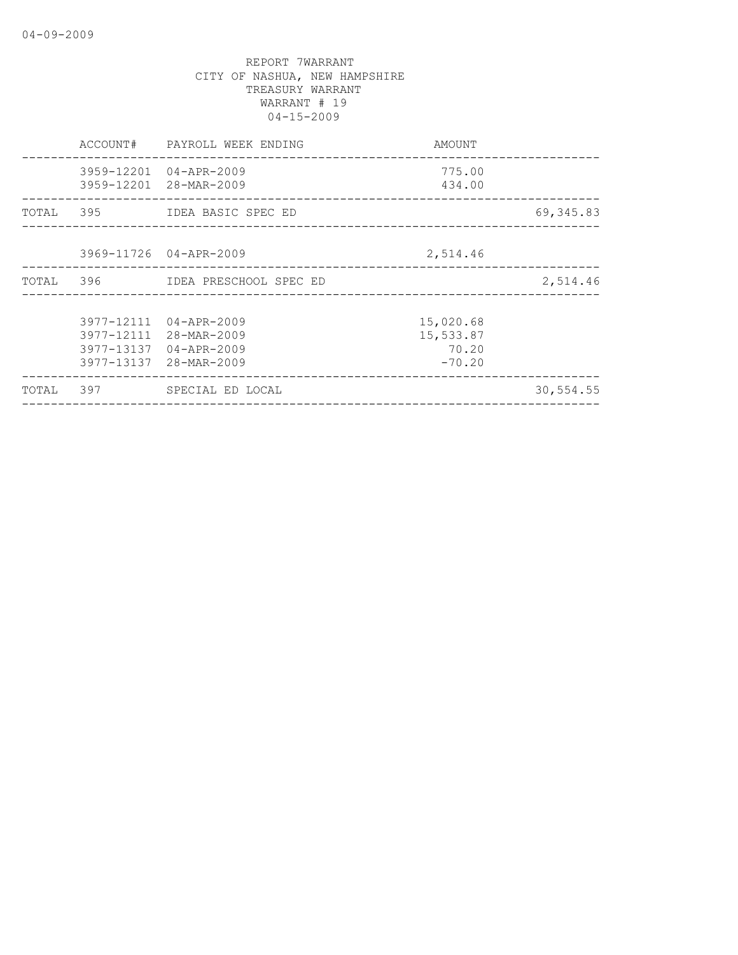|       | ACCOUNT# | PAYROLL WEEK ENDING                                                                                  | AMOUNT                                      |           |
|-------|----------|------------------------------------------------------------------------------------------------------|---------------------------------------------|-----------|
|       |          | 3959-12201 04-APR-2009<br>3959-12201 28-MAR-2009                                                     | 775.00<br>434.00                            |           |
|       |          | TOTAL 395 IDEA BASIC SPEC ED                                                                         |                                             | 69,345.83 |
|       |          | 3969-11726 04-APR-2009                                                                               | 2,514.46                                    |           |
|       |          | TOTAL 396 IDEA PRESCHOOL SPEC ED                                                                     |                                             | 2,514.46  |
|       |          | 3977-12111 04-APR-2009<br>3977-12111 28-MAR-2009<br>3977-13137 04-APR-2009<br>3977-13137 28-MAR-2009 | 15,020.68<br>15,533.87<br>70.20<br>$-70.20$ |           |
| TOTAL | 397      | SPECIAL ED LOCAL                                                                                     |                                             | 30,554.55 |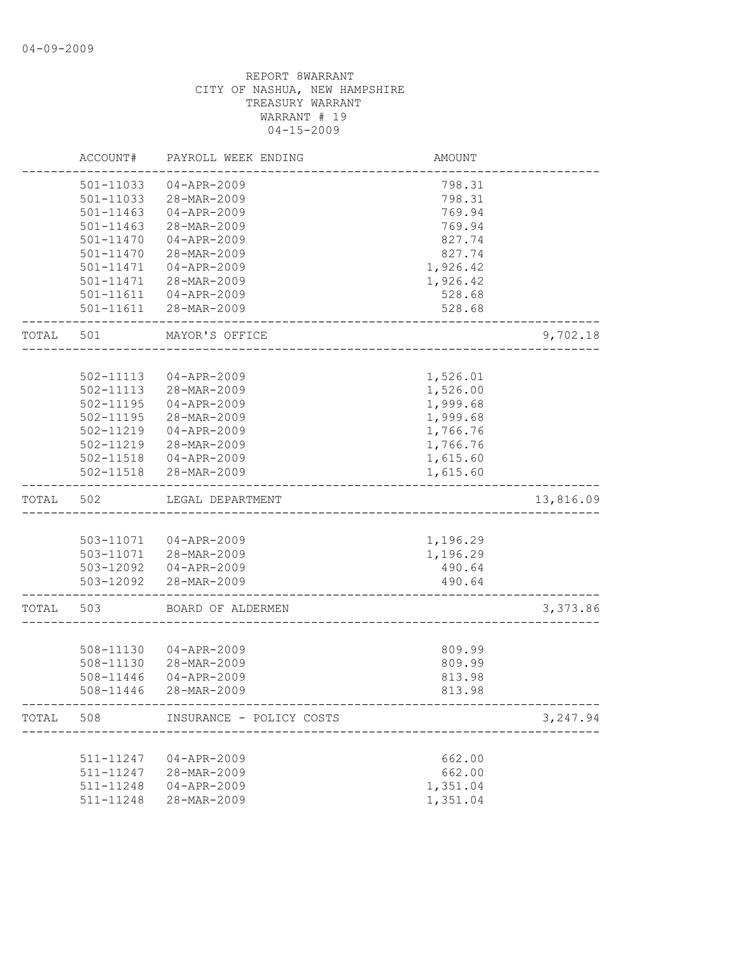|           | ACCOUNT#  | PAYROLL WEEK ENDING                                     | AMOUNT   |           |
|-----------|-----------|---------------------------------------------------------|----------|-----------|
|           | 501-11033 | $04 - APR - 2009$                                       | 798.31   |           |
|           | 501-11033 | 28-MAR-2009                                             | 798.31   |           |
|           | 501-11463 | $04 - APR - 2009$                                       | 769.94   |           |
|           | 501-11463 | 28-MAR-2009                                             | 769.94   |           |
|           | 501-11470 | $04 - APR - 2009$                                       | 827.74   |           |
|           | 501-11470 | 28-MAR-2009                                             | 827.74   |           |
|           | 501-11471 | $04 - APR - 2009$                                       | 1,926.42 |           |
|           | 501-11471 | 28-MAR-2009                                             | 1,926.42 |           |
|           | 501-11611 | 04-APR-2009                                             | 528.68   |           |
|           |           | 501-11611 28-MAR-2009                                   | 528.68   |           |
| TOTAL     | 501       | MAYOR'S OFFICE                                          |          | 9,702.18  |
|           |           |                                                         |          |           |
|           | 502-11113 | 04-APR-2009                                             | 1,526.01 |           |
|           | 502-11113 | 28-MAR-2009                                             | 1,526.00 |           |
|           | 502-11195 | $04 - APR - 2009$                                       | 1,999.68 |           |
|           | 502-11195 | 28-MAR-2009                                             | 1,999.68 |           |
|           | 502-11219 | 04-APR-2009                                             | 1,766.76 |           |
|           | 502-11219 | 28-MAR-2009                                             | 1,766.76 |           |
|           |           | 502-11518  04-APR-2009                                  | 1,615.60 |           |
|           | 502-11518 | 28-MAR-2009                                             | 1,615.60 |           |
| TOTAL     | 502       | LEGAL DEPARTMENT                                        |          | 13,816.09 |
|           |           |                                                         |          |           |
|           |           | 503-11071  04-APR-2009                                  | 1,196.29 |           |
|           |           | 503-11071 28-MAR-2009                                   | 1,196.29 |           |
|           |           | 503-12092  04-APR-2009                                  | 490.64   |           |
|           |           | 503-12092 28-MAR-2009                                   | 490.64   |           |
| TOTAL     | 503       | BOARD OF ALDERMEN                                       |          | 3,373.86  |
|           |           |                                                         |          |           |
|           | 508-11130 | 04-APR-2009                                             | 809.99   |           |
|           | 508-11130 | 28-MAR-2009                                             | 809.99   |           |
|           | 508-11446 | $04 - APR - 2009$                                       | 813.98   |           |
|           | 508-11446 | 28-MAR-2009                                             | 813.98   |           |
| TOTAL 508 |           | INSURANCE - POLICY COSTS<br>--------------------------- |          | 3,247.94  |
|           |           |                                                         |          |           |
|           | 511-11247 | 04-APR-2009                                             | 662.00   |           |
|           | 511-11247 | 28-MAR-2009                                             | 662.00   |           |
|           | 511-11248 | $04 - APR - 2009$                                       | 1,351.04 |           |
|           | 511-11248 | 28-MAR-2009                                             | 1,351.04 |           |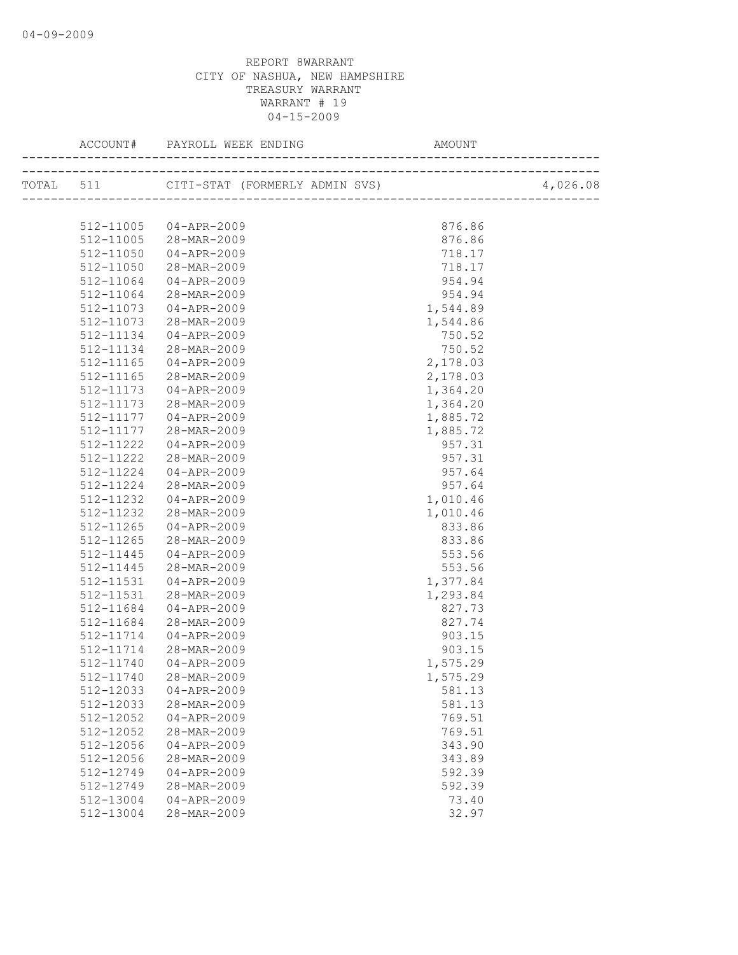|           | 512-11005 04-APR-2009 | 876.86   |  |
|-----------|-----------------------|----------|--|
|           | 512-11005 28-MAR-2009 | 876.86   |  |
| 512-11050 | $04 - APR - 2009$     | 718.17   |  |
| 512-11050 | 28-MAR-2009           | 718.17   |  |
| 512-11064 | $04 - APR - 2009$     | 954.94   |  |
| 512-11064 | 28-MAR-2009           | 954.94   |  |
| 512-11073 | $04 - APR - 2009$     | 1,544.89 |  |
| 512-11073 | 28-MAR-2009           | 1,544.86 |  |
| 512-11134 | 04-APR-2009           | 750.52   |  |
| 512-11134 | 28-MAR-2009           | 750.52   |  |
| 512-11165 | 04-APR-2009           | 2,178.03 |  |
| 512-11165 | 28-MAR-2009           | 2,178.03 |  |
| 512-11173 | 04-APR-2009           | 1,364.20 |  |
| 512-11173 | 28-MAR-2009           | 1,364.20 |  |
| 512-11177 | 04-APR-2009           | 1,885.72 |  |
| 512-11177 | 28-MAR-2009           | 1,885.72 |  |
| 512-11222 | 04-APR-2009           | 957.31   |  |
| 512-11222 | 28-MAR-2009           | 957.31   |  |
| 512-11224 | 04-APR-2009           | 957.64   |  |
| 512-11224 | 28-MAR-2009           | 957.64   |  |
| 512-11232 | $04 - APR - 2009$     | 1,010.46 |  |
| 512-11232 | 28-MAR-2009           | 1,010.46 |  |
| 512-11265 | 04-APR-2009           | 833.86   |  |
| 512-11265 | 28-MAR-2009           | 833.86   |  |
| 512-11445 | $04 - APR - 2009$     | 553.56   |  |
| 512-11445 | 28-MAR-2009           | 553.56   |  |
| 512-11531 | 04-APR-2009           | 1,377.84 |  |
| 512-11531 | 28-MAR-2009           | 1,293.84 |  |
| 512-11684 | 04-APR-2009           | 827.73   |  |
| 512-11684 | 28-MAR-2009           | 827.74   |  |
| 512-11714 | 04-APR-2009           | 903.15   |  |
| 512-11714 | 28-MAR-2009           | 903.15   |  |
| 512-11740 | 04-APR-2009           | 1,575.29 |  |
| 512-11740 | 28-MAR-2009           | 1,575.29 |  |
| 512-12033 | $04 - APR - 2009$     | 581.13   |  |
| 512-12033 | 28-MAR-2009           | 581.13   |  |
| 512-12052 | $04 - APR - 2009$     | 769.51   |  |
| 512-12052 | 28-MAR-2009           | 769.51   |  |
| 512-12056 | $04 - APR - 2009$     | 343.90   |  |
| 512-12056 | 28-MAR-2009           | 343.89   |  |
| 512-12749 | $04 - APR - 2009$     | 592.39   |  |
| 512-12749 | 28-MAR-2009           | 592.39   |  |
| 512-13004 | $04 - APR - 2009$     | 73.40    |  |
| 512-13004 | 28-MAR-2009           | 32.97    |  |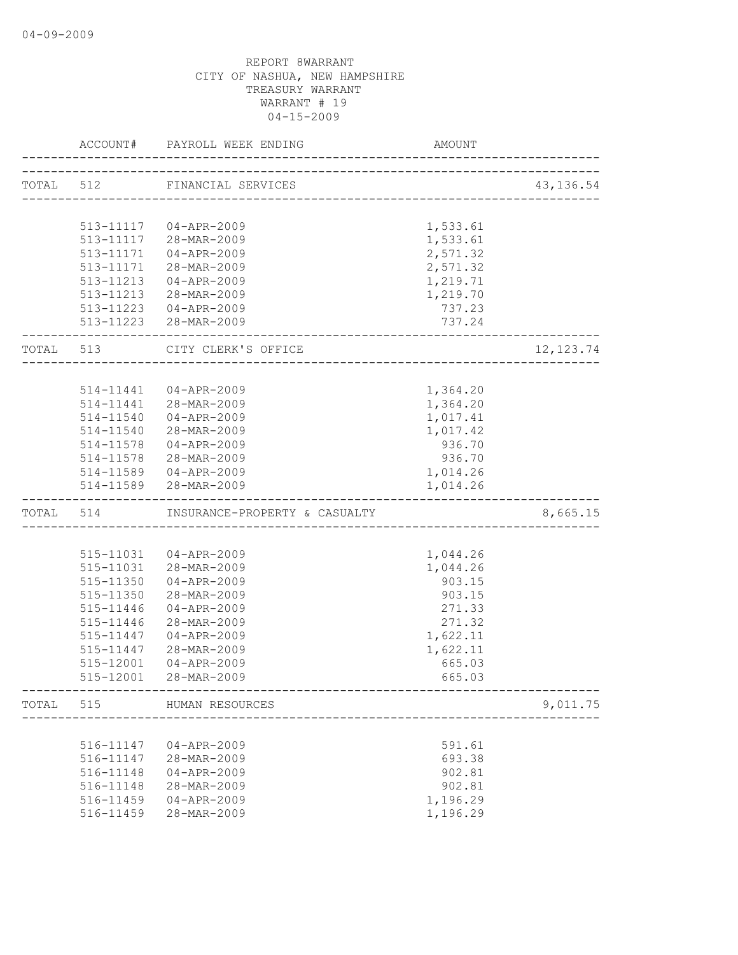|           | ACCOUNT#  | PAYROLL WEEK ENDING<br>__________________ | AMOUNT   |            |
|-----------|-----------|-------------------------------------------|----------|------------|
| TOTAL 512 |           | FINANCIAL SERVICES                        |          | 43, 136.54 |
|           |           | ------------------------------------      |          |            |
|           |           |                                           |          |            |
|           |           | 513-11117  04-APR-2009                    | 1,533.61 |            |
|           |           | 513-11117 28-MAR-2009                     | 1,533.61 |            |
|           | 513-11171 | 04-APR-2009                               | 2,571.32 |            |
|           | 513-11171 | 28-MAR-2009                               | 2,571.32 |            |
|           |           | 513-11213  04-APR-2009                    | 1,219.71 |            |
|           |           | 513-11213 28-MAR-2009                     | 1,219.70 |            |
|           |           | 513-11223 04-APR-2009                     | 737.23   |            |
|           |           | 513-11223 28-MAR-2009                     | 737.24   |            |
| TOTAL 513 |           | CITY CLERK'S OFFICE                       |          | 12, 123.74 |
|           |           |                                           |          |            |
|           |           | 514-11441  04-APR-2009                    | 1,364.20 |            |
|           |           | 514-11441 28-MAR-2009                     | 1,364.20 |            |
|           |           | 514-11540 04-APR-2009                     | 1,017.41 |            |
|           |           | 514-11540 28-MAR-2009                     | 1,017.42 |            |
|           |           | 514-11578 04-APR-2009                     | 936.70   |            |
|           |           | 514-11578 28-MAR-2009                     | 936.70   |            |
|           |           | 514-11589 04-APR-2009                     | 1,014.26 |            |
|           |           | 514-11589 28-MAR-2009                     | 1,014.26 |            |
|           | TOTAL 514 | INSURANCE-PROPERTY & CASUALTY             |          | 8,665.15   |
|           |           |                                           |          |            |
|           |           | 515-11031  04-APR-2009                    | 1,044.26 |            |
|           |           | 515-11031 28-MAR-2009                     | 1,044.26 |            |
|           | 515-11350 | 04-APR-2009                               | 903.15   |            |
|           | 515-11350 | 28-MAR-2009                               | 903.15   |            |
|           | 515-11446 | 04-APR-2009                               | 271.33   |            |
|           | 515-11446 | 28-MAR-2009                               | 271.32   |            |
|           | 515-11447 | $04 - APR - 2009$                         | 1,622.11 |            |
|           | 515-11447 | 28-MAR-2009                               | 1,622.11 |            |
|           | 515-12001 | 04-APR-2009                               | 665.03   |            |
|           | 515-12001 | 28-MAR-2009                               | 665.03   |            |
| TOTAL     | 515       | HUMAN RESOURCES                           |          | 9,011.75   |
|           |           | ___________________                       |          |            |
|           | 516-11147 | 04-APR-2009                               | 591.61   |            |
|           | 516-11147 | 28-MAR-2009                               | 693.38   |            |
|           | 516-11148 | $04 - APR - 2009$                         | 902.81   |            |
|           | 516-11148 | 28-MAR-2009                               | 902.81   |            |
|           | 516-11459 | 04-APR-2009                               | 1,196.29 |            |
|           | 516-11459 | 28-MAR-2009                               | 1,196.29 |            |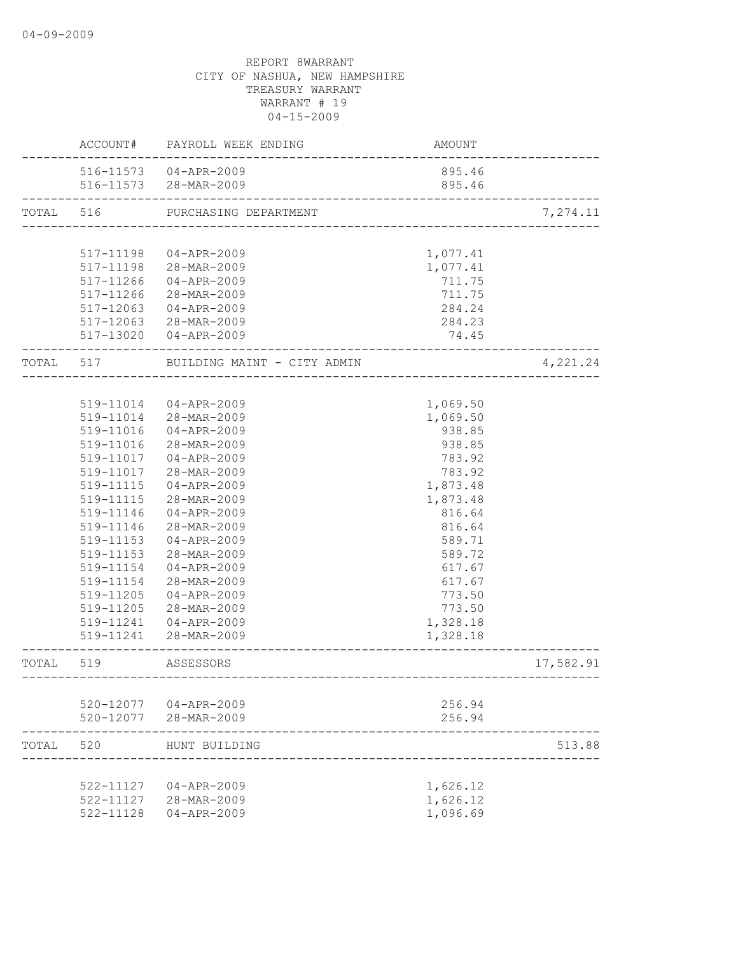|           | ACCOUNT#      | PAYROLL WEEK ENDING         | AMOUNT               |           |
|-----------|---------------|-----------------------------|----------------------|-----------|
|           |               | 516-11573 04-APR-2009       | 895.46               |           |
|           |               | 516-11573 28-MAR-2009       | 895.46               |           |
| TOTAL     | 516           | PURCHASING DEPARTMENT       |                      | 7,274.11  |
|           |               |                             |                      |           |
|           | 517-11198     | 04-APR-2009                 | 1,077.41             |           |
|           |               | 517-11198 28-MAR-2009       | 1,077.41             |           |
|           | 517-11266     | 04-APR-2009                 | 711.75               |           |
|           | $517 - 11266$ | 28-MAR-2009                 | 711.75               |           |
|           |               | 517-12063 04-APR-2009       | 284.24               |           |
|           |               | 517-12063 28-MAR-2009       | 284.23               |           |
|           |               | 517-13020 04-APR-2009       | 74.45                |           |
| TOTAL 517 |               | BUILDING MAINT - CITY ADMIN |                      | 4,221.24  |
|           |               |                             |                      |           |
|           |               | 519-11014  04-APR-2009      | 1,069.50             |           |
|           |               | 519-11014 28-MAR-2009       | 1,069.50             |           |
|           | 519-11016     | $04 - APR - 2009$           | 938.85               |           |
|           | 519-11016     | 28-MAR-2009                 | 938.85               |           |
|           | 519-11017     | 04-APR-2009                 | 783.92               |           |
|           | 519-11017     | 28-MAR-2009                 | 783.92               |           |
|           | 519-11115     | 04-APR-2009                 | 1,873.48             |           |
|           | 519-11115     | 28-MAR-2009                 | 1,873.48             |           |
|           | 519-11146     | 04-APR-2009                 | 816.64               |           |
|           | 519-11146     | 28-MAR-2009                 | 816.64               |           |
|           | 519-11153     | 04-APR-2009                 | 589.71               |           |
|           | 519-11153     | 28-MAR-2009                 | 589.72               |           |
|           | 519-11154     | 04-APR-2009                 | 617.67               |           |
|           | 519-11154     | 28-MAR-2009                 | 617.67               |           |
|           | 519-11205     | 04-APR-2009                 | 773.50               |           |
|           | 519-11205     | 28-MAR-2009                 | 773.50               |           |
|           | 519-11241     | 04-APR-2009                 | 1,328.18             |           |
|           | 519-11241     | 28-MAR-2009                 | 1,328.18             |           |
| TOTAL     | 519           | ASSESSORS                   |                      | 17,582.91 |
|           |               |                             |                      |           |
|           |               | 520-12077 04-APR-2009       | 256.94               |           |
|           |               | 520-12077 28-MAR-2009       | 256.94               |           |
| TOTAL     | 520           | HUNT BUILDING               |                      | 513.88    |
|           |               | 522-11127 04-APR-2009       |                      |           |
|           |               | 522-11127 28-MAR-2009       | 1,626.12<br>1,626.12 |           |
|           |               |                             | 1,096.69             |           |
|           | 522-11128     | 04-APR-2009                 |                      |           |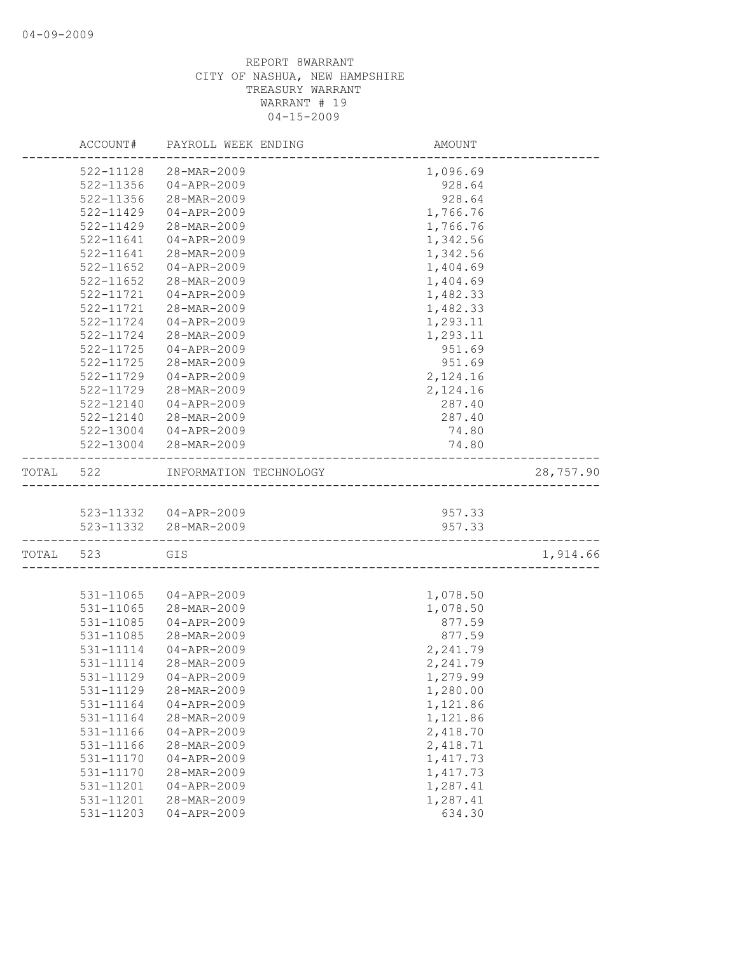|           | ACCOUNT#      | PAYROLL WEEK ENDING    | AMOUNT   |           |
|-----------|---------------|------------------------|----------|-----------|
|           | 522-11128     | 28-MAR-2009            | 1,096.69 |           |
|           | 522-11356     | 04-APR-2009            | 928.64   |           |
|           | 522-11356     | 28-MAR-2009            | 928.64   |           |
|           | 522-11429     | 04-APR-2009            | 1,766.76 |           |
|           | 522-11429     | 28-MAR-2009            | 1,766.76 |           |
|           | 522-11641     | $04 - APR - 2009$      | 1,342.56 |           |
|           | 522-11641     | 28-MAR-2009            | 1,342.56 |           |
|           | $522 - 11652$ | $04 - APR - 2009$      | 1,404.69 |           |
|           | 522-11652     | 28-MAR-2009            | 1,404.69 |           |
|           | 522-11721     | $04 - APR - 2009$      | 1,482.33 |           |
|           | 522-11721     | 28-MAR-2009            | 1,482.33 |           |
|           | 522-11724     | 04-APR-2009            | 1,293.11 |           |
|           | 522-11724     | 28-MAR-2009            | 1,293.11 |           |
|           | 522-11725     | 04-APR-2009            | 951.69   |           |
|           | 522-11725     | 28-MAR-2009            | 951.69   |           |
|           | 522-11729     | $04 - APR - 2009$      | 2,124.16 |           |
|           | 522-11729     | 28-MAR-2009            | 2,124.16 |           |
|           | 522-12140     | $04 - APR - 2009$      | 287.40   |           |
|           | 522-12140     | 28-MAR-2009            | 287.40   |           |
|           | 522-13004     | 04-APR-2009            | 74.80    |           |
|           |               | 522-13004 28-MAR-2009  | 74.80    |           |
| TOTAL     | 522           | INFORMATION TECHNOLOGY |          | 28,757.90 |
|           |               |                        |          |           |
|           |               | 523-11332  04-APR-2009 | 957.33   |           |
|           |               | 523-11332 28-MAR-2009  | 957.33   |           |
| TOTAL 523 |               | GIS                    |          | 1,914.66  |
|           | 531-11065     | 04-APR-2009            | 1,078.50 |           |
|           | 531-11065     | 28-MAR-2009            | 1,078.50 |           |
|           | 531-11085     | 04-APR-2009            | 877.59   |           |
|           | 531-11085     | 28-MAR-2009            | 877.59   |           |
|           | 531-11114     | 04-APR-2009            | 2,241.79 |           |
|           | 531-11114     | 28-MAR-2009            | 2,241.79 |           |
|           |               | 531-11129 04-APR-2009  | 1,279.99 |           |
|           | 531-11129     | 28-MAR-2009            | 1,280.00 |           |
|           | 531-11164     | $04 - APR - 2009$      | 1,121.86 |           |
|           | 531-11164     | 28-MAR-2009            | 1,121.86 |           |
|           | 531-11166     | $04 - APR - 2009$      | 2,418.70 |           |
|           | 531-11166     | 28-MAR-2009            | 2,418.71 |           |
|           | 531-11170     | $04 - APR - 2009$      | 1,417.73 |           |
|           | 531-11170     | 28-MAR-2009            | 1,417.73 |           |
|           | 531-11201     | $04 - APR - 2009$      | 1,287.41 |           |
|           | 531-11201     | 28-MAR-2009            | 1,287.41 |           |
|           | 531-11203     | $04 - APR - 2009$      | 634.30   |           |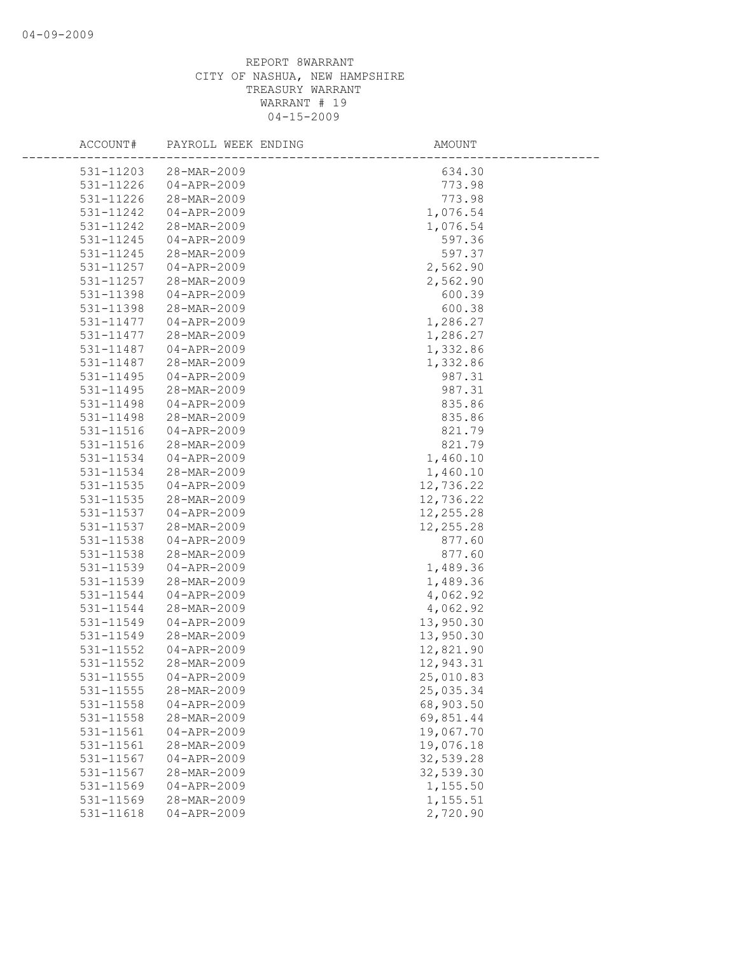| ACCOUNT#               | PAYROLL WEEK ENDING              | AMOUNT                 |
|------------------------|----------------------------------|------------------------|
| 531-11203              | 28-MAR-2009                      | 634.30                 |
| 531-11226              | $04 - APR - 2009$                | 773.98                 |
| 531-11226              | 28-MAR-2009                      | 773.98                 |
| 531-11242              | 04-APR-2009                      | 1,076.54               |
| 531-11242              | 28-MAR-2009                      | 1,076.54               |
| 531-11245              | $04 - APR - 2009$                | 597.36                 |
| 531-11245              | 28-MAR-2009                      | 597.37                 |
| 531-11257              | 04-APR-2009                      | 2,562.90               |
| 531-11257              | 28-MAR-2009                      | 2,562.90               |
| 531-11398              | $04 - APR - 2009$                | 600.39                 |
| 531-11398              | 28-MAR-2009                      | 600.38                 |
| 531-11477              | $04 - APR - 2009$                | 1,286.27               |
| 531-11477              | 28-MAR-2009                      | 1,286.27               |
| 531-11487              | 04-APR-2009                      | 1,332.86               |
| 531-11487              | 28-MAR-2009                      | 1,332.86               |
| 531-11495              | $04 - APR - 2009$                | 987.31                 |
| 531-11495              | 28-MAR-2009                      | 987.31                 |
| 531-11498              | $04 - APR - 2009$                | 835.86                 |
| 531-11498              | 28-MAR-2009                      | 835.86                 |
| 531-11516              | $04 - APR - 2009$                | 821.79                 |
| 531-11516              | 28-MAR-2009                      | 821.79                 |
| 531-11534              | 04-APR-2009                      | 1,460.10               |
| 531-11534              | 28-MAR-2009                      | 1,460.10               |
| 531-11535              | $04 - APR - 2009$                | 12,736.22              |
| 531-11535              | 28-MAR-2009                      | 12,736.22              |
| 531-11537              | $04 - APR - 2009$                | 12, 255.28             |
| 531-11537              | 28-MAR-2009                      | 12,255.28              |
| 531-11538              | $04 - APR - 2009$                | 877.60                 |
| 531-11538              | 28-MAR-2009                      | 877.60                 |
| 531-11539              | $04 - APR - 2009$                | 1,489.36               |
| 531-11539              | 28-MAR-2009                      | 1,489.36               |
| 531-11544              | $04 - APR - 2009$                | 4,062.92               |
| 531-11544              | 28-MAR-2009                      | 4,062.92               |
| 531-11549              | $04 - APR - 2009$                | 13,950.30              |
| 531-11549              | 28-MAR-2009                      | 13,950.30              |
| 531-11552              | $04 - APR - 2009$                | 12,821.90              |
| 531-11552              | 28-MAR-2009                      | 12,943.31              |
| 531-11555              | $04 - APR - 2009$                | 25,010.83              |
| 531-11555              | 28-MAR-2009                      | 25,035.34              |
| 531-11558              | $04 - APR - 2009$                | 68,903.50              |
| 531-11558<br>531-11561 | 28-MAR-2009<br>$04 - APR - 2009$ | 69,851.44<br>19,067.70 |
| 531-11561              | 28-MAR-2009                      | 19,076.18              |
| 531-11567              | $04 - APR - 2009$                | 32,539.28              |
| 531-11567              | 28-MAR-2009                      | 32,539.30              |
| 531-11569              | $04 - APR - 2009$                | 1,155.50               |
| 531-11569              | 28-MAR-2009                      | 1,155.51               |
| 531-11618              | $04 - APR - 2009$                | 2,720.90               |
|                        |                                  |                        |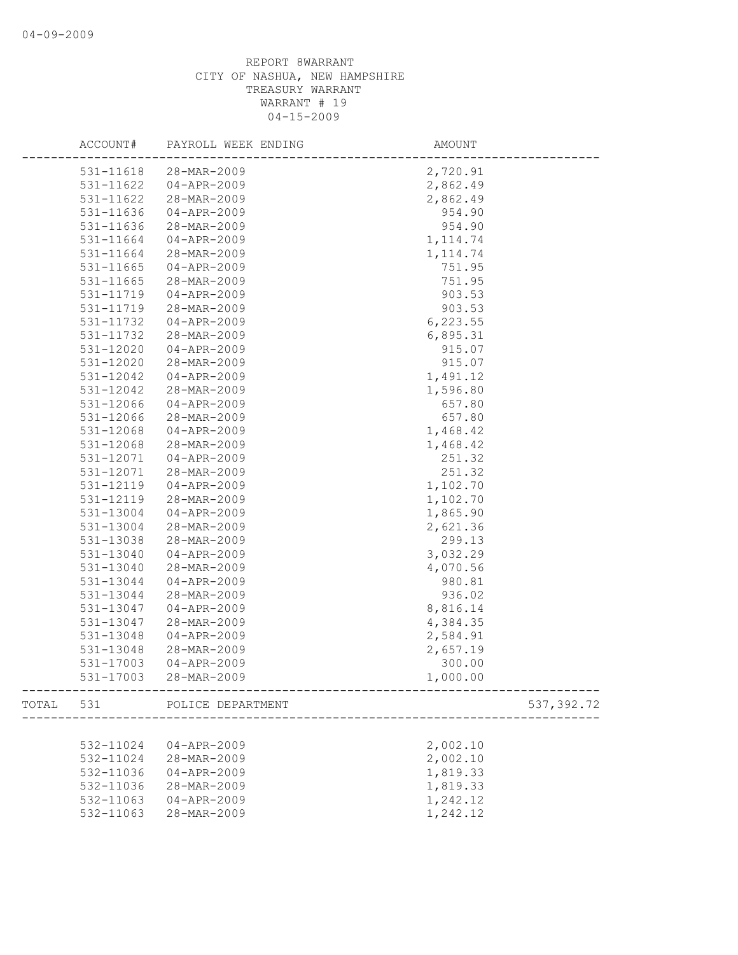| ACCOUNT#  | PAYROLL WEEK ENDING         | AMOUNT                                          |
|-----------|-----------------------------|-------------------------------------------------|
| 531-11618 | 28-MAR-2009                 | 2,720.91                                        |
| 531-11622 | 04-APR-2009                 | 2,862.49                                        |
| 531-11622 | 28-MAR-2009                 | 2,862.49                                        |
| 531-11636 | $04 - APR - 2009$           | 954.90                                          |
| 531-11636 | 28-MAR-2009                 | 954.90                                          |
| 531-11664 | $04 - APR - 2009$           | 1, 114.74                                       |
| 531-11664 | 28-MAR-2009                 | 1, 114.74                                       |
| 531-11665 | $04 - APR - 2009$           | 751.95                                          |
| 531-11665 | 28-MAR-2009                 | 751.95                                          |
| 531-11719 | $04 - APR - 2009$           | 903.53                                          |
| 531-11719 | 28-MAR-2009                 | 903.53                                          |
| 531-11732 | $04 - APR - 2009$           | 6, 223.55                                       |
| 531-11732 | 28-MAR-2009                 | 6,895.31                                        |
| 531-12020 | 04-APR-2009                 | 915.07                                          |
| 531-12020 | 28-MAR-2009                 | 915.07                                          |
| 531-12042 | $04 - APR - 2009$           | 1,491.12                                        |
| 531-12042 | 28-MAR-2009                 | 1,596.80                                        |
| 531-12066 | $04 - APR - 2009$           | 657.80                                          |
| 531-12066 | 28-MAR-2009                 | 657.80                                          |
| 531-12068 | $04 - APR - 2009$           | 1,468.42                                        |
| 531-12068 | 28-MAR-2009                 | 1,468.42                                        |
| 531-12071 | $04 - APR - 2009$           | 251.32                                          |
| 531-12071 | 28-MAR-2009                 | 251.32                                          |
| 531-12119 | $04 - APR - 2009$           | 1,102.70                                        |
| 531-12119 | 28-MAR-2009                 | 1,102.70                                        |
| 531-13004 | $04 - APR - 2009$           | 1,865.90                                        |
| 531-13004 | 28-MAR-2009                 | 2,621.36                                        |
| 531-13038 | 28-MAR-2009                 | 299.13                                          |
| 531-13040 | $04 - APR - 2009$           | 3,032.29                                        |
| 531-13040 | 28-MAR-2009                 | 4,070.56                                        |
| 531-13044 | $04 - APR - 2009$           | 980.81                                          |
| 531-13044 | 28-MAR-2009                 | 936.02                                          |
| 531-13047 | 04-APR-2009                 | 8,816.14                                        |
| 531-13047 | 28-MAR-2009                 | 4,384.35                                        |
| 531-13048 | $04 - APR - 2009$           | 2,584.91                                        |
| 531-13048 | 28-MAR-2009                 | 2,657.19                                        |
| 531-17003 | $04 - APR - 2009$           | 300.00                                          |
| 531-17003 | 28-MAR-2009                 | 1,000.00<br>----------------------------------- |
|           | TOTAL 531 POLICE DEPARTMENT | 537, 392.72                                     |
|           |                             |                                                 |
| 532-11024 | 04-APR-2009                 | 2,002.10                                        |
| 532-11024 | 28-MAR-2009                 | 2,002.10                                        |
| 532-11036 | $04 - APR - 2009$           | 1,819.33                                        |
| 532-11036 | 28-MAR-2009                 | 1,819.33                                        |
| 532-11063 | $04 - APR - 2009$           | 1,242.12                                        |
| 532-11063 | 28-MAR-2009                 | 1,242.12                                        |
|           |                             |                                                 |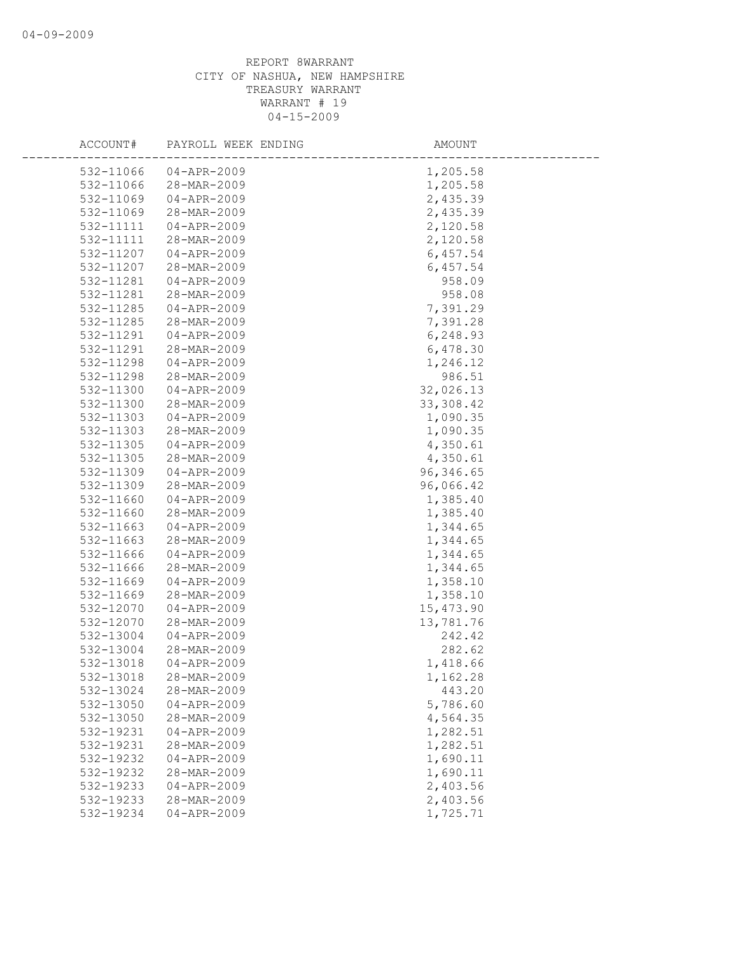| ACCOUNT#  | PAYROLL WEEK ENDING | AMOUNT     |
|-----------|---------------------|------------|
| 532-11066 | $04 - APR - 2009$   | 1,205.58   |
| 532-11066 | 28-MAR-2009         | 1,205.58   |
| 532-11069 | $04 - APR - 2009$   | 2,435.39   |
| 532-11069 | 28-MAR-2009         | 2,435.39   |
| 532-11111 | 04-APR-2009         | 2,120.58   |
| 532-11111 | 28-MAR-2009         | 2,120.58   |
| 532-11207 | $04 - APR - 2009$   | 6,457.54   |
| 532-11207 | 28-MAR-2009         | 6,457.54   |
| 532-11281 | 04-APR-2009         | 958.09     |
| 532-11281 | 28-MAR-2009         | 958.08     |
| 532-11285 | $04 - APR - 2009$   | 7,391.29   |
| 532-11285 | 28-MAR-2009         | 7,391.28   |
| 532-11291 | 04-APR-2009         | 6,248.93   |
| 532-11291 | 28-MAR-2009         | 6,478.30   |
| 532-11298 | $04 - APR - 2009$   | 1,246.12   |
| 532-11298 | 28-MAR-2009         | 986.51     |
| 532-11300 | $04 - APR - 2009$   | 32,026.13  |
| 532-11300 | 28-MAR-2009         | 33, 308.42 |
| 532-11303 | $04 - APR - 2009$   | 1,090.35   |
| 532-11303 | 28-MAR-2009         | 1,090.35   |
| 532-11305 | $04 - APR - 2009$   | 4,350.61   |
| 532-11305 | 28-MAR-2009         | 4,350.61   |
| 532-11309 | 04-APR-2009         | 96,346.65  |
| 532-11309 | 28-MAR-2009         | 96,066.42  |
| 532-11660 | $04 - APR - 2009$   | 1,385.40   |
| 532-11660 | 28-MAR-2009         | 1,385.40   |
| 532-11663 | $04 - APR - 2009$   | 1,344.65   |
| 532-11663 | 28-MAR-2009         | 1,344.65   |
| 532-11666 | $04 - APR - 2009$   | 1,344.65   |
| 532-11666 | 28-MAR-2009         | 1,344.65   |
| 532-11669 | $04 - APR - 2009$   | 1,358.10   |
| 532-11669 | 28-MAR-2009         | 1,358.10   |
| 532-12070 | $04 - APR - 2009$   | 15, 473.90 |
| 532-12070 | 28-MAR-2009         | 13,781.76  |
| 532-13004 | $04 - APR - 2009$   | 242.42     |
| 532-13004 | 28-MAR-2009         | 282.62     |
| 532-13018 | $04 - APR - 2009$   | 1,418.66   |
| 532-13018 | 28-MAR-2009         | 1,162.28   |
| 532-13024 | 28-MAR-2009         | 443.20     |
| 532-13050 | $04 - APR - 2009$   | 5,786.60   |
| 532-13050 | 28-MAR-2009         | 4,564.35   |
| 532-19231 | $04 - APR - 2009$   | 1,282.51   |
| 532-19231 | 28-MAR-2009         | 1,282.51   |
| 532-19232 | $04 - APR - 2009$   | 1,690.11   |
| 532-19232 | 28-MAR-2009         | 1,690.11   |
| 532-19233 | $04 - APR - 2009$   | 2,403.56   |
| 532-19233 | 28-MAR-2009         | 2,403.56   |
| 532-19234 | $04 - APR - 2009$   | 1,725.71   |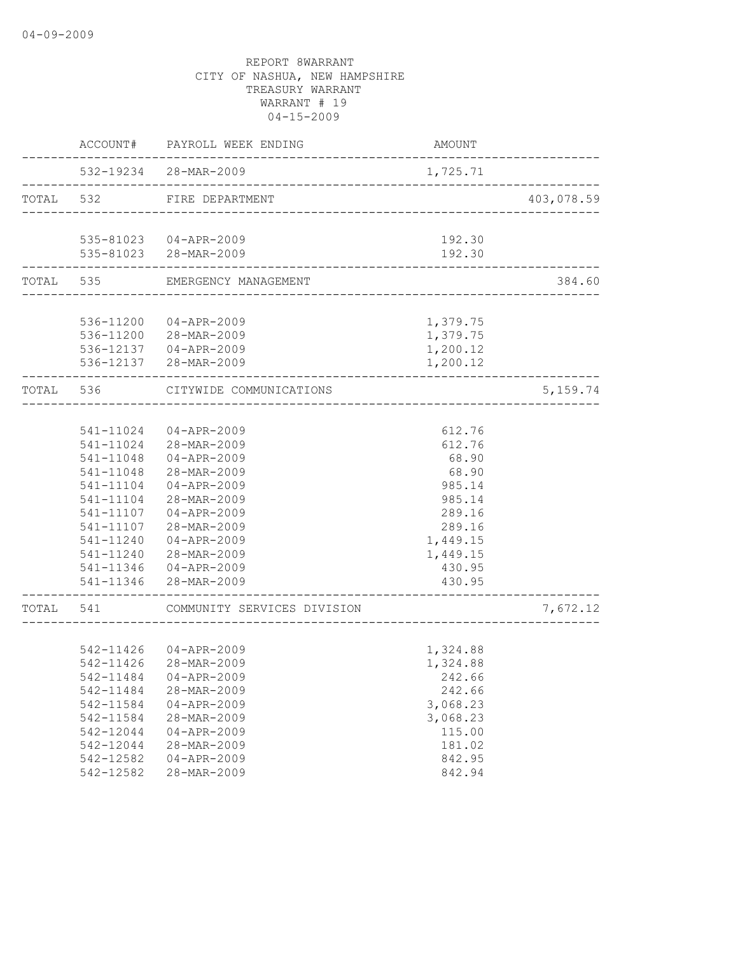|           |           | ACCOUNT# PAYROLL WEEK ENDING                            | AMOUNT   |            |
|-----------|-----------|---------------------------------------------------------|----------|------------|
|           |           | 532-19234 28-MAR-2009                                   | 1,725.71 |            |
| TOTAL 532 |           | FIRE DEPARTMENT<br>------------------------------------ |          | 403,078.59 |
|           |           | 535-81023  04-APR-2009                                  | 192.30   |            |
|           |           | 535-81023 28-MAR-2009                                   | 192.30   |            |
|           |           | TOTAL 535 EMERGENCY MANAGEMENT                          |          | 384.60     |
|           |           |                                                         |          |            |
|           |           | 536-11200 04-APR-2009                                   | 1,379.75 |            |
|           |           | 536-11200 28-MAR-2009                                   | 1,379.75 |            |
|           |           | 536-12137 04-APR-2009                                   | 1,200.12 |            |
|           |           | 536-12137 28-MAR-2009                                   | 1,200.12 |            |
|           | TOTAL 536 | CITYWIDE COMMUNICATIONS                                 |          | 5, 159.74  |
|           |           |                                                         |          |            |
|           | 541-11024 | $04 - APR - 2009$                                       | 612.76   |            |
|           |           | 541-11024 28-MAR-2009                                   | 612.76   |            |
|           | 541-11048 | 04-APR-2009                                             | 68.90    |            |
|           | 541-11048 | 28-MAR-2009                                             | 68.90    |            |
|           | 541-11104 | 04-APR-2009                                             | 985.14   |            |
|           | 541-11104 | 28-MAR-2009                                             | 985.14   |            |
|           | 541-11107 | 04-APR-2009                                             | 289.16   |            |
|           | 541-11107 | 28-MAR-2009                                             | 289.16   |            |
|           | 541-11240 | 04-APR-2009                                             | 1,449.15 |            |
|           | 541-11240 | 28-MAR-2009                                             | 1,449.15 |            |
|           |           | 541-11346 04-APR-2009                                   | 430.95   |            |
|           |           | 541-11346 28-MAR-2009                                   | 430.95   |            |
| TOTAL     | 541       | COMMUNITY SERVICES DIVISION                             |          | 7,672.12   |
|           |           |                                                         |          |            |
|           |           | 542-11426 04-APR-2009                                   | 1,324.88 |            |
|           | 542-11426 | 28-MAR-2009                                             | 1,324.88 |            |
|           |           | 542-11484 04-APR-2009                                   | 242.66   |            |
|           | 542-11484 | 28-MAR-2009                                             | 242.66   |            |
|           | 542-11584 | $04 - APR - 2009$                                       | 3,068.23 |            |
|           | 542-11584 | 28-MAR-2009                                             | 3,068.23 |            |
|           | 542-12044 | $04 - APR - 2009$                                       | 115.00   |            |
|           | 542-12044 | 28-MAR-2009                                             | 181.02   |            |
|           | 542-12582 | $04 - APR - 2009$                                       | 842.95   |            |
|           | 542-12582 | 28-MAR-2009                                             | 842.94   |            |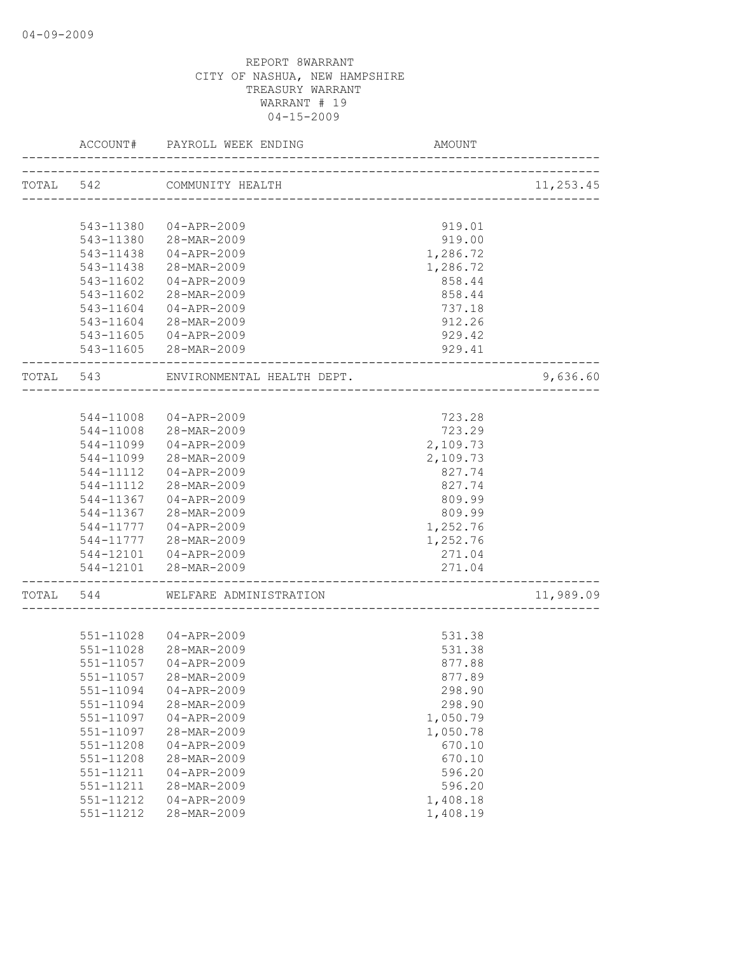|           | ACCOUNT#  | PAYROLL WEEK ENDING        | AMOUNT                              |           |
|-----------|-----------|----------------------------|-------------------------------------|-----------|
|           |           | TOTAL 542 COMMUNITY HEALTH |                                     | 11,253.45 |
|           |           |                            | ----------------------------------- |           |
|           | 543-11380 | 04-APR-2009                | 919.01                              |           |
|           |           | 543-11380 28-MAR-2009      | 919.00                              |           |
|           | 543-11438 | 04-APR-2009                | 1,286.72                            |           |
|           | 543-11438 | 28-MAR-2009                | 1,286.72                            |           |
|           | 543-11602 | 04-APR-2009                | 858.44                              |           |
|           | 543-11602 | 28-MAR-2009                | 858.44                              |           |
|           | 543-11604 | 04-APR-2009                | 737.18                              |           |
|           |           | 543-11604 28-MAR-2009      | 912.26                              |           |
|           |           |                            |                                     |           |
|           |           | 543-11605 04-APR-2009      | 929.42                              |           |
|           |           | 543-11605 28-MAR-2009      | 929.41<br>-------------             |           |
| TOTAL 543 |           | ENVIRONMENTAL HEALTH DEPT. |                                     | 9,636.60  |
|           |           |                            |                                     |           |
|           | 544-11008 | 04-APR-2009                | 723.28                              |           |
|           | 544-11008 | 28-MAR-2009                | 723.29                              |           |
|           | 544-11099 | 04-APR-2009                | 2,109.73                            |           |
|           | 544-11099 | 28-MAR-2009                | 2,109.73                            |           |
|           | 544-11112 | 04-APR-2009                | 827.74                              |           |
|           | 544-11112 | 28-MAR-2009                | 827.74                              |           |
|           | 544-11367 | 04-APR-2009                | 809.99                              |           |
|           | 544-11367 | 28-MAR-2009                | 809.99                              |           |
|           | 544-11777 | 04-APR-2009                | 1,252.76                            |           |
|           | 544-11777 | 28-MAR-2009                | 1,252.76                            |           |
|           |           | 544-12101  04-APR-2009     | 271.04                              |           |
|           |           | 544-12101 28-MAR-2009      | 271.04                              |           |
|           |           |                            | ---------------------               |           |
| TOTAL 544 |           | WELFARE ADMINISTRATION     |                                     | 11,989.09 |
|           |           |                            |                                     |           |
|           |           | 551-11028 04-APR-2009      | 531.38                              |           |
|           | 551-11028 | 28-MAR-2009                | 531.38                              |           |
|           | 551-11057 | $04 - APR - 2009$          | 877.88                              |           |
|           | 551-11057 | 28-MAR-2009                | 877.89                              |           |
|           | 551-11094 | $04 - APR - 2009$          | 298.90                              |           |
|           | 551-11094 | 28-MAR-2009                | 298.90                              |           |
|           | 551-11097 | $04 - APR - 2009$          | 1,050.79                            |           |
|           | 551-11097 | 28-MAR-2009                | 1,050.78                            |           |
|           | 551-11208 | $04 - APR - 2009$          | 670.10                              |           |
|           | 551-11208 | 28-MAR-2009                | 670.10                              |           |
|           | 551-11211 | $04 - APR - 2009$          | 596.20                              |           |
|           | 551-11211 | 28-MAR-2009                | 596.20                              |           |
|           | 551-11212 | $04 - APR - 2009$          | 1,408.18                            |           |
|           | 551-11212 | 28-MAR-2009                | 1,408.19                            |           |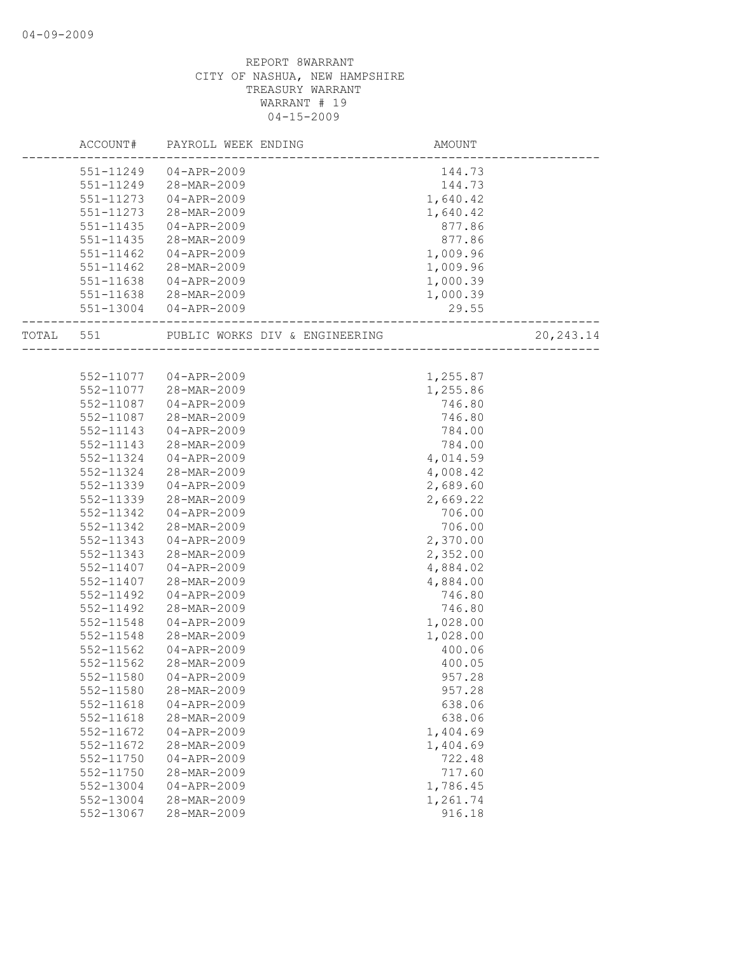|       | ACCOUNT#      | PAYROLL WEEK ENDING            | AMOUNT   |             |
|-------|---------------|--------------------------------|----------|-------------|
|       | 551-11249     | 04-APR-2009                    | 144.73   |             |
|       | 551-11249     | 28-MAR-2009                    | 144.73   |             |
|       | $551 - 11273$ | 04-APR-2009                    | 1,640.42 |             |
|       | 551-11273     | 28-MAR-2009                    | 1,640.42 |             |
|       | 551-11435     | 04-APR-2009                    | 877.86   |             |
|       | 551-11435     | 28-MAR-2009                    | 877.86   |             |
|       | 551-11462     | 04-APR-2009                    | 1,009.96 |             |
|       | 551-11462     | 28-MAR-2009                    | 1,009.96 |             |
|       | 551-11638     | 04-APR-2009                    | 1,000.39 |             |
|       |               | 551-11638 28-MAR-2009          | 1,000.39 |             |
|       |               | 551-13004 04-APR-2009          | 29.55    |             |
|       |               |                                |          |             |
| TOTAL | 551           | PUBLIC WORKS DIV & ENGINEERING |          | 20, 243. 14 |
|       |               |                                |          |             |
|       |               | 552-11077 04-APR-2009          | 1,255.87 |             |
|       | 552-11077     | 28-MAR-2009                    | 1,255.86 |             |
|       | 552-11087     | 04-APR-2009                    | 746.80   |             |
|       | 552-11087     | 28-MAR-2009                    | 746.80   |             |
|       | 552-11143     | $04 - APR - 2009$              | 784.00   |             |
|       | 552-11143     | 28-MAR-2009                    | 784.00   |             |
|       | 552-11324     | 04-APR-2009                    | 4,014.59 |             |
|       | 552-11324     | 28-MAR-2009                    | 4,008.42 |             |
|       | 552-11339     | 04-APR-2009                    | 2,689.60 |             |
|       | 552-11339     | 28-MAR-2009                    | 2,669.22 |             |
|       | 552-11342     | 04-APR-2009                    | 706.00   |             |
|       | 552-11342     | 28-MAR-2009                    | 706.00   |             |
|       | 552-11343     | 04-APR-2009                    | 2,370.00 |             |
|       | 552-11343     | 28-MAR-2009                    | 2,352.00 |             |
|       | 552-11407     | 04-APR-2009                    | 4,884.02 |             |
|       | 552-11407     | 28-MAR-2009                    | 4,884.00 |             |
|       | 552-11492     | 04-APR-2009                    | 746.80   |             |
|       | 552-11492     | 28-MAR-2009                    | 746.80   |             |
|       | 552-11548     | $04 - APR - 2009$              | 1,028.00 |             |
|       | 552-11548     | 28-MAR-2009                    | 1,028.00 |             |
|       | 552-11562     | $04 - APR - 2009$              | 400.06   |             |
|       | $552 - 11562$ | 28-MAR-2009                    | 400.05   |             |
|       | 552-11580     | $04 - APR - 2009$              | 957.28   |             |
|       | 552-11580     | 28-MAR-2009                    | 957.28   |             |
|       | 552-11618     | $04 - APR - 2009$              | 638.06   |             |
|       | 552-11618     | 28-MAR-2009                    | 638.06   |             |
|       | 552-11672     | $04 - APR - 2009$              | 1,404.69 |             |
|       | 552-11672     | 28-MAR-2009                    | 1,404.69 |             |
|       | 552-11750     | $04 - APR - 2009$              | 722.48   |             |
|       | $552 - 11750$ | 28-MAR-2009                    | 717.60   |             |
|       | 552-13004     | $04 - APR - 2009$              | 1,786.45 |             |
|       | 552-13004     | 28-MAR-2009                    | 1,261.74 |             |
|       | 552-13067     | 28-MAR-2009                    | 916.18   |             |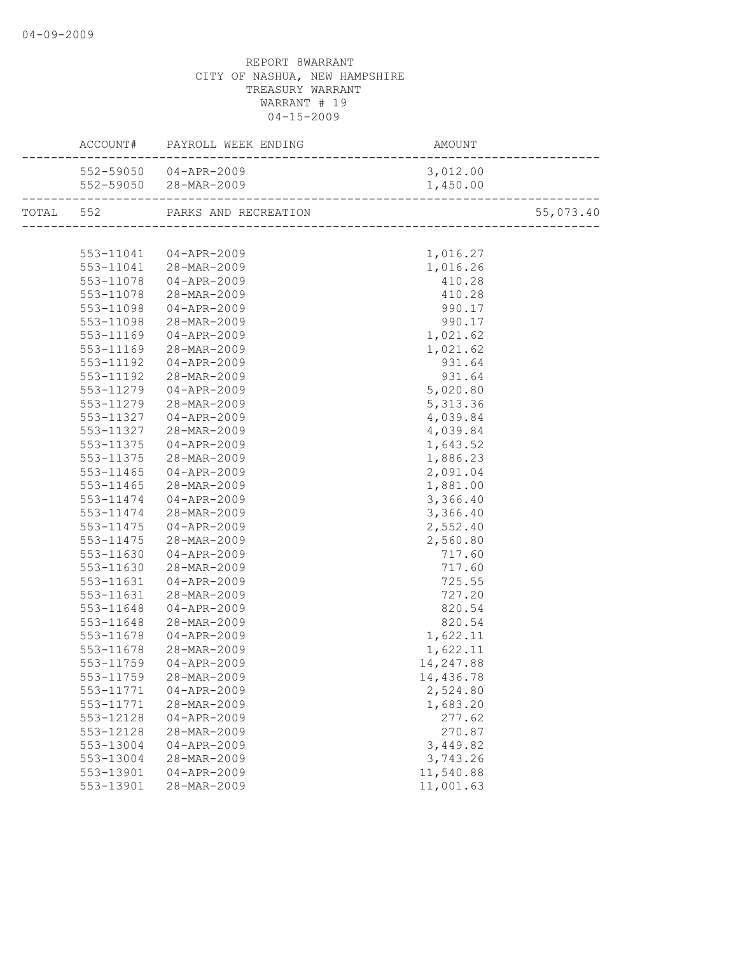|           | ACCOUNT# PAYROLL WEEK ENDING | AMOUNT<br>-------------------------- |           |
|-----------|------------------------------|--------------------------------------|-----------|
|           | 552-59050 04-APR-2009        | 3,012.00                             |           |
|           | 552-59050 28-MAR-2009        | 1,450.00                             |           |
|           |                              |                                      | 55,073.40 |
|           |                              |                                      |           |
|           | 553-11041  04-APR-2009       | 1,016.27                             |           |
|           | 553-11041 28-MAR-2009        | 1,016.26                             |           |
|           | 553-11078 04-APR-2009        | 410.28                               |           |
| 553-11078 | 28-MAR-2009                  | 410.28                               |           |
| 553-11098 | $04 - APR - 2009$            | 990.17                               |           |
|           | 553-11098 28-MAR-2009        | 990.17                               |           |
| 553-11169 | $04 - APR - 2009$            | 1,021.62                             |           |
| 553-11169 | 28-MAR-2009                  | 1,021.62                             |           |
| 553-11192 | $04 - APR - 2009$            | 931.64                               |           |
| 553-11192 | 28-MAR-2009                  | 931.64                               |           |
| 553-11279 | $04 - APR - 2009$            | 5,020.80                             |           |
| 553-11279 | 28-MAR-2009                  | 5, 313.36                            |           |
| 553-11327 | 04-APR-2009                  | 4,039.84                             |           |
| 553-11327 | 28-MAR-2009                  | 4,039.84                             |           |
| 553-11375 | 04-APR-2009                  | 1,643.52                             |           |
| 553-11375 | 28-MAR-2009                  | 1,886.23                             |           |
| 553-11465 | $04 - APR - 2009$            | 2,091.04                             |           |
| 553-11465 | $28 - MAR - 2009$            | 1,881.00                             |           |
| 553-11474 | 04-APR-2009                  | 3,366.40                             |           |
| 553-11474 | -<br>28-MAR-2009             | 3,366.40                             |           |
| 553-11475 | $04 - APR - 2009$            | 2,552.40                             |           |
| 553-11475 | 28-MAR-2009                  | 2,560.80                             |           |
| 553-11630 | $04 - APR - 2009$            | 717.60                               |           |
| 553-11630 | 28-MAR-2009                  | 717.60                               |           |
| 553-11631 | $04 - APR - 2009$            | 725.55                               |           |
| 553-11631 | 28-MAR-2009                  | 727.20                               |           |
| 553-11648 | 04-APR-2009                  | 820.54                               |           |
| 553-11648 | 28-MAR-2009                  | 820.54                               |           |
| 553-11678 | $04 - APR - 2009$            | 1,622.11                             |           |
| 553-11678 | 28-MAR-2009                  | 1,622.11                             |           |
| 553-11759 | $04 - APR - 2009$            | 14,247.88                            |           |
|           | 553-11759 28-MAR-2009        | 14,436.78                            |           |
| 553-11771 | $04 - APR - 2009$            | 2,524.80                             |           |
| 553-11771 | 28-MAR-2009                  | 1,683.20                             |           |
| 553-12128 | $04 - APR - 2009$            | 277.62                               |           |
| 553-12128 | 28-MAR-2009                  | 270.87                               |           |
| 553-13004 | $04 - APR - 2009$            | 3,449.82                             |           |
|           | 28-MAR-2009                  | 3,743.26                             |           |
| 553-13004 |                              |                                      |           |
| 553-13901 | $04 - APR - 2009$            | 11,540.88                            |           |
| 553-13901 | 28-MAR-2009                  | 11,001.63                            |           |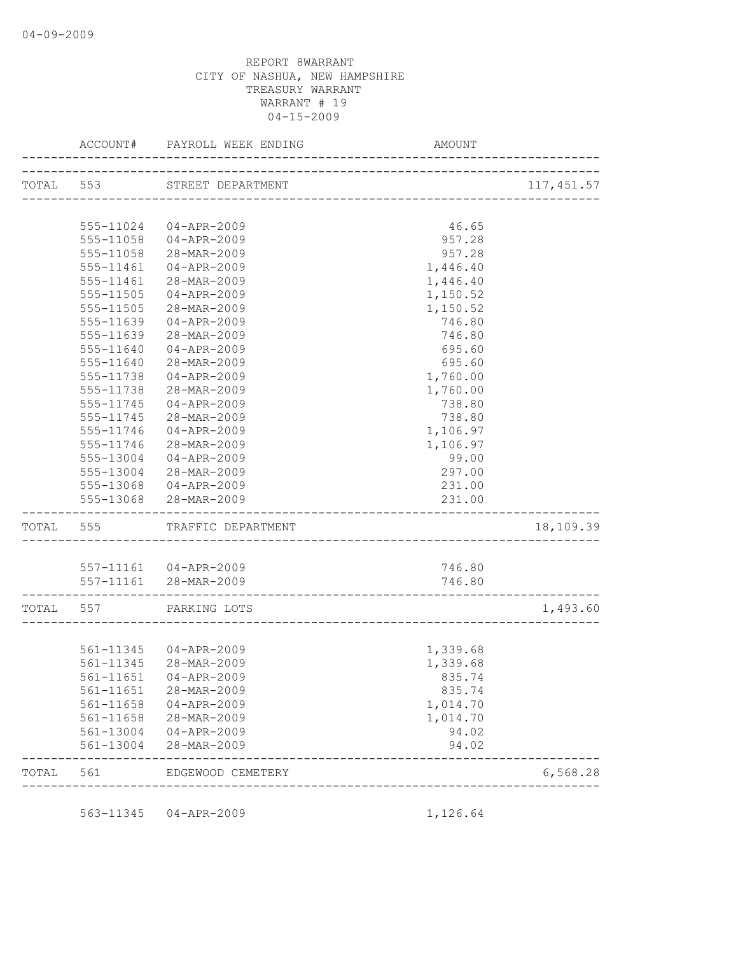|           | ACCOUNT#                            | PAYROLL WEEK ENDING         | AMOUNT                      |            |
|-----------|-------------------------------------|-----------------------------|-----------------------------|------------|
|           |                                     | TOTAL 553 STREET DEPARTMENT |                             | 117,451.57 |
|           |                                     |                             | --------------------------- |            |
|           |                                     | 555-11024 04-APR-2009       | 46.65                       |            |
|           |                                     | 555-11058 04-APR-2009       | 957.28                      |            |
|           | 555-11058                           | 28-MAR-2009                 | 957.28                      |            |
|           | 555-11461                           | 04-APR-2009                 | 1,446.40                    |            |
|           | 555-11461                           | 28-MAR-2009                 | 1,446.40                    |            |
|           | 555-11505                           | $04 - APR - 2009$           | 1,150.52                    |            |
|           | 555-11505                           | 28-MAR-2009                 | 1,150.52                    |            |
|           | 555-11639                           | 04-APR-2009                 | 746.80                      |            |
|           | 555-11639                           | 28-MAR-2009                 | 746.80                      |            |
|           | 555-11640                           | 04-APR-2009                 | 695.60                      |            |
|           | 555-11640                           | 28-MAR-2009                 | 695.60                      |            |
|           | 555-11738                           | 04-APR-2009                 | 1,760.00                    |            |
|           | 555-11738                           | 28-MAR-2009                 | 1,760.00                    |            |
|           | 555-11745                           | 04-APR-2009                 | 738.80                      |            |
|           | 555-11745                           | 28-MAR-2009                 | 738.80                      |            |
|           | 555-11746                           | $04 - APR - 2009$           | 1,106.97                    |            |
|           | 555-11746                           | 28-MAR-2009                 | 1,106.97                    |            |
|           | 555-13004                           | 04-APR-2009                 | 99.00                       |            |
|           |                                     | 555-13004 28-MAR-2009       | 297.00                      |            |
|           |                                     | 555-13068 04-APR-2009       | 231.00                      |            |
|           |                                     | 555-13068 28-MAR-2009       | 231.00                      |            |
| TOTAL     | 555                                 | TRAFFIC DEPARTMENT          |                             | 18,109.39  |
|           |                                     |                             |                             |            |
|           |                                     | 557-11161 04-APR-2009       | 746.80                      |            |
|           | . _ _ _ _ _ _ _ _ _ _ _ _ _ _ _ _ _ | 557-11161 28-MAR-2009       | 746.80                      |            |
| TOTAL 557 |                                     | PARKING LOTS                |                             | 1,493.60   |
|           |                                     |                             |                             |            |
|           |                                     | 561-11345 04-APR-2009       | 1,339.68                    |            |
|           | 561-11345                           | $28 - MAR - 2009$           | 1,339.68                    |            |
|           |                                     | 561-11651  04-APR-2009      | 835.74                      |            |
|           | 561-11651                           | 28-MAR-2009                 | 835.74                      |            |
|           |                                     | 561-11658 04-APR-2009       | 1,014.70                    |            |
|           |                                     | 561-11658 28-MAR-2009       | 1,014.70                    |            |
|           |                                     | 561-13004 04-APR-2009       | 94.02                       |            |
|           |                                     | 561-13004 28-MAR-2009       | 94.02                       |            |
| TOTAL     | 561                                 | EDGEWOOD CEMETERY           |                             | 6,568.28   |

563-11345 04-APR-2009 1,126.64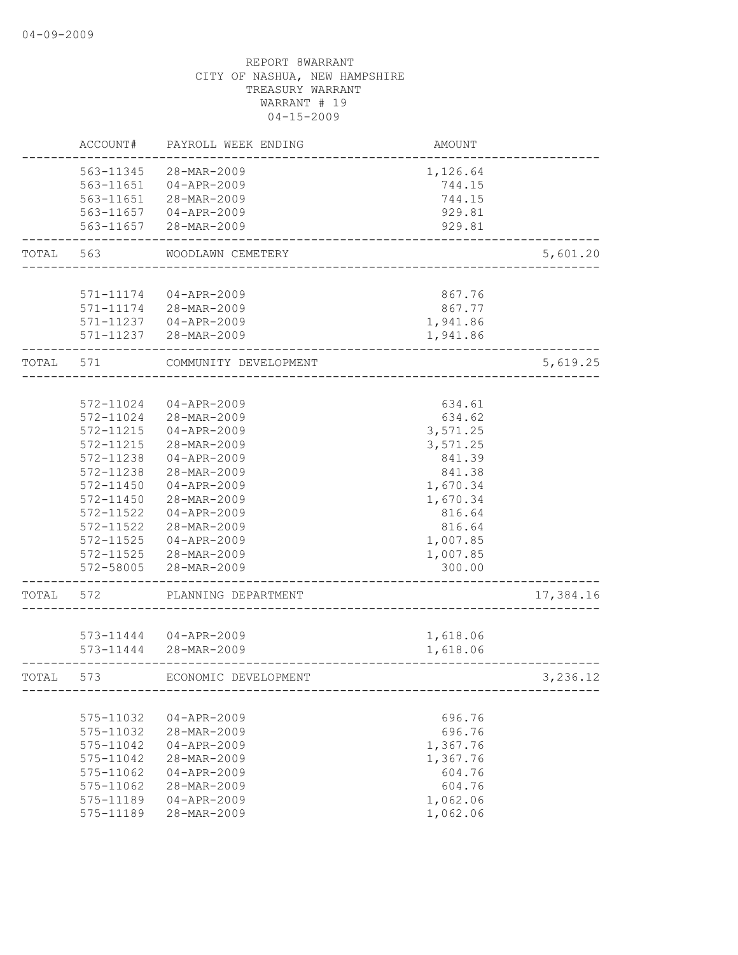|       | ACCOUNT#                                                                                                                                                                  | PAYROLL WEEK ENDING                                                                                                                                                                                         | AMOUNT                                                                                                                                     |           |
|-------|---------------------------------------------------------------------------------------------------------------------------------------------------------------------------|-------------------------------------------------------------------------------------------------------------------------------------------------------------------------------------------------------------|--------------------------------------------------------------------------------------------------------------------------------------------|-----------|
|       | 563-11345<br>563-11651                                                                                                                                                    | 28-MAR-2009<br>04-APR-2009<br>563-11651 28-MAR-2009<br>563-11657 04-APR-2009<br>563-11657 28-MAR-2009                                                                                                       | 1,126.64<br>744.15<br>744.15<br>929.81<br>929.81                                                                                           |           |
| TOTAL | 563                                                                                                                                                                       | WOODLAWN CEMETERY                                                                                                                                                                                           | ___________________________                                                                                                                | 5,601.20  |
|       | 571-11174                                                                                                                                                                 | 04-APR-2009<br>571-11174 28-MAR-2009<br>571-11237 04-APR-2009<br>571-11237 28-MAR-2009                                                                                                                      | 867.76<br>867.77<br>1,941.86<br>1,941.86                                                                                                   |           |
| TOTAL | 571                                                                                                                                                                       | COMMUNITY DEVELOPMENT                                                                                                                                                                                       |                                                                                                                                            | 5,619.25  |
|       | 572-11024<br>572-11024<br>572-11215<br>572-11215<br>572-11238<br>572-11238<br>572-11450<br>$572 - 11450$<br>572-11522<br>572-11522<br>572-11525<br>572-11525<br>572-58005 | 04-APR-2009<br>28-MAR-2009<br>$04 - APR - 2009$<br>28-MAR-2009<br>04-APR-2009<br>28-MAR-2009<br>04-APR-2009<br>28-MAR-2009<br>$04 - APR - 2009$<br>28-MAR-2009<br>04-APR-2009<br>28-MAR-2009<br>28-MAR-2009 | 634.61<br>634.62<br>3,571.25<br>3,571.25<br>841.39<br>841.38<br>1,670.34<br>1,670.34<br>816.64<br>816.64<br>1,007.85<br>1,007.85<br>300.00 |           |
| TOTAL | 572                                                                                                                                                                       | PLANNING DEPARTMENT                                                                                                                                                                                         |                                                                                                                                            | 17,384.16 |
|       |                                                                                                                                                                           | 573-11444 04-APR-2009<br>573-11444 28-MAR-2009                                                                                                                                                              | 1,618.06<br>1,618.06                                                                                                                       |           |
| TOTAL | 573                                                                                                                                                                       | ECONOMIC DEVELOPMENT                                                                                                                                                                                        |                                                                                                                                            | 3,236.12  |
|       | 575-11032<br>575-11032<br>575-11042<br>575-11042<br>575-11062<br>575-11062<br>575-11189<br>575-11189                                                                      | 04-APR-2009<br>28-MAR-2009<br>$04 - APR - 2009$<br>28-MAR-2009<br>$04 - APR - 2009$<br>28-MAR-2009<br>$04 - APR - 2009$<br>28-MAR-2009                                                                      | 696.76<br>696.76<br>1,367.76<br>1,367.76<br>604.76<br>604.76<br>1,062.06<br>1,062.06                                                       |           |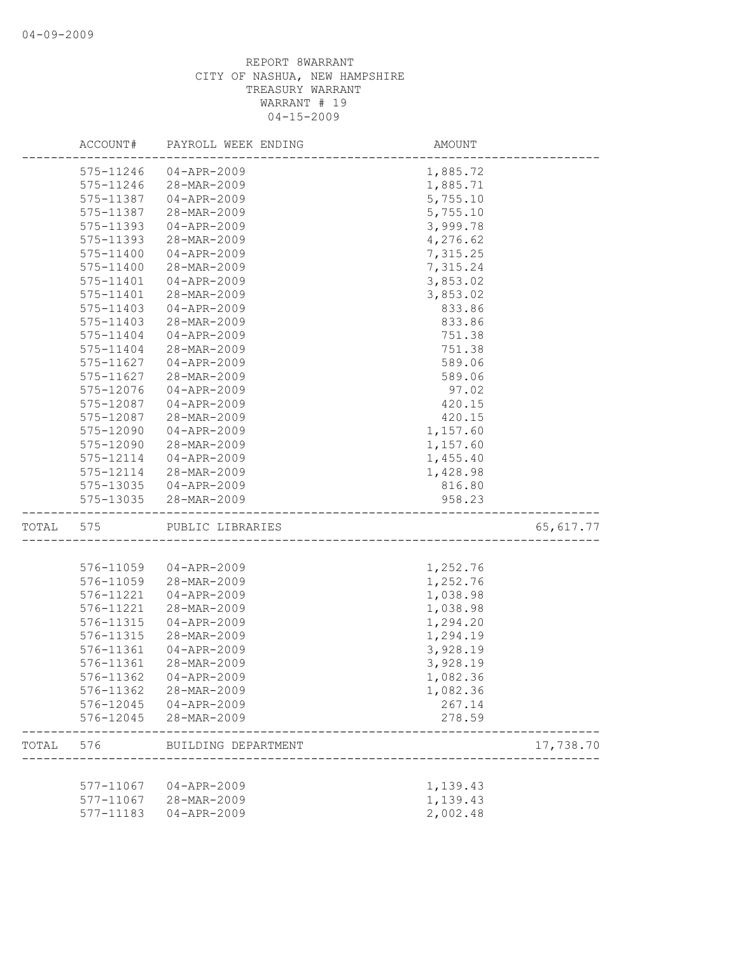|       | ACCOUNT#  | PAYROLL WEEK ENDING   | AMOUNT   |            |
|-------|-----------|-----------------------|----------|------------|
|       | 575-11246 | $04 - APR - 2009$     | 1,885.72 |            |
|       | 575-11246 | 28-MAR-2009           | 1,885.71 |            |
|       | 575-11387 | $04 - APR - 2009$     | 5,755.10 |            |
|       | 575-11387 | 28-MAR-2009           | 5,755.10 |            |
|       | 575-11393 | 04-APR-2009           | 3,999.78 |            |
|       | 575-11393 | 28-MAR-2009           | 4,276.62 |            |
|       | 575-11400 | $04 - APR - 2009$     | 7,315.25 |            |
|       | 575-11400 | 28-MAR-2009           | 7,315.24 |            |
|       | 575-11401 | 04-APR-2009           | 3,853.02 |            |
|       | 575-11401 | 28-MAR-2009           | 3,853.02 |            |
|       | 575-11403 | $04 - APR - 2009$     | 833.86   |            |
|       | 575-11403 | 28-MAR-2009           | 833.86   |            |
|       | 575-11404 | $04 - APR - 2009$     | 751.38   |            |
|       | 575-11404 | 28-MAR-2009           | 751.38   |            |
|       | 575-11627 | $04 - APR - 2009$     | 589.06   |            |
|       | 575-11627 | 28-MAR-2009           | 589.06   |            |
|       | 575-12076 | $04 - APR - 2009$     | 97.02    |            |
|       | 575-12087 | $04 - APR - 2009$     | 420.15   |            |
|       | 575-12087 | 28-MAR-2009           | 420.15   |            |
|       | 575-12090 | $04 - APR - 2009$     | 1,157.60 |            |
|       | 575-12090 | 28-MAR-2009           | 1,157.60 |            |
|       | 575-12114 | 04-APR-2009           | 1,455.40 |            |
|       | 575-12114 | 28-MAR-2009           | 1,428.98 |            |
|       | 575-13035 | 04-APR-2009           | 816.80   |            |
|       | 575-13035 | 28-MAR-2009           | 958.23   |            |
| TOTAL | 575       | PUBLIC LIBRARIES      |          | 65, 617.77 |
|       |           |                       |          |            |
|       | 576-11059 | 04-APR-2009           | 1,252.76 |            |
|       | 576-11059 | 28-MAR-2009           | 1,252.76 |            |
|       | 576-11221 | $04 - APR - 2009$     | 1,038.98 |            |
|       | 576-11221 | 28-MAR-2009           | 1,038.98 |            |
|       | 576-11315 | $04 - APR - 2009$     | 1,294.20 |            |
|       | 576-11315 | 28-MAR-2009           | 1,294.19 |            |
|       | 576-11361 | $04 - APR - 2009$     | 3,928.19 |            |
|       | 576-11361 | 28-MAR-2009           | 3,928.19 |            |
|       | 576-11362 | 04-APR-2009           | 1,082.36 |            |
|       |           | 576-11362 28-MAR-2009 | 1,082.36 |            |
|       |           | 576-12045 04-APR-2009 | 267.14   |            |
|       | 576-12045 | 28-MAR-2009           | 278.59   |            |
| TOTAL | 576       | BUILDING DEPARTMENT   |          | 17,738.70  |
|       |           |                       |          |            |
|       |           | 577-11067 04-APR-2009 | 1,139.43 |            |
|       | 577-11067 | 28-MAR-2009           | 1,139.43 |            |
|       | 577-11183 | 04-APR-2009           | 2,002.48 |            |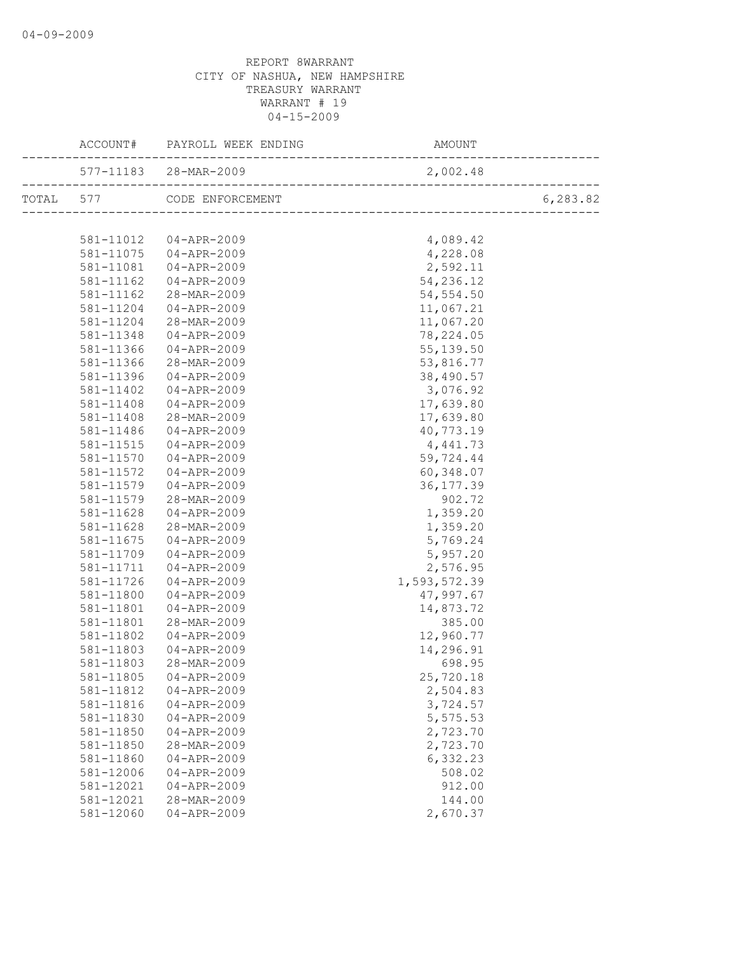|           | ACCOUNT# PAYROLL WEEK ENDING | AMOUNT       |          |
|-----------|------------------------------|--------------|----------|
|           |                              |              |          |
|           | TOTAL 577 CODE ENFORCEMENT   |              | 6,283.82 |
|           |                              |              |          |
|           | 581-11012  04-APR-2009       | 4,089.42     |          |
| 581-11075 | 04-APR-2009                  | 4,228.08     |          |
| 581-11081 | 04-APR-2009                  | 2,592.11     |          |
| 581-11162 | 04-APR-2009                  | 54,236.12    |          |
| 581-11162 | 28-MAR-2009                  | 54, 554.50   |          |
| 581-11204 | 04-APR-2009                  | 11,067.21    |          |
| 581-11204 | 28-MAR-2009                  | 11,067.20    |          |
| 581-11348 | $04 - APR - 2009$            | 78,224.05    |          |
| 581-11366 | $04 - APR - 2009$            | 55, 139.50   |          |
| 581-11366 | 28-MAR-2009                  | 53,816.77    |          |
| 581-11396 | 04-APR-2009                  | 38,490.57    |          |
| 581-11402 | 04-APR-2009                  | 3,076.92     |          |
| 581-11408 | 04-APR-2009                  | 17,639.80    |          |
| 581-11408 | 28-MAR-2009                  | 17,639.80    |          |
| 581-11486 | 04-APR-2009                  | 40,773.19    |          |
| 581-11515 | $04 - APR - 2009$            | 4,441.73     |          |
| 581-11570 | $04 - APR - 2009$            | 59,724.44    |          |
| 581-11572 | $04 - APR - 2009$            | 60,348.07    |          |
| 581-11579 | 04-APR-2009                  | 36, 177.39   |          |
| 581-11579 | 28-MAR-2009                  | 902.72       |          |
| 581-11628 | 04-APR-2009                  | 1,359.20     |          |
| 581-11628 | 28-MAR-2009                  | 1,359.20     |          |
| 581-11675 | $04 - APR - 2009$            | 5,769.24     |          |
| 581-11709 | 04-APR-2009                  | 5,957.20     |          |
| 581-11711 | 04-APR-2009                  | 2,576.95     |          |
| 581-11726 | 04-APR-2009                  | 1,593,572.39 |          |
| 581-11800 | 04-APR-2009                  | 47,997.67    |          |
| 581-11801 | 04-APR-2009                  | 14,873.72    |          |
| 581-11801 | 28-MAR-2009                  | 385.00       |          |
| 581-11802 | 04-APR-2009                  | 12,960.77    |          |
| 581-11803 | 04-APR-2009                  | 14,296.91    |          |
| 581-11803 | 28-MAR-2009                  | 698.95       |          |
| 581-11805 | $04 - APR - 2009$            | 25,720.18    |          |
| 581-11812 | $04 - APR - 2009$            | 2,504.83     |          |
| 581-11816 | $04 - APR - 2009$            | 3,724.57     |          |
| 581-11830 | $04 - APR - 2009$            | 5,575.53     |          |
| 581-11850 | $04 - APR - 2009$            | 2,723.70     |          |
| 581-11850 | 28-MAR-2009                  | 2,723.70     |          |
| 581-11860 | $04 - APR - 2009$            | 6,332.23     |          |
| 581-12006 | $04 - APR - 2009$            | 508.02       |          |
| 581-12021 | $04 - APR - 2009$            | 912.00       |          |
| 581-12021 | 28-MAR-2009                  | 144.00       |          |
| 581-12060 | $04 - APR - 2009$            | 2,670.37     |          |
|           |                              |              |          |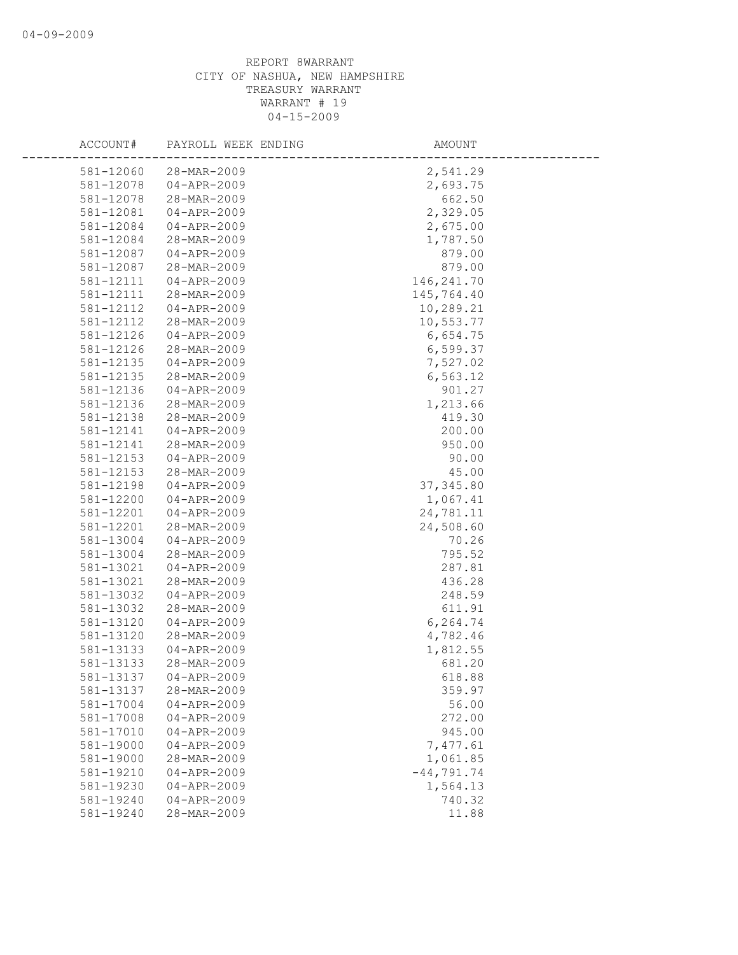| ACCOUNT#  | PAYROLL WEEK ENDING              | AMOUNT        |
|-----------|----------------------------------|---------------|
| 581-12060 | 28-MAR-2009                      | 2,541.29      |
| 581-12078 | $04 - APR - 2009$                | 2,693.75      |
| 581-12078 | 28-MAR-2009                      | 662.50        |
| 581-12081 | 04-APR-2009                      | 2,329.05      |
| 581-12084 | 04-APR-2009                      | 2,675.00      |
| 581-12084 | 28-MAR-2009                      | 1,787.50      |
| 581-12087 |                                  | 879.00        |
| 581-12087 | $04 - APR - 2009$<br>28-MAR-2009 | 879.00        |
| 581-12111 | 04-APR-2009                      | 146, 241.70   |
| 581-12111 | 28-MAR-2009                      | 145,764.40    |
| 581-12112 | $04 - APR - 2009$                | 10,289.21     |
|           | 28-MAR-2009                      |               |
| 581-12112 |                                  | 10,553.77     |
| 581-12126 | $04 - APR - 2009$                | 6,654.75      |
| 581-12126 | 28-MAR-2009                      | 6,599.37      |
| 581-12135 | $04 - APR - 2009$                | 7,527.02      |
| 581-12135 | 28-MAR-2009                      | 6, 563.12     |
| 581-12136 | $04 - APR - 2009$                | 901.27        |
| 581-12136 | 28-MAR-2009                      | 1,213.66      |
| 581-12138 | 28-MAR-2009                      | 419.30        |
| 581-12141 | $04 - APR - 2009$                | 200.00        |
| 581-12141 | 28-MAR-2009                      | 950.00        |
| 581-12153 | 04-APR-2009                      | 90.00         |
| 581-12153 | 28-MAR-2009                      | 45.00         |
| 581-12198 | $04 - APR - 2009$                | 37, 345.80    |
| 581-12200 | $04 - APR - 2009$                | 1,067.41      |
| 581-12201 | $04 - APR - 2009$                | 24,781.11     |
| 581-12201 | 28-MAR-2009                      | 24,508.60     |
| 581-13004 | 04-APR-2009                      | 70.26         |
| 581-13004 | 28-MAR-2009                      | 795.52        |
| 581-13021 | $04 - APR - 2009$                | 287.81        |
| 581-13021 | 28-MAR-2009                      | 436.28        |
| 581-13032 | $04 - APR - 2009$                | 248.59        |
| 581-13032 | 28-MAR-2009                      | 611.91        |
| 581-13120 | $04 - APR - 2009$                | 6,264.74      |
| 581-13120 | 28-MAR-2009                      | 4,782.46      |
| 581-13133 | $04 - APR - 2009$                | 1,812.55      |
| 581-13133 | 28-MAR-2009                      | 681.20        |
| 581-13137 | $04 - APR - 2009$                | 618.88        |
| 581-13137 | 28-MAR-2009                      | 359.97        |
| 581-17004 | $04 - APR - 2009$                | 56.00         |
| 581-17008 | $04 - APR - 2009$                | 272.00        |
| 581-17010 | $04 - APR - 2009$                | 945.00        |
| 581-19000 | $04 - APR - 2009$                | 7,477.61      |
| 581-19000 | 28-MAR-2009                      | 1,061.85      |
| 581-19210 | $04 - APR - 2009$                | $-44, 791.74$ |
| 581-19230 | $04 - APR - 2009$                | 1,564.13      |
| 581-19240 | $04 - APR - 2009$                | 740.32        |
| 581-19240 | 28-MAR-2009                      | 11.88         |
|           |                                  |               |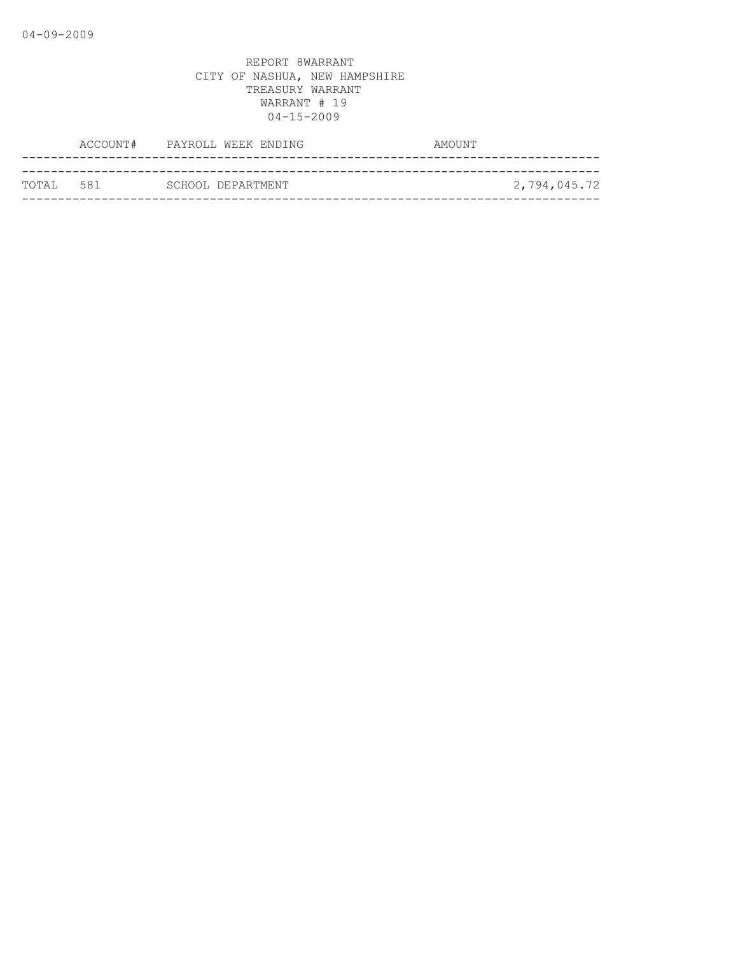|            | ACCOUNT# PAYROLL WEEK ENDING | AMOUNT       |
|------------|------------------------------|--------------|
|            |                              |              |
| ТОТАІ. 581 | SCHOOL DEPARTMENT            | 2,794,045.72 |
|            |                              |              |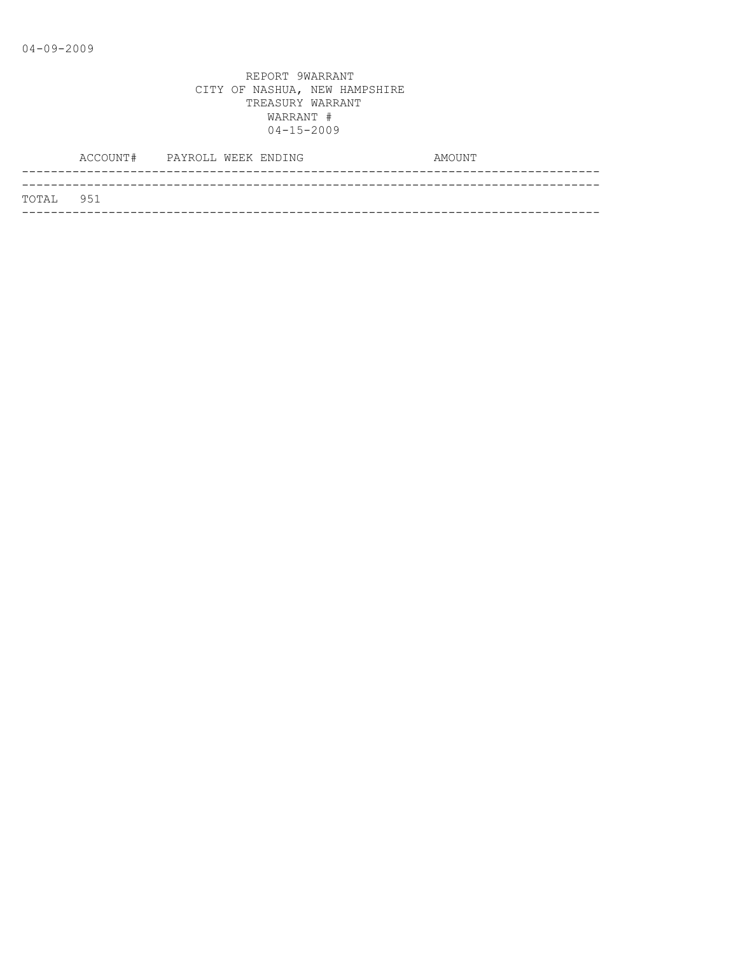|           | ACCOUNT# PAYROLL WEEK ENDING |  | AMOUNT |
|-----------|------------------------------|--|--------|
|           |                              |  |        |
| TOTAL 951 |                              |  |        |
|           |                              |  |        |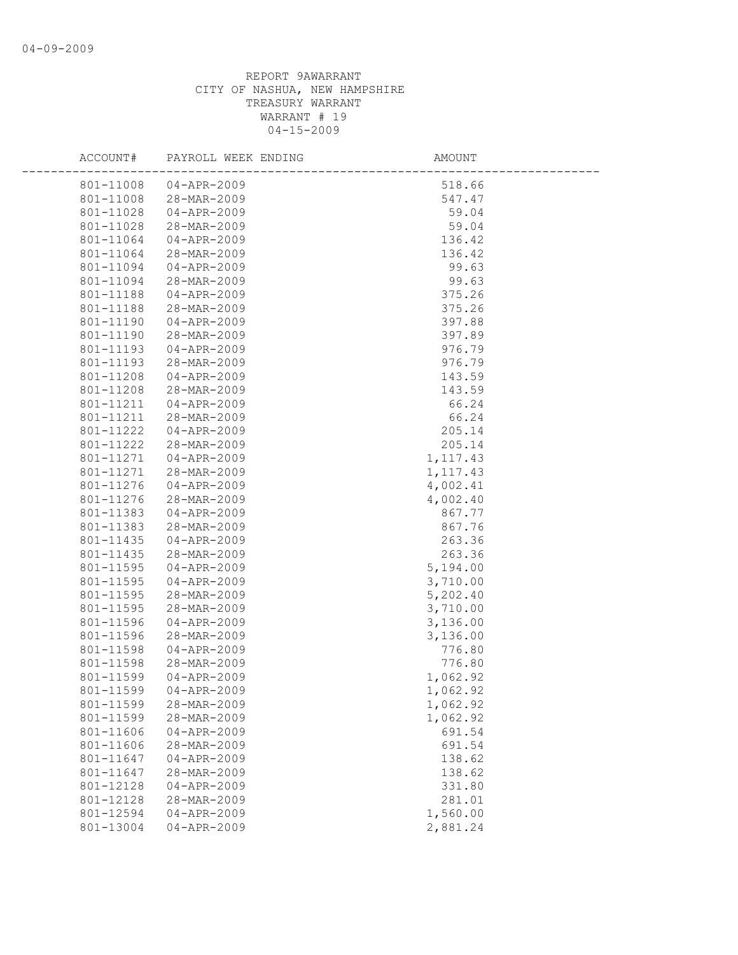| ACCOUNT#               | PAYROLL WEEK ENDING                    | AMOUNT           |  |
|------------------------|----------------------------------------|------------------|--|
| 801-11008              | 04-APR-2009                            | 518.66           |  |
| 801-11008              | 28-MAR-2009                            | 547.47           |  |
| 801-11028              | 04-APR-2009                            | 59.04            |  |
| 801-11028              | 28-MAR-2009                            | 59.04            |  |
| 801-11064              | 04-APR-2009                            | 136.42           |  |
| 801-11064              | 28-MAR-2009                            | 136.42           |  |
| 801-11094              | $04 - APR - 2009$                      | 99.63            |  |
| 801-11094              | 28-MAR-2009                            | 99.63            |  |
| 801-11188              | 04-APR-2009                            | 375.26           |  |
| 801-11188              | 28-MAR-2009                            | 375.26           |  |
| 801-11190              | 04-APR-2009                            | 397.88           |  |
| 801-11190              | 28-MAR-2009                            | 397.89           |  |
| 801-11193              | 04-APR-2009                            | 976.79           |  |
| 801-11193              | 28-MAR-2009                            | 976.79           |  |
| 801-11208              | 04-APR-2009                            | 143.59           |  |
| 801-11208              | 28-MAR-2009                            | 143.59           |  |
| 801-11211              | $04 - APR - 2009$                      | 66.24            |  |
| 801-11211              | 28-MAR-2009                            | 66.24            |  |
| 801-11222              | 04-APR-2009                            | 205.14           |  |
| 801-11222              | 28-MAR-2009                            | 205.14           |  |
| 801-11271              | 04-APR-2009                            | 1, 117.43        |  |
| 801-11271              | 28-MAR-2009                            | 1,117.43         |  |
| 801-11276              | 04-APR-2009                            | 4,002.41         |  |
| 801-11276              | 28-MAR-2009                            | 4,002.40         |  |
| 801-11383              | 04-APR-2009                            | 867.77           |  |
| 801-11383              | 28-MAR-2009                            | 867.76           |  |
| 801-11435              | 04-APR-2009                            | 263.36           |  |
| 801-11435              | 28-MAR-2009                            | 263.36           |  |
| 801-11595              | 04-APR-2009                            | 5,194.00         |  |
| 801-11595              | 04-APR-2009                            | 3,710.00         |  |
| 801-11595              | 28-MAR-2009                            | 5,202.40         |  |
| 801-11595              | 28-MAR-2009                            | 3,710.00         |  |
| 801-11596              | $04 - APR - 2009$                      | 3,136.00         |  |
| 801-11596              | 28-MAR-2009                            | 3,136.00         |  |
| 801-11598              | $04 - APR - 2009$                      | 776.80           |  |
| 801-11598              | 28-MAR-2009                            | 776.80           |  |
| 801-11599              | $04 - APR - 2009$                      | 1,062.92         |  |
| 801-11599              | 04-APR-2009                            | 1,062.92         |  |
| 801-11599              | 28-MAR-2009                            | 1,062.92         |  |
| 801-11599              | 28-MAR-2009                            | 1,062.92         |  |
| 801-11606              | $04 - APR - 2009$                      | 691.54           |  |
| 801-11606              | 28-MAR-2009                            | 691.54           |  |
| 801-11647              | $04 - APR - 2009$                      | 138.62           |  |
| 801-11647              | 28-MAR-2009<br>$04 - APR - 2009$       | 138.62           |  |
| 801-12128<br>801-12128 | 28-MAR-2009                            | 331.80<br>281.01 |  |
| 801-12594              |                                        |                  |  |
| 801-13004              | $04 - APR - 2009$<br>$04 - APR - 2009$ | 1,560.00         |  |
|                        |                                        | 2,881.24         |  |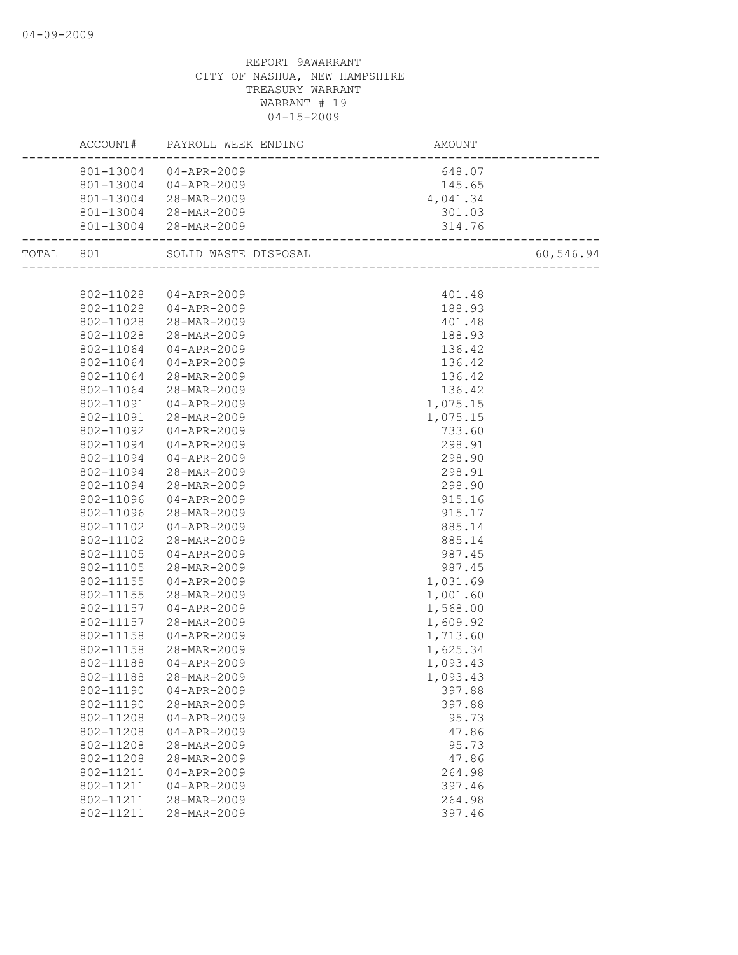|           |           | ACCOUNT# PAYROLL WEEK ENDING | AMOUNT<br>---------------------------           |           |
|-----------|-----------|------------------------------|-------------------------------------------------|-----------|
|           |           | 801-13004 04-APR-2009        | 648.07                                          |           |
|           |           | 801-13004 04-APR-2009        | 145.65                                          |           |
|           |           | 801-13004 28-MAR-2009        | 4,041.34                                        |           |
|           |           | 801-13004 28-MAR-2009        | 301.03                                          |           |
|           |           | 801-13004 28-MAR-2009        | 314.76<br>------------------------------------- |           |
| TOTAL 801 |           | SOLID WASTE DISPOSAL         |                                                 | 60,546.94 |
|           |           |                              |                                                 |           |
|           |           | 802-11028 04-APR-2009        | 401.48                                          |           |
|           |           | 802-11028 04-APR-2009        | 188.93                                          |           |
|           |           | 802-11028 28-MAR-2009        | 401.48                                          |           |
|           | 802-11028 | 28-MAR-2009                  | 188.93                                          |           |
|           | 802-11064 | 04-APR-2009                  | 136.42                                          |           |
|           | 802-11064 | $04 - APR - 2009$            | 136.42                                          |           |
|           | 802-11064 | 28-MAR-2009                  | 136.42                                          |           |
|           | 802-11064 | 28-MAR-2009                  | 136.42                                          |           |
|           | 802-11091 | 04-APR-2009                  | 1,075.15                                        |           |
|           | 802-11091 | 28-MAR-2009                  | 1,075.15                                        |           |
|           | 802-11092 | 04-APR-2009                  | 733.60                                          |           |
|           | 802-11094 | 04-APR-2009                  | 298.91                                          |           |
|           | 802-11094 | 04-APR-2009                  | 298.90                                          |           |
|           | 802-11094 | 28-MAR-2009                  | 298.91                                          |           |
|           | 802-11094 | 28-MAR-2009                  | 298.90                                          |           |
|           | 802-11096 | 04-APR-2009                  | 915.16                                          |           |
|           | 802-11096 | 28-MAR-2009                  | 915.17                                          |           |
|           | 802-11102 | 04-APR-2009                  | 885.14                                          |           |
|           | 802-11102 | 28-MAR-2009                  | 885.14                                          |           |
|           | 802-11105 | 04-APR-2009                  | 987.45                                          |           |
|           | 802-11105 | 28-MAR-2009                  | 987.45                                          |           |
|           | 802-11155 | 04-APR-2009                  | 1,031.69                                        |           |
|           | 802-11155 | 28-MAR-2009                  | 1,001.60                                        |           |
|           | 802-11157 | 04-APR-2009                  | 1,568.00                                        |           |
|           | 802-11157 | 28-MAR-2009                  | 1,609.92                                        |           |
|           | 802-11158 | $04 - APR - 2009$            | 1,713.60                                        |           |
|           | 802-11158 | 28-MAR-2009                  | 1,625.34                                        |           |
|           | 802-11188 | 04-APR-2009                  |                                                 |           |
|           |           |                              | 1,093.43                                        |           |
|           |           | 802-11188 28-MAR-2009        | 1,093.43                                        |           |
|           | 802-11190 | $04 - APR - 2009$            | 397.88                                          |           |
|           | 802-11190 | 28-MAR-2009                  | 397.88                                          |           |
|           | 802-11208 | $04 - APR - 2009$            | 95.73                                           |           |
|           | 802-11208 | $04 - APR - 2009$            | 47.86                                           |           |
|           | 802-11208 | 28-MAR-2009                  | 95.73                                           |           |
|           | 802-11208 | 28-MAR-2009                  | 47.86                                           |           |
|           | 802-11211 | $04 - APR - 2009$            | 264.98                                          |           |
|           | 802-11211 | $04 - APR - 2009$            | 397.46                                          |           |
|           | 802-11211 | 28-MAR-2009                  | 264.98                                          |           |
|           | 802-11211 | 28-MAR-2009                  | 397.46                                          |           |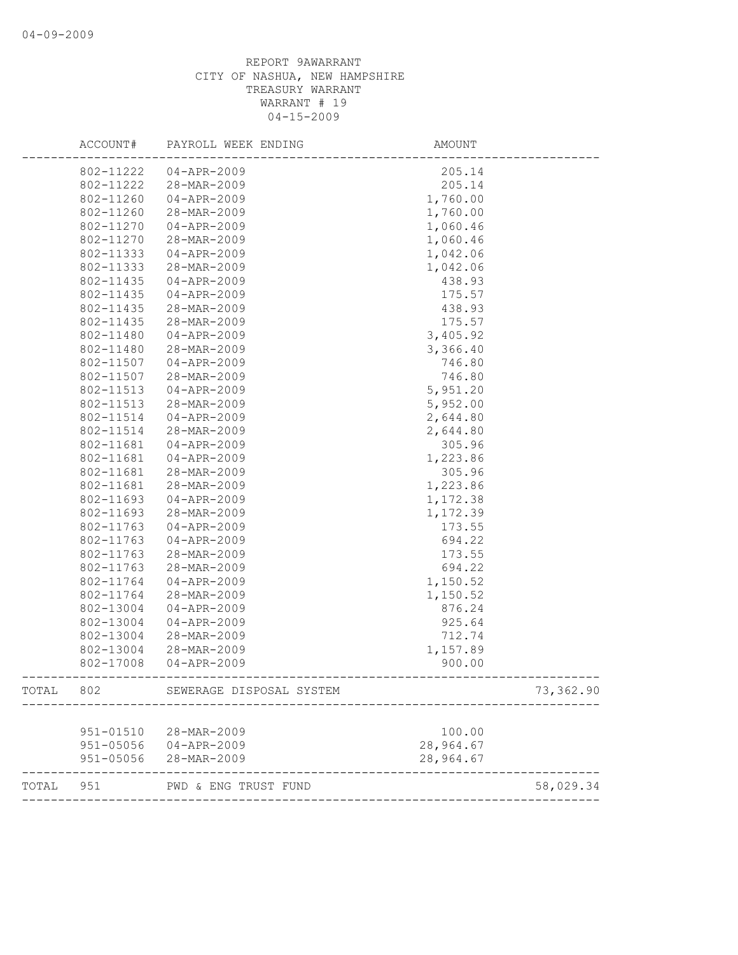| $04 - APR - 2009$<br>802-11222<br>205.14<br>802-11222<br>205.14<br>28-MAR-2009<br>802-11260<br>$04 - APR - 2009$<br>1,760.00<br>802-11260<br>28-MAR-2009<br>1,760.00<br>$04 - APR - 2009$<br>802-11270<br>1,060.46<br>802-11270<br>28-MAR-2009<br>1,060.46<br>802-11333<br>$04 - APR - 2009$<br>1,042.06<br>802-11333<br>28-MAR-2009<br>1,042.06<br>802-11435<br>438.93<br>$04 - APR - 2009$<br>802-11435<br>$04 - APR - 2009$<br>175.57<br>802-11435<br>28-MAR-2009<br>438.93<br>802-11435<br>28-MAR-2009<br>175.57<br>802-11480<br>$04 - APR - 2009$<br>3,405.92<br>802-11480<br>28-MAR-2009<br>3,366.40<br>802-11507<br>$04 - APR - 2009$<br>746.80<br>802-11507<br>28-MAR-2009<br>746.80<br>5,951.20<br>802-11513<br>$04 - APR - 2009$<br>802-11513<br>5,952.00<br>28-MAR-2009<br>802-11514<br>$04 - APR - 2009$<br>2,644.80<br>802-11514<br>2,644.80<br>28-MAR-2009<br>802-11681<br>$04 - APR - 2009$<br>305.96<br>$04 - APR - 2009$<br>802-11681<br>1,223.86<br>802-11681<br>28-MAR-2009<br>305.96<br>802-11681<br>28-MAR-2009<br>1,223.86<br>802-11693<br>$04 - APR - 2009$<br>1,172.38<br>802-11693<br>28-MAR-2009<br>1,172.39<br>802-11763<br>173.55<br>$04 - APR - 2009$<br>802-11763<br>04-APR-2009<br>694.22<br>802-11763<br>28-MAR-2009<br>173.55<br>802-11763<br>28-MAR-2009<br>694.22<br>802-11764<br>$04 - APR - 2009$<br>1,150.52<br>802-11764<br>28-MAR-2009<br>1,150.52<br>802-13004<br>$04 - APR - 2009$<br>876.24<br>802-13004<br>$04 - APR - 2009$<br>925.64<br>802-13004<br>28-MAR-2009<br>712.74<br>802-13004<br>1,157.89<br>28-MAR-2009<br>900.00<br>802-17008<br>$04 - APR - 2009$<br>802<br>TOTAL<br>SEWERAGE DISPOSAL SYSTEM<br>951-01510<br>28-MAR-2009<br>100.00<br>28,964.67<br>951-05056<br>$04 - APR - 2009$<br>28,964.67<br>951-05056<br>28-MAR-2009 | ACCOUNT# | PAYROLL WEEK ENDING | <b>AMOUNT</b> |           |
|----------------------------------------------------------------------------------------------------------------------------------------------------------------------------------------------------------------------------------------------------------------------------------------------------------------------------------------------------------------------------------------------------------------------------------------------------------------------------------------------------------------------------------------------------------------------------------------------------------------------------------------------------------------------------------------------------------------------------------------------------------------------------------------------------------------------------------------------------------------------------------------------------------------------------------------------------------------------------------------------------------------------------------------------------------------------------------------------------------------------------------------------------------------------------------------------------------------------------------------------------------------------------------------------------------------------------------------------------------------------------------------------------------------------------------------------------------------------------------------------------------------------------------------------------------------------------------------------------------------------------------------------------------------------------------------------------------------------------------------------------------------------------------------|----------|---------------------|---------------|-----------|
|                                                                                                                                                                                                                                                                                                                                                                                                                                                                                                                                                                                                                                                                                                                                                                                                                                                                                                                                                                                                                                                                                                                                                                                                                                                                                                                                                                                                                                                                                                                                                                                                                                                                                                                                                                                        |          |                     |               |           |
|                                                                                                                                                                                                                                                                                                                                                                                                                                                                                                                                                                                                                                                                                                                                                                                                                                                                                                                                                                                                                                                                                                                                                                                                                                                                                                                                                                                                                                                                                                                                                                                                                                                                                                                                                                                        |          |                     |               |           |
|                                                                                                                                                                                                                                                                                                                                                                                                                                                                                                                                                                                                                                                                                                                                                                                                                                                                                                                                                                                                                                                                                                                                                                                                                                                                                                                                                                                                                                                                                                                                                                                                                                                                                                                                                                                        |          |                     |               |           |
|                                                                                                                                                                                                                                                                                                                                                                                                                                                                                                                                                                                                                                                                                                                                                                                                                                                                                                                                                                                                                                                                                                                                                                                                                                                                                                                                                                                                                                                                                                                                                                                                                                                                                                                                                                                        |          |                     |               |           |
|                                                                                                                                                                                                                                                                                                                                                                                                                                                                                                                                                                                                                                                                                                                                                                                                                                                                                                                                                                                                                                                                                                                                                                                                                                                                                                                                                                                                                                                                                                                                                                                                                                                                                                                                                                                        |          |                     |               |           |
|                                                                                                                                                                                                                                                                                                                                                                                                                                                                                                                                                                                                                                                                                                                                                                                                                                                                                                                                                                                                                                                                                                                                                                                                                                                                                                                                                                                                                                                                                                                                                                                                                                                                                                                                                                                        |          |                     |               |           |
|                                                                                                                                                                                                                                                                                                                                                                                                                                                                                                                                                                                                                                                                                                                                                                                                                                                                                                                                                                                                                                                                                                                                                                                                                                                                                                                                                                                                                                                                                                                                                                                                                                                                                                                                                                                        |          |                     |               |           |
|                                                                                                                                                                                                                                                                                                                                                                                                                                                                                                                                                                                                                                                                                                                                                                                                                                                                                                                                                                                                                                                                                                                                                                                                                                                                                                                                                                                                                                                                                                                                                                                                                                                                                                                                                                                        |          |                     |               |           |
|                                                                                                                                                                                                                                                                                                                                                                                                                                                                                                                                                                                                                                                                                                                                                                                                                                                                                                                                                                                                                                                                                                                                                                                                                                                                                                                                                                                                                                                                                                                                                                                                                                                                                                                                                                                        |          |                     |               |           |
|                                                                                                                                                                                                                                                                                                                                                                                                                                                                                                                                                                                                                                                                                                                                                                                                                                                                                                                                                                                                                                                                                                                                                                                                                                                                                                                                                                                                                                                                                                                                                                                                                                                                                                                                                                                        |          |                     |               |           |
|                                                                                                                                                                                                                                                                                                                                                                                                                                                                                                                                                                                                                                                                                                                                                                                                                                                                                                                                                                                                                                                                                                                                                                                                                                                                                                                                                                                                                                                                                                                                                                                                                                                                                                                                                                                        |          |                     |               |           |
|                                                                                                                                                                                                                                                                                                                                                                                                                                                                                                                                                                                                                                                                                                                                                                                                                                                                                                                                                                                                                                                                                                                                                                                                                                                                                                                                                                                                                                                                                                                                                                                                                                                                                                                                                                                        |          |                     |               |           |
|                                                                                                                                                                                                                                                                                                                                                                                                                                                                                                                                                                                                                                                                                                                                                                                                                                                                                                                                                                                                                                                                                                                                                                                                                                                                                                                                                                                                                                                                                                                                                                                                                                                                                                                                                                                        |          |                     |               |           |
|                                                                                                                                                                                                                                                                                                                                                                                                                                                                                                                                                                                                                                                                                                                                                                                                                                                                                                                                                                                                                                                                                                                                                                                                                                                                                                                                                                                                                                                                                                                                                                                                                                                                                                                                                                                        |          |                     |               |           |
|                                                                                                                                                                                                                                                                                                                                                                                                                                                                                                                                                                                                                                                                                                                                                                                                                                                                                                                                                                                                                                                                                                                                                                                                                                                                                                                                                                                                                                                                                                                                                                                                                                                                                                                                                                                        |          |                     |               |           |
|                                                                                                                                                                                                                                                                                                                                                                                                                                                                                                                                                                                                                                                                                                                                                                                                                                                                                                                                                                                                                                                                                                                                                                                                                                                                                                                                                                                                                                                                                                                                                                                                                                                                                                                                                                                        |          |                     |               |           |
|                                                                                                                                                                                                                                                                                                                                                                                                                                                                                                                                                                                                                                                                                                                                                                                                                                                                                                                                                                                                                                                                                                                                                                                                                                                                                                                                                                                                                                                                                                                                                                                                                                                                                                                                                                                        |          |                     |               |           |
|                                                                                                                                                                                                                                                                                                                                                                                                                                                                                                                                                                                                                                                                                                                                                                                                                                                                                                                                                                                                                                                                                                                                                                                                                                                                                                                                                                                                                                                                                                                                                                                                                                                                                                                                                                                        |          |                     |               |           |
|                                                                                                                                                                                                                                                                                                                                                                                                                                                                                                                                                                                                                                                                                                                                                                                                                                                                                                                                                                                                                                                                                                                                                                                                                                                                                                                                                                                                                                                                                                                                                                                                                                                                                                                                                                                        |          |                     |               |           |
|                                                                                                                                                                                                                                                                                                                                                                                                                                                                                                                                                                                                                                                                                                                                                                                                                                                                                                                                                                                                                                                                                                                                                                                                                                                                                                                                                                                                                                                                                                                                                                                                                                                                                                                                                                                        |          |                     |               |           |
|                                                                                                                                                                                                                                                                                                                                                                                                                                                                                                                                                                                                                                                                                                                                                                                                                                                                                                                                                                                                                                                                                                                                                                                                                                                                                                                                                                                                                                                                                                                                                                                                                                                                                                                                                                                        |          |                     |               |           |
|                                                                                                                                                                                                                                                                                                                                                                                                                                                                                                                                                                                                                                                                                                                                                                                                                                                                                                                                                                                                                                                                                                                                                                                                                                                                                                                                                                                                                                                                                                                                                                                                                                                                                                                                                                                        |          |                     |               |           |
|                                                                                                                                                                                                                                                                                                                                                                                                                                                                                                                                                                                                                                                                                                                                                                                                                                                                                                                                                                                                                                                                                                                                                                                                                                                                                                                                                                                                                                                                                                                                                                                                                                                                                                                                                                                        |          |                     |               |           |
|                                                                                                                                                                                                                                                                                                                                                                                                                                                                                                                                                                                                                                                                                                                                                                                                                                                                                                                                                                                                                                                                                                                                                                                                                                                                                                                                                                                                                                                                                                                                                                                                                                                                                                                                                                                        |          |                     |               |           |
|                                                                                                                                                                                                                                                                                                                                                                                                                                                                                                                                                                                                                                                                                                                                                                                                                                                                                                                                                                                                                                                                                                                                                                                                                                                                                                                                                                                                                                                                                                                                                                                                                                                                                                                                                                                        |          |                     |               |           |
|                                                                                                                                                                                                                                                                                                                                                                                                                                                                                                                                                                                                                                                                                                                                                                                                                                                                                                                                                                                                                                                                                                                                                                                                                                                                                                                                                                                                                                                                                                                                                                                                                                                                                                                                                                                        |          |                     |               |           |
|                                                                                                                                                                                                                                                                                                                                                                                                                                                                                                                                                                                                                                                                                                                                                                                                                                                                                                                                                                                                                                                                                                                                                                                                                                                                                                                                                                                                                                                                                                                                                                                                                                                                                                                                                                                        |          |                     |               |           |
|                                                                                                                                                                                                                                                                                                                                                                                                                                                                                                                                                                                                                                                                                                                                                                                                                                                                                                                                                                                                                                                                                                                                                                                                                                                                                                                                                                                                                                                                                                                                                                                                                                                                                                                                                                                        |          |                     |               |           |
|                                                                                                                                                                                                                                                                                                                                                                                                                                                                                                                                                                                                                                                                                                                                                                                                                                                                                                                                                                                                                                                                                                                                                                                                                                                                                                                                                                                                                                                                                                                                                                                                                                                                                                                                                                                        |          |                     |               |           |
|                                                                                                                                                                                                                                                                                                                                                                                                                                                                                                                                                                                                                                                                                                                                                                                                                                                                                                                                                                                                                                                                                                                                                                                                                                                                                                                                                                                                                                                                                                                                                                                                                                                                                                                                                                                        |          |                     |               |           |
|                                                                                                                                                                                                                                                                                                                                                                                                                                                                                                                                                                                                                                                                                                                                                                                                                                                                                                                                                                                                                                                                                                                                                                                                                                                                                                                                                                                                                                                                                                                                                                                                                                                                                                                                                                                        |          |                     |               |           |
|                                                                                                                                                                                                                                                                                                                                                                                                                                                                                                                                                                                                                                                                                                                                                                                                                                                                                                                                                                                                                                                                                                                                                                                                                                                                                                                                                                                                                                                                                                                                                                                                                                                                                                                                                                                        |          |                     |               |           |
|                                                                                                                                                                                                                                                                                                                                                                                                                                                                                                                                                                                                                                                                                                                                                                                                                                                                                                                                                                                                                                                                                                                                                                                                                                                                                                                                                                                                                                                                                                                                                                                                                                                                                                                                                                                        |          |                     |               |           |
|                                                                                                                                                                                                                                                                                                                                                                                                                                                                                                                                                                                                                                                                                                                                                                                                                                                                                                                                                                                                                                                                                                                                                                                                                                                                                                                                                                                                                                                                                                                                                                                                                                                                                                                                                                                        |          |                     |               |           |
|                                                                                                                                                                                                                                                                                                                                                                                                                                                                                                                                                                                                                                                                                                                                                                                                                                                                                                                                                                                                                                                                                                                                                                                                                                                                                                                                                                                                                                                                                                                                                                                                                                                                                                                                                                                        |          |                     |               |           |
|                                                                                                                                                                                                                                                                                                                                                                                                                                                                                                                                                                                                                                                                                                                                                                                                                                                                                                                                                                                                                                                                                                                                                                                                                                                                                                                                                                                                                                                                                                                                                                                                                                                                                                                                                                                        |          |                     |               |           |
|                                                                                                                                                                                                                                                                                                                                                                                                                                                                                                                                                                                                                                                                                                                                                                                                                                                                                                                                                                                                                                                                                                                                                                                                                                                                                                                                                                                                                                                                                                                                                                                                                                                                                                                                                                                        |          |                     |               |           |
|                                                                                                                                                                                                                                                                                                                                                                                                                                                                                                                                                                                                                                                                                                                                                                                                                                                                                                                                                                                                                                                                                                                                                                                                                                                                                                                                                                                                                                                                                                                                                                                                                                                                                                                                                                                        |          |                     |               | 73,362.90 |
|                                                                                                                                                                                                                                                                                                                                                                                                                                                                                                                                                                                                                                                                                                                                                                                                                                                                                                                                                                                                                                                                                                                                                                                                                                                                                                                                                                                                                                                                                                                                                                                                                                                                                                                                                                                        |          |                     |               |           |
|                                                                                                                                                                                                                                                                                                                                                                                                                                                                                                                                                                                                                                                                                                                                                                                                                                                                                                                                                                                                                                                                                                                                                                                                                                                                                                                                                                                                                                                                                                                                                                                                                                                                                                                                                                                        |          |                     |               |           |
|                                                                                                                                                                                                                                                                                                                                                                                                                                                                                                                                                                                                                                                                                                                                                                                                                                                                                                                                                                                                                                                                                                                                                                                                                                                                                                                                                                                                                                                                                                                                                                                                                                                                                                                                                                                        |          |                     |               |           |
|                                                                                                                                                                                                                                                                                                                                                                                                                                                                                                                                                                                                                                                                                                                                                                                                                                                                                                                                                                                                                                                                                                                                                                                                                                                                                                                                                                                                                                                                                                                                                                                                                                                                                                                                                                                        |          |                     |               |           |
| 951<br>TOTAL<br>PWD & ENG TRUST FUND                                                                                                                                                                                                                                                                                                                                                                                                                                                                                                                                                                                                                                                                                                                                                                                                                                                                                                                                                                                                                                                                                                                                                                                                                                                                                                                                                                                                                                                                                                                                                                                                                                                                                                                                                   |          |                     |               | 58,029.34 |